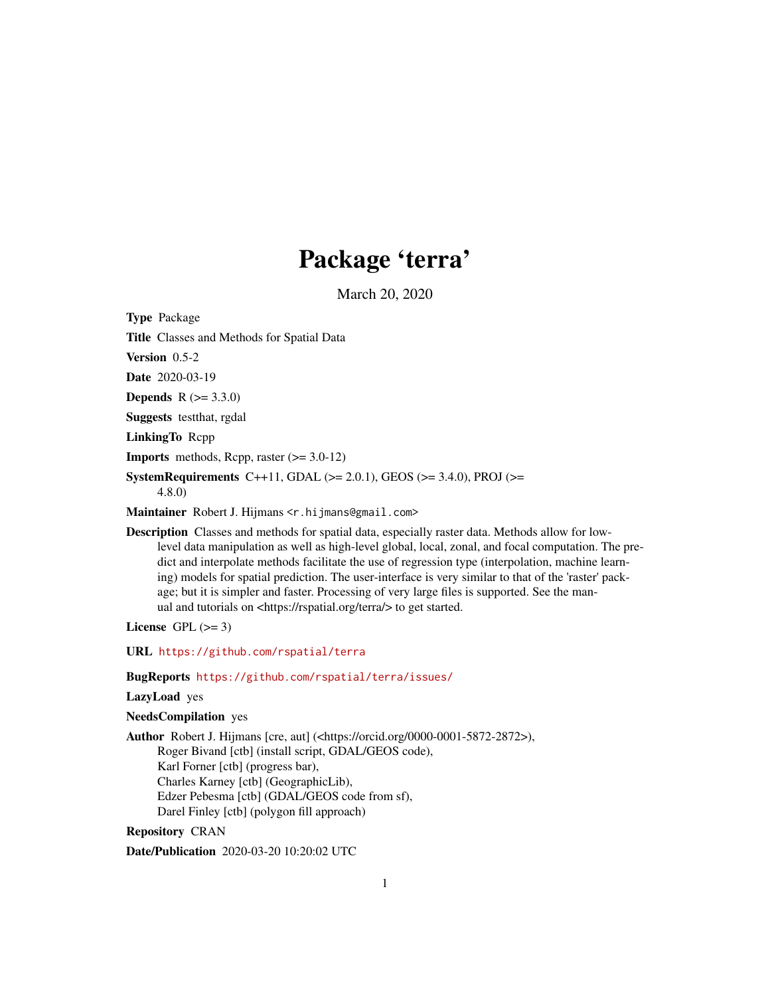# Package 'terra'

March 20, 2020

<span id="page-0-0"></span>Type Package Title Classes and Methods for Spatial Data Version 0.5-2 Date 2020-03-19 **Depends**  $R (= 3.3.0)$ Suggests testthat, rgdal LinkingTo Rcpp **Imports** methods, Rcpp, raster  $(>= 3.0-12)$ SystemRequirements C++11, GDAL ( $>= 2.0.1$ ), GEOS ( $>= 3.4.0$ ), PROJ ( $>=$ 4.8.0) Maintainer Robert J. Hijmans <r.hijmans@gmail.com>

Description Classes and methods for spatial data, especially raster data. Methods allow for lowlevel data manipulation as well as high-level global, local, zonal, and focal computation. The predict and interpolate methods facilitate the use of regression type (interpolation, machine learning) models for spatial prediction. The user-interface is very similar to that of the 'raster' package; but it is simpler and faster. Processing of very large files is supported. See the manual and tutorials on <https://rspatial.org/terra/> to get started.

License GPL  $(>= 3)$ 

URL <https://github.com/rspatial/terra>

BugReports <https://github.com/rspatial/terra/issues/>

#### LazyLoad yes

NeedsCompilation yes

Author Robert J. Hijmans [cre, aut] (<https://orcid.org/0000-0001-5872-2872>), Roger Bivand [ctb] (install script, GDAL/GEOS code), Karl Forner [ctb] (progress bar), Charles Karney [ctb] (GeographicLib), Edzer Pebesma [ctb] (GDAL/GEOS code from sf), Darel Finley [ctb] (polygon fill approach)

# Repository CRAN

Date/Publication 2020-03-20 10:20:02 UTC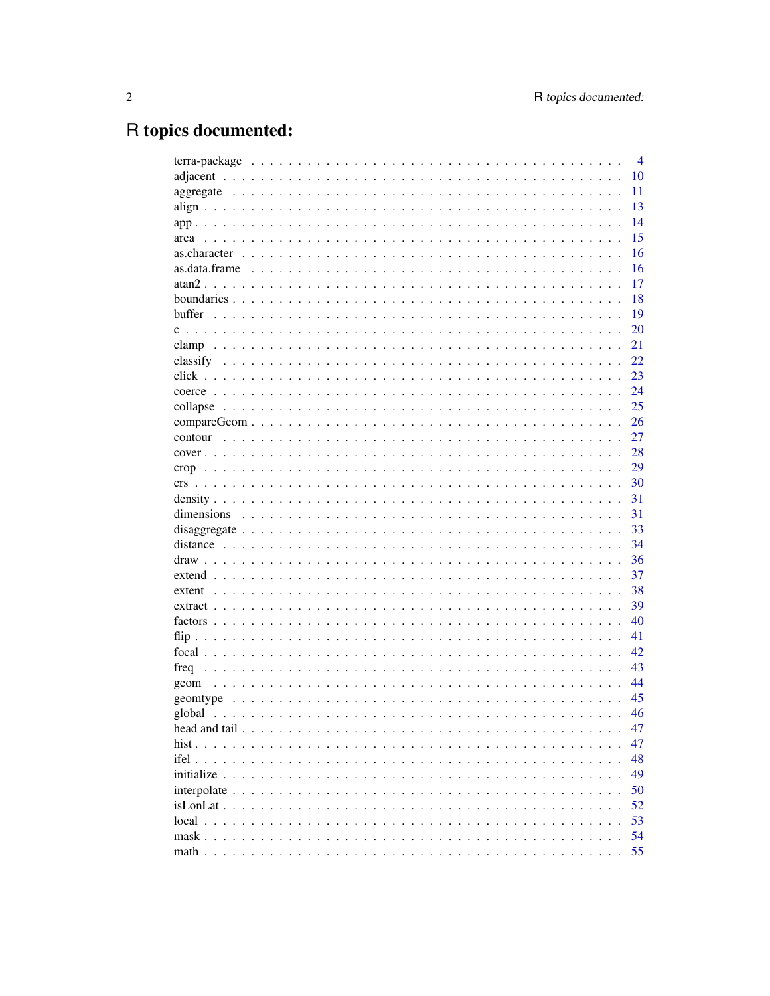# R topics documented:

|      | $\overline{4}$ |
|------|----------------|
|      | 10             |
|      | 11             |
|      | 13             |
|      | 14             |
| area | 15             |
|      | 16             |
|      | 16             |
|      | 17             |
|      | 18             |
|      | 19             |
|      | 20             |
|      | 21             |
|      | 22             |
|      | 23             |
|      | 24             |
|      | 25             |
|      | 26             |
|      | 27             |
|      | 28             |
|      | 29             |
|      | 30             |
|      | 31             |
|      | 31             |
|      | 33             |
|      | 34             |
|      | 36             |
|      | 37             |
|      | 38             |
|      | 39             |
|      | 40             |
|      | 41             |
|      | 42             |
|      | 43             |
| geom | 44             |
|      | 45             |
|      | 46             |
|      | 47             |
|      | 47             |
|      | 48             |
|      | 49             |
|      |                |
|      | 50             |
|      | 52             |
|      | 53             |
|      | 54             |
|      | 55             |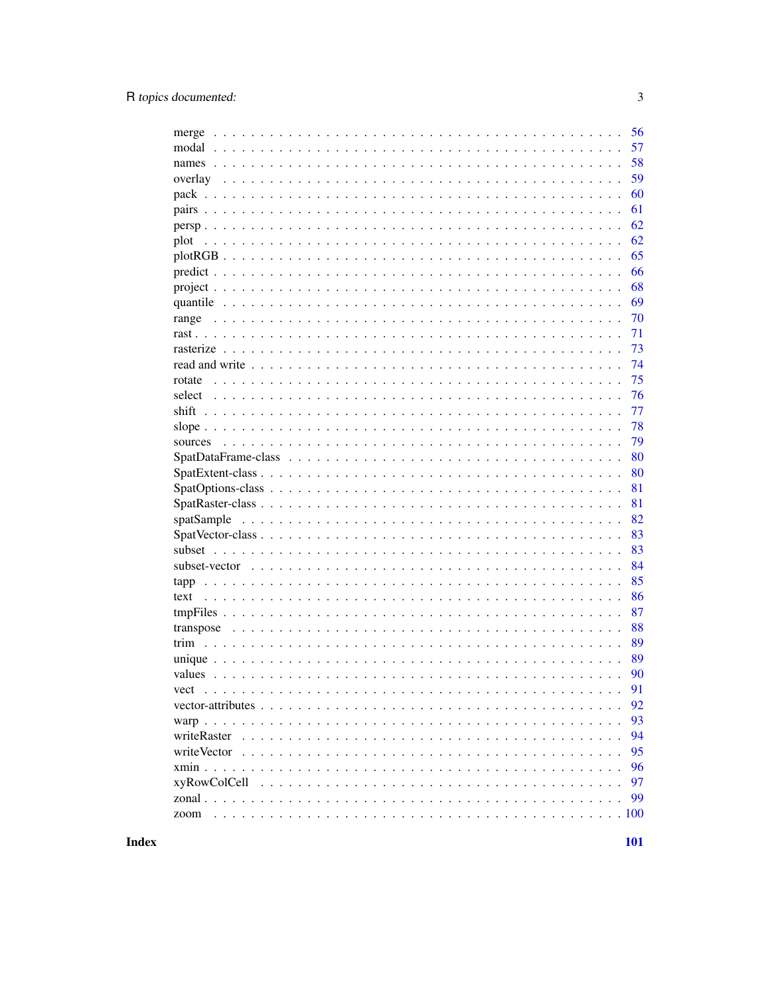| merge                | 56 |
|----------------------|----|
| modal                | 57 |
|                      | 58 |
| overlay              | 59 |
|                      | 60 |
|                      | 61 |
|                      | 62 |
| plot                 | 62 |
|                      | 65 |
|                      | 66 |
|                      | 68 |
|                      | 69 |
| range                | 70 |
|                      | 71 |
|                      | 73 |
|                      | 74 |
| rotate               | 75 |
| select               | 76 |
| shift                | 77 |
|                      | 78 |
| sources              | 79 |
|                      | 80 |
|                      | 80 |
|                      | 81 |
|                      | 81 |
| spatSample           | 82 |
|                      | 83 |
|                      | 83 |
|                      | 84 |
| tapp                 | 85 |
| text                 | 86 |
|                      | 87 |
|                      | 88 |
|                      | 89 |
|                      | 89 |
|                      | 90 |
|                      | 91 |
|                      | 92 |
|                      | 93 |
|                      | 94 |
|                      | 95 |
|                      | 96 |
|                      | 97 |
|                      | 99 |
|                      |    |
| $\ldots$ 100<br>zoom |    |

**Index**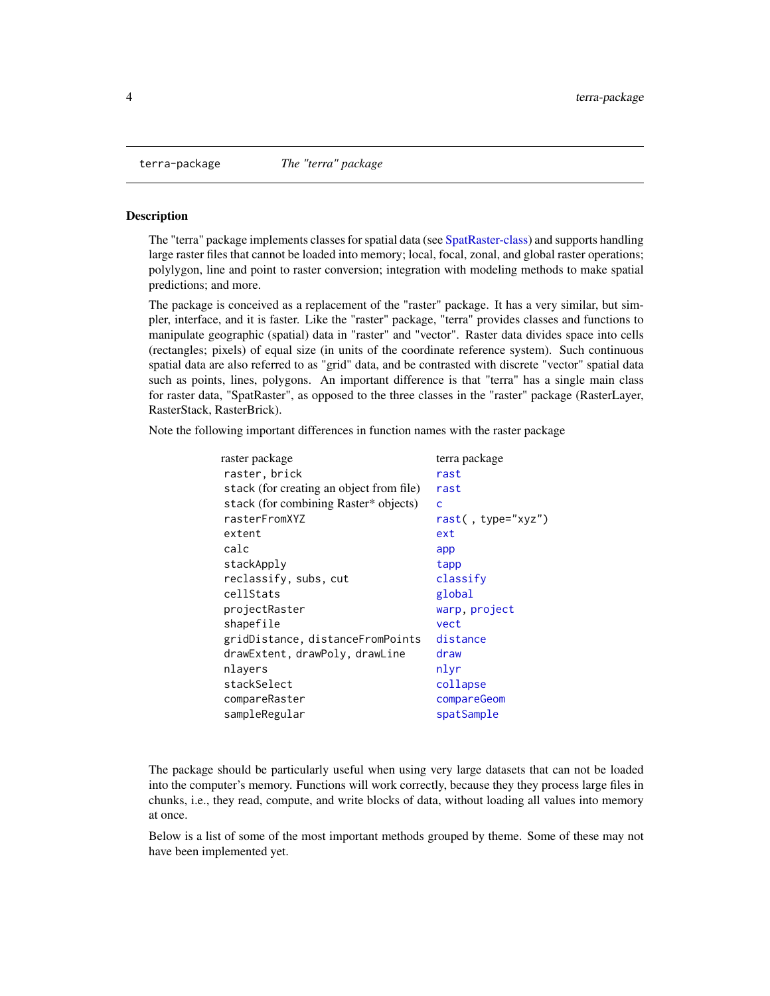<span id="page-3-0"></span>

The "terra" package implements classes for spatial data (see [SpatRaster-class\)](#page-80-1) and supports handling large raster files that cannot be loaded into memory; local, focal, zonal, and global raster operations; polylygon, line and point to raster conversion; integration with modeling methods to make spatial predictions; and more.

The package is conceived as a replacement of the "raster" package. It has a very similar, but simpler, interface, and it is faster. Like the "raster" package, "terra" provides classes and functions to manipulate geographic (spatial) data in "raster" and "vector". Raster data divides space into cells (rectangles; pixels) of equal size (in units of the coordinate reference system). Such continuous spatial data are also referred to as "grid" data, and be contrasted with discrete "vector" spatial data such as points, lines, polygons. An important difference is that "terra" has a single main class for raster data, "SpatRaster", as opposed to the three classes in the "raster" package (RasterLayer, RasterStack, RasterBrick).

Note the following important differences in function names with the raster package

| terra package      |
|--------------------|
| rast               |
| rast               |
| Ċ                  |
| rast(, type="xyz") |
| ext                |
| app                |
| tapp               |
| classify           |
| global             |
| warp, project      |
| vect               |
| distance           |
| draw               |
| nlyr               |
| collapse           |
| compareGeom        |
| spatSample         |
|                    |

The package should be particularly useful when using very large datasets that can not be loaded into the computer's memory. Functions will work correctly, because they they process large files in chunks, i.e., they read, compute, and write blocks of data, without loading all values into memory at once.

Below is a list of some of the most important methods grouped by theme. Some of these may not have been implemented yet.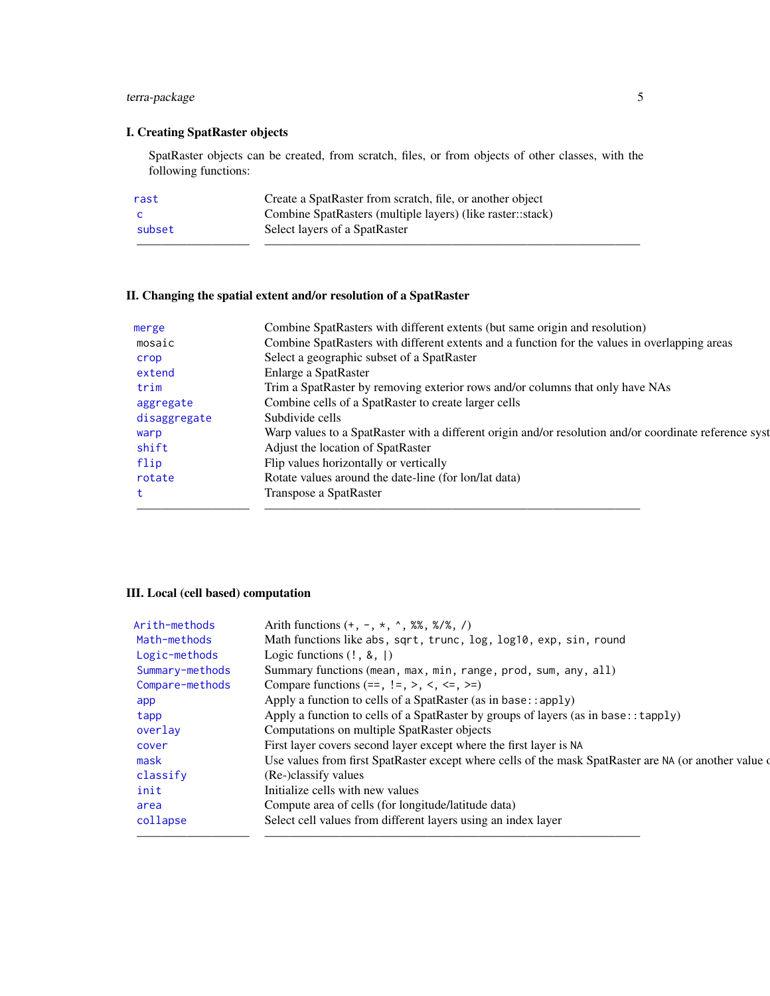# terra-package 5

# I. Creating SpatRaster objects

SpatRaster objects can be created, from scratch, files, or from objects of other classes, with the following functions:

| rast   | Create a SpatRaster from scratch, file, or another object  |
|--------|------------------------------------------------------------|
| - C    | Combine SpatRasters (multiple layers) (like raster::stack) |
| subset | Select layers of a SpatRaster                              |
|        |                                                            |

# II. Changing the spatial extent and/or resolution of a SpatRaster

| Combine SpatRasters with different extents (but same origin and resolution)                            |
|--------------------------------------------------------------------------------------------------------|
| Combine SpatRasters with different extents and a function for the values in overlapping areas          |
| Select a geographic subset of a SpatRaster                                                             |
| Enlarge a SpatRaster                                                                                   |
| Trim a SpatRaster by removing exterior rows and/or columns that only have NAs                          |
| Combine cells of a SpatRaster to create larger cells                                                   |
| Subdivide cells                                                                                        |
| Warp values to a SpatRaster with a different origin and/or resolution and/or coordinate reference syst |
| Adjust the location of SpatRaster                                                                      |
| Flip values horizontally or vertically                                                                 |
| Rotate values around the date-line (for lon/lat data)                                                  |
| Transpose a SpatRaster                                                                                 |
|                                                                                                        |

# III. Local (cell based) computation

| Arith-methods   | Arith functions $(+, -, *, ', ', \%)$ , $\frac{1}{2}$                                                  |
|-----------------|--------------------------------------------------------------------------------------------------------|
| Math-methods    | Math functions like abs, sqrt, trunc, log, log10, exp, sin, round                                      |
| Logic-methods   | Logic functions $(!, \, \&, \,  )$                                                                     |
| Summary-methods | Summary functions (mean, max, min, range, prod, sum, any, all)                                         |
| Compare-methods | Compare functions $(==, !=, >, <, <=, >=)$                                                             |
| app             | Apply a function to cells of a SpatRaster (as in base::apply)                                          |
| tapp            | Apply a function to cells of a SpatRaster by groups of layers (as in base: $:\text{tapply}$ )          |
| overlay         | Computations on multiple SpatRaster objects                                                            |
| cover           | First layer covers second layer except where the first layer is NA                                     |
| mask            | Use values from first SpatRaster except where cells of the mask SpatRaster are NA (or another value of |
| classify        | (Re-)classify values                                                                                   |
| init            | Initialize cells with new values                                                                       |
| area            | Compute area of cells (for longitude/latitude data)                                                    |
| collapse        | Select cell values from different layers using an index layer                                          |
|                 |                                                                                                        |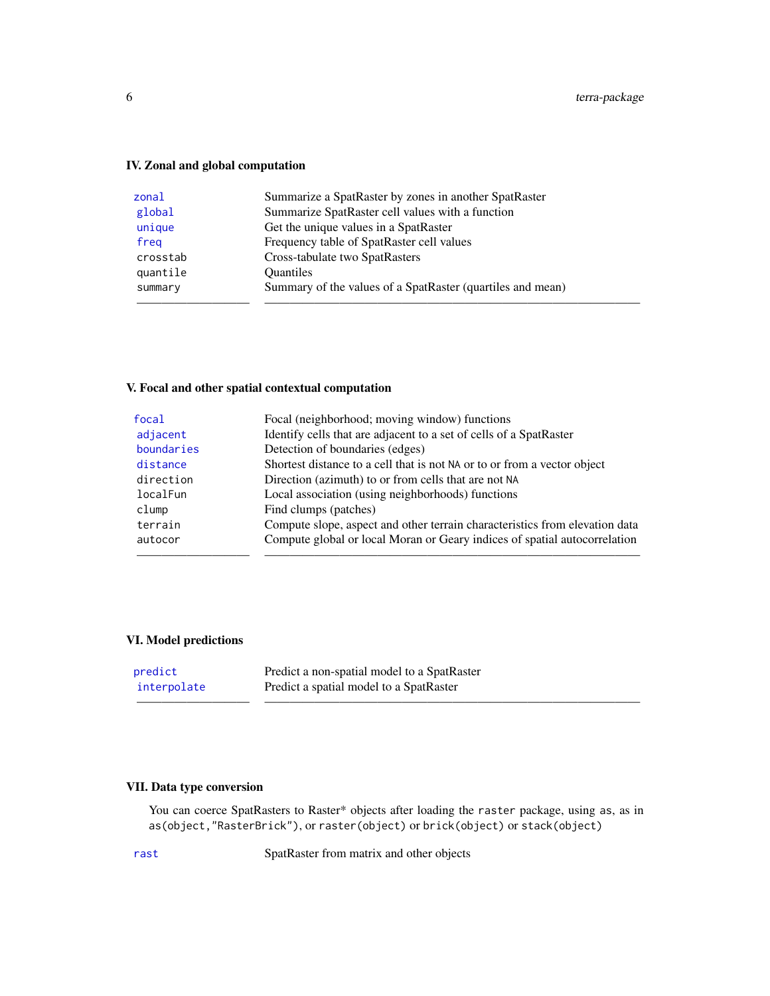# IV. Zonal and global computation

| zonal    | Summarize a SpatRaster by zones in another SpatRaster      |
|----------|------------------------------------------------------------|
| global   | Summarize SpatRaster cell values with a function           |
| unique   | Get the unique values in a SpatRaster                      |
| freg     | Frequency table of SpatRaster cell values                  |
| crosstab | Cross-tabulate two SpatRasters                             |
| quantile | <b>Ouantiles</b>                                           |
| summary  | Summary of the values of a SpatRaster (quartiles and mean) |
|          |                                                            |

# V. Focal and other spatial contextual computation

| focal      | Focal (neighborhood; moving window) functions                               |
|------------|-----------------------------------------------------------------------------|
| adjacent   | Identify cells that are adjacent to a set of cells of a SpatRaster          |
| boundaries | Detection of boundaries (edges)                                             |
| distance   | Shortest distance to a cell that is not NA or to or from a vector object    |
| direction  | Direction (azimuth) to or from cells that are not NA                        |
| localFun   | Local association (using neighborhoods) functions                           |
| clump      | Find clumps (patches)                                                       |
| terrain    | Compute slope, aspect and other terrain characteristics from elevation data |
| autocor    | Compute global or local Moran or Geary indices of spatial autocorrelation   |
|            |                                                                             |

# VI. Model predictions

| predict     | Predict a non-spatial model to a SpatRaster |
|-------------|---------------------------------------------|
| interpolate | Predict a spatial model to a SpatRaster     |
|             |                                             |

# VII. Data type conversion

You can coerce SpatRasters to Raster\* objects after loading the raster package, using as, as in as(object,"RasterBrick"), or raster(object) or brick(object) or stack(object)

[rast](#page-70-1) SpatRaster from matrix and other objects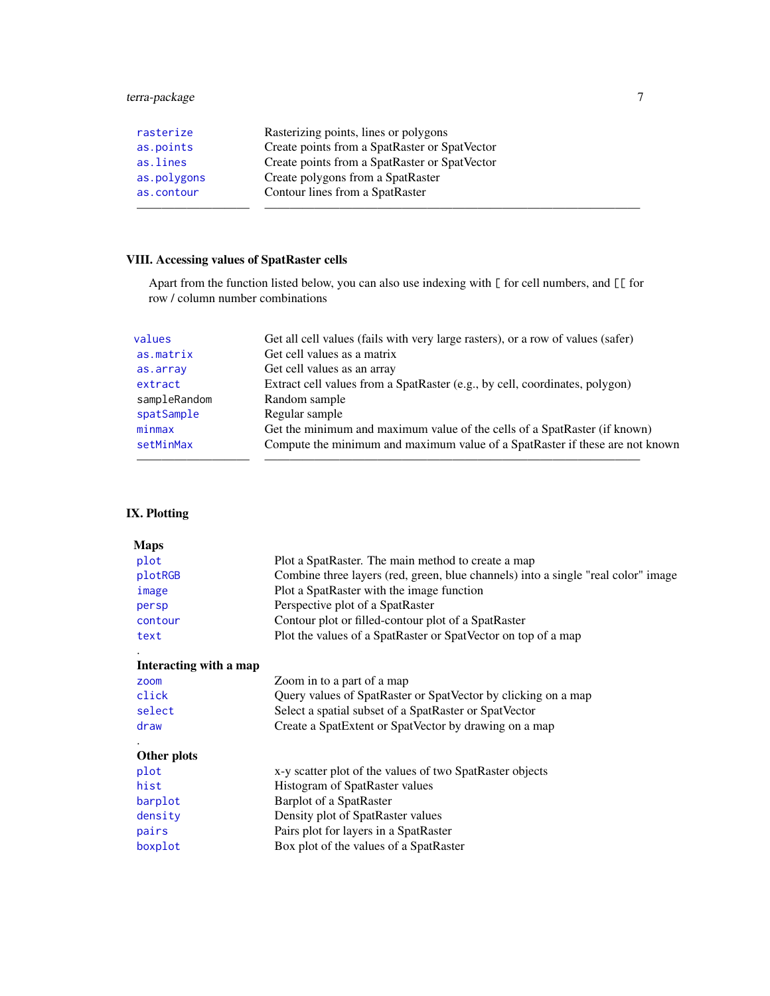# terra-package 7

| rasterize   | Rasterizing points, lines or polygons         |
|-------------|-----------------------------------------------|
| as.points   | Create points from a SpatRaster or SpatVector |
| as.lines    | Create points from a SpatRaster or SpatVector |
| as.polygons | Create polygons from a SpatRaster             |
| as.contour  | Contour lines from a SpatRaster               |
|             |                                               |

# VIII. Accessing values of SpatRaster cells

Apart from the function listed below, you can also use indexing with [ for cell numbers, and [[ for row / column number combinations

| Get all cell values (fails with very large rasters), or a row of values (safer) |
|---------------------------------------------------------------------------------|
| Get cell values as a matrix                                                     |
| Get cell values as an array                                                     |
| Extract cell values from a SpatRaster (e.g., by cell, coordinates, polygon)     |
| Random sample                                                                   |
| Regular sample                                                                  |
| Get the minimum and maximum value of the cells of a SpatRaster (if known)       |
| Compute the minimum and maximum value of a SpatRaster if these are not known    |
|                                                                                 |
|                                                                                 |

# IX. Plotting

| <b>Maps</b>            |                                                                                   |
|------------------------|-----------------------------------------------------------------------------------|
| plot                   | Plot a SpatRaster. The main method to create a map                                |
| plotRGB                | Combine three layers (red, green, blue channels) into a single "real color" image |
| image                  | Plot a SpatRaster with the image function                                         |
| persp                  | Perspective plot of a SpatRaster                                                  |
| contour                | Contour plot or filled-contour plot of a SpatRaster                               |
| text                   | Plot the values of a SpatRaster or SpatVector on top of a map                     |
|                        |                                                                                   |
| Interacting with a map |                                                                                   |
| zoom                   | Zoom in to a part of a map                                                        |
| click                  | Query values of SpatRaster or SpatVector by clicking on a map                     |
| select                 | Select a spatial subset of a SpatRaster or SpatVector                             |
| draw                   | Create a SpatExtent or SpatVector by drawing on a map                             |
|                        |                                                                                   |
| Other plots            |                                                                                   |
| plot                   | x-y scatter plot of the values of two SpatRaster objects                          |
| hist                   | Histogram of SpatRaster values                                                    |
| barplot                | Barplot of a SpatRaster                                                           |
| density                | Density plot of SpatRaster values                                                 |
| pairs                  | Pairs plot for layers in a SpatRaster                                             |
| boxplot                | Box plot of the values of a SpatRaster                                            |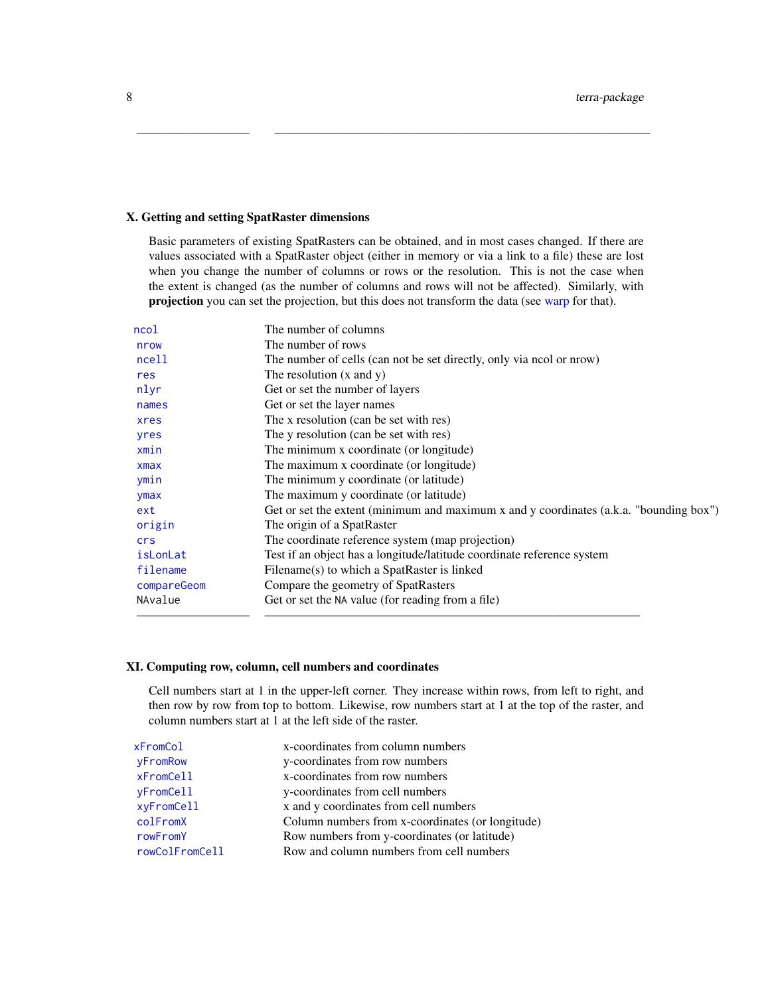#### X. Getting and setting SpatRaster dimensions

Basic parameters of existing SpatRasters can be obtained, and in most cases changed. If there are values associated with a SpatRaster object (either in memory or via a link to a file) these are lost when you change the number of columns or rows or the resolution. This is not the case when the extent is changed (as the number of columns and rows will not be affected). Similarly, with projection you can set the projection, but this does not transform the data (see [warp](#page-92-1) for that).

————————— ——————————————————————————————

| ncol        | The number of columns                                                                  |
|-------------|----------------------------------------------------------------------------------------|
| nrow        | The number of rows                                                                     |
| ncell       | The number of cells (can not be set directly, only via nool or nrow)                   |
| res         | The resolution $(x \text{ and } y)$                                                    |
| nlyr        | Get or set the number of layers                                                        |
| names       | Get or set the layer names                                                             |
| xres        | The x resolution (can be set with res)                                                 |
| yres        | The y resolution (can be set with res)                                                 |
| xmin        | The minimum x coordinate (or longitude)                                                |
| $x$ max     | The maximum x coordinate (or longitude)                                                |
| ymin        | The minimum y coordinate (or latitude)                                                 |
| ymax        | The maximum y coordinate (or latitude)                                                 |
| ext         | Get or set the extent (minimum and maximum x and y coordinates (a.k.a. "bounding box") |
| origin      | The origin of a SpatRaster                                                             |
| crs         | The coordinate reference system (map projection)                                       |
| isLonLat    | Test if an object has a longitude/latitude coordinate reference system                 |
| filename    | Filename(s) to which a SpatRaster is linked                                            |
| compareGeom | Compare the geometry of SpatRasters                                                    |
| NAvalue     | Get or set the NA value (for reading from a file)                                      |
|             |                                                                                        |

#### XI. Computing row, column, cell numbers and coordinates

Cell numbers start at 1 in the upper-left corner. They increase within rows, from left to right, and then row by row from top to bottom. Likewise, row numbers start at 1 at the top of the raster, and column numbers start at 1 at the left side of the raster.

| xFromCol       | x-coordinates from column numbers                |
|----------------|--------------------------------------------------|
| yFromRow       | y-coordinates from row numbers                   |
| xFromCell      | x-coordinates from row numbers                   |
| yFromCell      | y-coordinates from cell numbers                  |
| xyFromCell     | x and y coordinates from cell numbers            |
| colFromX       | Column numbers from x-coordinates (or longitude) |
| rowFromY       | Row numbers from y-coordinates (or latitude)     |
| rowColFromCell | Row and column numbers from cell numbers         |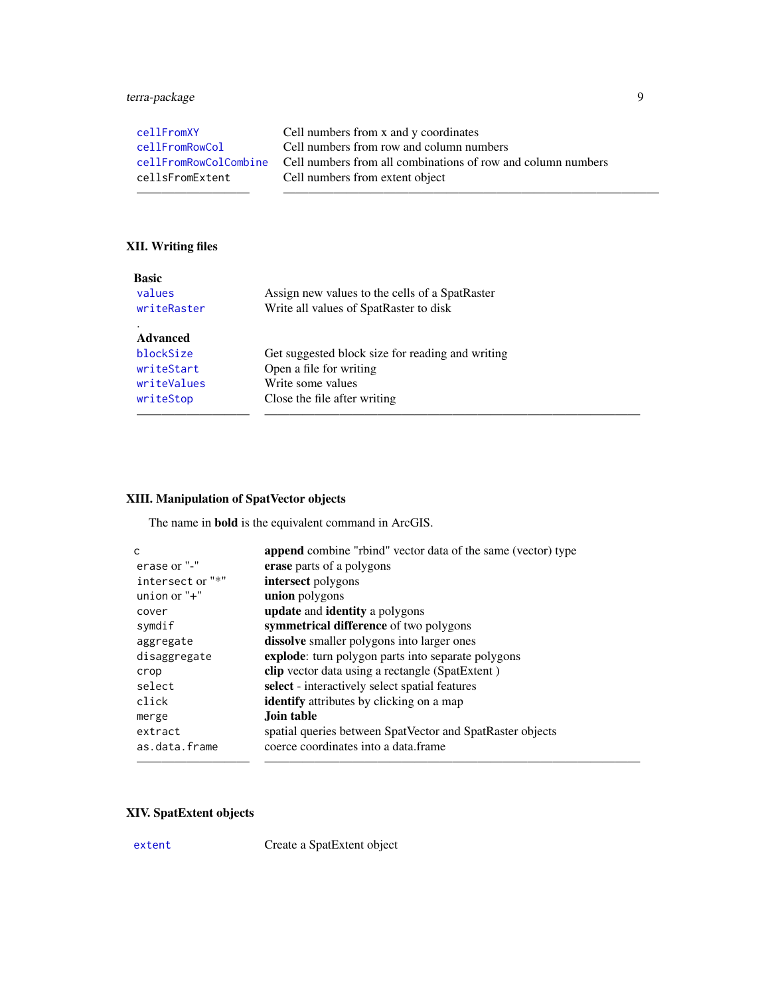# terra-package 9

| cellFromXY            | Cell numbers from x and y coordinates                        |
|-----------------------|--------------------------------------------------------------|
| cellFromRowCol        | Cell numbers from row and column numbers                     |
| cellFromRowColCombine | Cell numbers from all combinations of row and column numbers |
| cellsFromExtent       | Cell numbers from extent object                              |
|                       |                                                              |

# XII. Writing files

| <b>Basic</b> |                                                  |
|--------------|--------------------------------------------------|
| values       | Assign new values to the cells of a SpatRaster   |
| writeRaster  | Write all values of SpatRaster to disk           |
|              |                                                  |
| Advanced     |                                                  |
| blockSize    | Get suggested block size for reading and writing |
| writeStart   | Open a file for writing                          |
| writeValues  | Write some values                                |
| writeStop    | Close the file after writing                     |
|              |                                                  |

# XIII. Manipulation of SpatVector objects

The name in bold is the equivalent command in ArcGIS.

| C                | <b>append</b> combine "rbind" vector data of the same (vector) type |
|------------------|---------------------------------------------------------------------|
| erase or "-"     | erase parts of a polygons                                           |
| intersect or "*" | intersect polygons                                                  |
| union or $"$ +"  | union polygons                                                      |
| cover            | update and identity a polygons                                      |
| symdif           | symmetrical difference of two polygons                              |
| aggregate        | <b>dissolve</b> smaller polygons into larger ones                   |
| disaggregate     | explode: turn polygon parts into separate polygons                  |
| crop             | <b>clip</b> vector data using a rectangle (SpatExtent)              |
| select           | select - interactively select spatial features                      |
| click            | <b>identify</b> attributes by clicking on a map                     |
| merge            | Join table                                                          |
| extract          | spatial queries between SpatVector and SpatRaster objects           |
| as.data.frame    | coerce coordinates into a data frame                                |
|                  |                                                                     |

# XIV. SpatExtent objects

[extent](#page-37-2) Create a SpatExtent object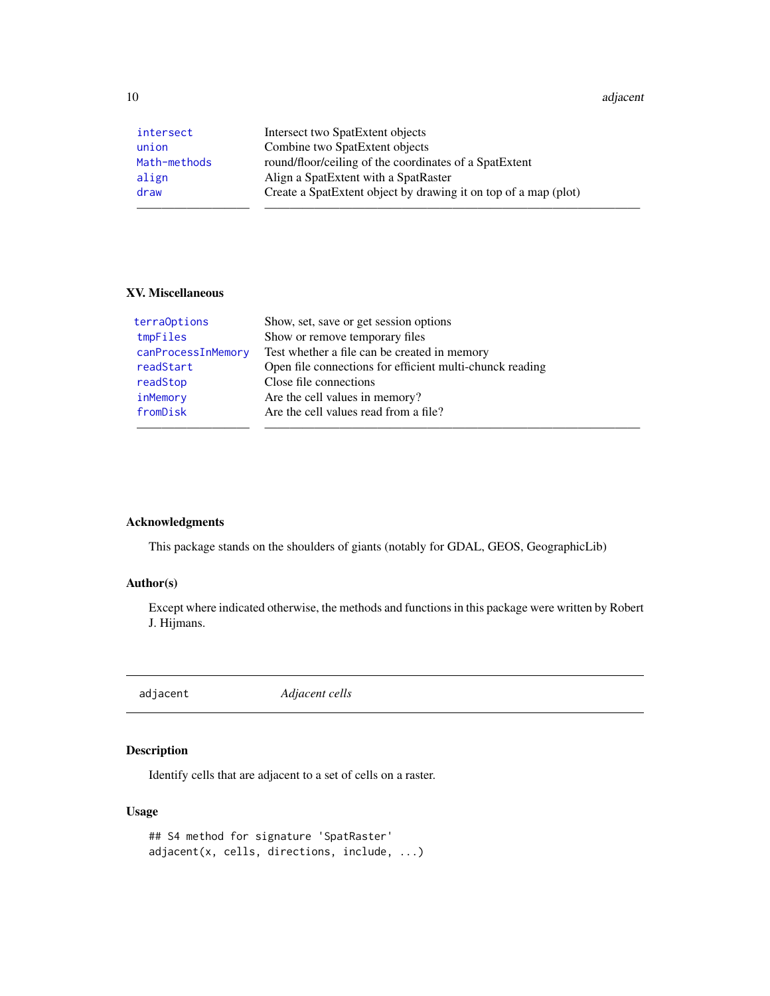<span id="page-9-0"></span>10 adjacent and the state of the state of the state of the state of the state of the state of the state of the state of the state of the state of the state of the state of the state of the state of the state of the state o

| intersect    | Intersect two SpatExtent objects                                |
|--------------|-----------------------------------------------------------------|
| union        | Combine two SpatExtent objects                                  |
| Math-methods | round/floor/ceiling of the coordinates of a SpatExtent          |
| align        | Align a SpatExtent with a SpatRaster                            |
| draw         | Create a SpatExtent object by drawing it on top of a map (plot) |
|              |                                                                 |

#### XV. Miscellaneous

| terraOptions       | Show, set, save or get session options                   |
|--------------------|----------------------------------------------------------|
| tmpFiles           | Show or remove temporary files                           |
| canProcessInMemory | Test whether a file can be created in memory             |
| readStart          | Open file connections for efficient multi-chunck reading |
| readStop           | Close file connections                                   |
| inMemory           | Are the cell values in memory?                           |
| fromDisk           | Are the cell values read from a file?                    |
|                    |                                                          |

# Acknowledgments

This package stands on the shoulders of giants (notably for GDAL, GEOS, GeographicLib)

#### Author(s)

Except where indicated otherwise, the methods and functions in this package were written by Robert J. Hijmans.

<span id="page-9-1"></span>adjacent *Adjacent cells*

# Description

Identify cells that are adjacent to a set of cells on a raster.

#### Usage

```
## S4 method for signature 'SpatRaster'
adjacent(x, cells, directions, include, ...)
```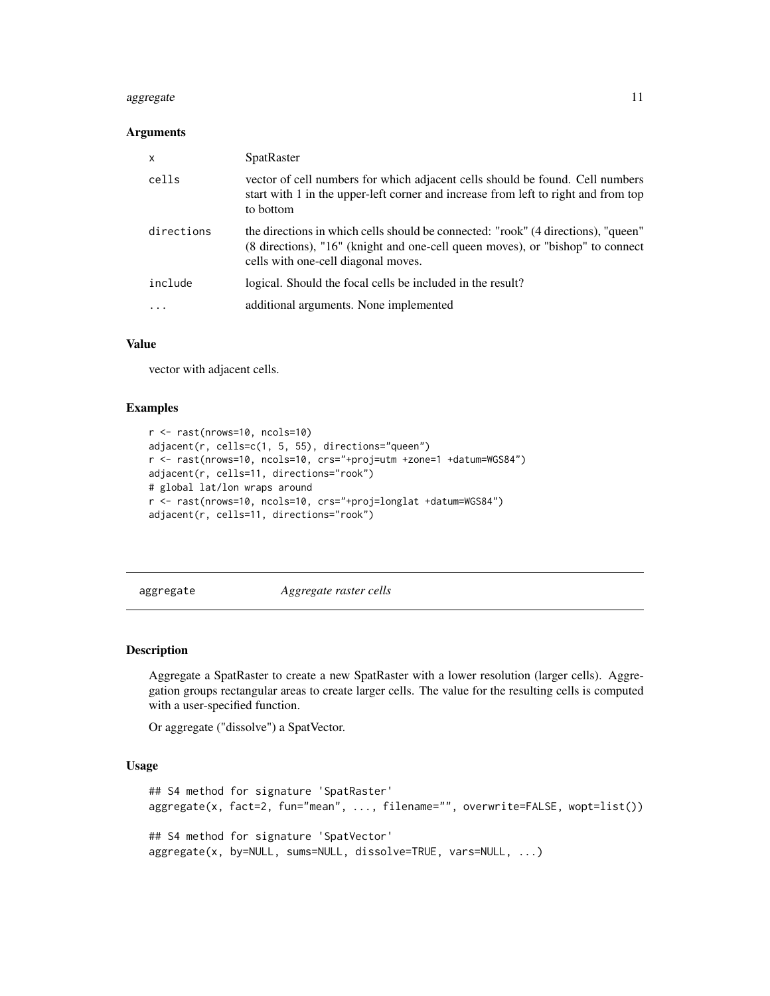#### <span id="page-10-0"></span>aggregate the contract of the contract of the contract of the contract of the contract of the contract of the contract of the contract of the contract of the contract of the contract of the contract of the contract of the

#### Arguments

| X          | <b>SpatRaster</b>                                                                                                                                                                                          |
|------------|------------------------------------------------------------------------------------------------------------------------------------------------------------------------------------------------------------|
| cells      | vector of cell numbers for which adjacent cells should be found. Cell numbers<br>start with 1 in the upper-left corner and increase from left to right and from top<br>to bottom                           |
| directions | the directions in which cells should be connected: "rook" (4 directions), "queen"<br>(8 directions), "16" (knight and one-cell queen moves), or "bishop" to connect<br>cells with one-cell diagonal moves. |
| include    | logical. Should the focal cells be included in the result?                                                                                                                                                 |
| .          | additional arguments. None implemented                                                                                                                                                                     |

#### Value

vector with adjacent cells.

#### Examples

```
r <- rast(nrows=10, ncols=10)
adjacent(r, cells=c(1, 5, 55), directions="queen")
r <- rast(nrows=10, ncols=10, crs="+proj=utm +zone=1 +datum=WGS84")
adjacent(r, cells=11, directions="rook")
# global lat/lon wraps around
r <- rast(nrows=10, ncols=10, crs="+proj=longlat +datum=WGS84")
adjacent(r, cells=11, directions="rook")
```
<span id="page-10-1"></span>aggregate *Aggregate raster cells*

# Description

Aggregate a SpatRaster to create a new SpatRaster with a lower resolution (larger cells). Aggregation groups rectangular areas to create larger cells. The value for the resulting cells is computed with a user-specified function.

Or aggregate ("dissolve") a SpatVector.

#### Usage

```
## S4 method for signature 'SpatRaster'
aggregate(x, fact=2, fun="mean", ..., filename="", overwrite=FALSE, wopt=list())
## S4 method for signature 'SpatVector'
aggregate(x, by=NULL, sums=NULL, dissolve=TRUE, vars=NULL, ...)
```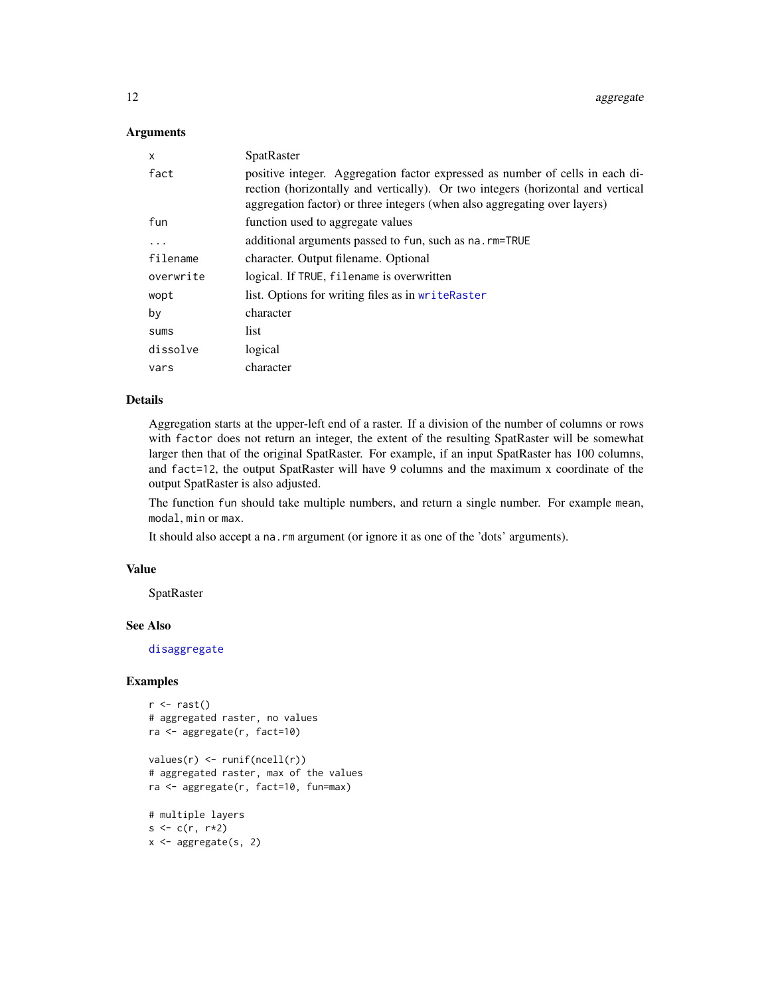#### Arguments

| x         | SpatRaster                                                                                                                                                                                                                                    |  |
|-----------|-----------------------------------------------------------------------------------------------------------------------------------------------------------------------------------------------------------------------------------------------|--|
| fact      | positive integer. Aggregation factor expressed as number of cells in each di-<br>rection (horizontally and vertically). Or two integers (horizontal and vertical<br>aggregation factor) or three integers (when also aggregating over layers) |  |
| fun       | function used to aggregate values                                                                                                                                                                                                             |  |
| $\ddots$  | additional arguments passed to fun, such as na. rm=TRUE                                                                                                                                                                                       |  |
| filename  | character. Output filename. Optional                                                                                                                                                                                                          |  |
| overwrite | logical. If TRUE, filename is overwritten                                                                                                                                                                                                     |  |
| wopt      | list. Options for writing files as in writeRaster                                                                                                                                                                                             |  |
| by        | character                                                                                                                                                                                                                                     |  |
| sums      | list                                                                                                                                                                                                                                          |  |
| dissolve  | logical                                                                                                                                                                                                                                       |  |
| vars      | character                                                                                                                                                                                                                                     |  |

#### Details

Aggregation starts at the upper-left end of a raster. If a division of the number of columns or rows with factor does not return an integer, the extent of the resulting SpatRaster will be somewhat larger then that of the original SpatRaster. For example, if an input SpatRaster has 100 columns, and fact=12, the output SpatRaster will have 9 columns and the maximum x coordinate of the output SpatRaster is also adjusted.

The function fun should take multiple numbers, and return a single number. For example mean, modal, min or max.

It should also accept a na.rm argument (or ignore it as one of the 'dots' arguments).

#### Value

SpatRaster

#### See Also

[disaggregate](#page-32-1)

```
r < -\text{rast}()# aggregated raster, no values
ra <- aggregate(r, fact=10)
values(r) <- runif(ncell(r))
# aggregated raster, max of the values
ra <- aggregate(r, fact=10, fun=max)
# multiple layers
s < -c(r, r*2)
```

```
x <- aggregate(s, 2)
```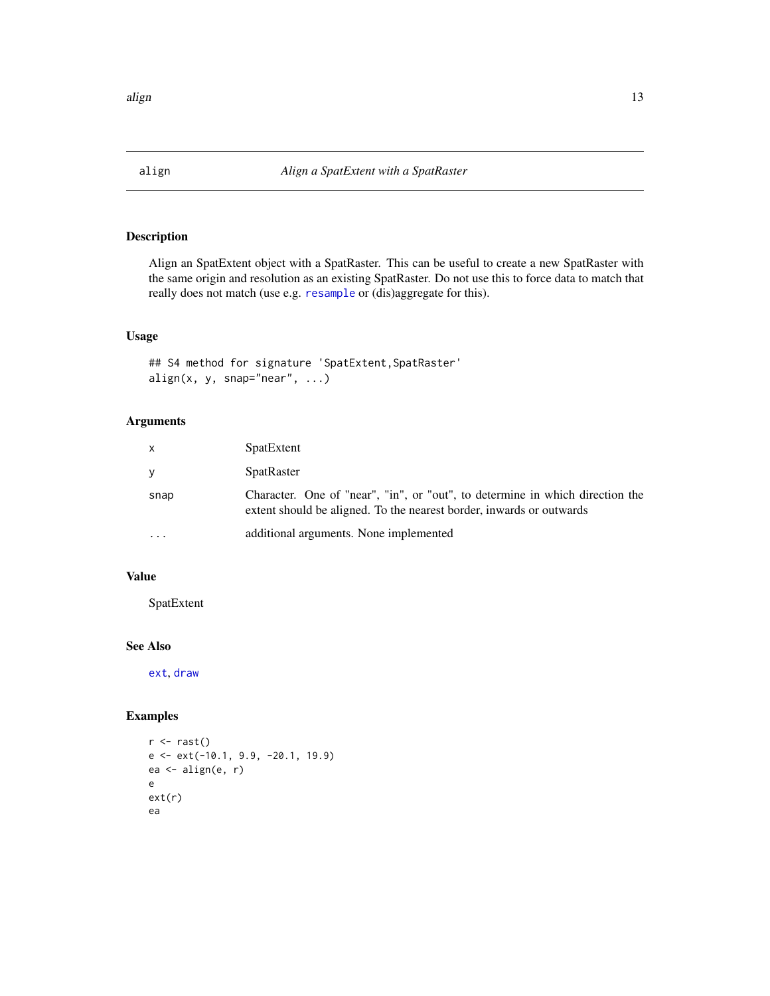<span id="page-12-1"></span><span id="page-12-0"></span>

Align an SpatExtent object with a SpatRaster. This can be useful to create a new SpatRaster with the same origin and resolution as an existing SpatRaster. Do not use this to force data to match that really does not match (use e.g. [resample](#page-0-0) or (dis)aggregate for this).

# Usage

```
## S4 method for signature 'SpatExtent,SpatRaster'
align(x, y, snap="near", ...)
```
# Arguments

| $\mathsf{x}$            | SpatExtent                                                                                                                                            |
|-------------------------|-------------------------------------------------------------------------------------------------------------------------------------------------------|
| <b>V</b>                | SpatRaster                                                                                                                                            |
| snap                    | Character. One of "near", "in", or "out", to determine in which direction the<br>extent should be aligned. To the nearest border, inwards or outwards |
| $\cdot$ $\cdot$ $\cdot$ | additional arguments. None implemented                                                                                                                |

#### Value

SpatExtent

# See Also

[ext](#page-37-1), [draw](#page-35-1)

```
r \leftarrow \text{rast}()e <- ext(-10.1, 9.9, -20.1, 19.9)
ea <- align(e, r)
e
ext(r)
ea
```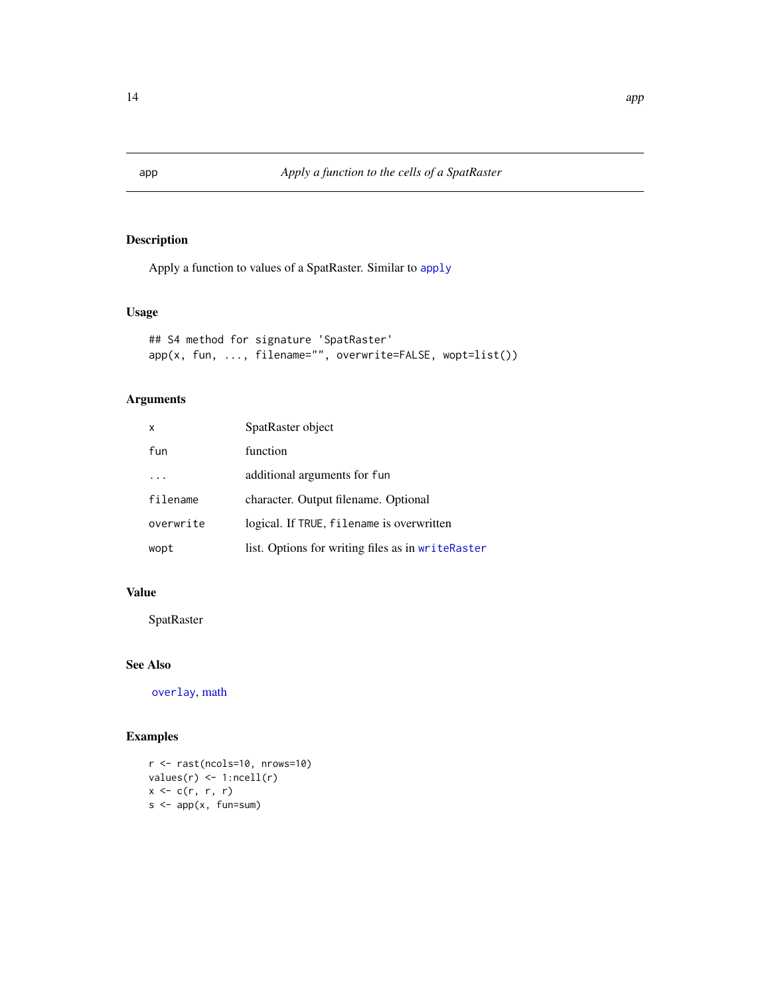Apply a function to values of a SpatRaster. Similar to [apply](#page-0-0)

#### Usage

```
## S4 method for signature 'SpatRaster'
app(x, fun, ..., filename="", overwrite=FALSE, wopt=list())
```
# Arguments

| x         | SpatRaster object                                 |
|-----------|---------------------------------------------------|
| fun       | function                                          |
|           | additional arguments for fun                      |
| filename  | character. Output filename. Optional              |
| overwrite | logical. If TRUE, filename is overwritten         |
| wopt      | list. Options for writing files as in writeRaster |

# Value

SpatRaster

#### See Also

[overlay](#page-58-1), [math](#page-54-2)

```
r <- rast(ncols=10, nrows=10)
values(r) \leftarrow 1:ncell(r)x \leftarrow c(r, r, r)s \leftarrow app(x, fun-sum)
```
<span id="page-13-1"></span><span id="page-13-0"></span>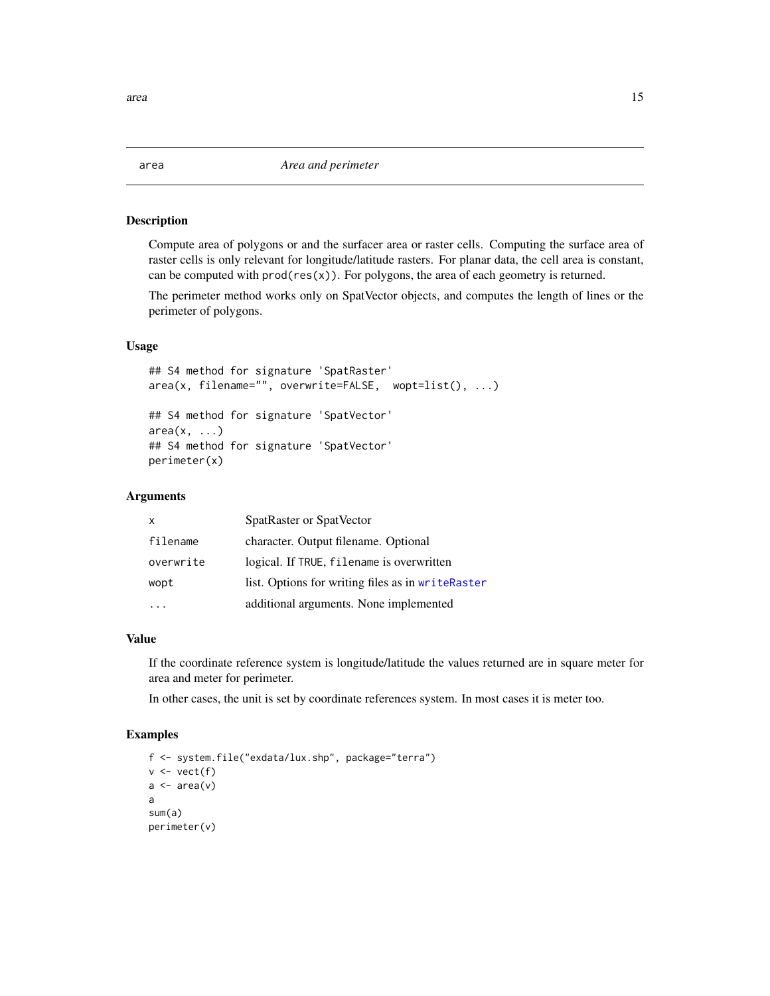<span id="page-14-1"></span><span id="page-14-0"></span>Compute area of polygons or and the surfacer area or raster cells. Computing the surface area of raster cells is only relevant for longitude/latitude rasters. For planar data, the cell area is constant, can be computed with  $prod(res(x))$ . For polygons, the area of each geometry is returned.

The perimeter method works only on SpatVector objects, and computes the length of lines or the perimeter of polygons.

#### Usage

```
## S4 method for signature 'SpatRaster'
area(x, filename="", overwrite=FALSE, wopt=list(), ...)
## S4 method for signature 'SpatVector'
area(x, \ldots)## S4 method for signature 'SpatVector'
perimeter(x)
```
#### **Arguments**

| $\mathsf{x}$ | SpatRaster or SpatVector                          |
|--------------|---------------------------------------------------|
| filename     | character. Output filename. Optional              |
| overwrite    | logical. If TRUE, filename is overwritten         |
| wopt         | list. Options for writing files as in writeRaster |
|              | additional arguments. None implemented            |

#### Value

If the coordinate reference system is longitude/latitude the values returned are in square meter for area and meter for perimeter.

In other cases, the unit is set by coordinate references system. In most cases it is meter too.

```
f <- system.file("exdata/lux.shp", package="terra")
v \leftarrow \text{vect}(f)a \leftarrow \text{area}(v)a
sum(a)
perimeter(v)
```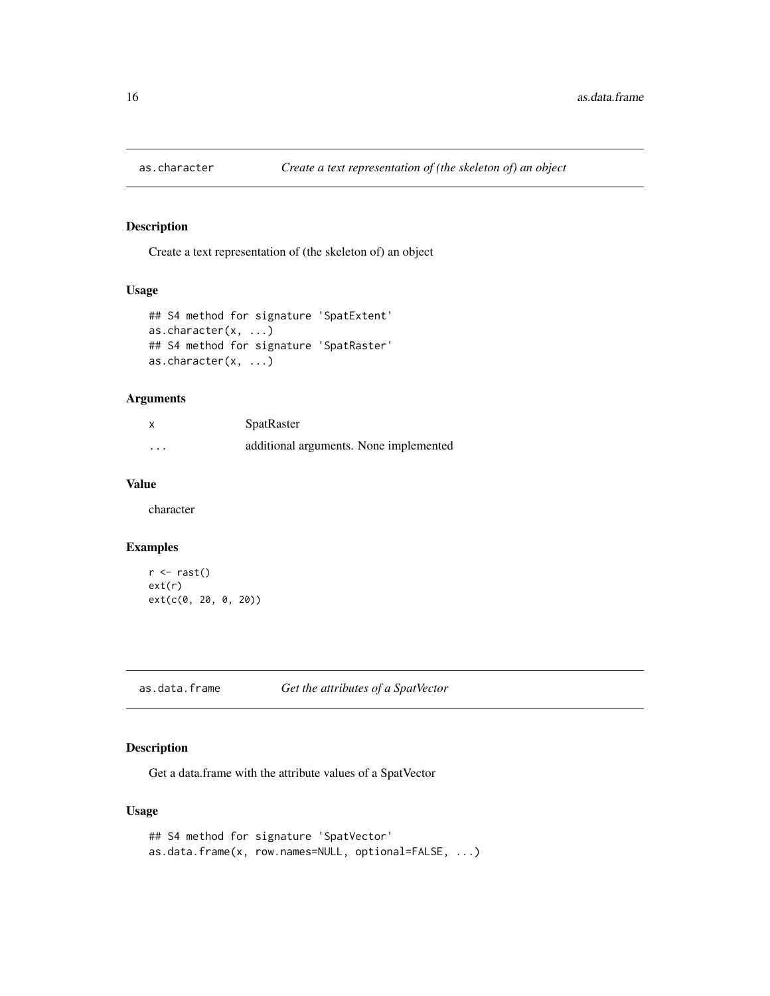<span id="page-15-0"></span>

Create a text representation of (the skeleton of) an object

# Usage

```
## S4 method for signature 'SpatExtent'
as.character(x, ...)
## S4 method for signature 'SpatRaster'
as.character(x, ...)
```
# Arguments

|          | <b>SpatRaster</b>                      |
|----------|----------------------------------------|
| $\cdots$ | additional arguments. None implemented |

# Value

character

#### Examples

```
r <- rast()
ext(r)
ext(c(0, 20, 0, 20))
```
#### Description

Get a data.frame with the attribute values of a SpatVector

#### Usage

```
## S4 method for signature 'SpatVector'
as.data.frame(x, row.names=NULL, optional=FALSE, ...)
```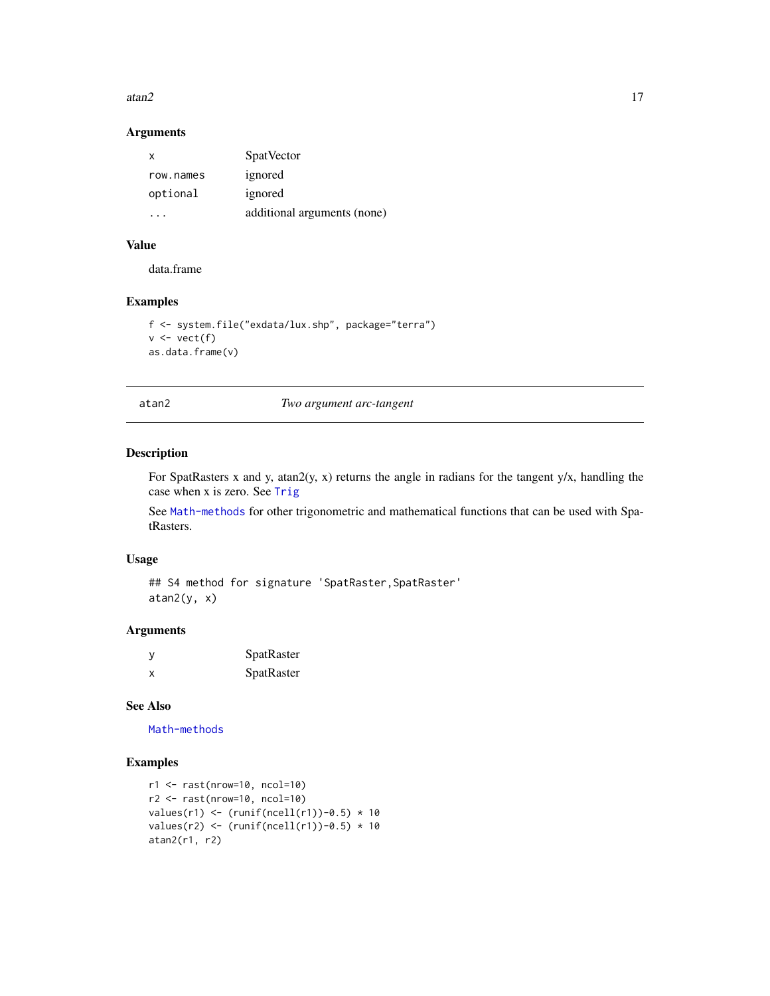#### <span id="page-16-0"></span>atan2  $17$

# Arguments

| х         | <b>SpatVector</b>           |
|-----------|-----------------------------|
| row.names | ignored                     |
| optional  | ignored                     |
| $\cdots$  | additional arguments (none) |

#### Value

data.frame

# Examples

```
f <- system.file("exdata/lux.shp", package="terra")
v \leftarrow \text{vect}(f)as.data.frame(v)
```
atan2 *Two argument arc-tangent*

# Description

For SpatRasters x and y, atan2(y, x) returns the angle in radians for the tangent y/x, handling the case when x is zero. See [Trig](#page-0-0)

See [Math-methods](#page-54-1) for other trigonometric and mathematical functions that can be used with SpatRasters.

#### Usage

## S4 method for signature 'SpatRaster, SpatRaster' atan2(y, x)

# Arguments

| - V | <b>SpatRaster</b> |
|-----|-------------------|
| x   | <b>SpatRaster</b> |

# See Also

[Math-methods](#page-54-1)

```
r1 <- rast(nrow=10, ncol=10)
r2 <- rast(nrow=10, ncol=10)
values(r1) <- (runif(ncell(r1))-0.5) * 10
values(r2) <- (runif(ncell(r1))-0.5) * 10
atan2(r1, r2)
```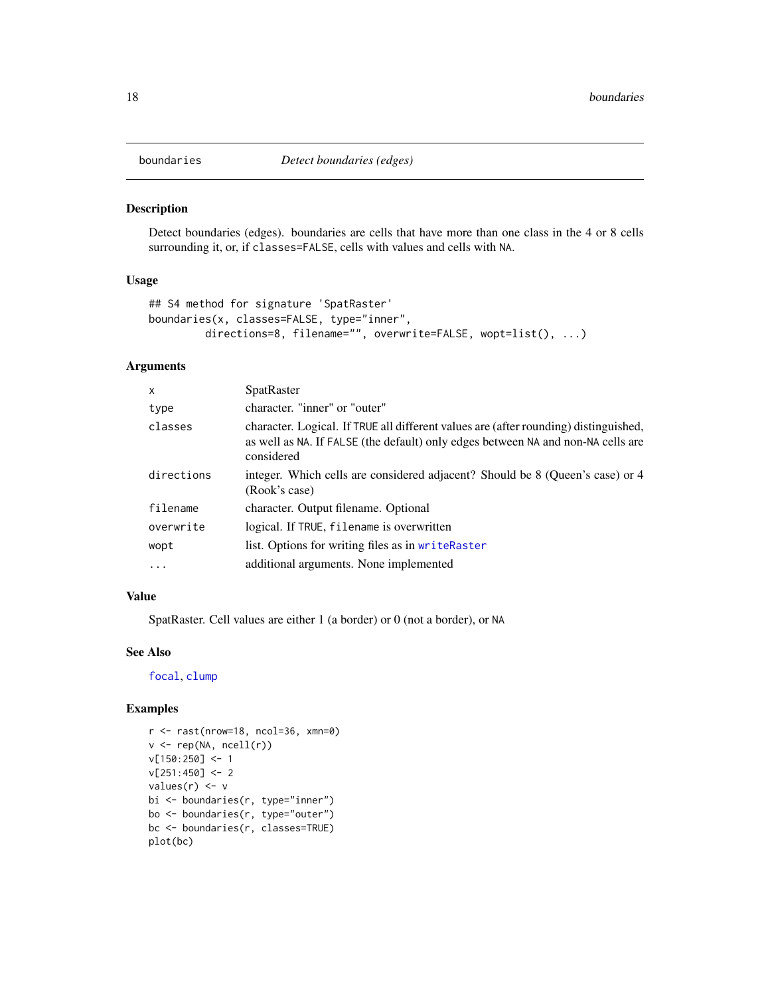<span id="page-17-1"></span><span id="page-17-0"></span>

Detect boundaries (edges). boundaries are cells that have more than one class in the 4 or 8 cells surrounding it, or, if classes=FALSE, cells with values and cells with NA.

#### Usage

```
## S4 method for signature 'SpatRaster'
boundaries(x, classes=FALSE, type="inner",
        directions=8, filename="", overwrite=FALSE, wopt=list(), ...)
```
# Arguments

| X          | SpatRaster                                                                                                                                                                             |
|------------|----------------------------------------------------------------------------------------------------------------------------------------------------------------------------------------|
| type       | character. "inner" or "outer"                                                                                                                                                          |
| classes    | character. Logical. If TRUE all different values are (after rounding) distinguished,<br>as well as NA. If FALSE (the default) only edges between NA and non-NA cells are<br>considered |
| directions | integer. Which cells are considered adjacent? Should be 8 (Queen's case) or 4<br>(Rook's case)                                                                                         |
| filename   | character. Output filename. Optional                                                                                                                                                   |
| overwrite  | logical. If TRUE, filename is overwritten                                                                                                                                              |
| wopt       | list. Options for writing files as in writeRaster                                                                                                                                      |
| $\cdots$   | additional arguments. None implemented                                                                                                                                                 |

#### Value

SpatRaster. Cell values are either 1 (a border) or 0 (not a border), or NA

#### See Also

[focal](#page-41-1), [clump](#page-0-0)

```
r <- rast(nrow=18, ncol=36, xmn=0)
v <- rep(NA, ncell(r))
v[150:250] <- 1
v[251:450] <- 2
values(r) <- v
bi <- boundaries(r, type="inner")
bo <- boundaries(r, type="outer")
bc <- boundaries(r, classes=TRUE)
plot(bc)
```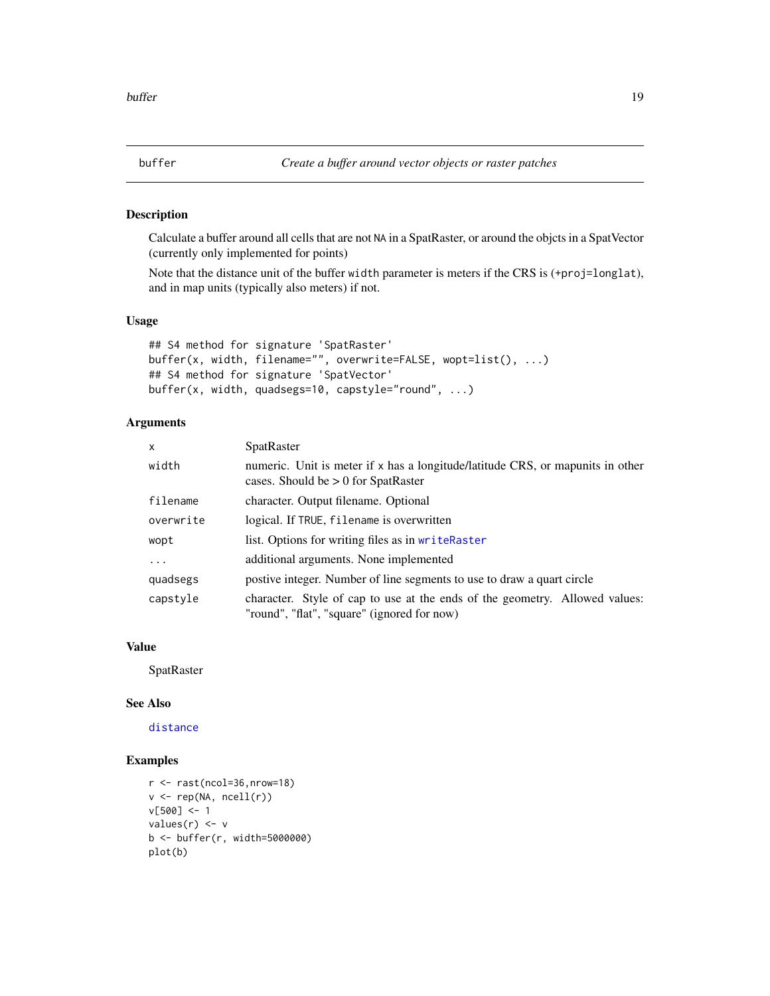<span id="page-18-0"></span>

Calculate a buffer around all cells that are not NA in a SpatRaster, or around the objcts in a SpatVector (currently only implemented for points)

Note that the distance unit of the buffer width parameter is meters if the CRS is (+proj=longlat), and in map units (typically also meters) if not.

#### Usage

```
## S4 method for signature 'SpatRaster'
buffer(x, width, filename="", overwrite=FALSE, wopt=list(), ...)
## S4 method for signature 'SpatVector'
buffer(x, width, quadsegs=10, capstyle="round", ...)
```
#### Arguments

| $\mathsf{x}$ | <b>SpatRaster</b>                                                                                                          |
|--------------|----------------------------------------------------------------------------------------------------------------------------|
| width        | numeric. Unit is meter if x has a longitude/latitude CRS, or mapunits in other<br>cases. Should be $> 0$ for SpatRaster    |
| filename     | character. Output filename. Optional                                                                                       |
| overwrite    | logical. If TRUE, filename is overwritten                                                                                  |
| wopt         | list. Options for writing files as in writeRaster                                                                          |
| $\cdots$     | additional arguments. None implemented                                                                                     |
| quadsegs     | postive integer. Number of line segments to use to draw a quart circle                                                     |
| capstyle     | character. Style of cap to use at the ends of the geometry. Allowed values:<br>"round", "flat", "square" (ignored for now) |

# Value

**SpatRaster** 

#### See Also

[distance](#page-33-1)

```
r <- rast(ncol=36,nrow=18)
v <- rep(NA, ncell(r))
v[500] <- 1
values(r) <- v
b <- buffer(r, width=5000000)
plot(b)
```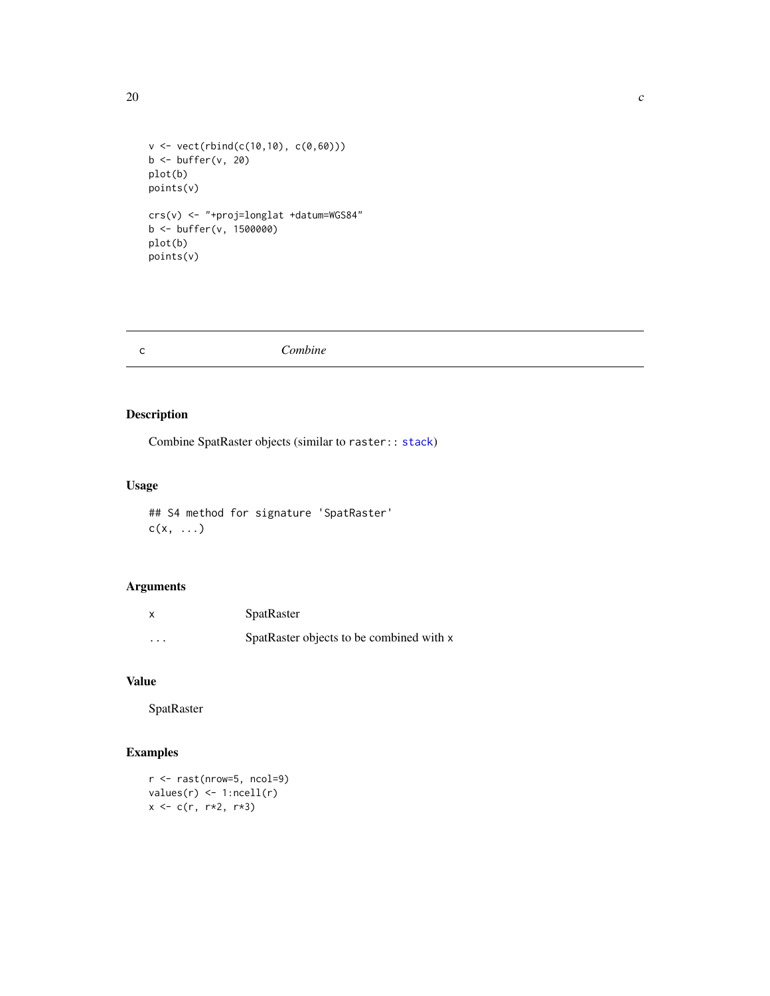```
20 \sim
```

```
v <- vect(rbind(c(10,10), c(0,60)))
b <- buffer(v, 20)
plot(b)
points(v)
crs(v) <- "+proj=longlat +datum=WGS84"
b <- buffer(v, 1500000)
plot(b)
points(v)
```
<span id="page-19-1"></span>

| с | Combine |
|---|---------|
|   |         |

Combine SpatRaster objects (similar to raster:: [stack](#page-0-0))

# Usage

```
## S4 method for signature 'SpatRaster'
c(x, \ldots)
```
# Arguments

| x                       | SpatRaster                               |
|-------------------------|------------------------------------------|
| $\cdot$ $\cdot$ $\cdot$ | SpatRaster objects to be combined with x |

# Value

SpatRaster

```
r <- rast(nrow=5, ncol=9)
values(r) \leftarrow 1:ncell(r)x <- c(r, r*2, r*3)
```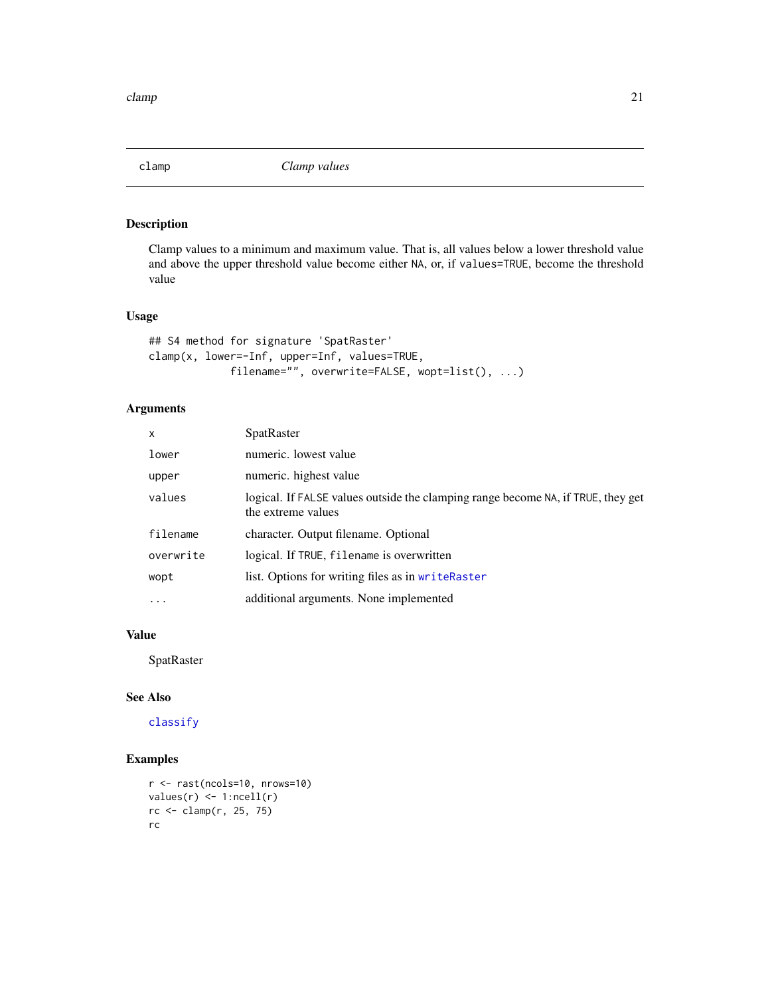<span id="page-20-0"></span>

Clamp values to a minimum and maximum value. That is, all values below a lower threshold value and above the upper threshold value become either NA, or, if values=TRUE, become the threshold value

# Usage

```
## S4 method for signature 'SpatRaster'
clamp(x, lower=-Inf, upper=Inf, values=TRUE,
            filename="", overwrite=FALSE, wopt=list(), ...)
```
# Arguments

| $\mathsf{x}$ | SpatRaster                                                                                             |
|--------------|--------------------------------------------------------------------------------------------------------|
| lower        | numeric. lowest value                                                                                  |
| upper        | numeric. highest value                                                                                 |
| values       | logical. If FALSE values outside the clamping range become NA, if TRUE, they get<br>the extreme values |
| filename     | character. Output filename. Optional                                                                   |
| overwrite    | logical. If TRUE, filename is overwritten                                                              |
| wopt         | list. Options for writing files as in writeRaster                                                      |
| $\cdots$     | additional arguments. None implemented                                                                 |

#### Value

**SpatRaster** 

# See Also

[classify](#page-21-1)

```
r <- rast(ncols=10, nrows=10)
values(r) <- 1:ncell(r)
rc <- clamp(r, 25, 75)
rc
```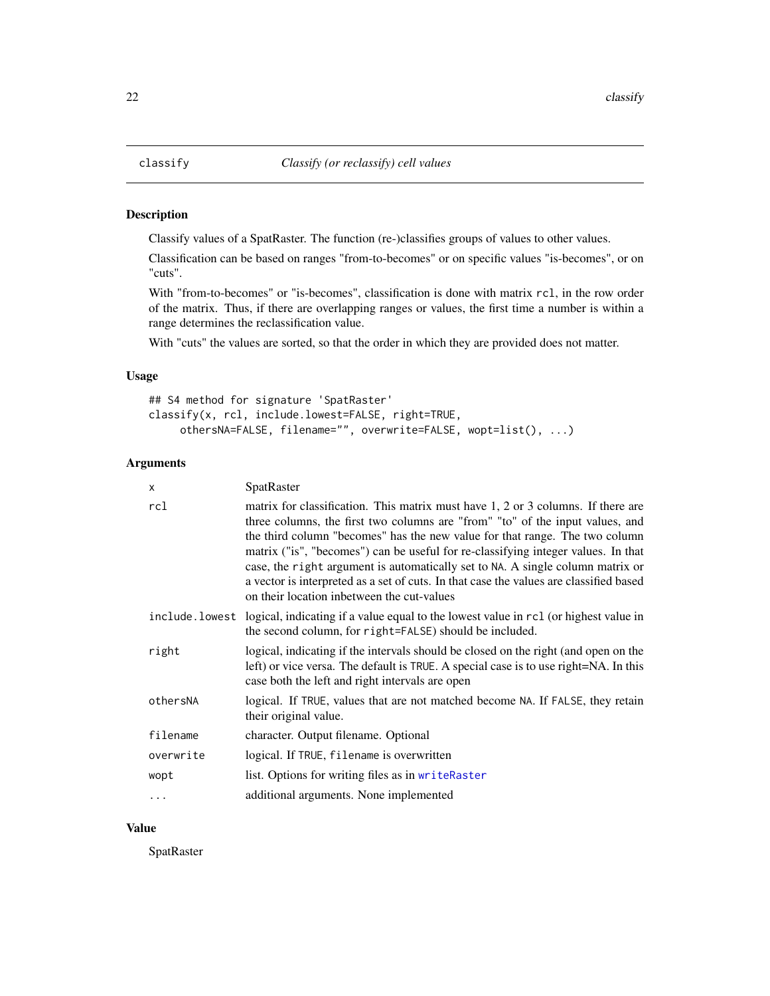<span id="page-21-1"></span><span id="page-21-0"></span>

Classify values of a SpatRaster. The function (re-)classifies groups of values to other values.

Classification can be based on ranges "from-to-becomes" or on specific values "is-becomes", or on "cuts".

With "from-to-becomes" or "is-becomes", classification is done with matrix rcl, in the row order of the matrix. Thus, if there are overlapping ranges or values, the first time a number is within a range determines the reclassification value.

With "cuts" the values are sorted, so that the order in which they are provided does not matter.

#### Usage

```
## S4 method for signature 'SpatRaster'
classify(x, rcl, include.lowest=FALSE, right=TRUE,
     othersNA=FALSE, filename="", overwrite=FALSE, wopt=list(), ...)
```
# Arguments

| X         | SpatRaster                                                                                                                                                                                                                                                                                                                                                                                                                                                                                                                                                      |
|-----------|-----------------------------------------------------------------------------------------------------------------------------------------------------------------------------------------------------------------------------------------------------------------------------------------------------------------------------------------------------------------------------------------------------------------------------------------------------------------------------------------------------------------------------------------------------------------|
| rcl       | matrix for classification. This matrix must have 1, 2 or 3 columns. If there are<br>three columns, the first two columns are "from" "to" of the input values, and<br>the third column "becomes" has the new value for that range. The two column<br>matrix ("is", "becomes") can be useful for re-classifying integer values. In that<br>case, the right argument is automatically set to NA. A single column matrix or<br>a vector is interpreted as a set of cuts. In that case the values are classified based<br>on their location inbetween the cut-values |
|           | include. lowest logical, indicating if a value equal to the lowest value in rcl (or highest value in<br>the second column, for right=FALSE) should be included.                                                                                                                                                                                                                                                                                                                                                                                                 |
| right     | logical, indicating if the intervals should be closed on the right (and open on the<br>left) or vice versa. The default is TRUE. A special case is to use right=NA. In this<br>case both the left and right intervals are open                                                                                                                                                                                                                                                                                                                                  |
| othersNA  | logical. If TRUE, values that are not matched become NA. If FALSE, they retain<br>their original value.                                                                                                                                                                                                                                                                                                                                                                                                                                                         |
| filename  | character. Output filename. Optional                                                                                                                                                                                                                                                                                                                                                                                                                                                                                                                            |
| overwrite | logical. If TRUE, filename is overwritten                                                                                                                                                                                                                                                                                                                                                                                                                                                                                                                       |
| wopt      | list. Options for writing files as in writeRaster                                                                                                                                                                                                                                                                                                                                                                                                                                                                                                               |
| $\ddots$  | additional arguments. None implemented                                                                                                                                                                                                                                                                                                                                                                                                                                                                                                                          |

#### Value

**SpatRaster**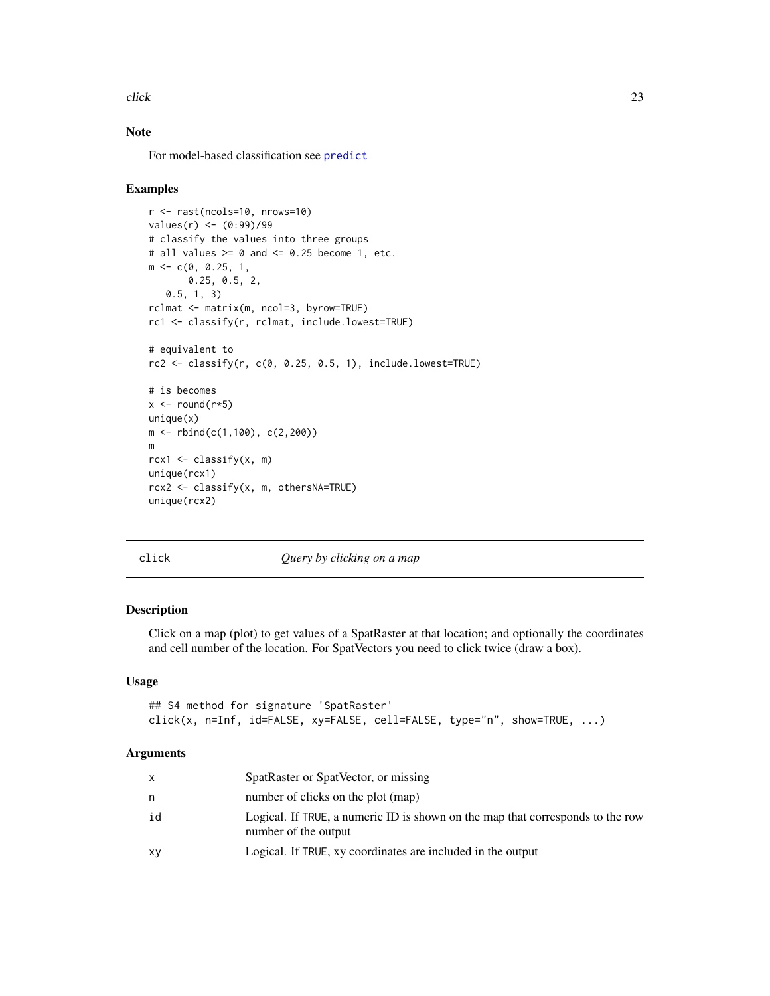<span id="page-22-0"></span>click 23

# Note

For model-based classification see [predict](#page-65-1)

#### Examples

```
r <- rast(ncols=10, nrows=10)
values(r) <- (0:99)/99
# classify the values into three groups
# all values >= 0 and <= 0.25 become 1, etc.
m <- c(0, 0.25, 1,
       0.25, 0.5, 2,
   0.5, 1, 3)
rclmat <- matrix(m, ncol=3, byrow=TRUE)
rc1 <- classify(r, rclmat, include.lowest=TRUE)
# equivalent to
rc2 \leq classify(r, c(0, 0.25, 0.5, 1), include. lowest=True)# is becomes
x \leftarrow \text{round}(r \ast 5)unique(x)m <- rbind(c(1,100), c(2,200))
m
rcx1 \leftarrow classify(x, m)unique(rcx1)
rcx2 <- classify(x, m, othersNA=TRUE)
unique(rcx2)
```
<span id="page-22-1"></span>

click *Query by clicking on a map*

#### Description

Click on a map (plot) to get values of a SpatRaster at that location; and optionally the coordinates and cell number of the location. For SpatVectors you need to click twice (draw a box).

#### Usage

```
## S4 method for signature 'SpatRaster'
click(x, n=Inf, id=FALSE, xy=FALSE, cell=FALSE, type="n", show=TRUE, ...)
```
#### Arguments

| $\mathsf{X}$ | SpatRaster or SpatVector, or missing                                                                   |
|--------------|--------------------------------------------------------------------------------------------------------|
| n.           | number of clicks on the plot (map)                                                                     |
| id           | Logical. If TRUE, a numeric ID is shown on the map that corresponds to the row<br>number of the output |
| xy           | Logical. If TRUE, xy coordinates are included in the output                                            |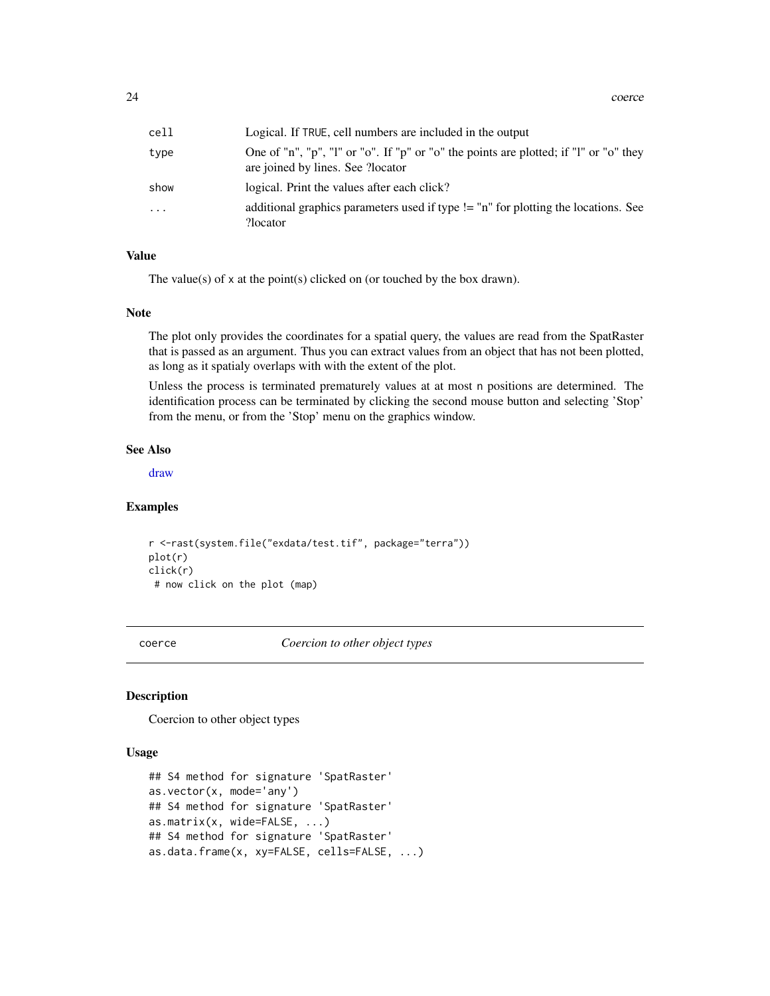<span id="page-23-0"></span>24 coerce community and the control of the coerce coerce control of the coerce coerce coerce coerce coerce coerce coerce coerce coerce coerce coerce coerce coerce coerce coerce coerce coerce coerce coerce coerce coerce coe

| cell | Logical. If TRUE, cell numbers are included in the output                                                                  |
|------|----------------------------------------------------------------------------------------------------------------------------|
| type | One of "n", "p", "l" or "o". If "p" or "o" the points are plotted; if "l" or "o" they<br>are joined by lines. See ?locator |
| show | logical. Print the values after each click?                                                                                |
| .    | additional graphics parameters used if type != "n" for plotting the locations. See<br>?locator                             |

# Value

The value(s) of x at the point(s) clicked on (or touched by the box drawn).

#### Note

The plot only provides the coordinates for a spatial query, the values are read from the SpatRaster that is passed as an argument. Thus you can extract values from an object that has not been plotted, as long as it spatialy overlaps with with the extent of the plot.

Unless the process is terminated prematurely values at at most n positions are determined. The identification process can be terminated by clicking the second mouse button and selecting 'Stop' from the menu, or from the 'Stop' menu on the graphics window.

#### See Also

[draw](#page-35-1)

#### Examples

```
r <-rast(system.file("exdata/test.tif", package="terra"))
plot(r)
click(r)
 # now click on the plot (map)
```
coerce *Coercion to other object types*

#### <span id="page-23-1"></span>Description

Coercion to other object types

#### Usage

```
## S4 method for signature 'SpatRaster'
as.vector(x, mode='any')
## S4 method for signature 'SpatRaster'
as.matrix(x, wide=FALSE, ...)
## S4 method for signature 'SpatRaster'
as.data.frame(x, xy=FALSE, cells=FALSE, ...)
```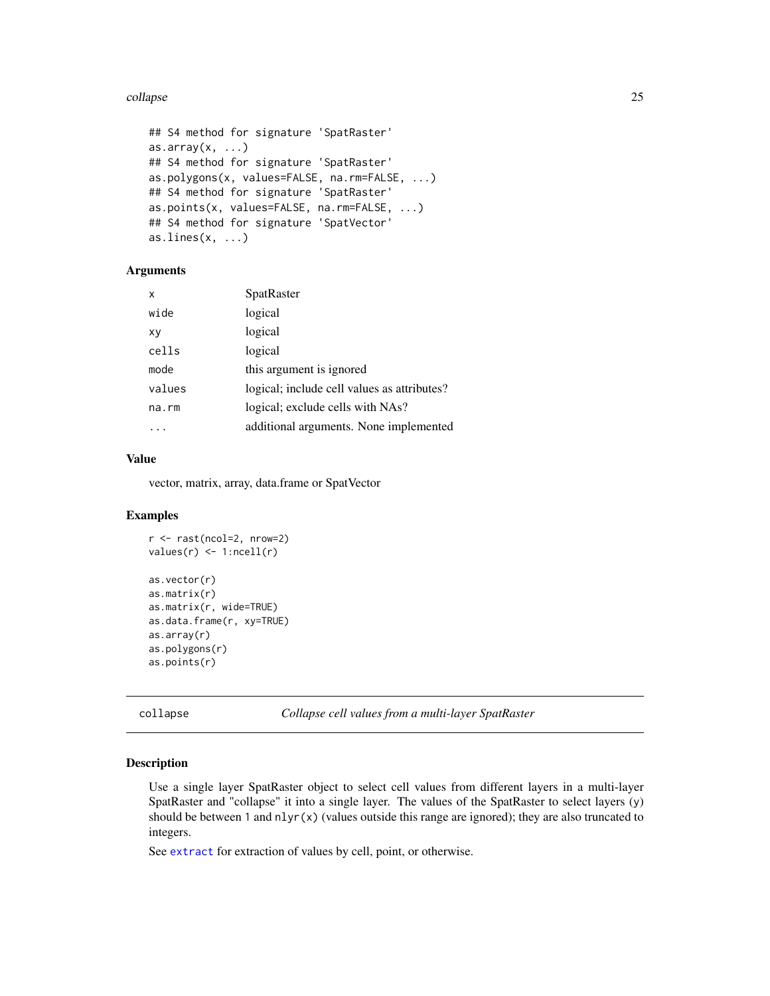#### <span id="page-24-0"></span>collapse 25

```
## S4 method for signature 'SpatRaster'
as.array(x, \ldots)## S4 method for signature 'SpatRaster'
as.polygons(x, values=FALSE, na.rm=FALSE, ...)
## S4 method for signature 'SpatRaster'
as.points(x, values=FALSE, na.rm=FALSE, ...)
## S4 method for signature 'SpatVector'
as.lines(x, \ldots)
```
# Arguments

| x      | SpatRaster                                  |
|--------|---------------------------------------------|
| wide   | logical                                     |
| xy     | logical                                     |
| cells  | logical                                     |
| mode   | this argument is ignored                    |
| values | logical; include cell values as attributes? |
| na.rm  | logical; exclude cells with NAs?            |
|        | additional arguments. None implemented      |

# Value

vector, matrix, array, data.frame or SpatVector

#### Examples

```
r <- rast(ncol=2, nrow=2)
values(r) <- 1:ncell(r)
as.vector(r)
as.matrix(r)
as.matrix(r, wide=TRUE)
as.data.frame(r, xy=TRUE)
as.array(r)
as.polygons(r)
as.points(r)
```
<span id="page-24-1"></span>collapse *Collapse cell values from a multi-layer SpatRaster*

#### Description

Use a single layer SpatRaster object to select cell values from different layers in a multi-layer SpatRaster and "collapse" it into a single layer. The values of the SpatRaster to select layers (y) should be between 1 and  $nlyr(x)$  (values outside this range are ignored); they are also truncated to integers.

See [extract](#page-38-1) for extraction of values by cell, point, or otherwise.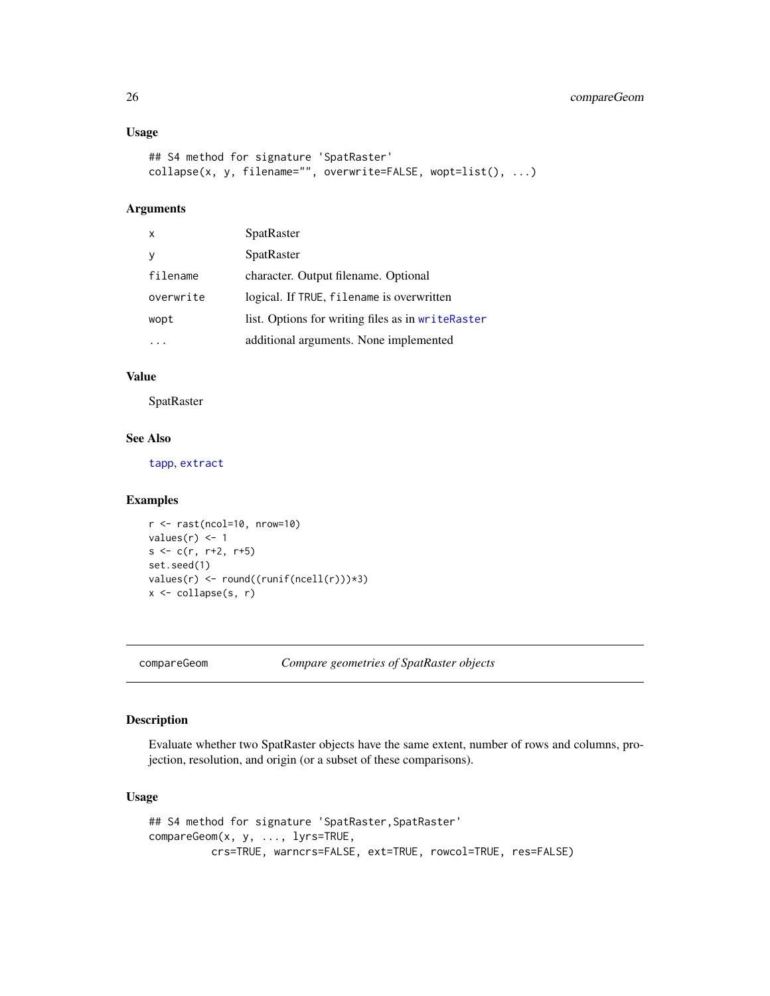#### Usage

```
## S4 method for signature 'SpatRaster'
collapse(x, y, filename="", overwrite=FALSE, wopt=list(), ...)
```
# Arguments

| $\mathsf{x}$ | SpatRaster                                        |
|--------------|---------------------------------------------------|
|              | <b>SpatRaster</b>                                 |
| filename     | character. Output filename. Optional              |
| overwrite    | logical. If TRUE, filename is overwritten         |
| wopt         | list. Options for writing files as in writeRaster |
|              | additional arguments. None implemented            |

#### Value

**SpatRaster** 

#### See Also

[tapp](#page-84-1), [extract](#page-38-1)

#### Examples

```
r \leftarrow \text{rast}(\text{ncol}=10, \text{ nrow}=10)values(r) <- 1
s < -c(r, r+2, r+5)set.seed(1)
values(r) <- round((runif(ncell(r)))*3)
x <- collapse(s, r)
```
<span id="page-25-1"></span>compareGeom *Compare geometries of SpatRaster objects*

# Description

Evaluate whether two SpatRaster objects have the same extent, number of rows and columns, projection, resolution, and origin (or a subset of these comparisons).

#### Usage

```
## S4 method for signature 'SpatRaster, SpatRaster'
compareGeom(x, y, ..., lyrs=TRUE,
         crs=TRUE, warncrs=FALSE, ext=TRUE, rowcol=TRUE, res=FALSE)
```
<span id="page-25-0"></span>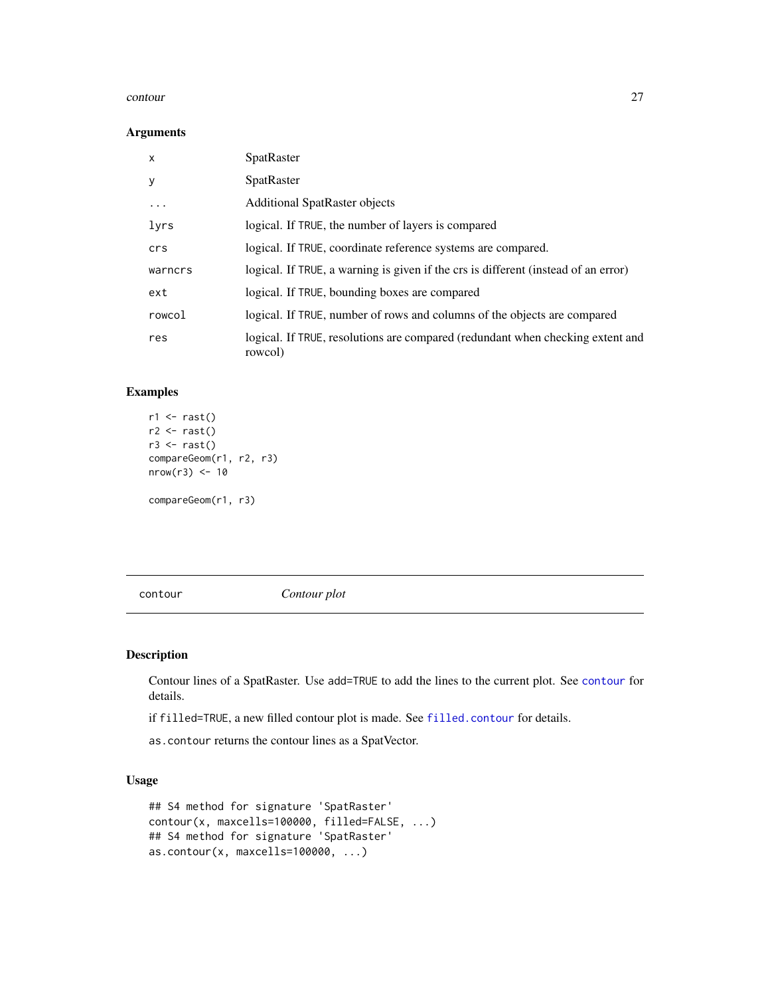#### <span id="page-26-0"></span>contour 27

#### Arguments

| X         | <b>SpatRaster</b>                                                                         |
|-----------|-------------------------------------------------------------------------------------------|
| у         | <b>SpatRaster</b>                                                                         |
| $\ddotsc$ | <b>Additional SpatRaster objects</b>                                                      |
| lyrs      | logical. If TRUE, the number of layers is compared                                        |
| crs       | logical. If TRUE, coordinate reference systems are compared.                              |
| warncrs   | logical. If TRUE, a warning is given if the crs is different (instead of an error)        |
| ext       | logical. If TRUE, bounding boxes are compared                                             |
| rowcol    | logical. If TRUE, number of rows and columns of the objects are compared                  |
| res       | logical. If TRUE, resolutions are compared (redundant when checking extent and<br>rowcol) |

#### Examples

```
r1 \leftarrow rast()r2 \leftarrow \text{rast}()r3 \leftarrow \text{rast}()compareGeom(r1, r2, r3)
nrow(r3) < -10
```
compareGeom(r1, r3)

<span id="page-26-2"></span>contour *Contour plot*

# <span id="page-26-1"></span>Description

Contour lines of a SpatRaster. Use add=TRUE to add the lines to the current plot. See [contour](#page-26-2) for details.

if filled=TRUE, a new filled contour plot is made. See [filled.contour](#page-0-0) for details.

as.contour returns the contour lines as a SpatVector.

# Usage

```
## S4 method for signature 'SpatRaster'
contour(x, maxcells=100000, filled=FALSE, ...)
## S4 method for signature 'SpatRaster'
as.contour(x, maxcells=100000, ...)
```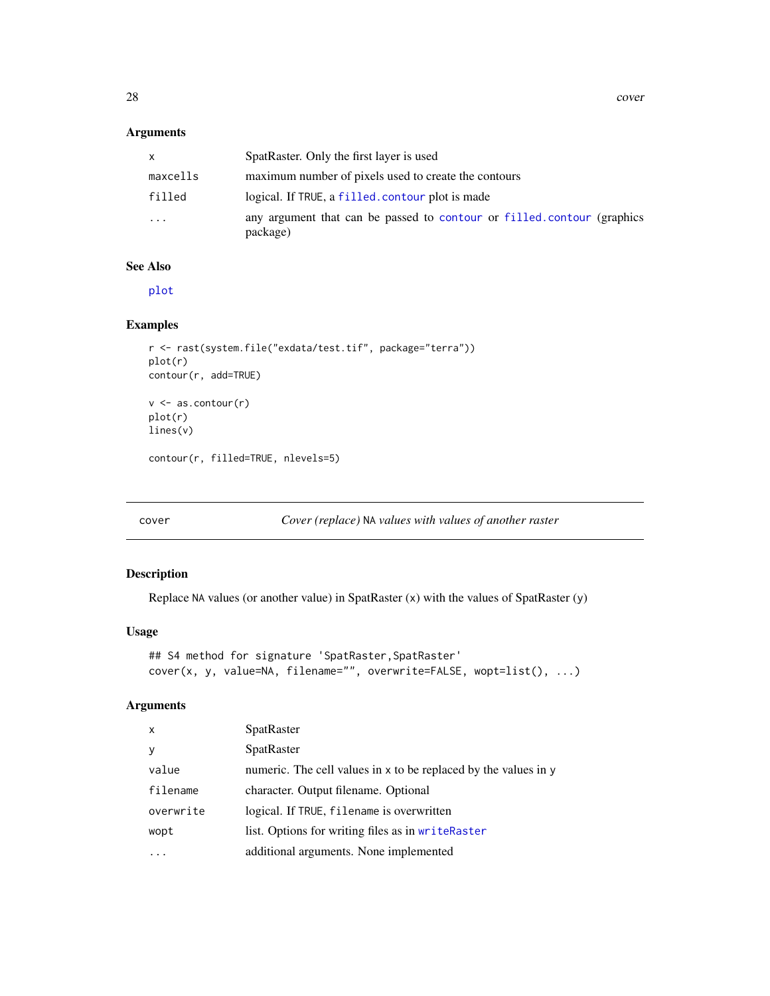#### <span id="page-27-0"></span>Arguments

| x        | SpatRaster. Only the first layer is used                                           |
|----------|------------------------------------------------------------------------------------|
| maxcells | maximum number of pixels used to create the contours                               |
| filled   | logical. If TRUE, a filled, contour plot is made                                   |
| .        | any argument that can be passed to contour or filled contour (graphics<br>package) |

#### See Also

[plot](#page-61-1)

# Examples

```
r <- rast(system.file("exdata/test.tif", package="terra"))
plot(r)
contour(r, add=TRUE)
v <- as.contour(r)
plot(r)
lines(v)
contour(r, filled=TRUE, nlevels=5)
```
<span id="page-27-1"></span>cover *Cover (replace)* NA *values with values of another raster*

# Description

Replace NA values (or another value) in SpatRaster (x) with the values of SpatRaster (y)

#### Usage

```
## S4 method for signature 'SpatRaster, SpatRaster'
cover(x, y, value=NA, filename="", overwrite=FALSE, wopt=list(), ...)
```
# Arguments

| $\mathsf{x}$ | <b>SpatRaster</b>                                               |
|--------------|-----------------------------------------------------------------|
| y            | SpatRaster                                                      |
| value        | numeric. The cell values in x to be replaced by the values in y |
| filename     | character. Output filename. Optional                            |
| overwrite    | logical. If TRUE, filename is overwritten                       |
| wopt         | list. Options for writing files as in writeRaster               |
|              | additional arguments. None implemented                          |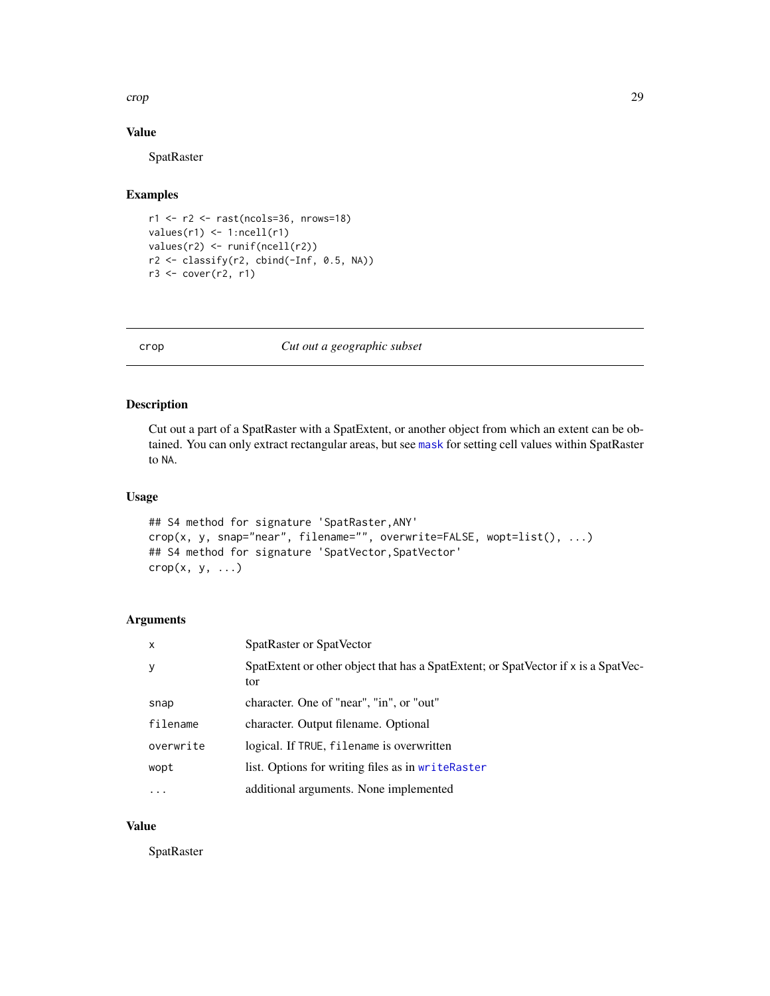#### <span id="page-28-0"></span>crop 29

#### Value

SpatRaster

# Examples

```
r1 <- r2 <- rast(ncols=36, nrows=18)
values(r1) <- 1:ncell(r1)
values(r2) <- runif(ncell(r2))
r2 <- classify(r2, cbind(-Inf, 0.5, NA))
r3 <- cover(r2, r1)
```
# <span id="page-28-1"></span>crop *Cut out a geographic subset*

# Description

Cut out a part of a SpatRaster with a SpatExtent, or another object from which an extent can be obtained. You can only extract rectangular areas, but see [mask](#page-53-1) for setting cell values within SpatRaster to NA.

#### Usage

```
## S4 method for signature 'SpatRaster,ANY'
crop(x, y, snap="near", filename="", overwrite=FALSE, wopt=list(), ...)
## S4 method for signature 'SpatVector,SpatVector'
\text{crop}(x, y, \ldots)
```
#### Arguments

| $\mathsf{x}$ | SpatRaster or SpatVector                                                                  |
|--------------|-------------------------------------------------------------------------------------------|
| y            | SpatExtent or other object that has a SpatExtent; or SpatVector if x is a SpatVec-<br>tor |
| snap         | character. One of "near", "in", or "out"                                                  |
| filename     | character. Output filename. Optional                                                      |
| overwrite    | logical. If TRUE, filename is overwritten                                                 |
| wopt         | list. Options for writing files as in writeRaster                                         |
| $\cdots$     | additional arguments. None implemented                                                    |

#### Value

**SpatRaster**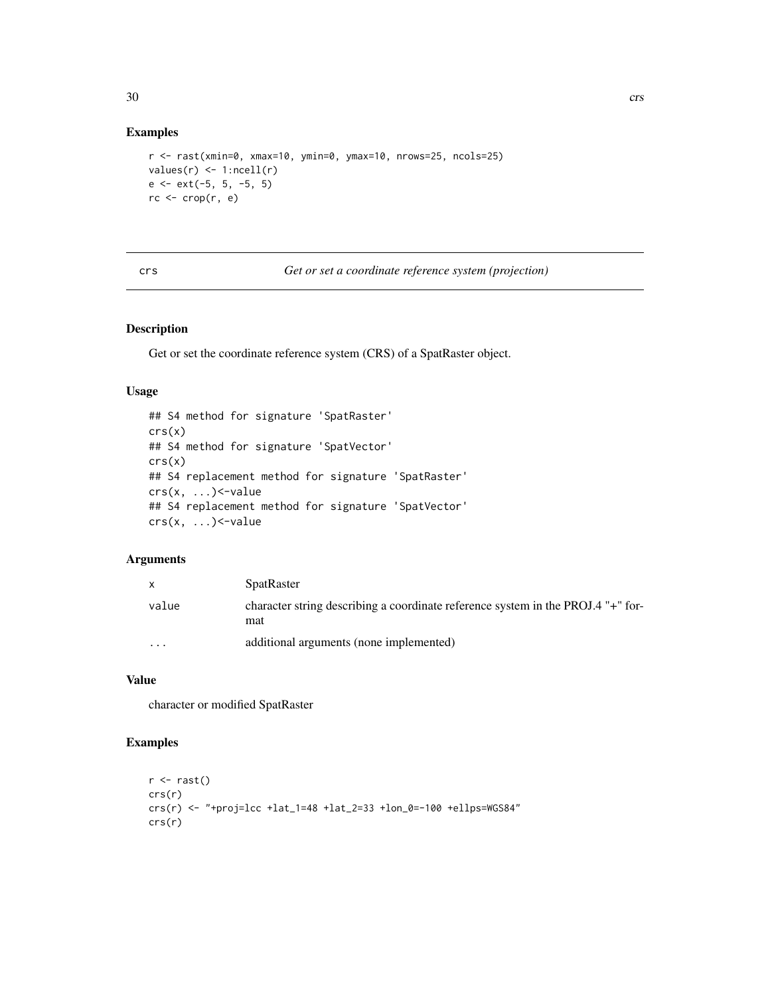# <span id="page-29-0"></span>Examples

```
r <- rast(xmin=0, xmax=10, ymin=0, ymax=10, nrows=25, ncols=25)
values(r) \leftarrow 1:ncell(r)e <- ext(-5, 5, -5, 5)
rc \leftarrow crop(r, e)
```
<span id="page-29-1"></span>crs *Get or set a coordinate reference system (projection)*

#### Description

Get or set the coordinate reference system (CRS) of a SpatRaster object.

#### Usage

```
## S4 method for signature 'SpatRaster'
crs(x)## S4 method for signature 'SpatVector'
crs(x)## S4 replacement method for signature 'SpatRaster'
crs(x, ...)<-value
## S4 replacement method for signature 'SpatVector'
crs(x, ...)<-value
```
# Arguments

|                         | <b>SpatRaster</b>                                                                       |
|-------------------------|-----------------------------------------------------------------------------------------|
| value                   | character string describing a coordinate reference system in the PROJ.4 "+" for-<br>mat |
| $\cdot$ $\cdot$ $\cdot$ | additional arguments (none implemented)                                                 |

# Value

character or modified SpatRaster

```
r \leftarrow \text{rast}()crs(r)
crs(r) <- "+proj=lcc +lat_1=48 +lat_2=33 +lon_0=-100 +ellps=WGS84"
crs(r)
```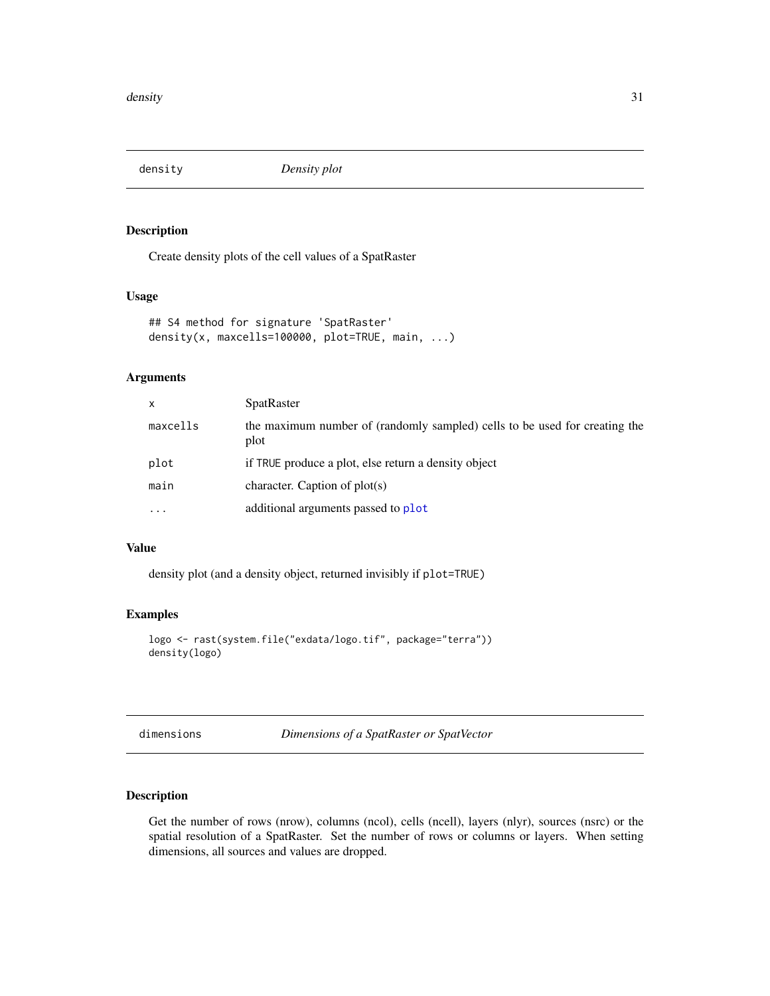<span id="page-30-2"></span><span id="page-30-0"></span>density *Density plot*

# Description

Create density plots of the cell values of a SpatRaster

# Usage

```
## S4 method for signature 'SpatRaster'
density(x, maxcells=100000, plot=TRUE, main, ...)
```
#### Arguments

| x        | <b>SpatRaster</b>                                                                  |
|----------|------------------------------------------------------------------------------------|
| maxcells | the maximum number of (randomly sampled) cells to be used for creating the<br>plot |
| plot     | if TRUE produce a plot, else return a density object                               |
| main     | character. Caption of $plot(s)$                                                    |
| $\cdots$ | additional arguments passed to plot                                                |

#### Value

density plot (and a density object, returned invisibly if plot=TRUE)

# Examples

```
logo <- rast(system.file("exdata/logo.tif", package="terra"))
density(logo)
```

| dimensions |  |
|------------|--|
|            |  |

dimensions *Dimensions of a SpatRaster or SpatVector*

# <span id="page-30-1"></span>Description

Get the number of rows (nrow), columns (ncol), cells (ncell), layers (nlyr), sources (nsrc) or the spatial resolution of a SpatRaster. Set the number of rows or columns or layers. When setting dimensions, all sources and values are dropped.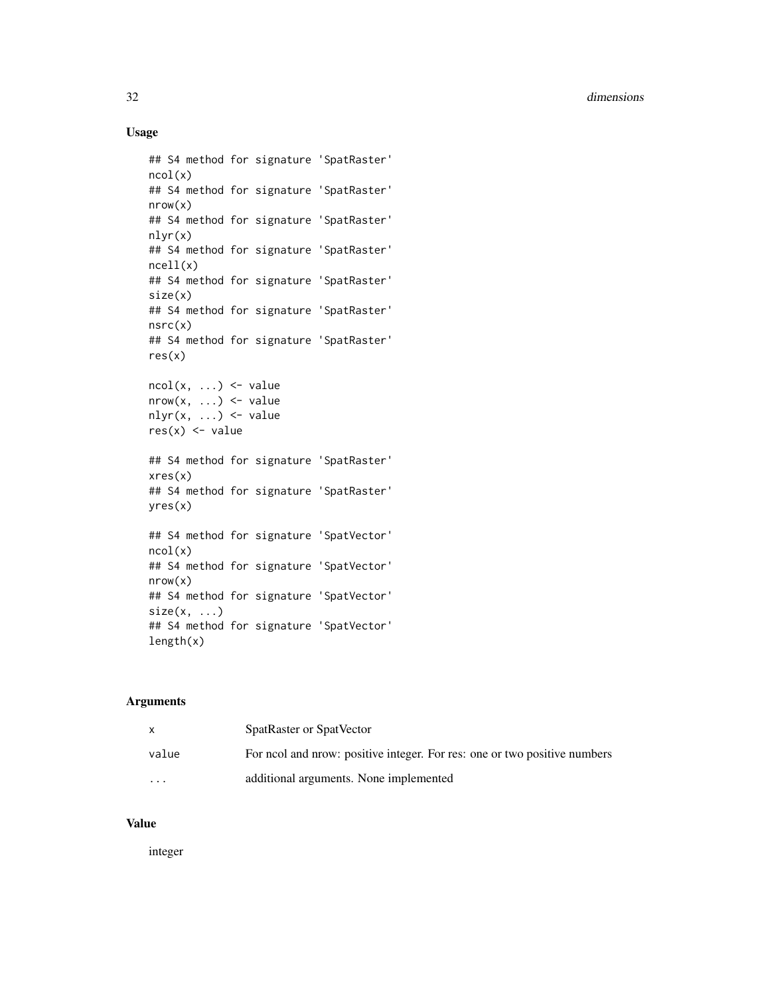# Usage

```
## S4 method for signature 'SpatRaster'
ncol(x)
## S4 method for signature 'SpatRaster'
nrow(x)
## S4 method for signature 'SpatRaster'
nlyr(x)
## S4 method for signature 'SpatRaster'
ncell(x)
## S4 method for signature 'SpatRaster'
size(x)
## S4 method for signature 'SpatRaster'
nsrc(x)
## S4 method for signature 'SpatRaster'
res(x)
ncol(x, \ldots) \leq valuenrow(x, ...) \leftarrow valuenlyr(x, \ldots) \leq value
res(x) < - value
## S4 method for signature 'SpatRaster'
xres(x)
## S4 method for signature 'SpatRaster'
yres(x)
## S4 method for signature 'SpatVector'
ncol(x)
## S4 method for signature 'SpatVector'
nrow(x)
## S4 method for signature 'SpatVector'
size(x, ...)## S4 method for signature 'SpatVector'
length(x)
```
#### Arguments

|          | SpatRaster or SpatVector                                                  |
|----------|---------------------------------------------------------------------------|
| value    | For nool and nrow: positive integer. For res: one or two positive numbers |
| $\cdots$ | additional arguments. None implemented                                    |

# Value

integer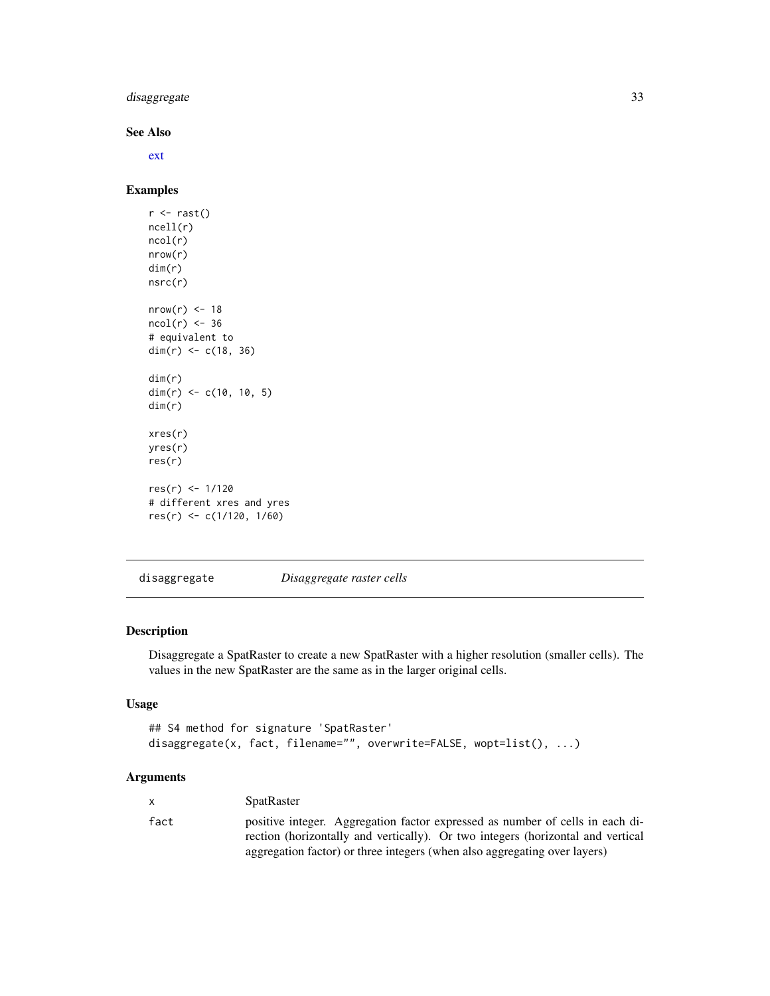<span id="page-32-0"></span>disaggregate 33

#### See Also

[ext](#page-37-1)

# Examples

```
r <- rast()ncell(r)
ncol(r)
nrow(r)
dim(r)
nsrc(r)
nrow(r) < -18ncol(r) < -36# equivalent to
dim(r) <- c(18, 36)
dim(r)
dim(r) <- c(10, 10, 5)dim(r)
xres(r)
yres(r)
res(r)
res(r) <- 1/120
# different xres and yres
res(r) <- c(1/120, 1/60)
```
<span id="page-32-1"></span>disaggregate *Disaggregate raster cells*

# Description

Disaggregate a SpatRaster to create a new SpatRaster with a higher resolution (smaller cells). The values in the new SpatRaster are the same as in the larger original cells.

#### Usage

```
## S4 method for signature 'SpatRaster'
disaggregate(x, fact, filename="", overwrite=FALSE, wopt=list(), ...)
```
# Arguments

| X    | <b>SpatRaster</b>                                                                                                                                                |
|------|------------------------------------------------------------------------------------------------------------------------------------------------------------------|
| fact | positive integer. Aggregation factor expressed as number of cells in each di-<br>rection (horizontally and vertically). Or two integers (horizontal and vertical |
|      | aggregation factor) or three integers (when also aggregating over layers)                                                                                        |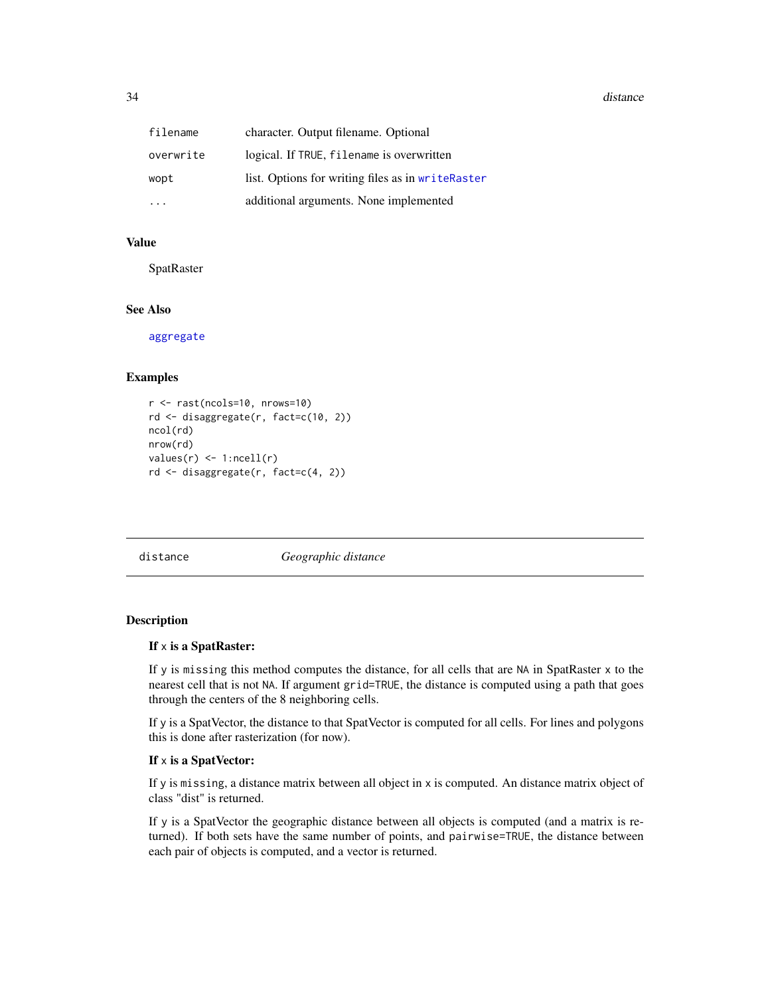<span id="page-33-0"></span>

| filename  | character. Output filename. Optional              |
|-----------|---------------------------------------------------|
| overwrite | logical. If TRUE, filename is overwritten         |
| wopt      | list. Options for writing files as in writeRaster |
|           | additional arguments. None implemented            |

#### Value

SpatRaster

#### See Also

[aggregate](#page-10-1)

#### Examples

```
r <- rast(ncols=10, nrows=10)
rd <- disaggregate(r, fact=c(10, 2))
ncol(rd)
nrow(rd)
values(r) \leq 1:ncell(r)rd <- disaggregate(r, fact=c(4, 2))
```
<span id="page-33-1"></span>distance *Geographic distance*

#### Description

#### If x is a SpatRaster:

If y is missing this method computes the distance, for all cells that are NA in SpatRaster x to the nearest cell that is not NA. If argument grid=TRUE, the distance is computed using a path that goes through the centers of the 8 neighboring cells.

If y is a SpatVector, the distance to that SpatVector is computed for all cells. For lines and polygons this is done after rasterization (for now).

#### If x is a SpatVector:

If y is missing, a distance matrix between all object in x is computed. An distance matrix object of class "dist" is returned.

If y is a SpatVector the geographic distance between all objects is computed (and a matrix is returned). If both sets have the same number of points, and pairwise=TRUE, the distance between each pair of objects is computed, and a vector is returned.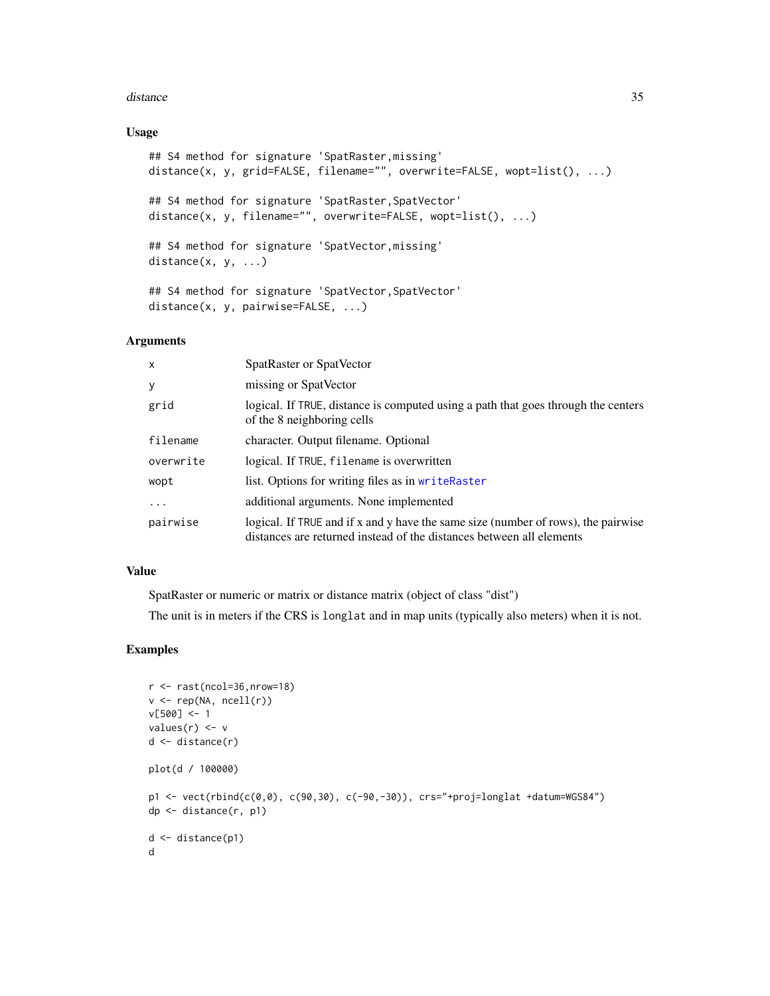#### distance 35

#### Usage

```
## S4 method for signature 'SpatRaster,missing'
distance(x, y, grid=FALSE, filename="", overwrite=FALSE, wopt=list(), ...)
## S4 method for signature 'SpatRaster,SpatVector'
distance(x, y, filename="", overwrite=FALSE, wopt=list(), ...)
## S4 method for signature 'SpatVector,missing'
distance(x, y, \ldots)## S4 method for signature 'SpatVector, SpatVector'
distance(x, y, pairwise=FALSE, ...)
```
#### Arguments

| $\mathsf{x}$ | SpatRaster or SpatVector                                                                                                                                  |
|--------------|-----------------------------------------------------------------------------------------------------------------------------------------------------------|
| y            | missing or SpatVector                                                                                                                                     |
| grid         | logical. If TRUE, distance is computed using a path that goes through the centers<br>of the 8 neighboring cells                                           |
| filename     | character. Output filename. Optional                                                                                                                      |
| overwrite    | logical. If TRUE, filename is overwritten                                                                                                                 |
| wopt         | list. Options for writing files as in writeRaster                                                                                                         |
| $\cdots$     | additional arguments. None implemented                                                                                                                    |
| pairwise     | logical. If TRUE and if x and y have the same size (number of rows), the pairwise<br>distances are returned instead of the distances between all elements |

#### Value

SpatRaster or numeric or matrix or distance matrix (object of class "dist")

The unit is in meters if the CRS is longlat and in map units (typically also meters) when it is not.

```
r <- rast(ncol=36,nrow=18)
v \leftarrow \text{rep}(NA, \text{ncell}(r))v[500] <- 1
values(r) <- v
d <- distance(r)
plot(d / 100000)
p1 \le -\text{vect}(\text{rbind}(c(0,0), c(90,30), c(-90,-30)), \text{crs}^{-\mu}+\text{proj-longlat +datum=WGS84''})dp <- distance(r, p1)
d <- distance(p1)
d
```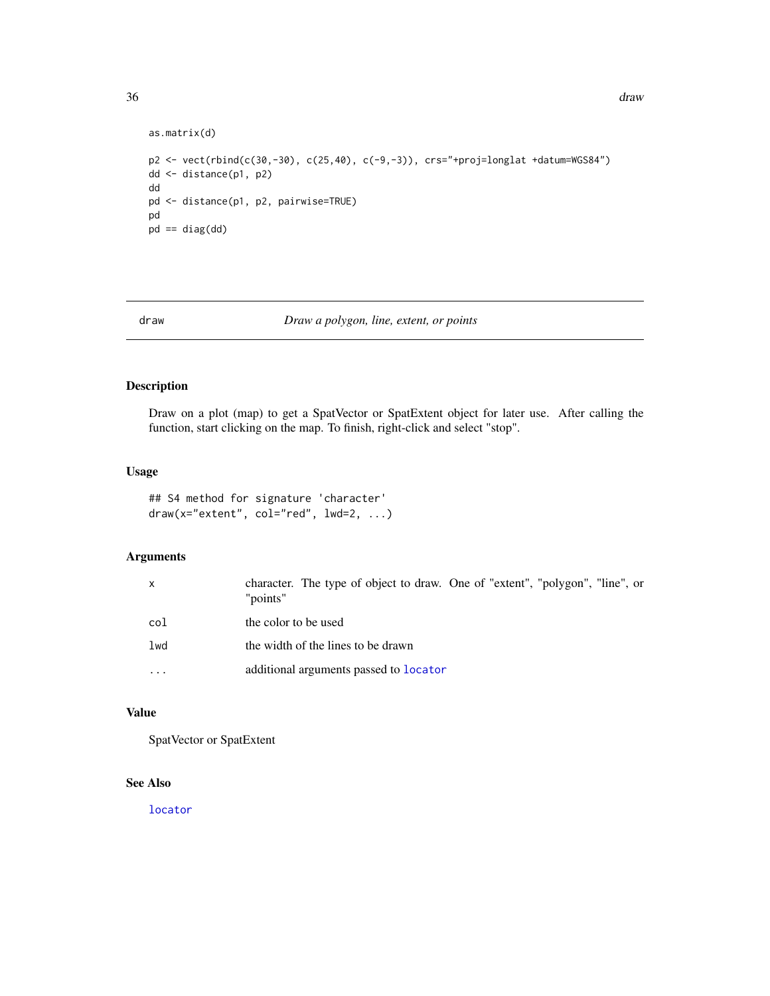```
as.matrix(d)
p2 <- vect(rbind(c(30,-30), c(25,40), c(-9,-3)), crs="+proj=longlat +datum=WGS84")
dd <- distance(p1, p2)
dd
pd <- distance(p1, p2, pairwise=TRUE)
pd
pd == diag(dd)
```
<span id="page-35-1"></span>

#### draw *Draw a polygon, line, extent, or points*

# Description

Draw on a plot (map) to get a SpatVector or SpatExtent object for later use. After calling the function, start clicking on the map. To finish, right-click and select "stop".

#### Usage

```
## S4 method for signature 'character'
draw(x="extent", col="red", lwd=2, ...)
```
#### Arguments

| $\mathsf{x}$ | character. The type of object to draw. One of "extent", "polygon", "line", or<br>"points" |
|--------------|-------------------------------------------------------------------------------------------|
| col          | the color to be used                                                                      |
| lwd          | the width of the lines to be drawn                                                        |
| $\cdots$     | additional arguments passed to <b>locator</b>                                             |

# Value

SpatVector or SpatExtent

# See Also

[locator](#page-0-0)

<span id="page-35-0"></span>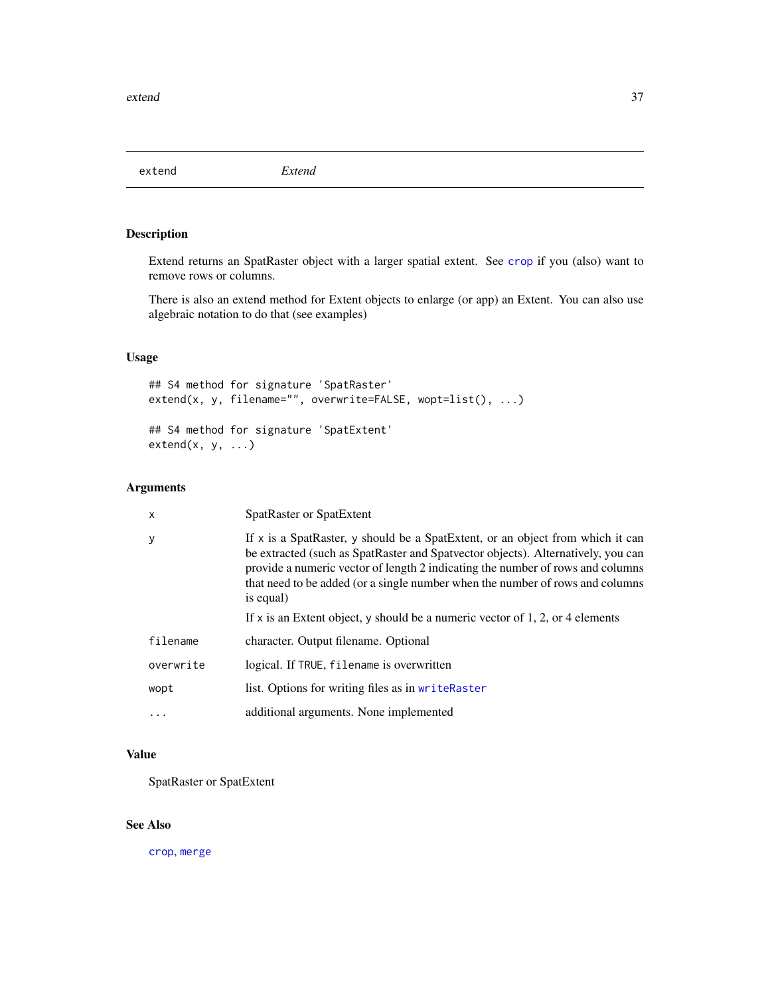extend *Extend*

# Description

Extend returns an SpatRaster object with a larger spatial extent. See [crop](#page-28-0) if you (also) want to remove rows or columns.

There is also an extend method for Extent objects to enlarge (or app) an Extent. You can also use algebraic notation to do that (see examples)

# Usage

```
## S4 method for signature 'SpatRaster'
extend(x, y, filename="", overwrite=FALSE, wopt=list(), ...)
## S4 method for signature 'SpatExtent'
extend(x, y, ...)
```
# Arguments

| $\mathsf{x}$ | SpatRaster or SpatExtent                                                                                                                                                                                                                                                                                                                           |
|--------------|----------------------------------------------------------------------------------------------------------------------------------------------------------------------------------------------------------------------------------------------------------------------------------------------------------------------------------------------------|
| У            | If x is a SpatRaster, y should be a SpatExtent, or an object from which it can<br>be extracted (such as SpatRaster and Spatvector objects). Alternatively, you can<br>provide a numeric vector of length 2 indicating the number of rows and columns<br>that need to be added (or a single number when the number of rows and columns<br>is equal) |
|              | If x is an Extent object, y should be a numeric vector of 1, 2, or 4 elements                                                                                                                                                                                                                                                                      |
| filename     | character. Output filename. Optional                                                                                                                                                                                                                                                                                                               |
| overwrite    | logical. If TRUE, filename is overwritten                                                                                                                                                                                                                                                                                                          |
| wopt         | list. Options for writing files as in writeRaster                                                                                                                                                                                                                                                                                                  |
|              | additional arguments. None implemented                                                                                                                                                                                                                                                                                                             |
|              |                                                                                                                                                                                                                                                                                                                                                    |

# Value

SpatRaster or SpatExtent

# See Also

[crop](#page-28-0), [merge](#page-55-0)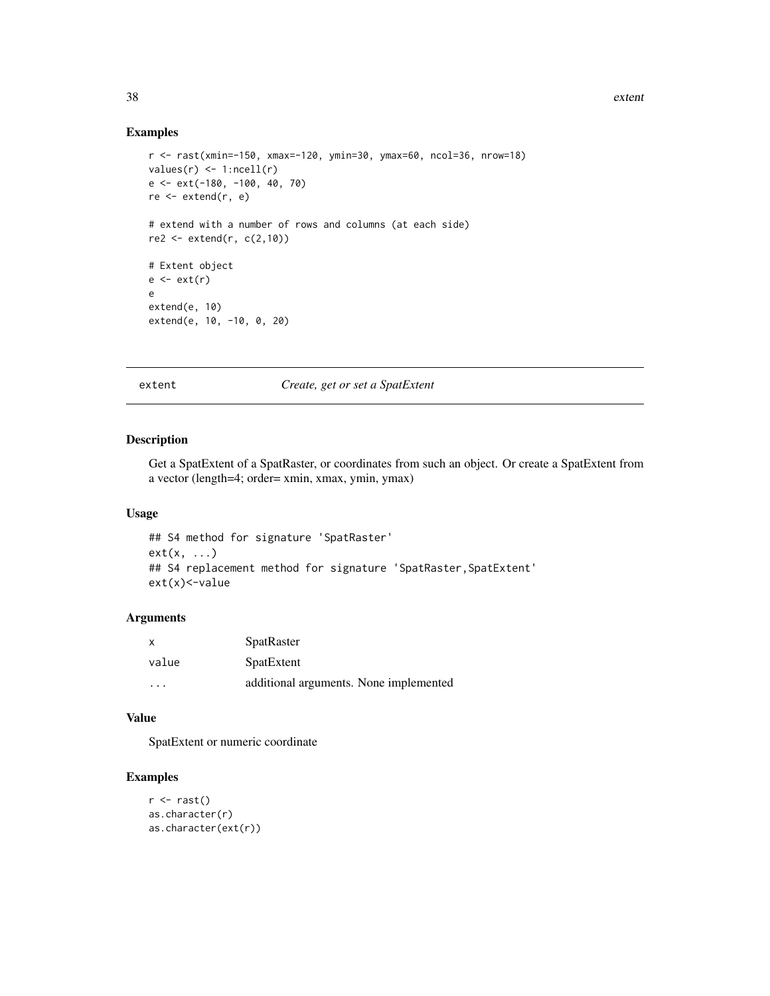### Examples

```
r <- rast(xmin=-150, xmax=-120, ymin=30, ymax=60, ncol=36, nrow=18)
values(r) \leq 1:ncell(r)e <- ext(-180, -100, 40, 70)
re <- extend(r, e)
# extend with a number of rows and columns (at each side)
re2 < - extend(r, c(2,10))
# Extent object
e \leftarrow ext(r)e
extend(e, 10)
extend(e, 10, -10, 0, 20)
```
#### extent *Create, get or set a SpatExtent*

### Description

Get a SpatExtent of a SpatRaster, or coordinates from such an object. Or create a SpatExtent from a vector (length=4; order= xmin, xmax, ymin, ymax)

## Usage

```
## S4 method for signature 'SpatRaster'
ext(x, \ldots)## S4 replacement method for signature 'SpatRaster, SpatExtent'
ext(x)<-value
```
#### Arguments

| X     | <b>SpatRaster</b>                      |
|-------|----------------------------------------|
| value | SpatExtent                             |
| .     | additional arguments. None implemented |

### Value

SpatExtent or numeric coordinate

### Examples

```
r \leftarrow \text{rast}()as.character(r)
as.character(ext(r))
```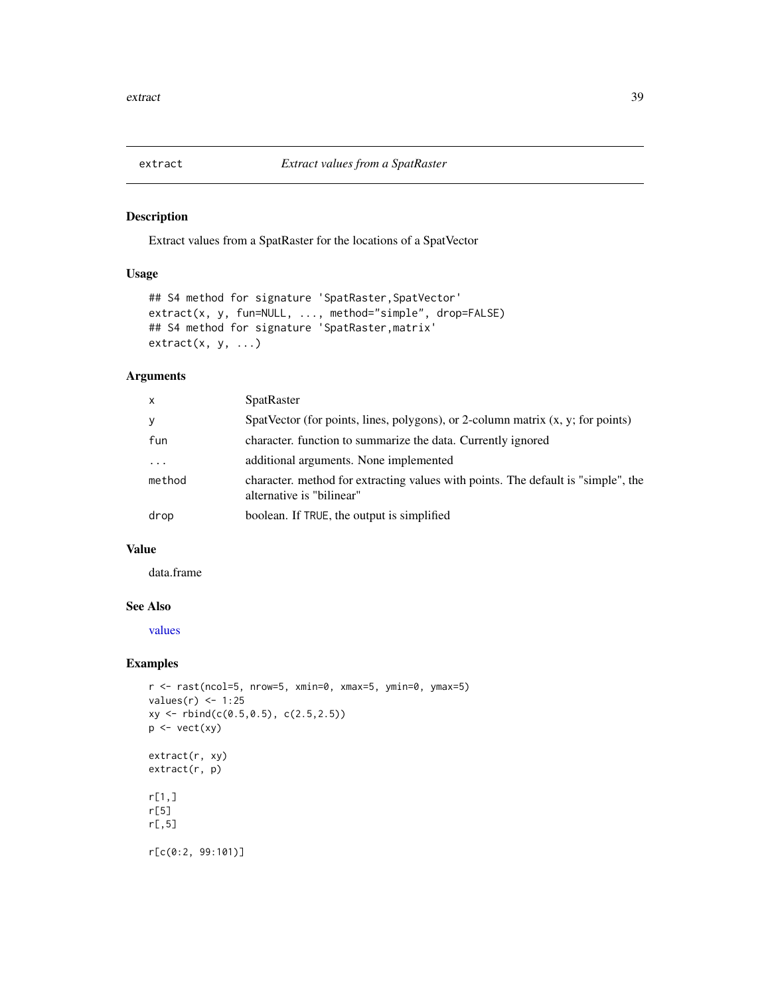<span id="page-38-0"></span>

# Description

Extract values from a SpatRaster for the locations of a SpatVector

# Usage

```
## S4 method for signature 'SpatRaster, SpatVector'
extract(x, y, fun=NULL, ..., method="simple", drop=FALSE)
## S4 method for signature 'SpatRaster,matrix'
extract(x, y, ...)
```
# Arguments

| $\mathsf{x}$ | <b>SpatRaster</b>                                                                                              |
|--------------|----------------------------------------------------------------------------------------------------------------|
| y            | SpatVector (for points, lines, polygons), or 2-column matrix $(x, y)$ ; for points)                            |
| fun          | character, function to summarize the data. Currently ignored                                                   |
| $\ddotsc$    | additional arguments. None implemented                                                                         |
| method       | character, method for extracting values with points. The default is "simple", the<br>alternative is "bilinear" |
| drop         | boolean. If TRUE, the output is simplified                                                                     |

### Value

data.frame

# See Also

[values](#page-89-0)

# Examples

```
r <- rast(ncol=5, nrow=5, xmin=0, xmax=5, ymin=0, ymax=5)
values(r) <- 1:25
xy <- rbind(c(0.5,0.5), c(2.5,2.5))
p <- vect(xy)
extract(r, xy)
extract(r, p)
r[1,]
r[5]
r[,5]
r[c(0:2, 99:101)]
```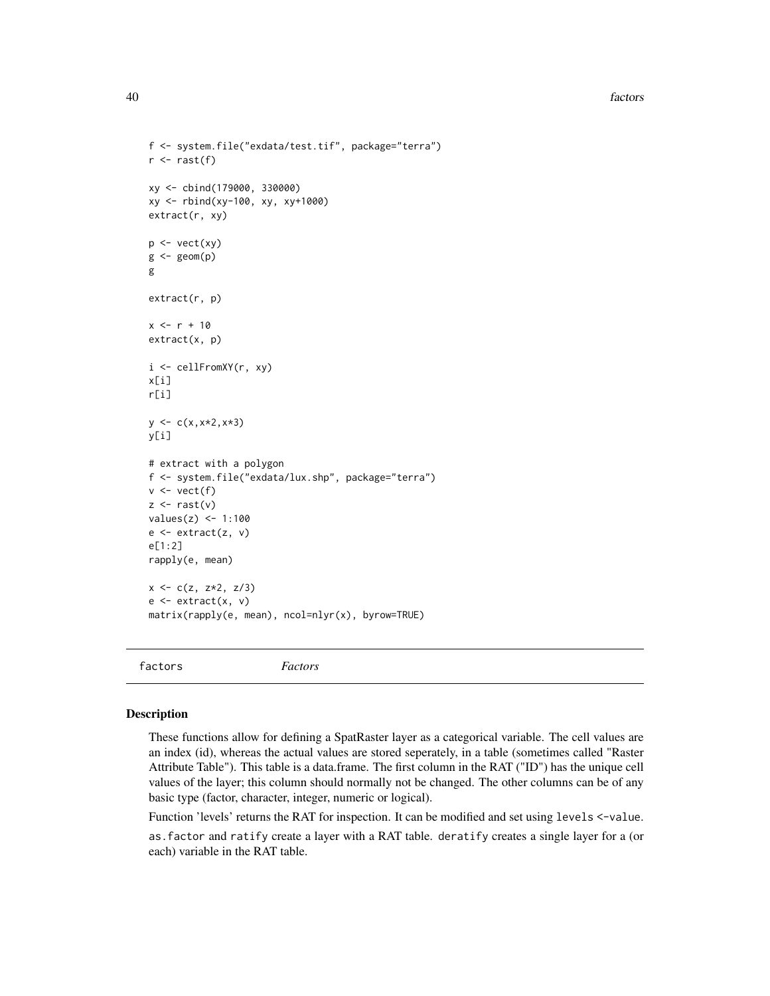40 factors

```
f <- system.file("exdata/test.tif", package="terra")
r \leftarrow \text{rast}(f)xy <- cbind(179000, 330000)
xy <- rbind(xy-100, xy, xy+1000)
extract(r, xy)
p \leftarrow \text{vect}(xy)g \leftarrow \text{geom}(p)g
extract(r, p)
x < -r + 10extract(x, p)
i <- cellFromXY(r, xy)
x[i]
r[i]
y \leftarrow c(x, x*2, x*3)y[i]
# extract with a polygon
f <- system.file("exdata/lux.shp", package="terra")
v \leftarrow \text{vect}(f)z \leftarrow \text{rast}(v)values(z) <- 1:100
e <- extract(z, v)
e[1:2]
rapply(e, mean)
x \leq -c(z, z*2, z/3)e \leftarrow extract(x, v)matrix(rapply(e, mean), ncol=nlyr(x), byrow=TRUE)
```

```
factors Factors
```
### Description

These functions allow for defining a SpatRaster layer as a categorical variable. The cell values are an index (id), whereas the actual values are stored seperately, in a table (sometimes called "Raster Attribute Table"). This table is a data.frame. The first column in the RAT ("ID") has the unique cell values of the layer; this column should normally not be changed. The other columns can be of any basic type (factor, character, integer, numeric or logical).

Function 'levels' returns the RAT for inspection. It can be modified and set using levels <-value.

as.factor and ratify create a layer with a RAT table. deratify creates a single layer for a (or each) variable in the RAT table.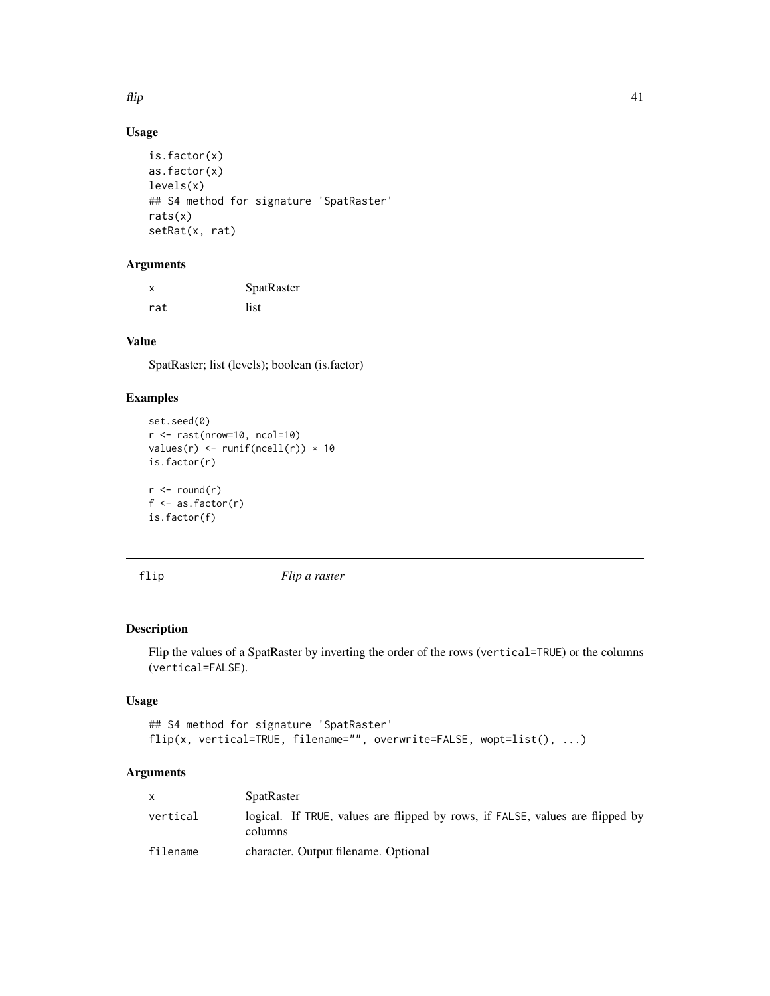$f$ lip  $\frac{41}{2}$ 

# Usage

```
is.factor(x)
as.factor(x)
levels(x)
## S4 method for signature 'SpatRaster'
rats(x)
setRat(x, rat)
```
# Arguments

| x   | SpatRaster |  |
|-----|------------|--|
| rat | list       |  |

# Value

SpatRaster; list (levels); boolean (is.factor)

# Examples

```
set.seed(0)
r <- rast(nrow=10, ncol=10)
values(r) <- runif(ncell(r)) * 10
is.factor(r)
r <- round(r)f \leftarrow as.factor(r)is.factor(f)
```
flip *Flip a raster*

# Description

Flip the values of a SpatRaster by inverting the order of the rows (vertical=TRUE) or the columns (vertical=FALSE).

## Usage

```
## S4 method for signature 'SpatRaster'
flip(x, vertical=TRUE, filename="", overwrite=FALSE, wopt=list(), ...)
```

| X.       | <b>SpatRaster</b>                                                                        |
|----------|------------------------------------------------------------------------------------------|
| vertical | logical. If TRUE, values are flipped by rows, if FALSE, values are flipped by<br>columns |
| filename | character. Output filename. Optional                                                     |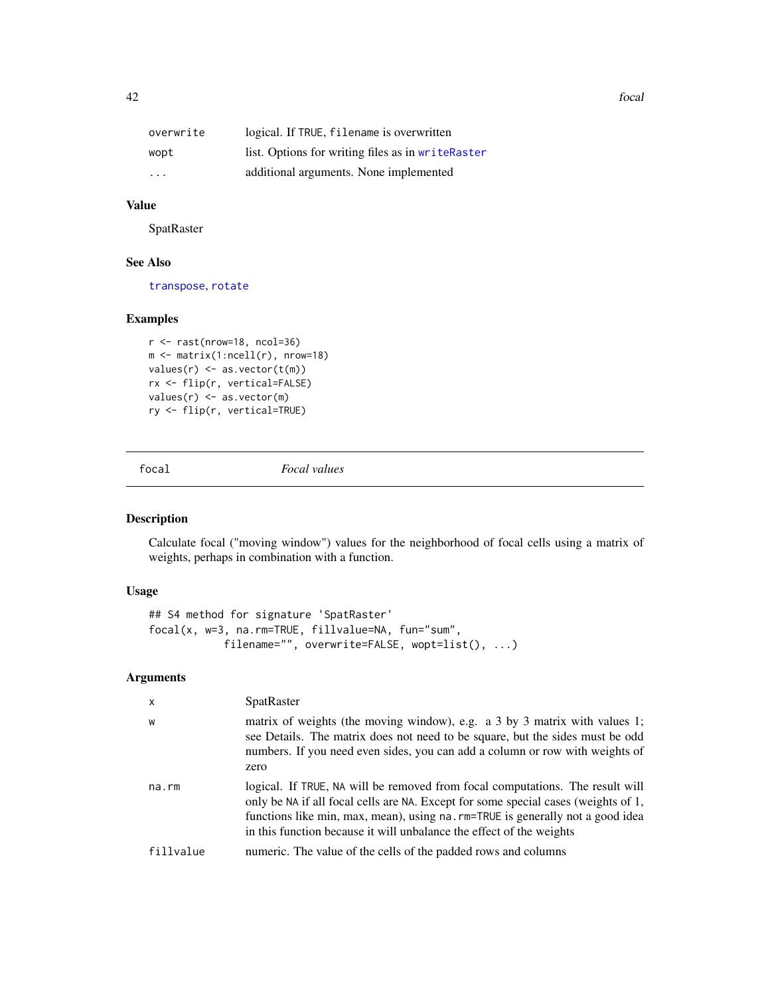| overwrite               | logical. If TRUE, filename is overwritten         |
|-------------------------|---------------------------------------------------|
| wopt                    | list. Options for writing files as in writeRaster |
| $\cdot$ $\cdot$ $\cdot$ | additional arguments. None implemented            |

### Value

**SpatRaster** 

# See Also

[transpose](#page-87-0), [rotate](#page-74-0)

# Examples

```
r \leq -\text{rast(nrow=18, ncol=36)}m <- matrix(1:ncell(r), nrow=18)
values(r) \leftarrow as.vector(t(m))rx <- flip(r, vertical=FALSE)
values(r) <- as.vector(m)
ry <- flip(r, vertical=TRUE)
```
<span id="page-41-0"></span>

focal *Focal values*

# Description

Calculate focal ("moving window") values for the neighborhood of focal cells using a matrix of weights, perhaps in combination with a function.

### Usage

```
## S4 method for signature 'SpatRaster'
focal(x, w=3, na.rm=TRUE, fillvalue=NA, fun="sum",
            filename="", overwrite=FALSE, wopt=list(), ...)
```

| $\mathsf{x}$ | SpatRaster                                                                                                                                                                                                                                                                                                                    |
|--------------|-------------------------------------------------------------------------------------------------------------------------------------------------------------------------------------------------------------------------------------------------------------------------------------------------------------------------------|
| W            | matrix of weights (the moving window), e.g. a 3 by 3 matrix with values 1;<br>see Details. The matrix does not need to be square, but the sides must be odd<br>numbers. If you need even sides, you can add a column or row with weights of<br>zero                                                                           |
| $na$ . $rm$  | logical. If TRUE, NA will be removed from focal computations. The result will<br>only be NA if all focal cells are NA. Except for some special cases (weights of 1,<br>functions like min, max, mean), using na. rm=TRUE is generally not a good idea<br>in this function because it will unbalance the effect of the weights |
| fillvalue    | numeric. The value of the cells of the padded rows and columns                                                                                                                                                                                                                                                                |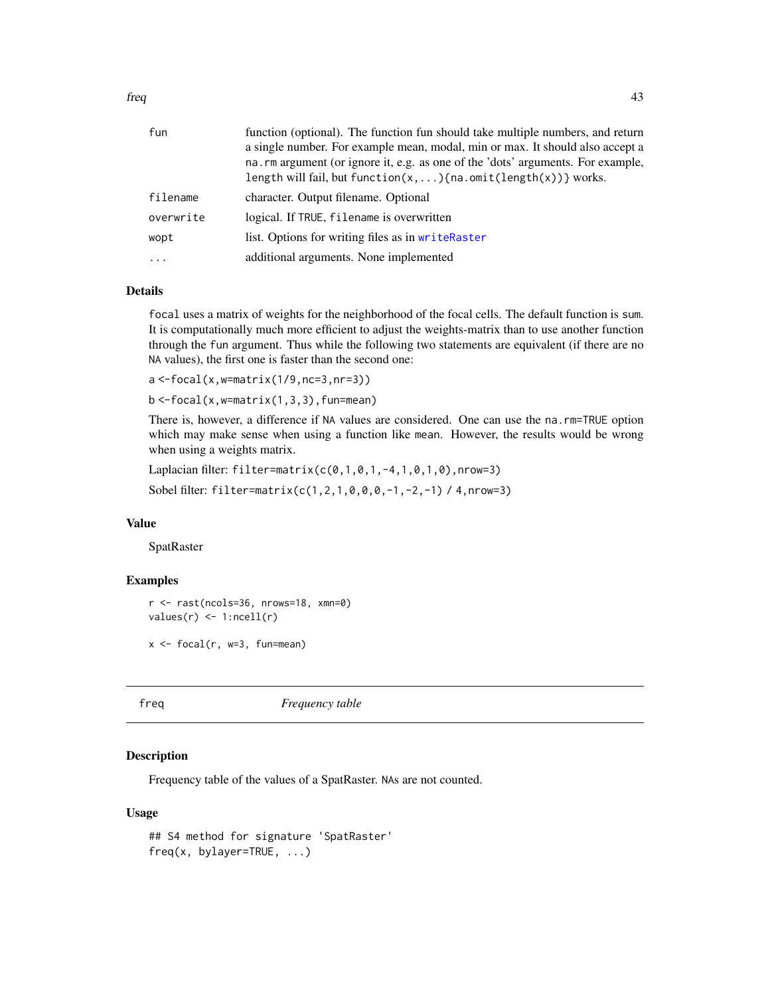| fun       | function (optional). The function fun should take multiple numbers, and return   |
|-----------|----------------------------------------------------------------------------------|
|           | a single number. For example mean, modal, min or max. It should also accept a    |
|           | na. rm argument (or ignore it, e.g. as one of the 'dots' arguments. For example, |
|           | length will fail, but function( $x, \ldots$ ) {na.omit(length( $x$ ))} works.    |
| filename  | character. Output filename. Optional                                             |
| overwrite | logical. If TRUE, filename is overwritten                                        |
| wopt      | list. Options for writing files as in writeRaster                                |
| $\ddotsc$ | additional arguments. None implemented                                           |

# Details

focal uses a matrix of weights for the neighborhood of the focal cells. The default function is sum. It is computationally much more efficient to adjust the weights-matrix than to use another function through the fun argument. Thus while the following two statements are equivalent (if there are no NA values), the first one is faster than the second one:

 $a < -focal(x, w=matrix(1/9, nc=3, nr=3))$ 

 $b < -focal(x, w=matrix(1, 3, 3), func=mean)$ 

There is, however, a difference if NA values are considered. One can use the na.rm=TRUE option which may make sense when using a function like mean. However, the results would be wrong when using a weights matrix.

Laplacian filter: filter=matrix( $c(0,1,0,1,-4,1,0,1,0)$ , nrow=3)

Sobel filter: filter=matrix(c(1,2,1,0,0,0,-1,-2,-1) / 4,nrow=3)

### Value

SpatRaster

# Examples

```
r <- rast(ncols=36, nrows=18, xmn=0)
values(r) \leq 1:ncell(r)
```
 $x \leftarrow$  focal(r, w=3, fun=mean)

<span id="page-42-0"></span>freq *Frequency table*

### **Description**

Frequency table of the values of a SpatRaster. NAs are not counted.

#### Usage

```
## S4 method for signature 'SpatRaster'
freq(x, bylayer=TRUE, ...)
```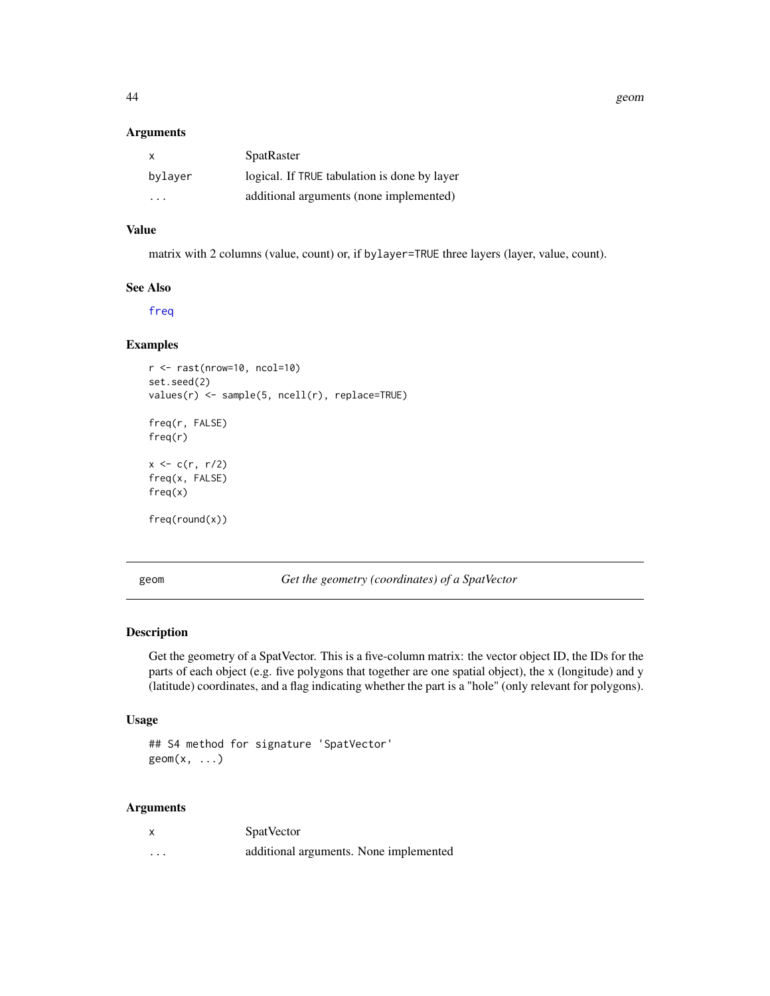44 geom

#### Arguments

| $\mathsf{X}$            | <b>SpatRaster</b>                            |
|-------------------------|----------------------------------------------|
| bylaver                 | logical. If TRUE tabulation is done by layer |
| $\cdot$ $\cdot$ $\cdot$ | additional arguments (none implemented)      |

# Value

matrix with 2 columns (value, count) or, if bylayer=TRUE three layers (layer, value, count).

### See Also

[freq](#page-42-0)

# Examples

```
r <- rast(nrow=10, ncol=10)
set.seed(2)
values(r) <- sample(5, ncell(r), replace=TRUE)
freq(r, FALSE)
freq(r)
x < -c(r, r/2)freq(x, FALSE)
freq(x)
freq(round(x))
```
<span id="page-43-0"></span>geom *Get the geometry (coordinates) of a SpatVector*

# Description

Get the geometry of a SpatVector. This is a five-column matrix: the vector object ID, the IDs for the parts of each object (e.g. five polygons that together are one spatial object), the x (longitude) and y (latitude) coordinates, and a flag indicating whether the part is a "hole" (only relevant for polygons).

### Usage

## S4 method for signature 'SpatVector'  $geom(x, \ldots)$ 

| X        | <b>SpatVector</b>                      |
|----------|----------------------------------------|
| $\cdots$ | additional arguments. None implemented |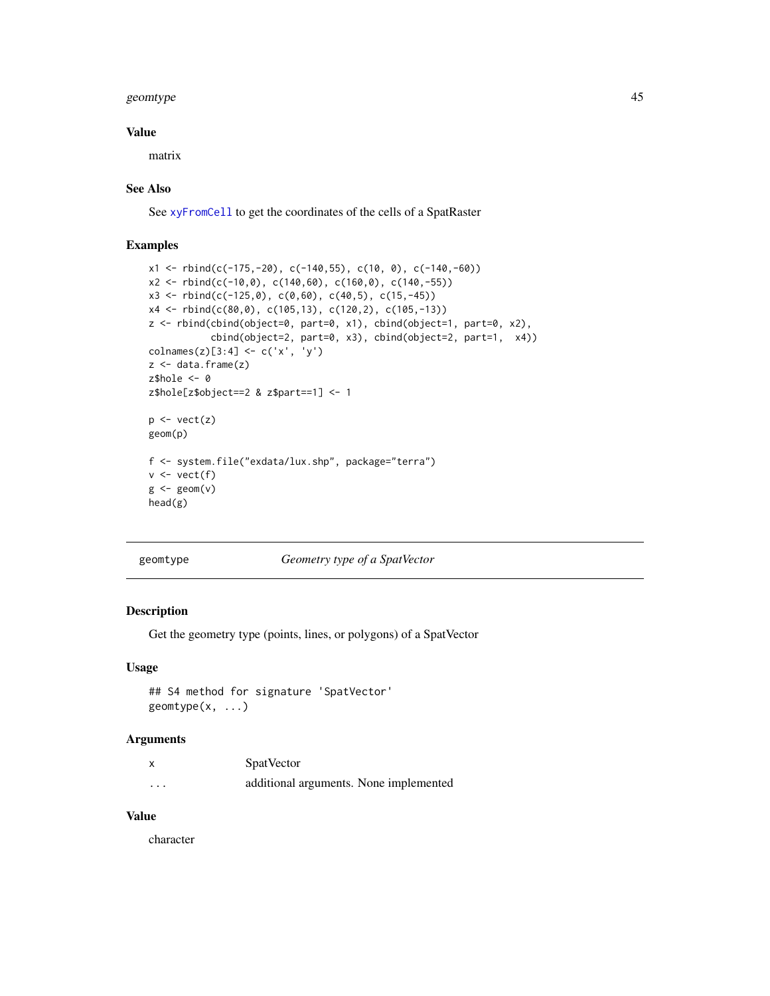#### geomtype and the set of the set of the set of the set of the set of the set of the set of the set of the set of the set of the set of the set of the set of the set of the set of the set of the set of the set of the set of

### Value

matrix

### See Also

See [xyFromCell](#page-96-0) to get the coordinates of the cells of a SpatRaster

### Examples

```
x1 \leftarrow \text{rbind}(c(-175, -20), c(-140, 55), c(10, 0), c(-140, -60))x2 \le rbind(c(-10,0), c(140,60), c(160,0), c(140,-55))
x3 \le rbind(c(-125,0), c(0,60), c(40,5), c(15,-45))
x4 <- rbind(c(80,0), c(105,13), c(120,2), c(105,-13))
z <- rbind(cbind(object=0, part=0, x1), cbind(object=1, part=0, x2),
            cbind(object=2, part=0, x3), cbind(object=2, part=1, x4))
\text{columns}(z)[3:4] \leftarrow c('x', 'y')z <- data.frame(z)
z$hole <- 0
z$hole[z$object==2 & z$part==1] <- 1
p \leftarrow \text{vect}(z)geom(p)
f <- system.file("exdata/lux.shp", package="terra")
v \leftarrow \text{vect}(f)g \leftarrow \text{geom}(v)head(g)
```
geomtype *Geometry type of a SpatVector*

#### Description

Get the geometry type (points, lines, or polygons) of a SpatVector

#### Usage

```
## S4 method for signature 'SpatVector'
geomtype(x, ...)
```
### Arguments

|         | <b>SpatVector</b>                      |  |
|---------|----------------------------------------|--|
| $\cdot$ | additional arguments. None implemented |  |

# Value

character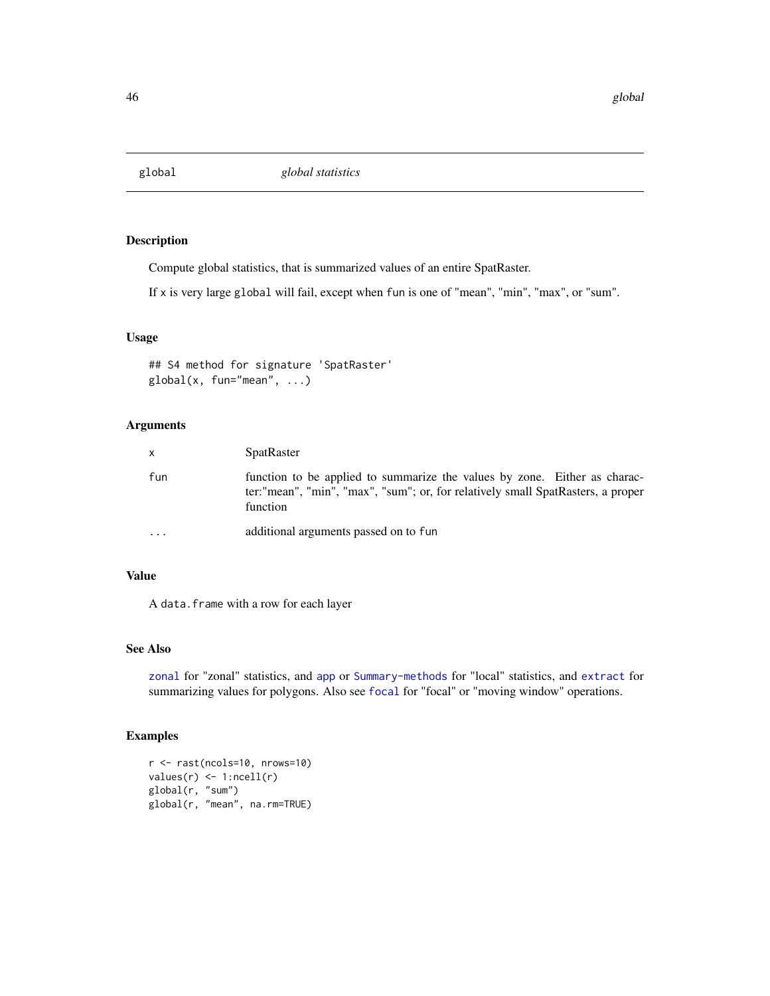# Description

Compute global statistics, that is summarized values of an entire SpatRaster.

If x is very large global will fail, except when fun is one of "mean", "min", "max", or "sum".

### Usage

```
## S4 method for signature 'SpatRaster'
global(x, fun="mean", ...)
```
### Arguments

| $\mathsf{X}$ | <b>SpatRaster</b>                                                                                                                                                        |
|--------------|--------------------------------------------------------------------------------------------------------------------------------------------------------------------------|
| fun          | function to be applied to summarize the values by zone. Either as charac-<br>ter:"mean", "min", "max", "sum"; or, for relatively small SpatRasters, a proper<br>function |
| $\ddotsc$    | additional arguments passed on to fun                                                                                                                                    |

### Value

A data.frame with a row for each layer

### See Also

[zonal](#page-98-0) for "zonal" statistics, and [app](#page-13-0) or [Summary-methods](#page-52-0) for "local" statistics, and [extract](#page-38-0) for summarizing values for polygons. Also see [focal](#page-41-0) for "focal" or "moving window" operations.

# Examples

```
r <- rast(ncols=10, nrows=10)
values(r) \leq 1:ncell(r)global(r, "sum")
global(r, "mean", na.rm=TRUE)
```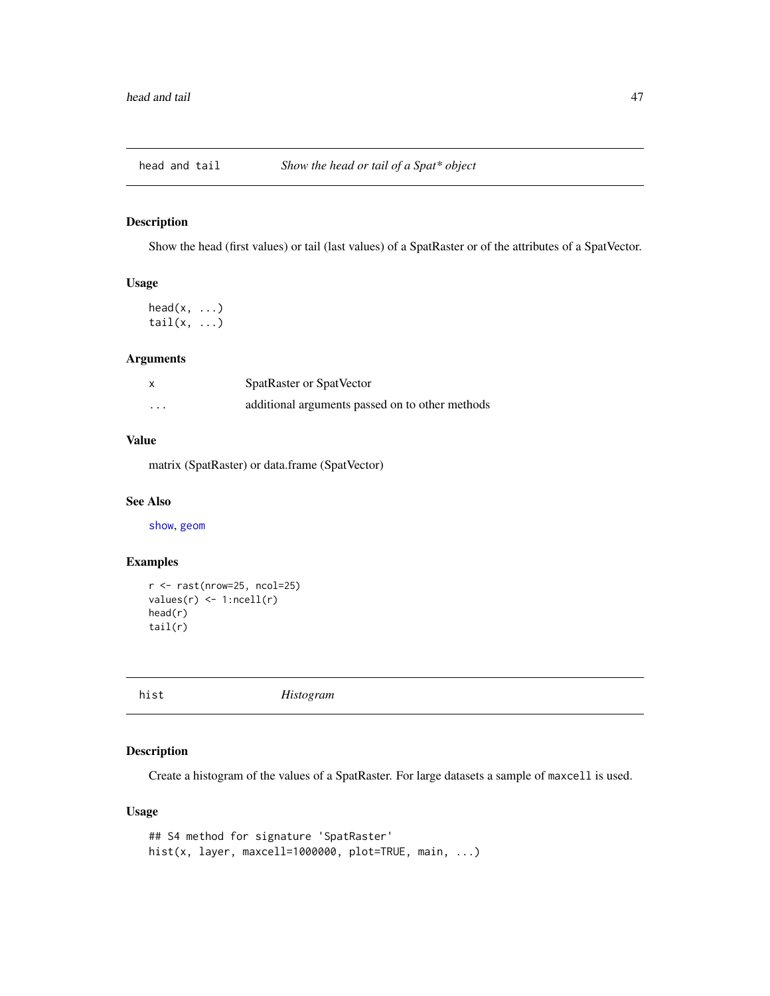## Description

Show the head (first values) or tail (last values) of a SpatRaster or of the attributes of a SpatVector.

# Usage

```
head(x, \ldots)tail(x, \ldots)
```
# Arguments

| X        | SpatRaster or SpatVector                        |
|----------|-------------------------------------------------|
| $\cdots$ | additional arguments passed on to other methods |

# Value

matrix (SpatRaster) or data.frame (SpatVector)

### See Also

[show](#page-0-0), [geom](#page-43-0)

## Examples

```
r <- rast(nrow=25, ncol=25)
values(r) \leftarrow 1:neell(r)head(r)
tail(r)
```
<span id="page-46-0"></span>hist *Histogram*

# Description

Create a histogram of the values of a SpatRaster. For large datasets a sample of maxcell is used.

## Usage

```
## S4 method for signature 'SpatRaster'
hist(x, layer, maxcell=1000000, plot=TRUE, main, ...)
```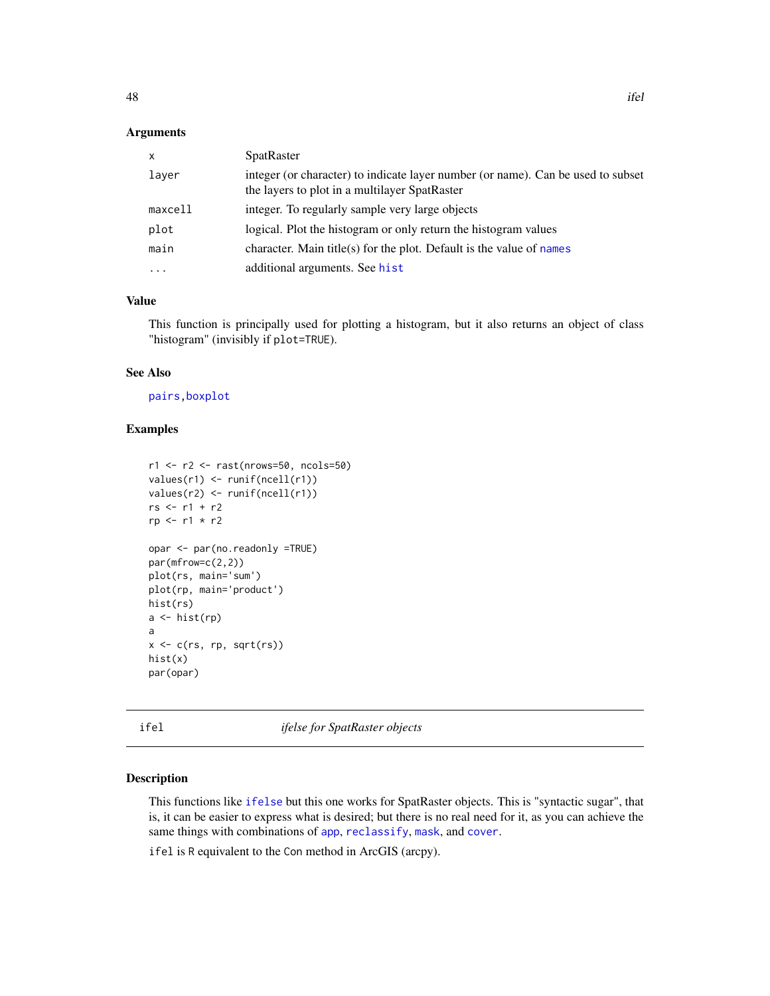#### Arguments

| $\mathsf{x}$ | <b>SpatRaster</b>                                                                                                                 |
|--------------|-----------------------------------------------------------------------------------------------------------------------------------|
| layer        | integer (or character) to indicate layer number (or name). Can be used to subset<br>the layers to plot in a multilayer SpatRaster |
| maxcell      | integer. To regularly sample very large objects                                                                                   |
| plot         | logical. Plot the histogram or only return the histogram values                                                                   |
| main         | character. Main title(s) for the plot. Default is the value of names                                                              |
| $\cdots$     | additional arguments. See hist                                                                                                    |

# Value

This function is principally used for plotting a histogram, but it also returns an object of class "histogram" (invisibly if plot=TRUE).

# See Also

[pairs](#page-60-0)[,boxplot](#page-0-0)

# Examples

```
r1 <- r2 <- rast(nrows=50, ncols=50)
values(r1) <- runif(ncell(r1))
values(r2) <- runif(ncell(r1))
rs <- r1 + r2
rp <- r1 * r2
opar <- par(no.readonly =TRUE)
par(mfrow=c(2,2))
plot(rs, main='sum')
plot(rp, main='product')
hist(rs)
a \leftarrow \text{hist}(rp)a
x <- c(rs, rp, sqrt(rs))
hist(x)
par(opar)
```
ifel *ifelse for SpatRaster objects*

### Description

This functions like [ifelse](#page-0-0) but this one works for SpatRaster objects. This is "syntactic sugar", that is, it can be easier to express what is desired; but there is no real need for it, as you can achieve the same things with combinations of [app](#page-13-0), [reclassify](#page-0-0), [mask](#page-53-0), and [cover](#page-27-0).

ifel is R equivalent to the Con method in ArcGIS (arcpy).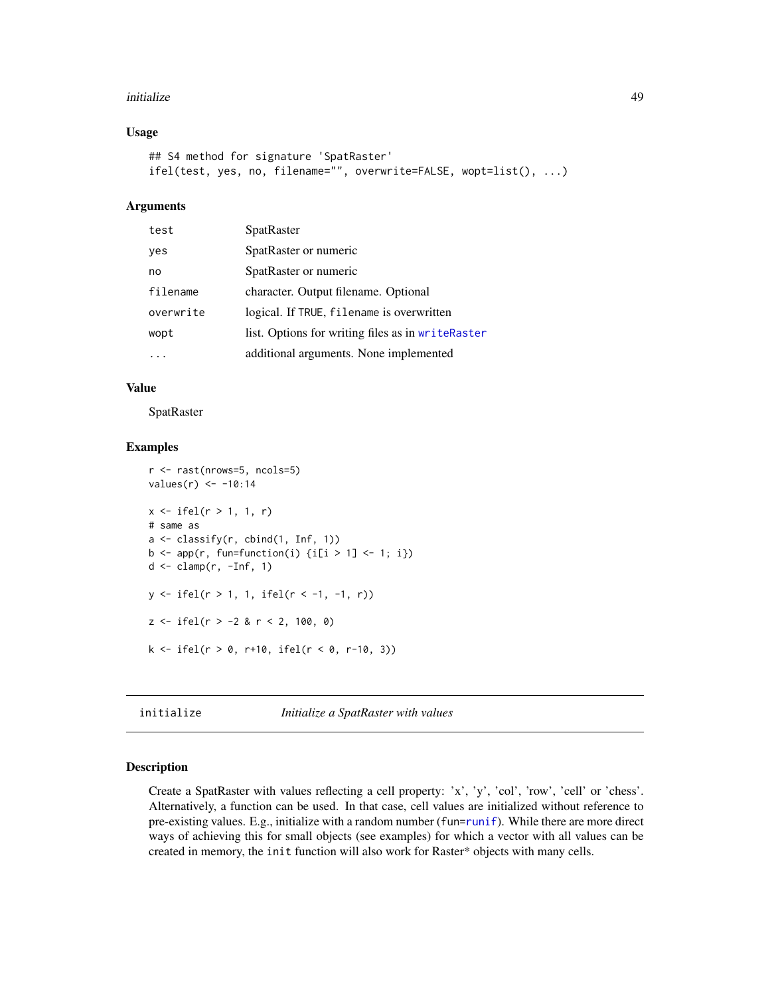#### initialize the contract of the contract of the contract of the contract of the contract of the contract of the contract of the contract of the contract of the contract of the contract of the contract of the contract of the

### Usage

```
## S4 method for signature 'SpatRaster'
ifel(test, yes, no, filename="", overwrite=FALSE, wopt=list(), ...)
```
## Arguments

| test      | SpatRaster                                        |  |
|-----------|---------------------------------------------------|--|
| yes       | SpatRaster or numeric                             |  |
| no        | SpatRaster or numeric                             |  |
| filename  | character. Output filename. Optional              |  |
| overwrite | logical. If TRUE, filename is overwritten         |  |
| wopt      | list. Options for writing files as in writeRaster |  |
|           | additional arguments. None implemented            |  |

### Value

**SpatRaster** 

#### Examples

```
r <- rast(nrows=5, ncols=5)
values(r) <- -10:14
x \leftarrow ifel(r > 1, 1, r)
# same as
a <- classify(r, cbind(1, Inf, 1))
b \leftarrow app(r, fun-function(i) \{i[i > 1] \leftarrow 1; i\})d \leq clamp(r, -Inf, 1)y \leftarrow ifel(r > 1, 1, ifel(r < -1, -1, r))z \le ifel(r > -2 & r < 2, 100, 0)
k \le - \text{ifel}(r > 0, r+10, \text{ifel}(r < 0, r-10, 3))
```
initialize *Initialize a SpatRaster with values*

# Description

Create a SpatRaster with values reflecting a cell property: 'x', 'y', 'col', 'row', 'cell' or 'chess'. Alternatively, a function can be used. In that case, cell values are initialized without reference to pre-existing values. E.g., initialize with a random number (fun[=runif](#page-0-0)). While there are more direct ways of achieving this for small objects (see examples) for which a vector with all values can be created in memory, the init function will also work for Raster\* objects with many cells.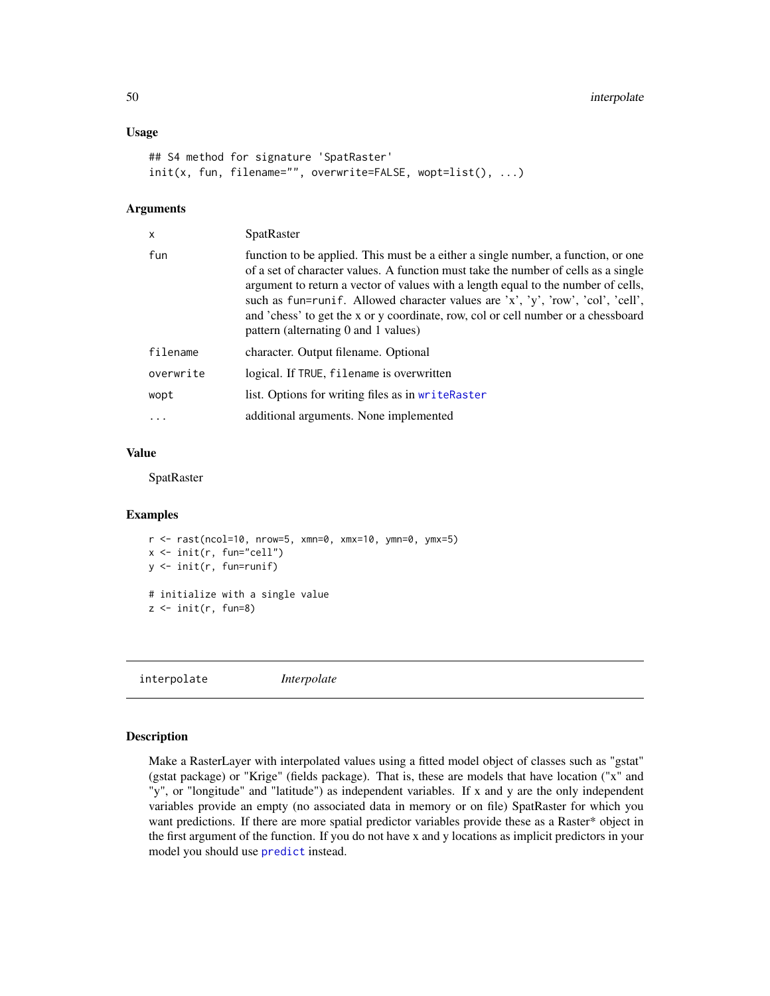#### Usage

```
## S4 method for signature 'SpatRaster'
init(x, fun, filename="", overwrite=FALSE, wopt=list(), ...)
```
### Arguments

| x         | <b>SpatRaster</b>                                                                                                                                                                                                                                                                                                                                                                                                                                                            |
|-----------|------------------------------------------------------------------------------------------------------------------------------------------------------------------------------------------------------------------------------------------------------------------------------------------------------------------------------------------------------------------------------------------------------------------------------------------------------------------------------|
| fun       | function to be applied. This must be a either a single number, a function, or one<br>of a set of character values. A function must take the number of cells as a single<br>argument to return a vector of values with a length equal to the number of cells,<br>such as fun=runif. Allowed character values are 'x', 'y', 'row', 'col', 'cell',<br>and 'chess' to get the x or y coordinate, row, col or cell number or a chessboard<br>pattern (alternating 0 and 1 values) |
| filename  | character. Output filename. Optional                                                                                                                                                                                                                                                                                                                                                                                                                                         |
| overwrite | logical. If TRUE, filename is overwritten                                                                                                                                                                                                                                                                                                                                                                                                                                    |
| wopt      | list. Options for writing files as in writeRaster                                                                                                                                                                                                                                                                                                                                                                                                                            |
| $\cdot$   | additional arguments. None implemented                                                                                                                                                                                                                                                                                                                                                                                                                                       |
|           |                                                                                                                                                                                                                                                                                                                                                                                                                                                                              |

### Value

SpatRaster

#### Examples

```
r <- rast(ncol=10, nrow=5, xmn=0, xmx=10, ymn=0, ymx=5)
x <- init(r, fun="cell")
y <- init(r, fun=runif)
# initialize with a single value
z \leftarrow init(r, fun=8)
```
interpolate *Interpolate*

#### Description

Make a RasterLayer with interpolated values using a fitted model object of classes such as "gstat" (gstat package) or "Krige" (fields package). That is, these are models that have location ("x" and "y", or "longitude" and "latitude") as independent variables. If x and y are the only independent variables provide an empty (no associated data in memory or on file) SpatRaster for which you want predictions. If there are more spatial predictor variables provide these as a Raster\* object in the first argument of the function. If you do not have x and y locations as implicit predictors in your model you should use [predict](#page-65-0) instead.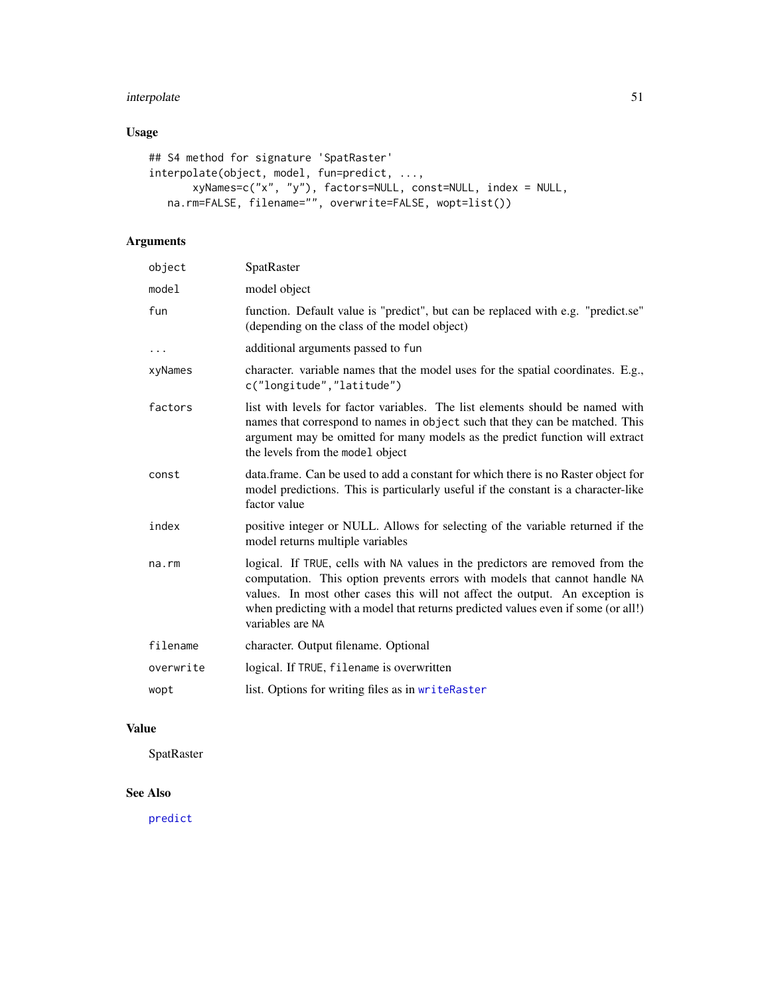# interpolate 51

# Usage

```
## S4 method for signature 'SpatRaster'
interpolate(object, model, fun=predict, ...,
       xyNames=c("x", "y"), factors=NULL, const=NULL, index = NULL,
  na.rm=FALSE, filename="", overwrite=FALSE, wopt=list())
```
# Arguments

| object    | SpatRaster                                                                                                                                                                                                                                                                                                                                           |
|-----------|------------------------------------------------------------------------------------------------------------------------------------------------------------------------------------------------------------------------------------------------------------------------------------------------------------------------------------------------------|
| model     | model object                                                                                                                                                                                                                                                                                                                                         |
| fun       | function. Default value is "predict", but can be replaced with e.g. "predict.se"<br>(depending on the class of the model object)                                                                                                                                                                                                                     |
| $\cdots$  | additional arguments passed to fun                                                                                                                                                                                                                                                                                                                   |
| xyNames   | character. variable names that the model uses for the spatial coordinates. E.g.,<br>c("longitude","latitude")                                                                                                                                                                                                                                        |
| factors   | list with levels for factor variables. The list elements should be named with<br>names that correspond to names in object such that they can be matched. This<br>argument may be omitted for many models as the predict function will extract<br>the levels from the model object                                                                    |
| const     | data.frame. Can be used to add a constant for which there is no Raster object for<br>model predictions. This is particularly useful if the constant is a character-like<br>factor value                                                                                                                                                              |
| index     | positive integer or NULL. Allows for selecting of the variable returned if the<br>model returns multiple variables                                                                                                                                                                                                                                   |
| na.rm     | logical. If TRUE, cells with NA values in the predictors are removed from the<br>computation. This option prevents errors with models that cannot handle NA<br>values. In most other cases this will not affect the output. An exception is<br>when predicting with a model that returns predicted values even if some (or all!)<br>variables are NA |
| filename  | character. Output filename. Optional                                                                                                                                                                                                                                                                                                                 |
| overwrite | logical. If TRUE, filename is overwritten                                                                                                                                                                                                                                                                                                            |
| wopt      | list. Options for writing files as in writeRaster                                                                                                                                                                                                                                                                                                    |
|           |                                                                                                                                                                                                                                                                                                                                                      |

# Value

SpatRaster

# See Also

[predict](#page-65-0)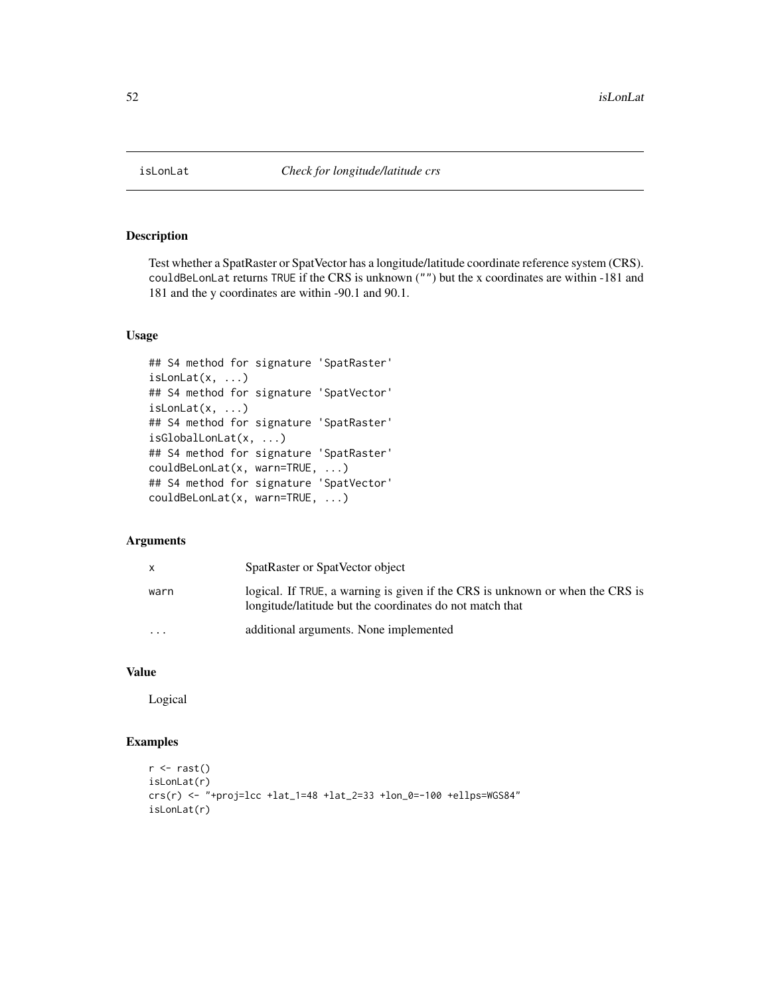### Description

Test whether a SpatRaster or SpatVector has a longitude/latitude coordinate reference system (CRS). couldBeLonLat returns TRUE if the CRS is unknown ("") but the x coordinates are within -181 and 181 and the y coordinates are within -90.1 and 90.1.

### Usage

```
## S4 method for signature 'SpatRaster'
isLonLat(x, ...)
## S4 method for signature 'SpatVector'
isLonLat(x, \ldots)## S4 method for signature 'SpatRaster'
isGlobalLonLat(x, ...)
## S4 method for signature 'SpatRaster'
couldBeLonLat(x, warn=TRUE, ...)
## S4 method for signature 'SpatVector'
couldBeLonLat(x, warn=TRUE, ...)
```
### Arguments

| X        | SpatRaster or SpatVector object                                                                                                           |
|----------|-------------------------------------------------------------------------------------------------------------------------------------------|
| warn     | logical. If TRUE, a warning is given if the CRS is unknown or when the CRS is<br>longitude/latitude but the coordinates do not match that |
| $\cdots$ | additional arguments. None implemented                                                                                                    |

# Value

Logical

# Examples

```
r \leftarrow \text{rast}()isLonLat(r)
crs(r) <- "+proj=lcc +lat_1=48 +lat_2=33 +lon_0=-100 +ellps=WGS84"
isLonLat(r)
```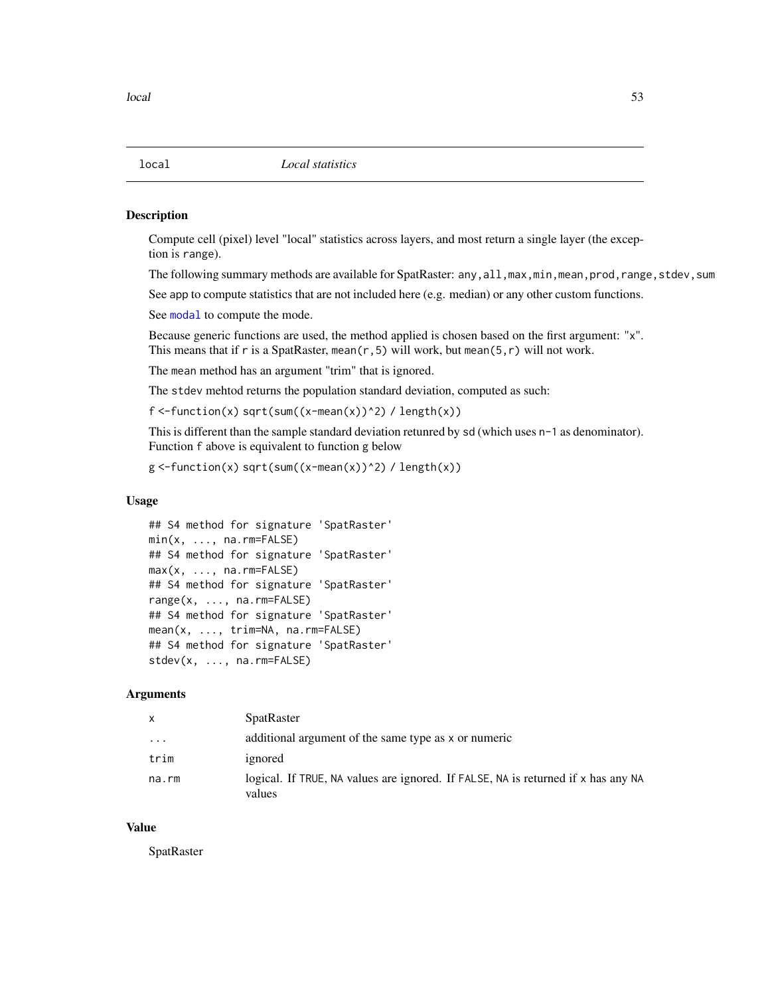<span id="page-52-1"></span>

### <span id="page-52-0"></span>Description

Compute cell (pixel) level "local" statistics across layers, and most return a single layer (the exception is range).

The following summary methods are available for SpatRaster: any, all, max, min, mean, prod, range, stdev, sum

See app to compute statistics that are not included here (e.g. median) or any other custom functions.

See [modal](#page-56-0) to compute the mode.

Because generic functions are used, the method applied is chosen based on the first argument: "x". This means that if r is a SpatRaster, mean( $r$ , 5) will work, but mean( $5, r$ ) will not work.

The mean method has an argument "trim" that is ignored.

The stdev mehtod returns the population standard deviation, computed as such:

 $f \leq-function(x) \sqrt{sqrt(x-mean(x))^2}) / length(x)$ 

This is different than the sample standard deviation retunred by sd (which uses n-1 as denominator). Function f above is equivalent to function g below

```
g \leq-function(x) \text{ sqrt(sum}((x-mean(x))^2) / length(x))
```
#### Usage

```
## S4 method for signature 'SpatRaster'
min(x, ..., na.rm = FALSE)## S4 method for signature 'SpatRaster'
max(x, ..., na.rm = FALSE)## S4 method for signature 'SpatRaster'
range(x, ..., na.rm=FALSE)
## S4 method for signature 'SpatRaster'
mean(x, ..., trim=NA, na.rm=FALSE)
## S4 method for signature 'SpatRaster'
stdev(x, ..., na.rm=FALSE)
```
#### Arguments

| X     | <b>SpatRaster</b>                                                                           |
|-------|---------------------------------------------------------------------------------------------|
| .     | additional argument of the same type as x or numeric                                        |
| trim  | ignored                                                                                     |
| na.rm | logical. If TRUE, NA values are ignored. If FALSE, NA is returned if x has any NA<br>values |

### Value

SpatRaster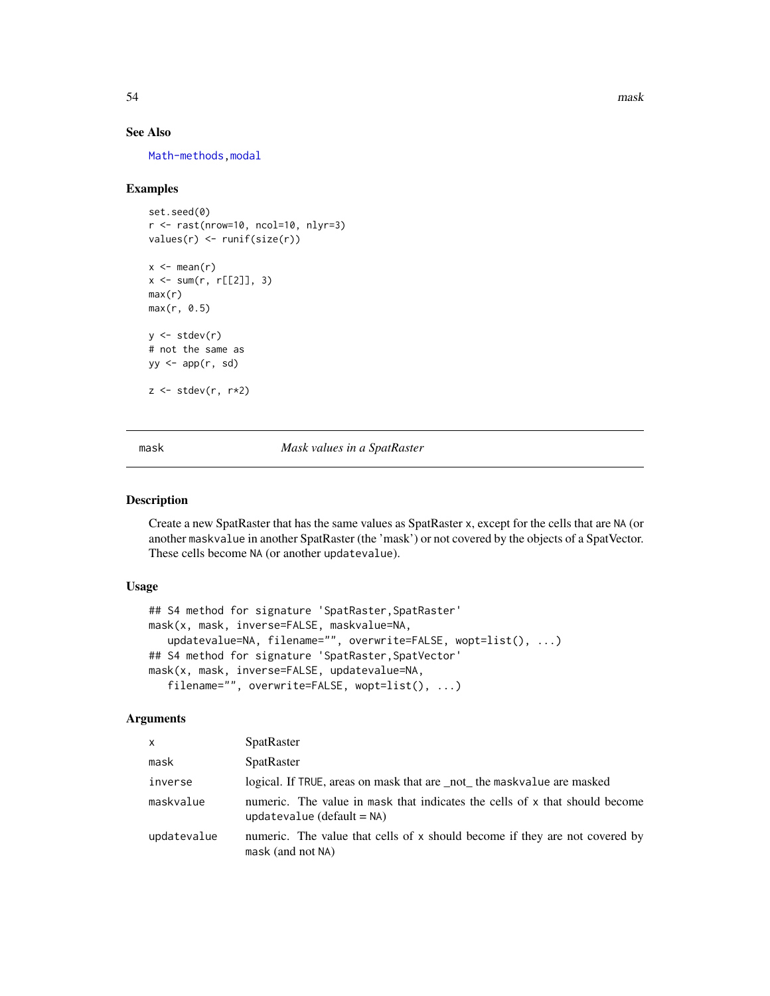54 mask

### See Also

[Math-methods](#page-54-0), modal

### Examples

```
set.seed(0)
r <- rast(nrow=10, ncol=10, nlyr=3)
values(r) \leftarrow runif(size(r))x \leftarrow \text{mean}(r)x \le -\text{sum}(r, r[[2]], 3)max(r)
max(r, 0.5)
y \leftarrow \text{stdev}(r)# not the same as
yy \leq -app(r, sd)z \le stdev(r, r*2)
```
<span id="page-53-0"></span>mask *Mask values in a SpatRaster*

### Description

Create a new SpatRaster that has the same values as SpatRaster x, except for the cells that are NA (or another maskvalue in another SpatRaster (the 'mask') or not covered by the objects of a SpatVector. These cells become NA (or another updatevalue).

### Usage

```
## S4 method for signature 'SpatRaster, SpatRaster'
mask(x, mask, inverse=FALSE, maskvalue=NA,
   updatevalue=NA, filename="", overwrite=FALSE, wopt=list(), ...)
## S4 method for signature 'SpatRaster, SpatVector'
mask(x, mask, inverse=FALSE, updatevalue=NA,
   filename="", overwrite=FALSE, wopt=list(), ...)
```

| $\mathsf{x}$ | <b>SpatRaster</b>                                                                                           |
|--------------|-------------------------------------------------------------------------------------------------------------|
| mask         | SpatRaster                                                                                                  |
| inverse      | logical. If TRUE, areas on mask that are not the mask value are masked                                      |
| maskvalue    | numeric. The value in mask that indicates the cells of x that should become<br>updatevalue $(detault = NA)$ |
| updatevalue  | numeric. The value that cells of x should become if they are not covered by<br>mask (and not NA)            |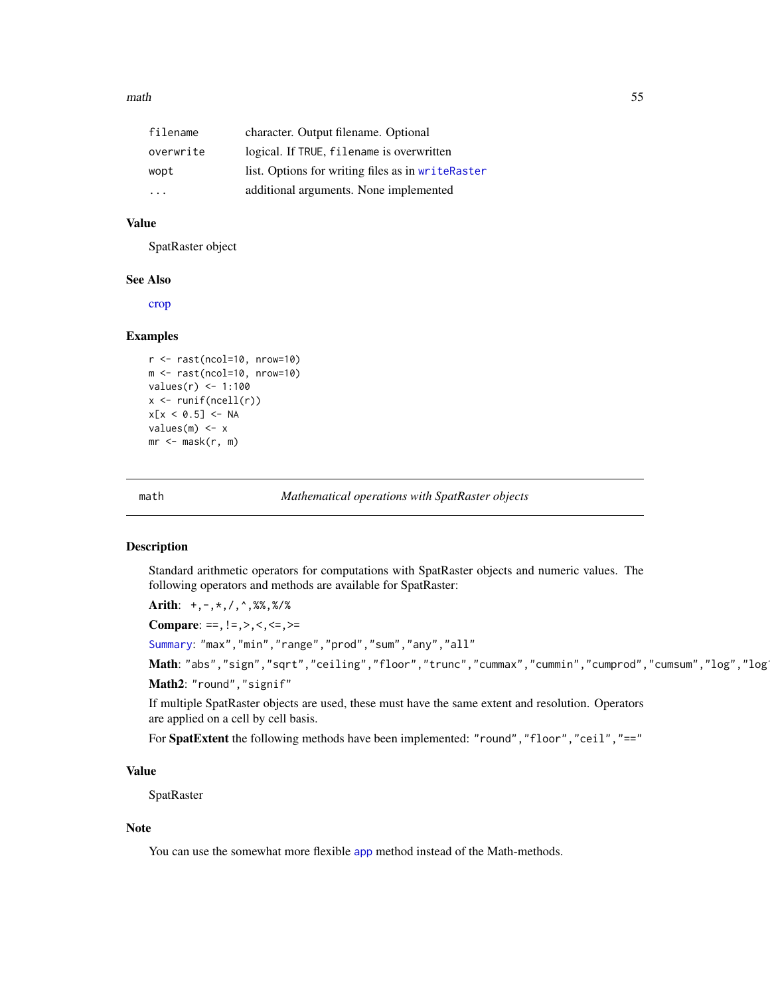#### $math$  math  $55$

| filename  | character. Output filename. Optional              |  |
|-----------|---------------------------------------------------|--|
| overwrite | logical. If TRUE, filename is overwritten         |  |
| wopt      | list. Options for writing files as in writeRaster |  |
| .         | additional arguments. None implemented            |  |

# Value

SpatRaster object

### See Also

[crop](#page-28-0)

### Examples

```
r <- rast(ncol=10, nrow=10)
m <- rast(ncol=10, nrow=10)
values(r) <- 1:100
x <- runif(ncell(r))
x[x < 0.5] <- NA
values(m) <- x
mr \leftarrow mask(r, m)
```
<span id="page-54-1"></span>

math *Mathematical operations with SpatRaster objects*

### <span id="page-54-0"></span>Description

Standard arithmetic operators for computations with SpatRaster objects and numeric values. The following operators and methods are available for SpatRaster:

Arith: +,-,\*,/,^,%%,%/%

Compare: ==, ! =, >, <, <=, >=

[Summary](#page-0-0): "max","min","range","prod","sum","any","all"

Math: "abs","sign","sqrt","ceiling","floor","trunc","cummax","cummin","cumprod","cumsum","log","log Math2: "round","signif"

If multiple SpatRaster objects are used, these must have the same extent and resolution. Operators are applied on a cell by cell basis.

For SpatExtent the following methods have been implemented: "round","floor","ceil","=="

# Value

**SpatRaster** 

#### Note

You can use the somewhat more flexible [app](#page-13-0) method instead of the Math-methods.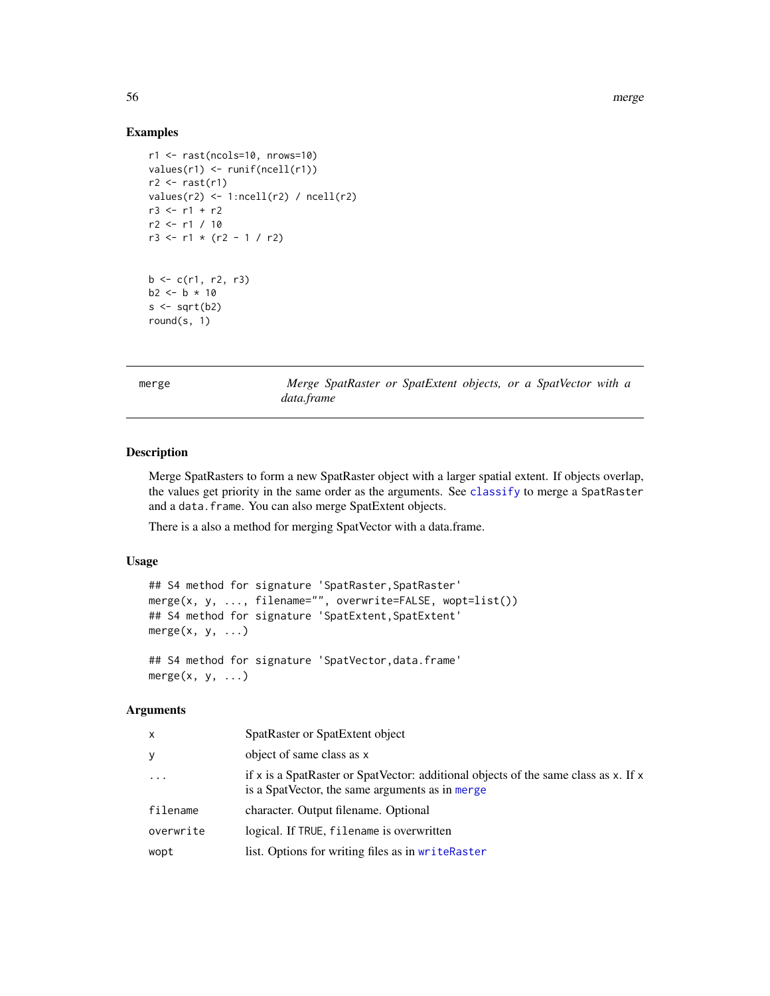### Examples

```
r1 <- rast(ncols=10, nrows=10)
values(r1) <- runif(ncell(r1))
r2 \leftarrow \text{rast}(r1)values(r2) \leftarrow 1:ncell(r2) / ncell(r2)r3 <- r1 + r2
r2 <- r1 / 10
r3 \le r1 \times (r2 - 1 / r2)b \leq c(r1, r2, r3)b2 < - b * 10s \leftarrow sqrt(b2)round(s, 1)
```
<span id="page-55-0"></span>merge *Merge SpatRaster or SpatExtent objects, or a SpatVector with a data.frame*

### Description

Merge SpatRasters to form a new SpatRaster object with a larger spatial extent. If objects overlap, the values get priority in the same order as the arguments. See [classify](#page-21-0) to merge a SpatRaster and a data.frame. You can also merge SpatExtent objects.

There is a also a method for merging SpatVector with a data.frame.

## Usage

```
## S4 method for signature 'SpatRaster, SpatRaster'
merge(x, y, ..., filename="", overwrite=FALSE, wopt=list())
## S4 method for signature 'SpatExtent, SpatExtent'
merge(x, y, ...)## S4 method for signature 'SpatVector,data.frame'
merge(x, y, \ldots)
```

| x         | SpatRaster or SpatExtent object                                                                                                        |
|-----------|----------------------------------------------------------------------------------------------------------------------------------------|
| y         | object of same class as x                                                                                                              |
| $\cdot$   | if x is a SpatRaster or SpatVector: additional objects of the same class as x. If x<br>is a SpatVector, the same arguments as in merge |
| filename  | character. Output filename. Optional                                                                                                   |
| overwrite | logical. If TRUE, filename is overwritten                                                                                              |
| wopt      | list. Options for writing files as in writeRaster                                                                                      |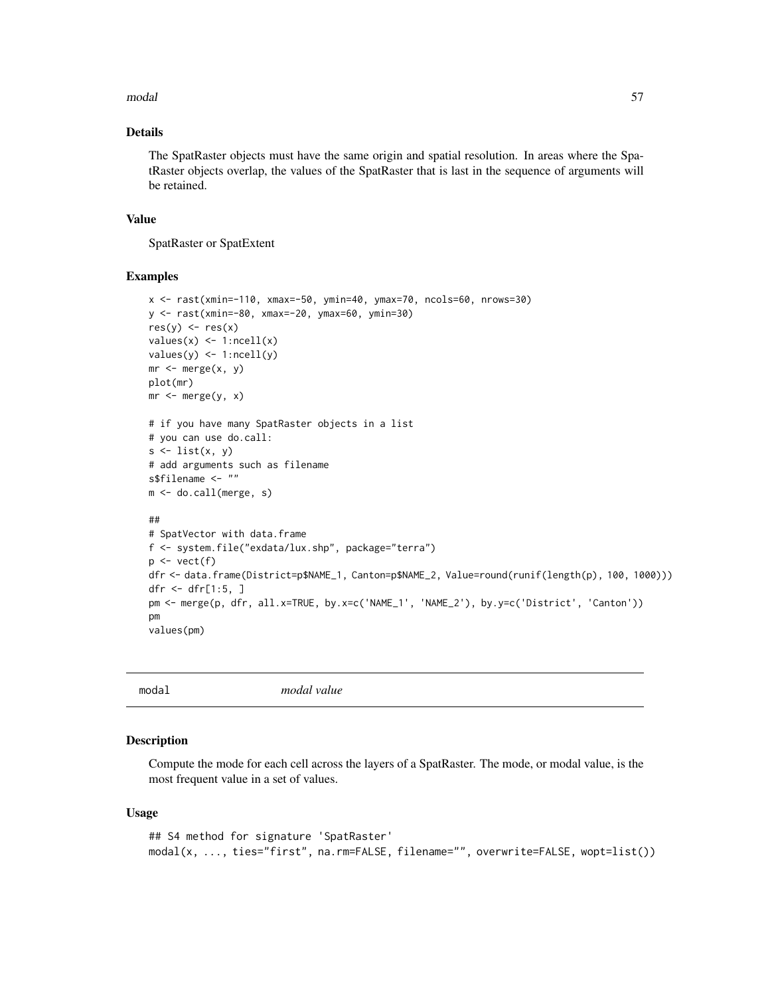#### modal 57

## Details

The SpatRaster objects must have the same origin and spatial resolution. In areas where the SpatRaster objects overlap, the values of the SpatRaster that is last in the sequence of arguments will be retained.

### Value

SpatRaster or SpatExtent

# Examples

```
x <- rast(xmin=-110, xmax=-50, ymin=40, ymax=70, ncols=60, nrows=30)
y <- rast(xmin=-80, xmax=-20, ymax=60, ymin=30)
res(y) <- res(x)values(x) \leftarrow 1:ncell(x)values(y) \leftarrow 1:neell(y)mr \leftarrow merge(x, y)plot(mr)
mr < - merge(y, x)
# if you have many SpatRaster objects in a list
# you can use do.call:
s \leftarrow list(x, y)# add arguments such as filename
s$filename <- ""
m <- do.call(merge, s)
##
# SpatVector with data.frame
f <- system.file("exdata/lux.shp", package="terra")
p \leftarrow \text{vect}(f)dfr <- data.frame(District=p$NAME_1, Canton=p$NAME_2, Value=round(runif(length(p), 100, 1000)))
dfr <- dfr[1:5, ]
pm <- merge(p, dfr, all.x=TRUE, by.x=c('NAME_1', 'NAME_2'), by.y=c('District', 'Canton'))
pm
values(pm)
```
<span id="page-56-0"></span>

modal *modal value*

### Description

Compute the mode for each cell across the layers of a SpatRaster. The mode, or modal value, is the most frequent value in a set of values.

#### Usage

```
## S4 method for signature 'SpatRaster'
modal(x, ..., ties="first", na.rm=FALSE, filename="", overwrite=FALSE, wopt=list())
```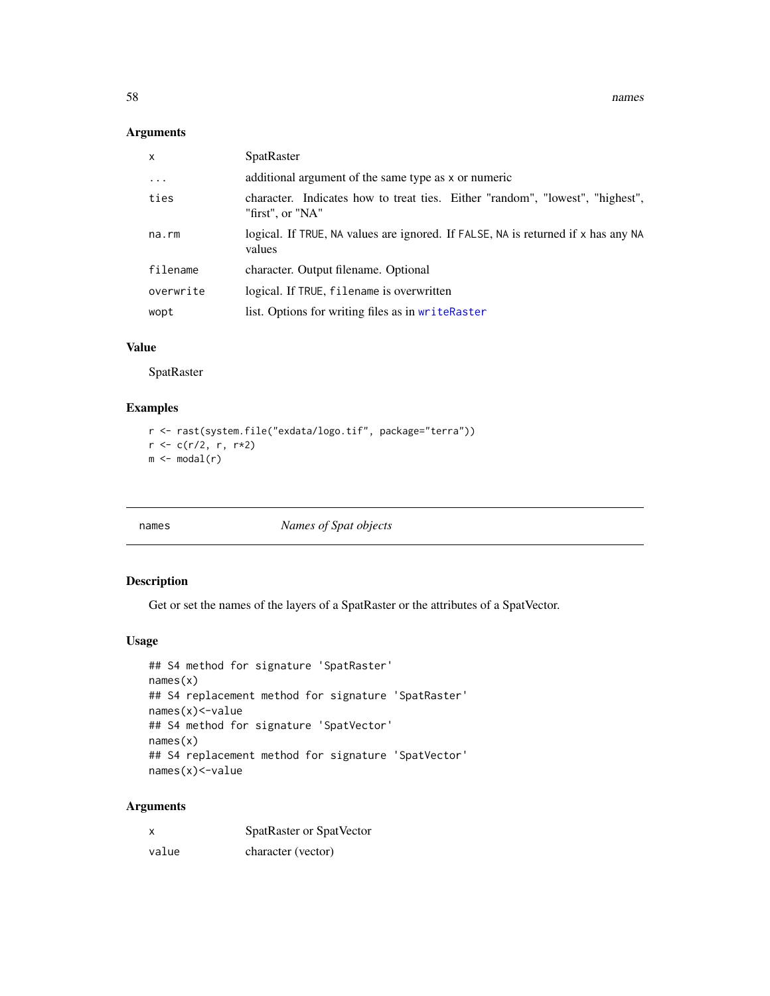### Arguments

| $\mathsf{x}$ | <b>SpatRaster</b>                                                                                 |
|--------------|---------------------------------------------------------------------------------------------------|
| $\cdots$     | additional argument of the same type as x or numeric                                              |
| ties         | character. Indicates how to treat ties. Either "random", "lowest", "highest",<br>"first", or "NA" |
| na.rm        | logical. If TRUE, NA values are ignored. If FALSE, NA is returned if x has any NA<br>values       |
| filename     | character. Output filename. Optional                                                              |
| overwrite    | logical. If TRUE, filename is overwritten                                                         |
| wopt         | list. Options for writing files as in writeRaster                                                 |

# Value

SpatRaster

# Examples

```
r <- rast(system.file("exdata/logo.tif", package="terra"))
r <- c(r/2, r, r*2)
m \leftarrow \text{modal}(r)
```
<span id="page-57-0"></span>names *Names of Spat objects*

# Description

Get or set the names of the layers of a SpatRaster or the attributes of a SpatVector.

### Usage

```
## S4 method for signature 'SpatRaster'
names(x)
## S4 replacement method for signature 'SpatRaster'
names(x)<-value
## S4 method for signature 'SpatVector'
names(x)
## S4 replacement method for signature 'SpatVector'
names(x)<-value
```

| X     | SpatRaster or SpatVector |
|-------|--------------------------|
| value | character (vector)       |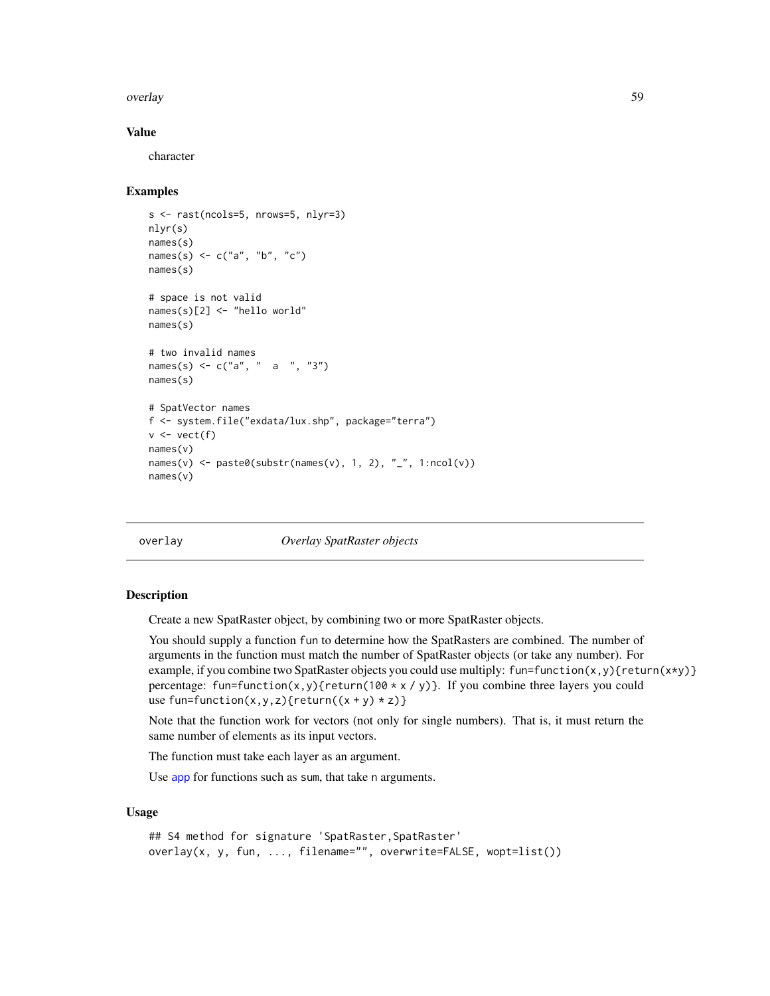#### overlay 59

#### Value

character

#### Examples

```
s <- rast(ncols=5, nrows=5, nlyr=3)
nlyr(s)
names(s)
names(s) <- c("a", "b", "c")
names(s)
# space is not valid
names(s)[2] <- "hello world"
names(s)
# two invalid names
names(s) <- c("a", " a ", "3")
names(s)
# SpatVector names
f <- system.file("exdata/lux.shp", package="terra")
v \leftarrow \text{vect}(f)names(v)
names(v) \leq paste0(substr(names(v), 1, 2), "_", 1:ncol(v))
names(v)
```
overlay *Overlay SpatRaster objects*

# Description

Create a new SpatRaster object, by combining two or more SpatRaster objects.

You should supply a function fun to determine how the SpatRasters are combined. The number of arguments in the function must match the number of SpatRaster objects (or take any number). For example, if you combine two SpatRaster objects you could use multiply: fun=function(x,y){return(x\*y)} percentage: fun=function(x,y){return(100  $\star \times$  /y)}. If you combine three layers you could use fun=function(x,y,z){return( $(x + y) * z$ )}

Note that the function work for vectors (not only for single numbers). That is, it must return the same number of elements as its input vectors.

The function must take each layer as an argument.

Use [app](#page-13-0) for functions such as sum, that take n arguments.

#### Usage

```
## S4 method for signature 'SpatRaster, SpatRaster'
overlay(x, y, fun, ..., filename="", overwrite=FALSE, wopt=list())
```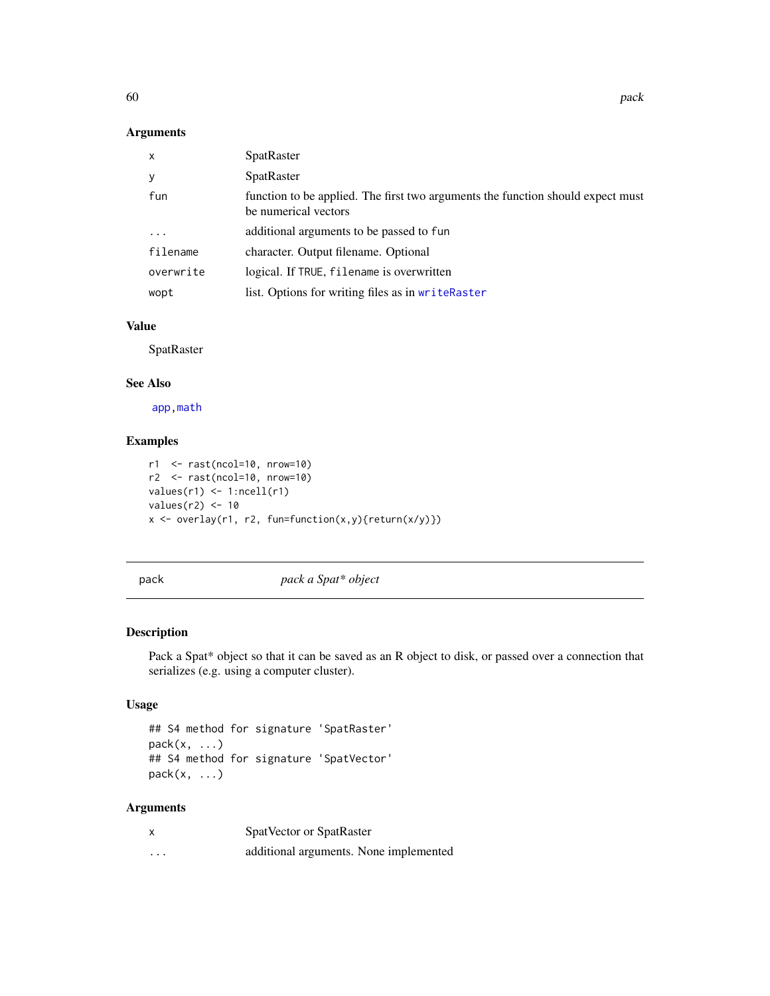### Arguments

| $\mathsf{x}$ | SpatRaster                                                                                              |
|--------------|---------------------------------------------------------------------------------------------------------|
| У            | SpatRaster                                                                                              |
| fun          | function to be applied. The first two arguments the function should expect must<br>be numerical vectors |
| $\cdot$      | additional arguments to be passed to fun                                                                |
| filename     | character. Output filename. Optional                                                                    |
| overwrite    | logical. If TRUE, filename is overwritten                                                               |
| wopt         | list. Options for writing files as in writeRaster                                                       |

### Value

SpatRaster

# See Also

[app,](#page-13-0)[math](#page-54-1)

### Examples

```
r1 <- rast(ncol=10, nrow=10)
r2 <- rast(ncol=10, nrow=10)
values(r1) \leftarrow 1:ncell(r1)values(r2) < -10x <- overlay(r1, r2, fun=function(x,y){return(x/y)})
```
pack *pack a Spat\* object*

# Description

Pack a Spat\* object so that it can be saved as an R object to disk, or passed over a connection that serializes (e.g. using a computer cluster).

# Usage

```
## S4 method for signature 'SpatRaster'
pack(x, ...)
## S4 method for signature 'SpatVector'
pack(x, ...)
```

| X        | SpatVector or SpatRaster               |
|----------|----------------------------------------|
| $\cdots$ | additional arguments. None implemented |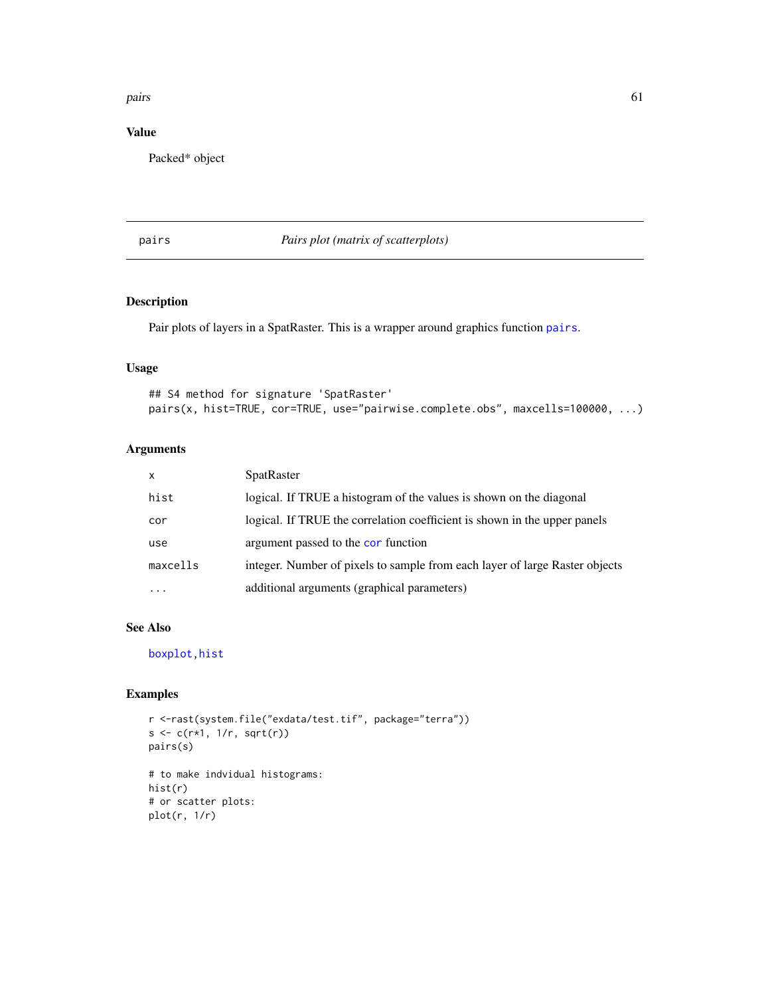#### pairs 61

# Value

Packed\* object

<span id="page-60-0"></span>pairs *Pairs plot (matrix of scatterplots)*

# Description

Pair plots of layers in a SpatRaster. This is a wrapper around graphics function [pairs](#page-60-0).

## Usage

```
## S4 method for signature 'SpatRaster'
pairs(x, hist=TRUE, cor=TRUE, use="pairwise.complete.obs", maxcells=100000, ...)
```
# Arguments

| $\mathsf{x}$ | <b>SpatRaster</b>                                                           |
|--------------|-----------------------------------------------------------------------------|
| hist         | logical. If TRUE a histogram of the values is shown on the diagonal         |
| cor          | logical. If TRUE the correlation coefficient is shown in the upper panels   |
| use          | argument passed to the cor function                                         |
| maxcells     | integer. Number of pixels to sample from each layer of large Raster objects |
| $\cdots$     | additional arguments (graphical parameters)                                 |

#### See Also

[boxplot](#page-0-0)[,hist](#page-46-0)

# Examples

```
r <-rast(system.file("exdata/test.tif", package="terra"))
s \leftarrow c(r * 1, 1/r, sqrt(r))pairs(s)
# to make indvidual histograms:
```
hist(r) # or scatter plots: plot(r, 1/r)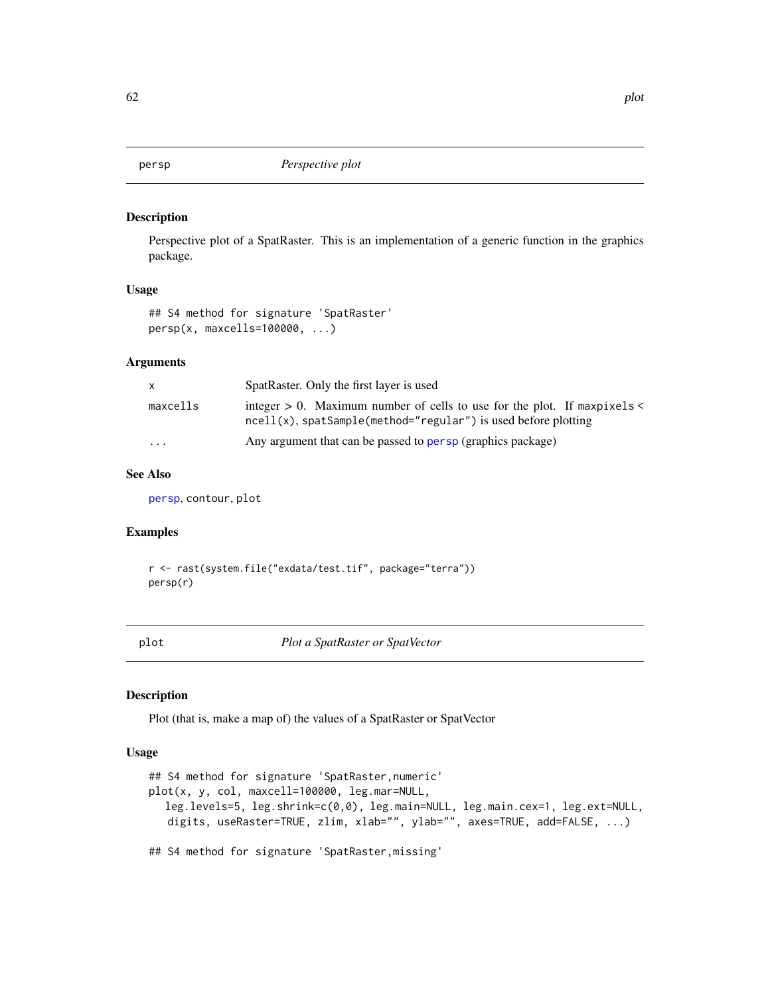<span id="page-61-0"></span>

## Description

Perspective plot of a SpatRaster. This is an implementation of a generic function in the graphics package.

## Usage

```
## S4 method for signature 'SpatRaster'
persp(x, maxcells=100000, ...)
```
### Arguments

| X.       | SpatRaster. Only the first layer is used                                                                                                             |
|----------|------------------------------------------------------------------------------------------------------------------------------------------------------|
| maxcells | integer $> 0$ . Maximum number of cells to use for the plot. If maxpixels $\lt$<br>$ncell(x)$ , spatSample(method="regular") is used before plotting |
| $\cdots$ | Any argument that can be passed to persp (graphics package)                                                                                          |

### See Also

[persp](#page-61-0), contour, plot

### Examples

r <- rast(system.file("exdata/test.tif", package="terra")) persp(r)

<span id="page-61-2"></span>plot *Plot a SpatRaster or SpatVector*

### <span id="page-61-1"></span>Description

Plot (that is, make a map of) the values of a SpatRaster or SpatVector

### Usage

```
## S4 method for signature 'SpatRaster,numeric'
plot(x, y, col, maxcell=100000, leg.mar=NULL,
  leg.levels=5, leg.shrink=c(0,0), leg.main=NULL, leg.main.cex=1, leg.ext=NULL,
   digits, useRaster=TRUE, zlim, xlab="", ylab="", axes=TRUE, add=FALSE, ...)
## S4 method for signature 'SpatRaster,missing'
```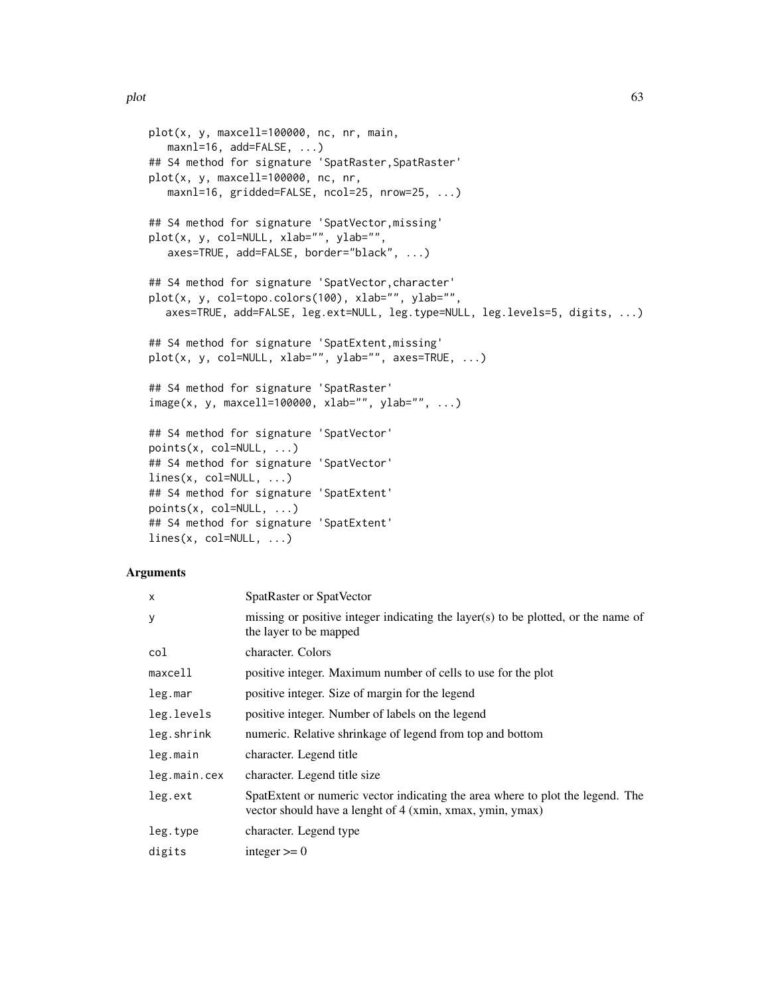```
plot(x, y, maxcell=100000, nc, nr, main,
   maxnl=16, add=FALSE, ...)
## S4 method for signature 'SpatRaster, SpatRaster'
plot(x, y, maxcell=100000, nc, nr,
   maxnl=16, gridded=FALSE, ncol=25, nrow=25, ...)
## S4 method for signature 'SpatVector,missing'
plot(x, y, col=NULL, xlab="", ylab="",
   axes=TRUE, add=FALSE, border="black", ...)
## S4 method for signature 'SpatVector,character'
plot(x, y, col=topo.colors(100), xlab="", ylab="",
  axes=TRUE, add=FALSE, leg.ext=NULL, leg.type=NULL, leg.levels=5, digits, ...)
## S4 method for signature 'SpatExtent,missing'
plot(x, y, col=NULL, xlab="", ylab="", axes=TRUE, ...)
## S4 method for signature 'SpatRaster'
image(x, y, maxcell=100000, xlab="", ylab="", ...)## S4 method for signature 'SpatVector'
points(x, col=NULL, ...)
## S4 method for signature 'SpatVector'
lines(x, col=NULL, ...)
## S4 method for signature 'SpatExtent'
points(x, col=NULL, ...)
## S4 method for signature 'SpatExtent'
lines(x, col=NULL, ...)
```

| $\times$     | SpatRaster or SpatVector                                                                                                                    |
|--------------|---------------------------------------------------------------------------------------------------------------------------------------------|
| У            | missing or positive integer indicating the layer(s) to be plotted, or the name of<br>the layer to be mapped                                 |
| col          | character. Colors                                                                                                                           |
| maxcell      | positive integer. Maximum number of cells to use for the plot                                                                               |
| leg.mar      | positive integer. Size of margin for the legend                                                                                             |
| leg.levels   | positive integer. Number of labels on the legend                                                                                            |
| leg.shrink   | numeric. Relative shrinkage of legend from top and bottom                                                                                   |
| leg.main     | character. Legend title                                                                                                                     |
| leg.main.cex | character. Legend title size                                                                                                                |
| leg.ext      | SpatExtent or numeric vector indicating the area where to plot the legend. The<br>vector should have a lenght of 4 (xmin, xmax, ymin, ymax) |
| leg.type     | character. Legend type                                                                                                                      |
| digits       | integer $\geq 0$                                                                                                                            |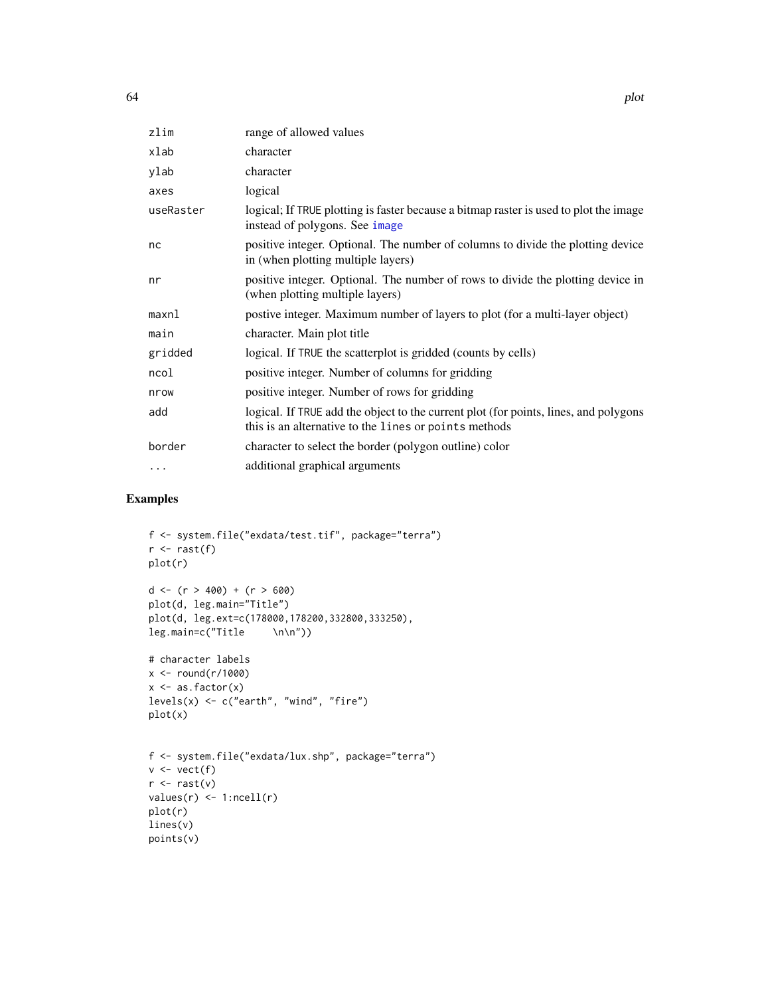| zlim      | range of allowed values                                                                                                                       |
|-----------|-----------------------------------------------------------------------------------------------------------------------------------------------|
| xlab      | character                                                                                                                                     |
| ylab      | character                                                                                                                                     |
| axes      | logical                                                                                                                                       |
| useRaster | logical; If TRUE plotting is faster because a bitmap raster is used to plot the image<br>instead of polygons. See image                       |
| nc        | positive integer. Optional. The number of columns to divide the plotting device<br>in (when plotting multiple layers)                         |
| nr        | positive integer. Optional. The number of rows to divide the plotting device in<br>(when plotting multiple layers)                            |
| maxnl     | postive integer. Maximum number of layers to plot (for a multi-layer object)                                                                  |
| main      | character. Main plot title                                                                                                                    |
| gridded   | logical. If TRUE the scatterplot is gridded (counts by cells)                                                                                 |
| ncol      | positive integer. Number of columns for gridding                                                                                              |
| nrow      | positive integer. Number of rows for gridding                                                                                                 |
| add       | logical. If TRUE add the object to the current plot (for points, lines, and polygons<br>this is an alternative to the lines or points methods |
| border    | character to select the border (polygon outline) color                                                                                        |
| $\cdots$  | additional graphical arguments                                                                                                                |

# Examples

```
f <- system.file("exdata/test.tif", package="terra")
r <- rast(f)
plot(r)
d <- (r > 400) + (r > 600)
plot(d, leg.main="Title")
plot(d, leg.ext=c(178000,178200,332800,333250),
leg.main=c("Title \n\n"))
# character labels
x \leftarrow \text{round}(r/1000)x \leftarrow as.factor(x)levels(x) <- c("earth", "wind", "fire")
plot(x)
f <- system.file("exdata/lux.shp", package="terra")
v \leftarrow \text{vect}(f)r \leftarrow \text{rast}(v)values(r) \leftarrow 1:ncell(r)plot(r)
lines(v)
points(v)
```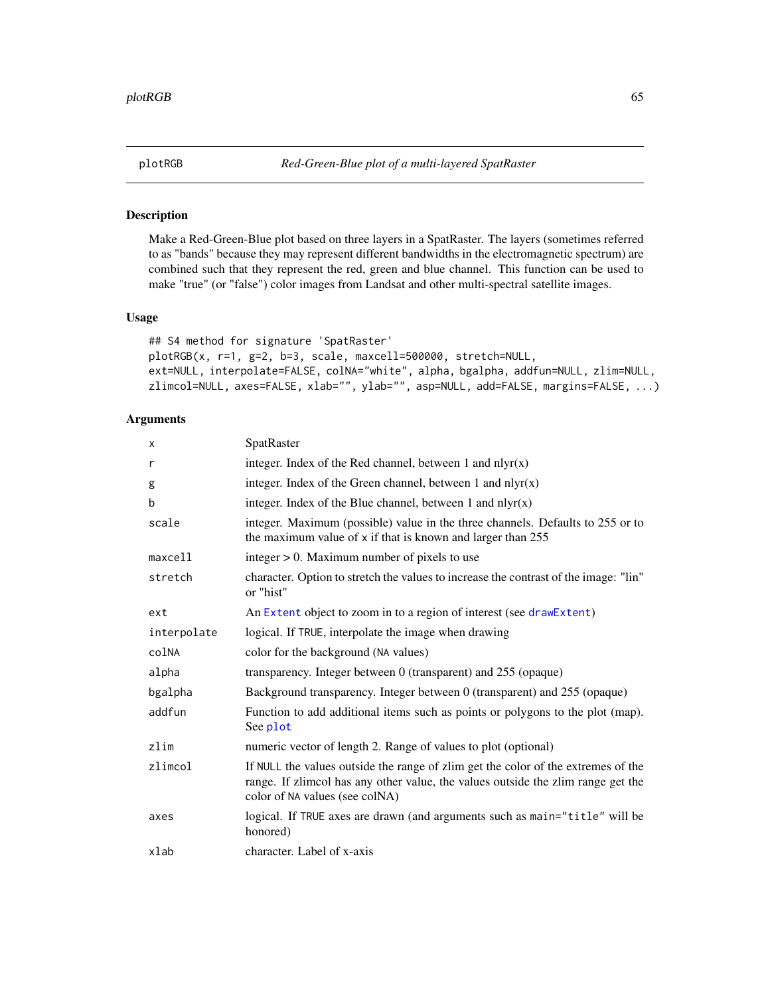### Description

Make a Red-Green-Blue plot based on three layers in a SpatRaster. The layers (sometimes referred to as "bands" because they may represent different bandwidths in the electromagnetic spectrum) are combined such that they represent the red, green and blue channel. This function can be used to make "true" (or "false") color images from Landsat and other multi-spectral satellite images.

# Usage

```
## S4 method for signature 'SpatRaster'
plotRGB(x, r=1, g=2, b=3, scale, maxcell=500000, stretch=NULL,
ext=NULL, interpolate=FALSE, colNA="white", alpha, bgalpha, addfun=NULL, zlim=NULL,
zlimcol=NULL, axes=FALSE, xlab="", ylab="", asp=NULL, add=FALSE, margins=FALSE, ...)
```

| X           | SpatRaster                                                                                                                                                                                              |
|-------------|---------------------------------------------------------------------------------------------------------------------------------------------------------------------------------------------------------|
| r           | integer. Index of the Red channel, between 1 and $nlyr(x)$                                                                                                                                              |
| g           | integer. Index of the Green channel, between 1 and $nlyr(x)$                                                                                                                                            |
| b           | integer. Index of the Blue channel, between 1 and $nlyr(x)$                                                                                                                                             |
| scale       | integer. Maximum (possible) value in the three channels. Defaults to 255 or to<br>the maximum value of x if that is known and larger than 255                                                           |
| maxcell     | integer $> 0$ . Maximum number of pixels to use                                                                                                                                                         |
| stretch     | character. Option to stretch the values to increase the contrast of the image: "lin"<br>or "hist"                                                                                                       |
| ext         | An Extent object to zoom in to a region of interest (see drawExtent)                                                                                                                                    |
| interpolate | logical. If TRUE, interpolate the image when drawing                                                                                                                                                    |
| colNA       | color for the background (NA values)                                                                                                                                                                    |
| alpha       | transparency. Integer between 0 (transparent) and 255 (opaque)                                                                                                                                          |
| bgalpha     | Background transparency. Integer between 0 (transparent) and 255 (opaque)                                                                                                                               |
| addfun      | Function to add additional items such as points or polygons to the plot (map).<br>See plot                                                                                                              |
| zlim        | numeric vector of length 2. Range of values to plot (optional)                                                                                                                                          |
| zlimcol     | If NULL the values outside the range of zlim get the color of the extremes of the<br>range. If zlimcol has any other value, the values outside the zlim range get the<br>color of NA values (see colNA) |
| axes        | logical. If TRUE axes are drawn (and arguments such as main="title" will be<br>honored)                                                                                                                 |
| xlab        | character. Label of x-axis                                                                                                                                                                              |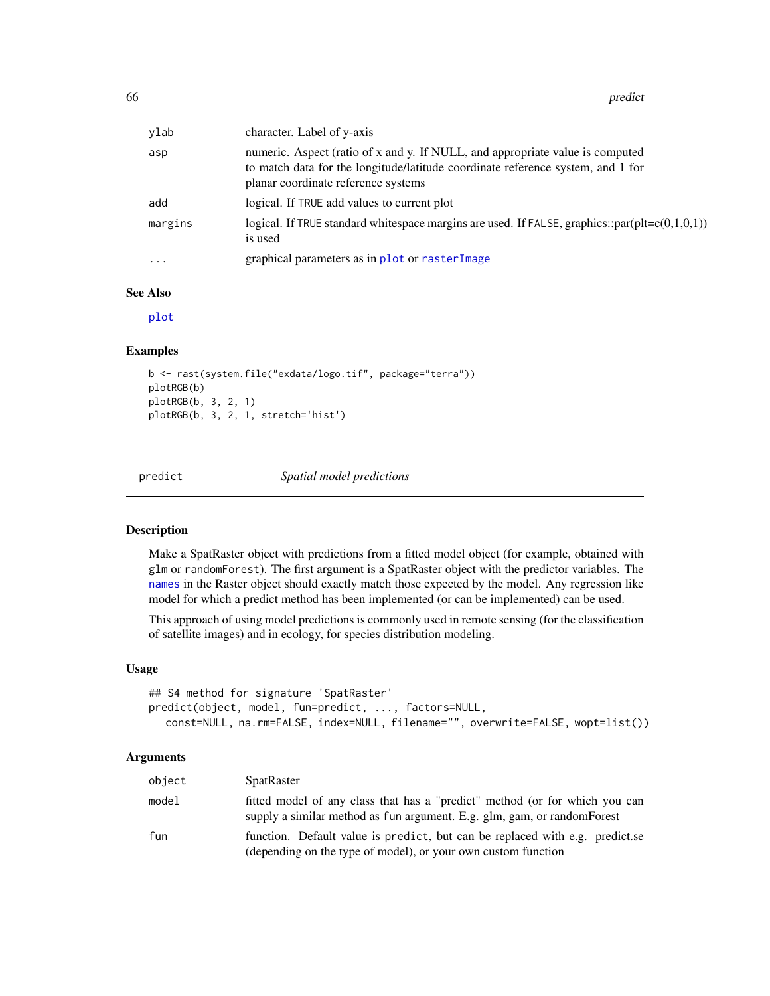| ylab     | character. Label of y-axis                                                                                                                                                                              |
|----------|---------------------------------------------------------------------------------------------------------------------------------------------------------------------------------------------------------|
| asp      | numeric. Aspect (ratio of x and y. If NULL, and appropriate value is computed<br>to match data for the longitude/latitude coordinate reference system, and 1 for<br>planar coordinate reference systems |
| add      | logical. If TRUE add values to current plot                                                                                                                                                             |
| margins  | logical. If TRUE standard whitespace margins are used. If FALSE, graphics::par(plt= $c(0,1,0,1)$ )<br>is used                                                                                           |
| $\cdots$ | graphical parameters as in plot or rasterImage                                                                                                                                                          |

### See Also

[plot](#page-61-2)

### Examples

```
b <- rast(system.file("exdata/logo.tif", package="terra"))
plotRGB(b)
plotRGB(b, 3, 2, 1)
plotRGB(b, 3, 2, 1, stretch='hist')
```
<span id="page-65-0"></span>

predict *Spatial model predictions*

### Description

Make a SpatRaster object with predictions from a fitted model object (for example, obtained with glm or randomForest). The first argument is a SpatRaster object with the predictor variables. The [names](#page-57-0) in the Raster object should exactly match those expected by the model. Any regression like model for which a predict method has been implemented (or can be implemented) can be used.

This approach of using model predictions is commonly used in remote sensing (for the classification of satellite images) and in ecology, for species distribution modeling.

### Usage

```
## S4 method for signature 'SpatRaster'
predict(object, model, fun=predict, ..., factors=NULL,
  const=NULL, na.rm=FALSE, index=NULL, filename="", overwrite=FALSE, wopt=list())
```

| object | <b>SpatRaster</b>                                                                                                                                       |
|--------|---------------------------------------------------------------------------------------------------------------------------------------------------------|
| model  | fitted model of any class that has a "predict" method (or for which you can<br>supply a similar method as fun argument. E.g. glm, gam, or random Forest |
| fun    | function. Default value is predict, but can be replaced with e.g. predict.se<br>(depending on the type of model), or your own custom function           |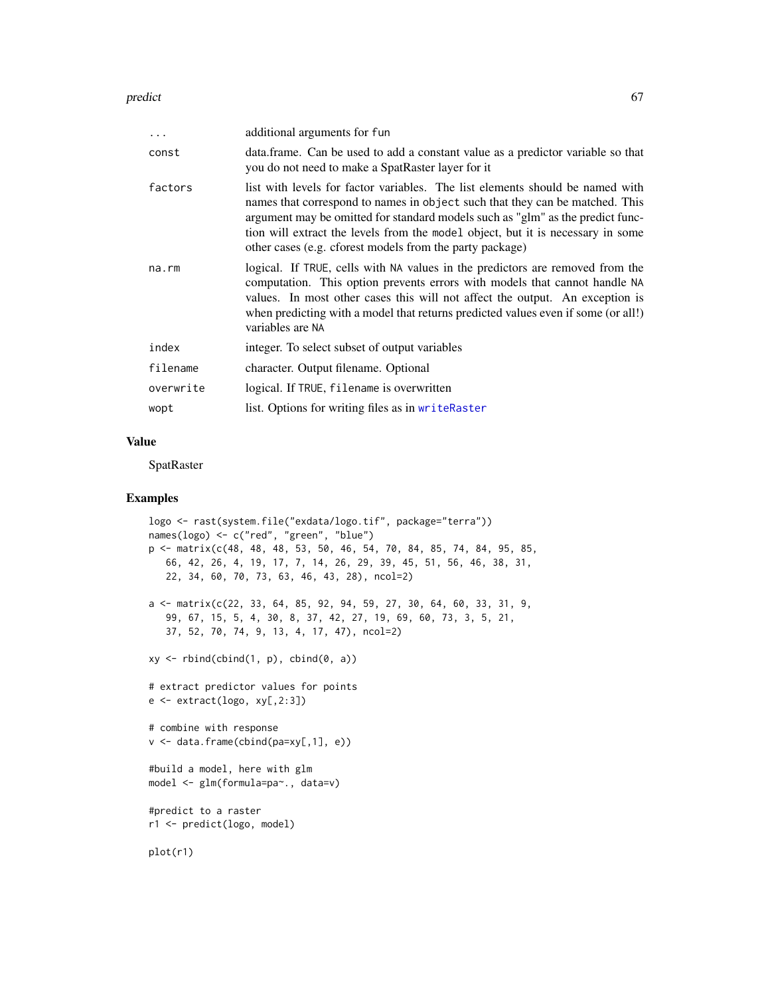#### predict 67

| $\ddots$    | additional arguments for fun                                                                                                                                                                                                                                                                                                                                                                   |
|-------------|------------------------------------------------------------------------------------------------------------------------------------------------------------------------------------------------------------------------------------------------------------------------------------------------------------------------------------------------------------------------------------------------|
| const       | data.frame. Can be used to add a constant value as a predictor variable so that<br>you do not need to make a SpatRaster layer for it                                                                                                                                                                                                                                                           |
| factors     | list with levels for factor variables. The list elements should be named with<br>names that correspond to names in object such that they can be matched. This<br>argument may be omitted for standard models such as "glm" as the predict func-<br>tion will extract the levels from the model object, but it is necessary in some<br>other cases (e.g. cforest models from the party package) |
| $na$ . $rm$ | logical. If TRUE, cells with NA values in the predictors are removed from the<br>computation. This option prevents errors with models that cannot handle NA<br>values. In most other cases this will not affect the output. An exception is<br>when predicting with a model that returns predicted values even if some (or all!)<br>variables are NA                                           |
| index       | integer. To select subset of output variables                                                                                                                                                                                                                                                                                                                                                  |
| filename    | character. Output filename. Optional                                                                                                                                                                                                                                                                                                                                                           |
| overwrite   | logical. If TRUE, filename is overwritten                                                                                                                                                                                                                                                                                                                                                      |
| wopt        | list. Options for writing files as in writeRaster                                                                                                                                                                                                                                                                                                                                              |

# Value

SpatRaster

## Examples

```
logo <- rast(system.file("exdata/logo.tif", package="terra"))
names(logo) <- c("red", "green", "blue")
p <- matrix(c(48, 48, 48, 53, 50, 46, 54, 70, 84, 85, 74, 84, 95, 85,
   66, 42, 26, 4, 19, 17, 7, 14, 26, 29, 39, 45, 51, 56, 46, 38, 31,
   22, 34, 60, 70, 73, 63, 46, 43, 28), ncol=2)
a <- matrix(c(22, 33, 64, 85, 92, 94, 59, 27, 30, 64, 60, 33, 31, 9,
   99, 67, 15, 5, 4, 30, 8, 37, 42, 27, 19, 69, 60, 73, 3, 5, 21,
   37, 52, 70, 74, 9, 13, 4, 17, 47), ncol=2)
xy \leftarrow \text{rbind}(\text{cbind}(1, p), \text{cbind}(0, a))# extract predictor values for points
e <- extract(logo, xy[,2:3])
# combine with response
v <- data.frame(cbind(pa=xy[,1], e))
#build a model, here with glm
model <- glm(formula=pa~., data=v)
#predict to a raster
r1 <- predict(logo, model)
plot(r1)
```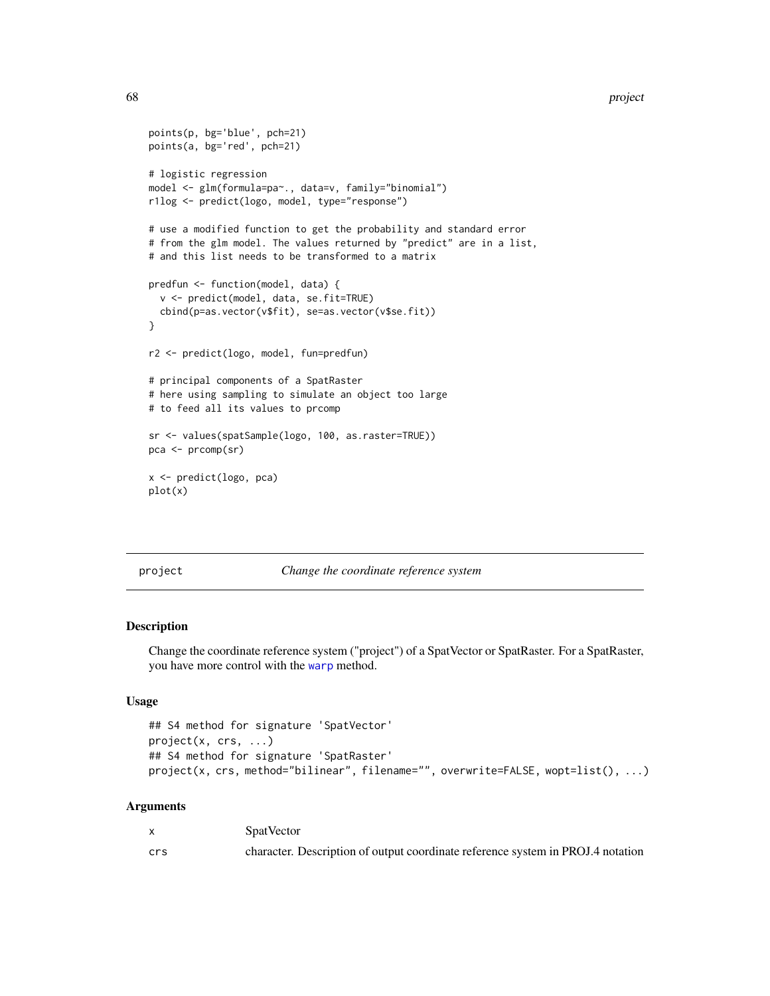```
points(p, bg='blue', pch=21)
points(a, bg='red', pch=21)
# logistic regression
model <- glm(formula=pa~., data=v, family="binomial")
r1log <- predict(logo, model, type="response")
# use a modified function to get the probability and standard error
# from the glm model. The values returned by "predict" are in a list,
# and this list needs to be transformed to a matrix
predfun <- function(model, data) {
  v <- predict(model, data, se.fit=TRUE)
  cbind(p=as.vector(v$fit), se=as.vector(v$se.fit))
}
r2 <- predict(logo, model, fun=predfun)
# principal components of a SpatRaster
# here using sampling to simulate an object too large
# to feed all its values to prcomp
sr <- values(spatSample(logo, 100, as.raster=TRUE))
pca <- prcomp(sr)
x <- predict(logo, pca)
plot(x)
```
#### project *Change the coordinate reference system*

#### Description

Change the coordinate reference system ("project") of a SpatVector or SpatRaster. For a SpatRaster, you have more control with the [warp](#page-92-0) method.

### Usage

```
## S4 method for signature 'SpatVector'
project(x, crs, ...)
## S4 method for signature 'SpatRaster'
project(x, crs, method="bilinear", filename="", overwrite=FALSE, wopt=list(), ...)
```

|     | <b>SpatVector</b>                                                               |
|-----|---------------------------------------------------------------------------------|
| crs | character. Description of output coordinate reference system in PROJ.4 notation |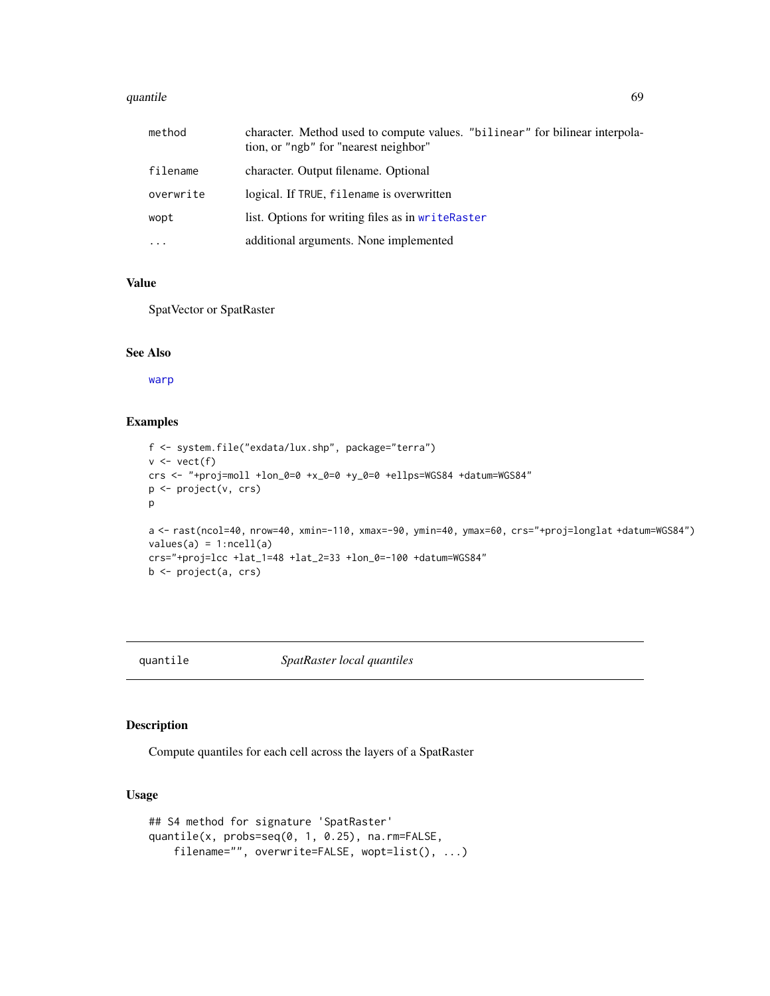#### quantile 69

| method    | character. Method used to compute values. "billinear" for bilinear interpola-<br>tion, or "ngb" for "nearest neighbor" |
|-----------|------------------------------------------------------------------------------------------------------------------------|
| filename  | character. Output filename. Optional                                                                                   |
| overwrite | logical. If TRUE, filename is overwritten                                                                              |
| wopt      | list. Options for writing files as in writeRaster                                                                      |
| $\ddotsc$ | additional arguments. None implemented                                                                                 |

# Value

SpatVector or SpatRaster

### See Also

[warp](#page-92-0)

# Examples

```
f <- system.file("exdata/lux.shp", package="terra")
v \leftarrow \text{vect}(f)crs <- "+proj=moll +lon_0=0 +x_0=0 +y_0=0 +ellps=WGS84 +datum=WGS84"
p <- project(v, crs)
p
a <- rast(ncol=40, nrow=40, xmin=-110, xmax=-90, ymin=40, ymax=60, crs="+proj=longlat +datum=WGS84")
values(a) = 1:ncell(a)crs="+proj=lcc +lat_1=48 +lat_2=33 +lon_0=-100 +datum=WGS84"
b <- project(a, crs)
```
### quantile *SpatRaster local quantiles*

# Description

Compute quantiles for each cell across the layers of a SpatRaster

# Usage

```
## S4 method for signature 'SpatRaster'
quantile(x, probs=seq(0, 1, 0.25), na.rm=FALSE,
   filename="", overwrite=FALSE, wopt=list(), ...)
```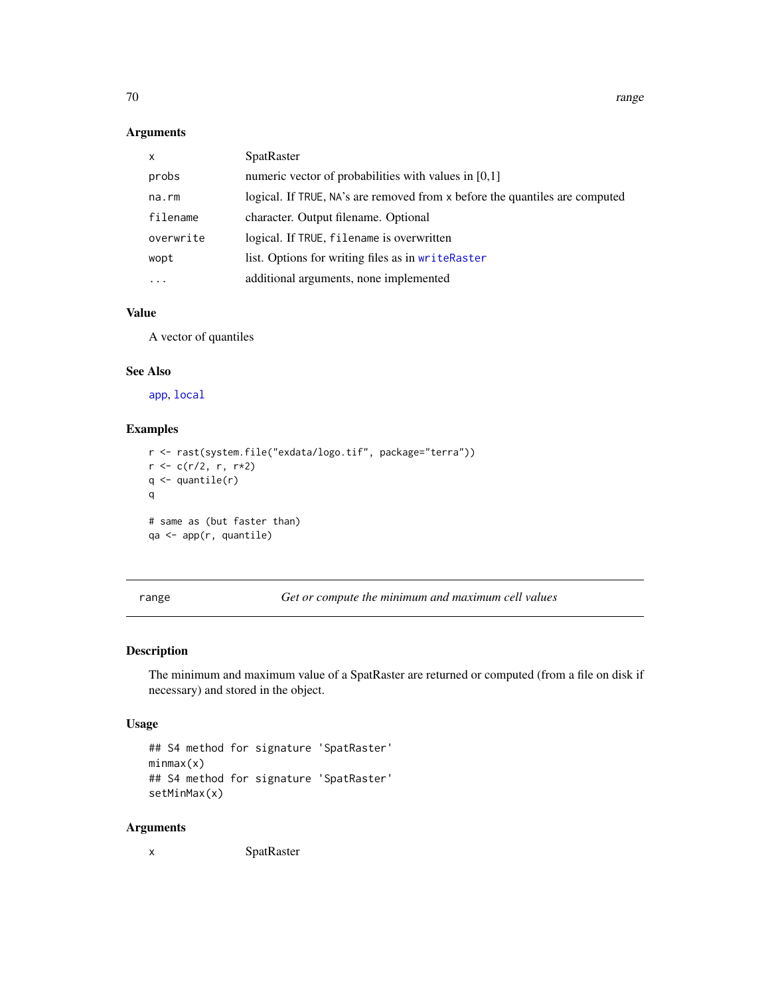### Arguments

| X         | SpatRaster                                                                  |
|-----------|-----------------------------------------------------------------------------|
| probs     | numeric vector of probabilities with values in [0,1]                        |
| na.rm     | logical. If TRUE, NA's are removed from x before the quantiles are computed |
| filename  | character. Output filename. Optional                                        |
| overwrite | logical. If TRUE, filename is overwritten                                   |
| wopt      | list. Options for writing files as in writeRaster                           |
| .         | additional arguments, none implemented                                      |

### Value

A vector of quantiles

#### See Also

[app](#page-13-0), [local](#page-52-1)

## Examples

```
r <- rast(system.file("exdata/logo.tif", package="terra"))
r <- c(r/2, r, r*2)
q \leftarrow quantile(r)
q
# same as (but faster than)
qa <- app(r, quantile)
```
range *Get or compute the minimum and maximum cell values*

### Description

The minimum and maximum value of a SpatRaster are returned or computed (from a file on disk if necessary) and stored in the object.

### Usage

```
## S4 method for signature 'SpatRaster'
minmax(x)
## S4 method for signature 'SpatRaster'
setMinMax(x)
```
### Arguments

x SpatRaster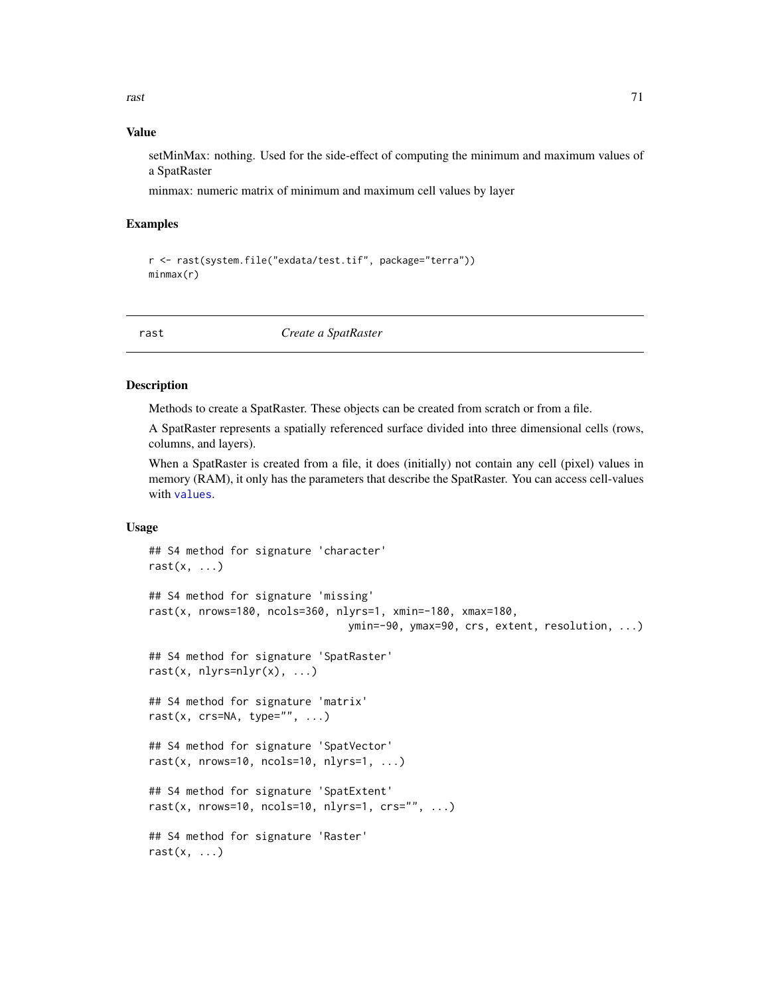rast 71

### Value

setMinMax: nothing. Used for the side-effect of computing the minimum and maximum values of a SpatRaster

minmax: numeric matrix of minimum and maximum cell values by layer

### Examples

```
r <- rast(system.file("exdata/test.tif", package="terra"))
minmax(r)
```
rast *Create a SpatRaster*

### Description

Methods to create a SpatRaster. These objects can be created from scratch or from a file.

A SpatRaster represents a spatially referenced surface divided into three dimensional cells (rows, columns, and layers).

When a SpatRaster is created from a file, it does (initially) not contain any cell (pixel) values in memory (RAM), it only has the parameters that describe the SpatRaster. You can access cell-values with [values](#page-89-0).

### Usage

```
## S4 method for signature 'character'
rast(x, \ldots)## S4 method for signature 'missing'
rast(x, nrows=180, ncols=360, nlyrs=1, xmin=-180, xmax=180,
                                 ymin=-90, ymax=90, crs, extent, resolution, ...)
## S4 method for signature 'SpatRaster'
rast(x, nlyrs=nlyr(x), \dots)
## S4 method for signature 'matrix'
rast(x, crs=NA, type="", ...)
## S4 method for signature 'SpatVector'
rast(x, nrows=10, ncols=10, nlyrs=1, \ldots)
## S4 method for signature 'SpatExtent'
rast(x, nrows=10, ncols=10, nlyrs=1, \text{crs}="", ...)
## S4 method for signature 'Raster'
rast(x, \ldots)
```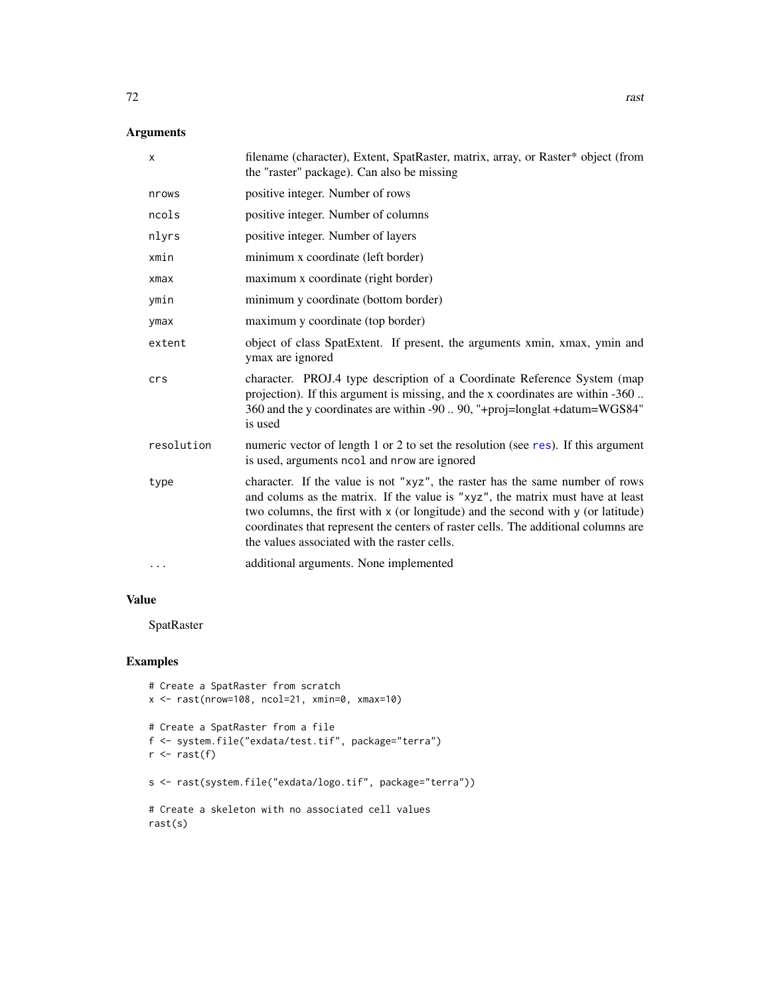# Arguments

| X          | filename (character), Extent, SpatRaster, matrix, array, or Raster* object (from<br>the "raster" package). Can also be missing                                                                                                                                                                                                                                                           |
|------------|------------------------------------------------------------------------------------------------------------------------------------------------------------------------------------------------------------------------------------------------------------------------------------------------------------------------------------------------------------------------------------------|
| nrows      | positive integer. Number of rows                                                                                                                                                                                                                                                                                                                                                         |
| ncols      | positive integer. Number of columns                                                                                                                                                                                                                                                                                                                                                      |
| nlyrs      | positive integer. Number of layers                                                                                                                                                                                                                                                                                                                                                       |
| xmin       | minimum x coordinate (left border)                                                                                                                                                                                                                                                                                                                                                       |
| $x$ ma $x$ | maximum x coordinate (right border)                                                                                                                                                                                                                                                                                                                                                      |
| ymin       | minimum y coordinate (bottom border)                                                                                                                                                                                                                                                                                                                                                     |
| ymax       | maximum y coordinate (top border)                                                                                                                                                                                                                                                                                                                                                        |
| extent     | object of class SpatExtent. If present, the arguments xmin, xmax, ymin and<br>ymax are ignored                                                                                                                                                                                                                                                                                           |
| crs        | character. PROJ.4 type description of a Coordinate Reference System (map<br>projection). If this argument is missing, and the x coordinates are within -360<br>360 and the y coordinates are within -90  90, "+proj=longlat +datum=WGS84"<br>is used                                                                                                                                     |
| resolution | numeric vector of length 1 or 2 to set the resolution (see res). If this argument<br>is used, arguments ncol and nrow are ignored                                                                                                                                                                                                                                                        |
| type       | character. If the value is not "xyz", the raster has the same number of rows<br>and colums as the matrix. If the value is "xyz", the matrix must have at least<br>two columns, the first with x (or longitude) and the second with y (or latitude)<br>coordinates that represent the centers of raster cells. The additional columns are<br>the values associated with the raster cells. |
| .          | additional arguments. None implemented                                                                                                                                                                                                                                                                                                                                                   |

### Value

SpatRaster

# Examples

```
# Create a SpatRaster from scratch
x \le - rast(nrow=108, ncol=21, xmin=0, xmax=10)
# Create a SpatRaster from a file
f <- system.file("exdata/test.tif", package="terra")
r \leftarrow \text{rast}(f)s <- rast(system.file("exdata/logo.tif", package="terra"))
# Create a skeleton with no associated cell values
rast(s)
```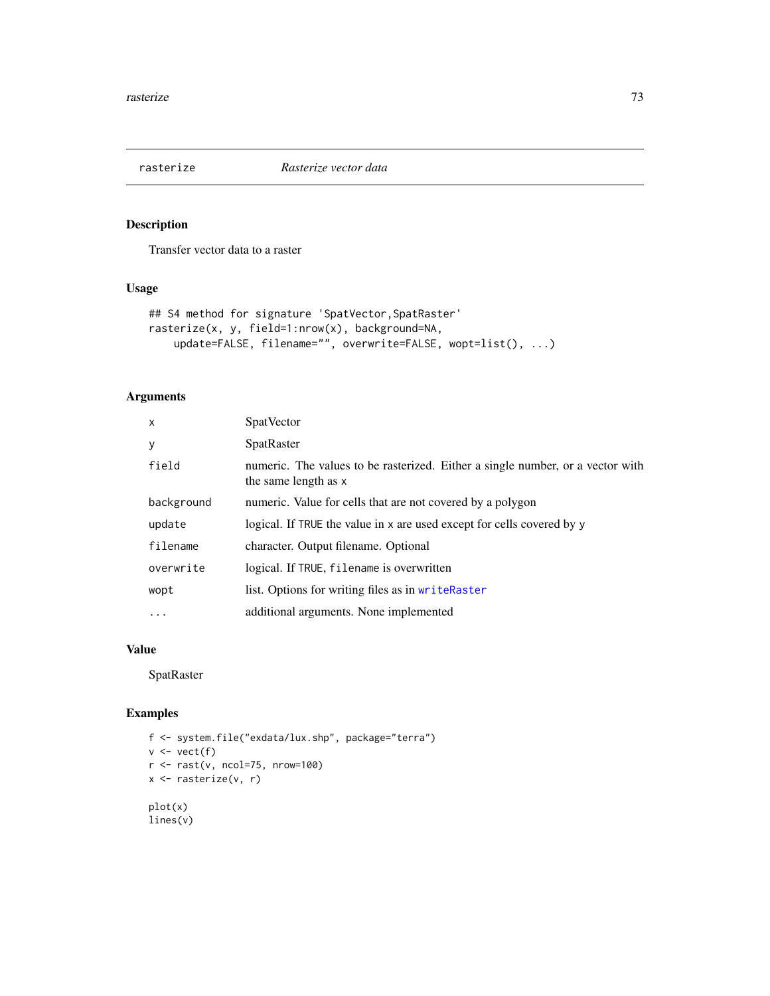<span id="page-72-0"></span>

Transfer vector data to a raster

#### Usage

```
## S4 method for signature 'SpatVector, SpatRaster'
rasterize(x, y, field=1:nrow(x), background=NA,
   update=FALSE, filename="", overwrite=FALSE, wopt=list(), ...)
```
# Arguments

| $\mathsf{x}$ | <b>SpatVector</b>                                                                                      |
|--------------|--------------------------------------------------------------------------------------------------------|
| y            | SpatRaster                                                                                             |
| field        | numeric. The values to be rasterized. Either a single number, or a vector with<br>the same length as x |
| background   | numeric. Value for cells that are not covered by a polygon                                             |
| update       | logical. If TRUE the value in x are used except for cells covered by y                                 |
| filename     | character. Output filename. Optional                                                                   |
| overwrite    | logical. If TRUE, filename is overwritten                                                              |
| wopt         | list. Options for writing files as in writeRaster                                                      |
| .            | additional arguments. None implemented                                                                 |

#### Value

SpatRaster

```
f <- system.file("exdata/lux.shp", package="terra")
v \leftarrow \text{vect}(f)r <- rast(v, ncol=75, nrow=100)
x <- rasterize(v, r)
plot(x)
lines(v)
```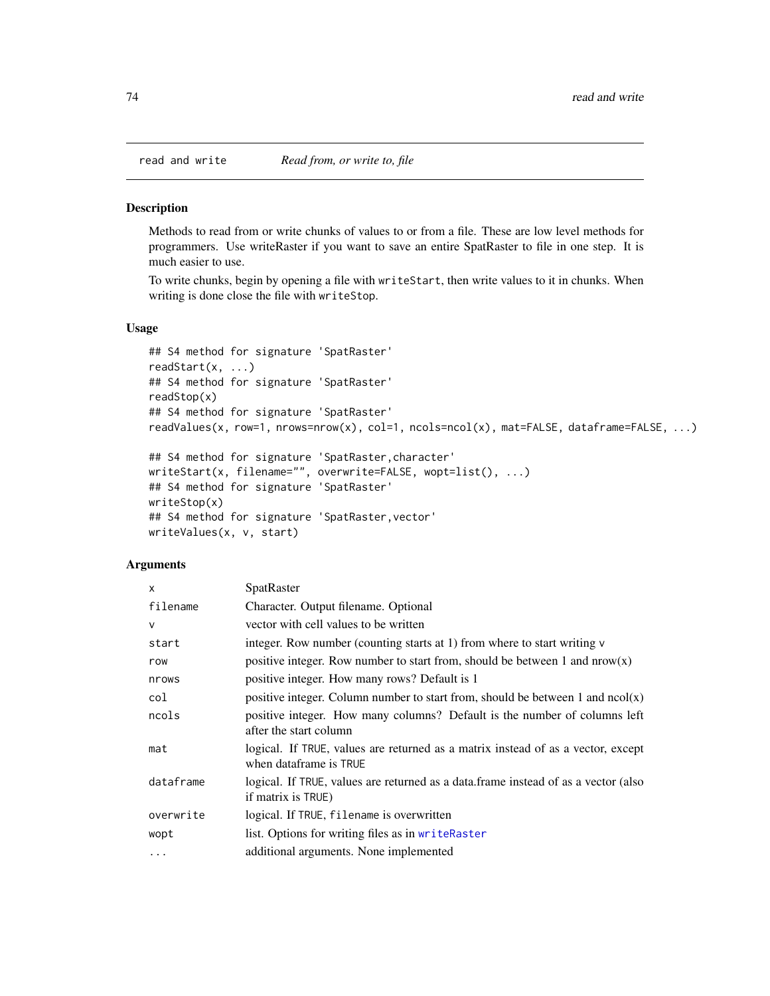<span id="page-73-0"></span>

Methods to read from or write chunks of values to or from a file. These are low level methods for programmers. Use writeRaster if you want to save an entire SpatRaster to file in one step. It is much easier to use.

To write chunks, begin by opening a file with writeStart, then write values to it in chunks. When writing is done close the file with writeStop.

#### Usage

```
## S4 method for signature 'SpatRaster'
readStart(x, ...)
## S4 method for signature 'SpatRaster'
readStop(x)
## S4 method for signature 'SpatRaster'
readValues(x, row=1, nrows=nrow(x), col=1, ncols=ncol(x), mat=FALSE, dataframe=FALSE, ...)
```

```
## S4 method for signature 'SpatRaster,character'
writeStart(x, filename="", overwrite=FALSE, wopt=list(), ...)
## S4 method for signature 'SpatRaster'
writeStop(x)
## S4 method for signature 'SpatRaster,vector'
writeValues(x, v, start)
```
#### Arguments

| $\mathsf{x}$ | SpatRaster                                                                                                 |
|--------------|------------------------------------------------------------------------------------------------------------|
| filename     | Character. Output filename. Optional                                                                       |
| $\vee$       | vector with cell values to be written                                                                      |
| start        | integer. Row number (counting starts at 1) from where to start writing v                                   |
| row          | positive integer. Row number to start from, should be between 1 and $now(x)$                               |
| nrows        | positive integer. How many rows? Default is 1                                                              |
| col          | positive integer. Column number to start from, should be between 1 and $ncol(x)$                           |
| ncols        | positive integer. How many columns? Default is the number of columns left<br>after the start column        |
| mat          | logical. If TRUE, values are returned as a matrix instead of as a vector, except<br>when dataframe is TRUE |
| dataframe    | logical. If TRUE, values are returned as a data frame instead of as a vector (also<br>if matrix is TRUE)   |
| overwrite    | logical. If TRUE, filename is overwritten                                                                  |
| wopt         | list. Options for writing files as in writeRaster                                                          |
| $\cdots$     | additional arguments. None implemented                                                                     |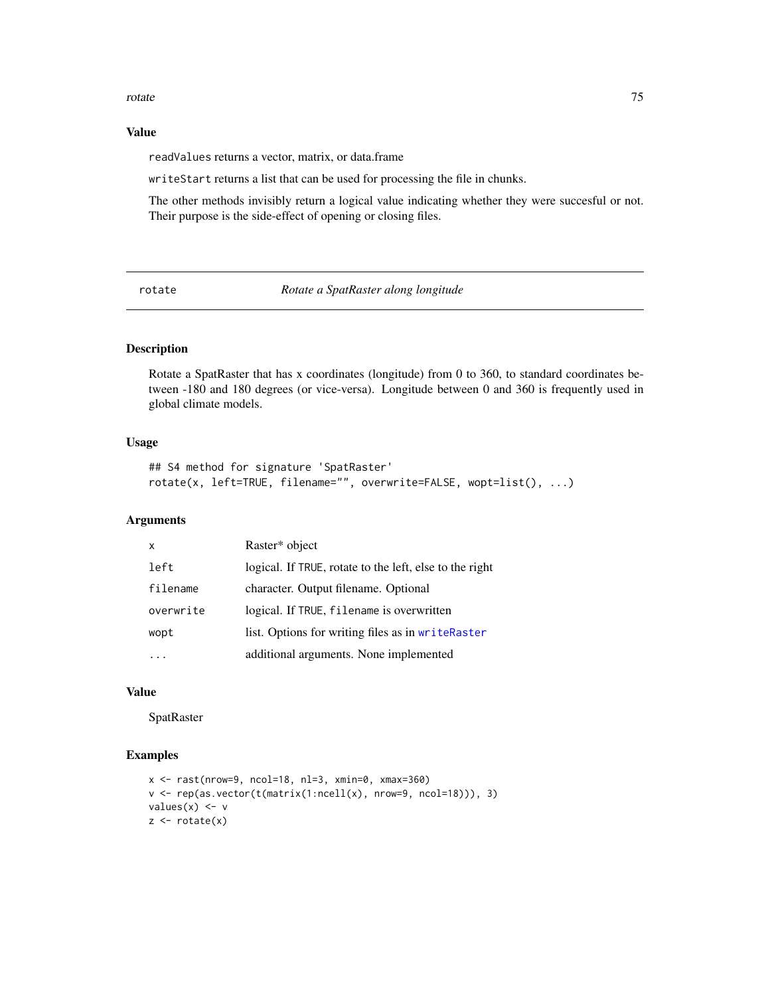#### <span id="page-74-1"></span>rotate 75

#### Value

readValues returns a vector, matrix, or data.frame

writeStart returns a list that can be used for processing the file in chunks.

The other methods invisibly return a logical value indicating whether they were succesful or not. Their purpose is the side-effect of opening or closing files.

<span id="page-74-0"></span>rotate *Rotate a SpatRaster along longitude*

#### Description

Rotate a SpatRaster that has x coordinates (longitude) from 0 to 360, to standard coordinates between -180 and 180 degrees (or vice-versa). Longitude between 0 and 360 is frequently used in global climate models.

# Usage

```
## S4 method for signature 'SpatRaster'
rotate(x, left=TRUE, filename="", overwrite=FALSE, wopt=list(), ...)
```
#### Arguments

| $\mathsf{x}$ | Raster* object                                          |
|--------------|---------------------------------------------------------|
| left         | logical. If TRUE, rotate to the left, else to the right |
| filename     | character. Output filename. Optional                    |
| overwrite    | logical. If TRUE, filename is overwritten               |
| wopt         | list. Options for writing files as in writeRaster       |
|              | additional arguments. None implemented                  |

# Value

SpatRaster

```
x \le - rast(nrow=9, ncol=18, nl=3, xmin=0, xmax=360)
v <- rep(as.vector(t(matrix(1:ncell(x), nrow=9, ncol=18))), 3)
values(x) < -yz \leftarrow \text{rotate}(x)
```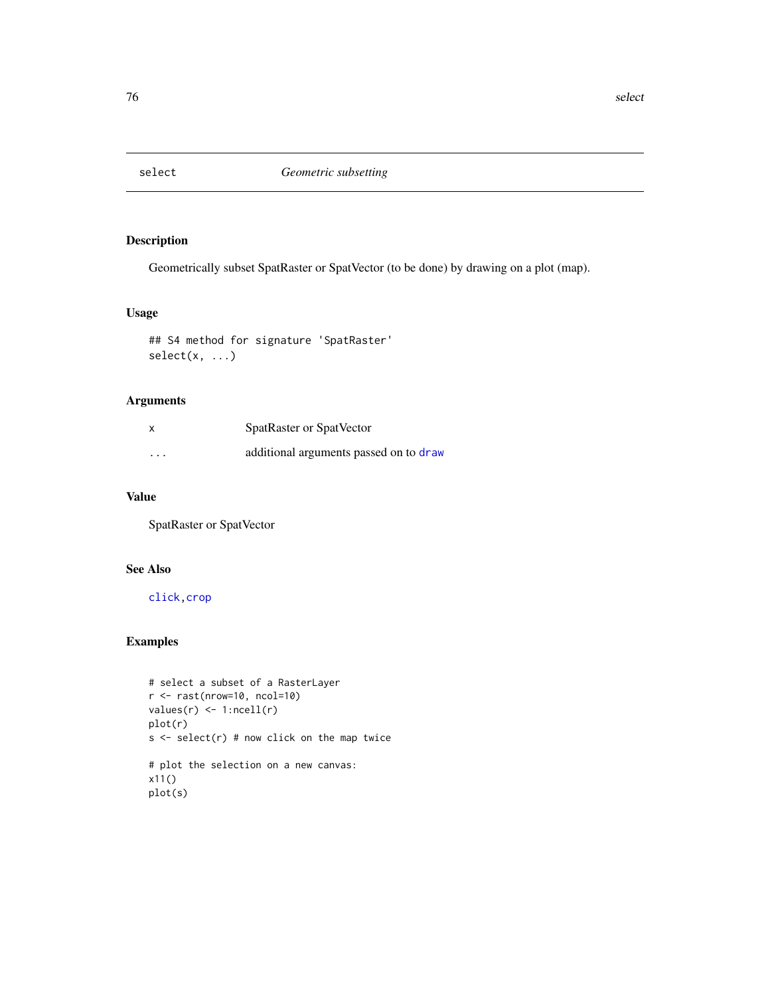<span id="page-75-0"></span>

Geometrically subset SpatRaster or SpatVector (to be done) by drawing on a plot (map).

#### Usage

```
## S4 method for signature 'SpatRaster'
select(x, ...)
```
# Arguments

| x        | SpatRaster or SpatVector               |
|----------|----------------------------------------|
| $\cdots$ | additional arguments passed on to draw |

#### Value

SpatRaster or SpatVector

# See Also

[click](#page-22-0)[,crop](#page-28-0)

```
# select a subset of a RasterLayer
r \leftarrow \text{rast(nrow=10, ncol=10)}values(r) \leftarrow 1:ncell(r)plot(r)
s <- select(r) # now click on the map twice
# plot the selection on a new canvas:
x11()
plot(s)
```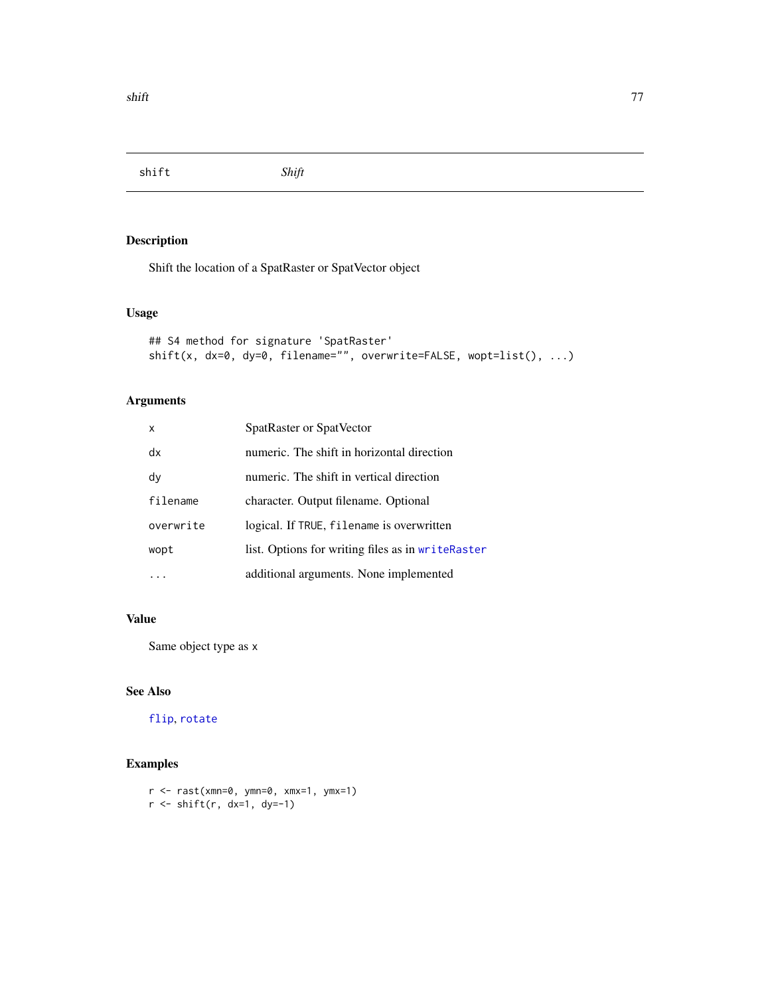<span id="page-76-0"></span>shift *Shift*

# Description

Shift the location of a SpatRaster or SpatVector object

# Usage

```
## S4 method for signature 'SpatRaster'
shift(x, dx=0, dy=0, filename="", overwrite=FALSE, wopt=list(), ...)
```
# Arguments

| $\mathsf{x}$ | SpatRaster or SpatVector                          |
|--------------|---------------------------------------------------|
| dx           | numeric. The shift in horizontal direction        |
| dy           | numeric. The shift in vertical direction          |
| filename     | character. Output filename. Optional              |
| overwrite    | logical. If TRUE, filename is overwritten         |
| wopt         | list. Options for writing files as in writeRaster |
|              | additional arguments. None implemented            |

# Value

Same object type as x

#### See Also

[flip](#page-40-0), [rotate](#page-74-0)

```
r <- rast(xmn=0, ymn=0, xmx=1, ymx=1)
r <- shift(r, dx=1, dy=-1)
```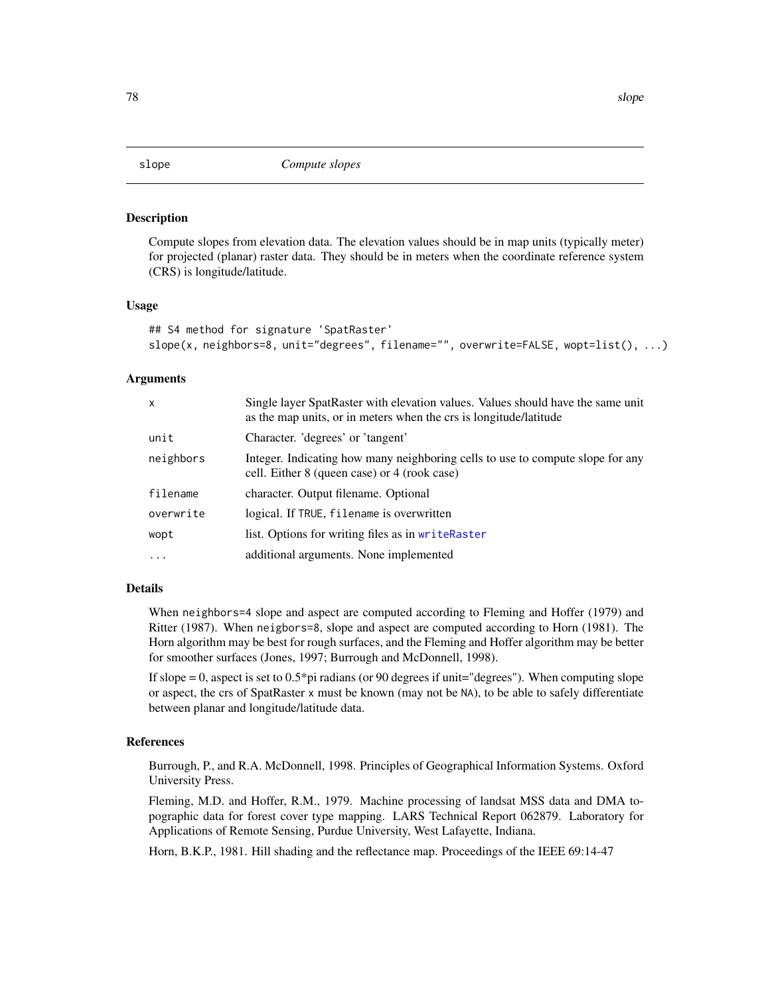<span id="page-77-0"></span>

Compute slopes from elevation data. The elevation values should be in map units (typically meter) for projected (planar) raster data. They should be in meters when the coordinate reference system (CRS) is longitude/latitude.

#### Usage

```
## S4 method for signature 'SpatRaster'
slope(x, neighbors=8, unit="degrees", filename="", overwrite=FALSE, wopt=list(), ...)
```
#### Arguments

| X         | Single layer SpatRaster with elevation values. Values should have the same unit<br>as the map units, or in meters when the crs is longitude/latitude |
|-----------|------------------------------------------------------------------------------------------------------------------------------------------------------|
| unit      | Character. 'degrees' or 'tangent'                                                                                                                    |
| neighbors | Integer. Indicating how many neighboring cells to use to compute slope for any<br>cell. Either 8 (queen case) or 4 (rook case)                       |
| filename  | character. Output filename. Optional                                                                                                                 |
| overwrite | logical. If TRUE, filename is overwritten                                                                                                            |
| wopt      | list. Options for writing files as in writeRaster                                                                                                    |
| $\cdot$   | additional arguments. None implemented                                                                                                               |

# Details

When neighbors=4 slope and aspect are computed according to Fleming and Hoffer (1979) and Ritter (1987). When neigbors=8, slope and aspect are computed according to Horn (1981). The Horn algorithm may be best for rough surfaces, and the Fleming and Hoffer algorithm may be better for smoother surfaces (Jones, 1997; Burrough and McDonnell, 1998).

If slope  $= 0$ , aspect is set to  $0.5 \times$  pi radians (or 90 degrees if unit="degrees"). When computing slope or aspect, the crs of SpatRaster x must be known (may not be NA), to be able to safely differentiate between planar and longitude/latitude data.

#### References

Burrough, P., and R.A. McDonnell, 1998. Principles of Geographical Information Systems. Oxford University Press.

Fleming, M.D. and Hoffer, R.M., 1979. Machine processing of landsat MSS data and DMA topographic data for forest cover type mapping. LARS Technical Report 062879. Laboratory for Applications of Remote Sensing, Purdue University, West Lafayette, Indiana.

Horn, B.K.P., 1981. Hill shading and the reflectance map. Proceedings of the IEEE 69:14-47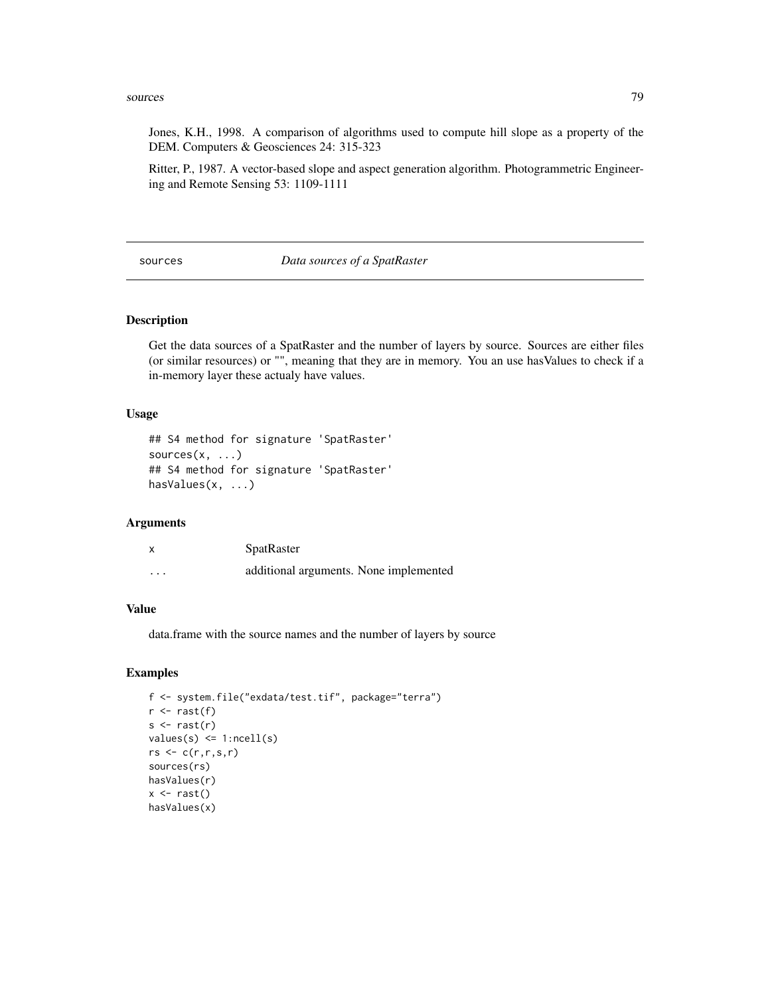#### <span id="page-78-0"></span>sources 79

Jones, K.H., 1998. A comparison of algorithms used to compute hill slope as a property of the DEM. Computers & Geosciences 24: 315-323

Ritter, P., 1987. A vector-based slope and aspect generation algorithm. Photogrammetric Engineering and Remote Sensing 53: 1109-1111

#### sources *Data sources of a SpatRaster*

#### Description

Get the data sources of a SpatRaster and the number of layers by source. Sources are either files (or similar resources) or "", meaning that they are in memory. You an use hasValues to check if a in-memory layer these actualy have values.

#### Usage

```
## S4 method for signature 'SpatRaster'
sources(x, \ldots)## S4 method for signature 'SpatRaster'
hasValues(x, ...)
```
#### Arguments

| X        | SpatRaster                             |
|----------|----------------------------------------|
| $\cdots$ | additional arguments. None implemented |

#### Value

data.frame with the source names and the number of layers by source

```
f <- system.file("exdata/test.tif", package="terra")
r \leftarrow \text{rast}(f)s \leftarrow \text{rast}(r)values(s) <= 1:ncell(s)
rs \leftarrow c(r,r,s,r)sources(rs)
hasValues(r)
x \leftarrow \text{rast}()hasValues(x)
```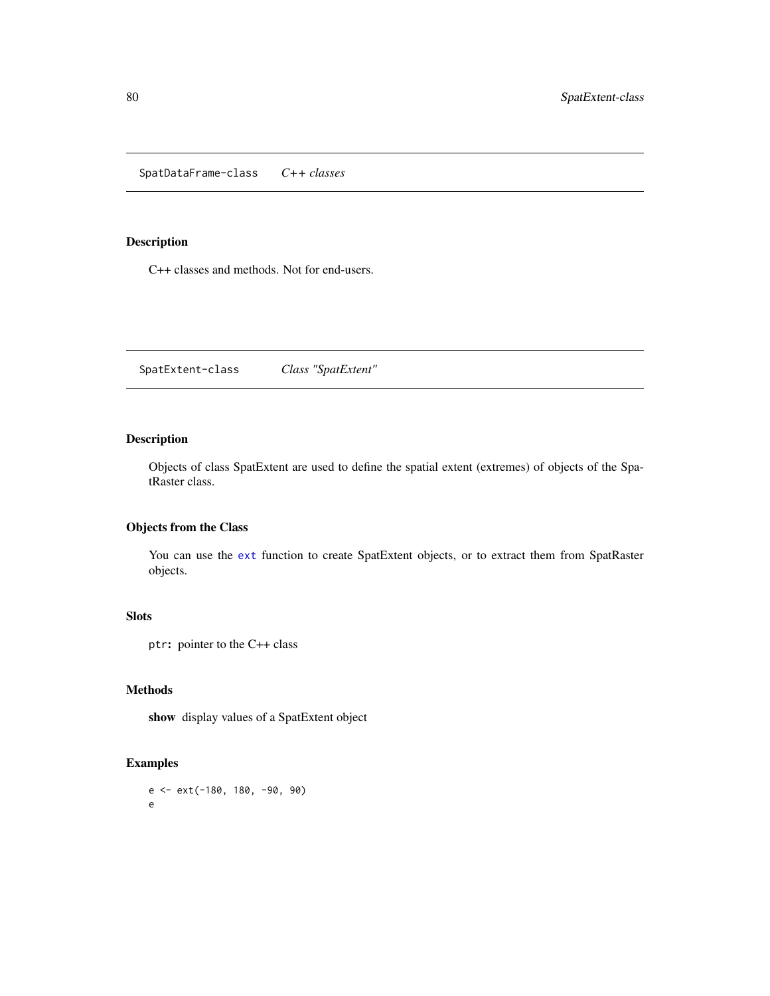<span id="page-79-0"></span>SpatDataFrame-class *C++ classes*

#### Description

C++ classes and methods. Not for end-users.

SpatExtent-class *Class "SpatExtent"*

# Description

Objects of class SpatExtent are used to define the spatial extent (extremes) of objects of the SpatRaster class.

# Objects from the Class

You can use the [ext](#page-37-0) function to create SpatExtent objects, or to extract them from SpatRaster objects.

# Slots

ptr: pointer to the C++ class

#### Methods

show display values of a SpatExtent object

```
e <- ext(-180, 180, -90, 90)
e
```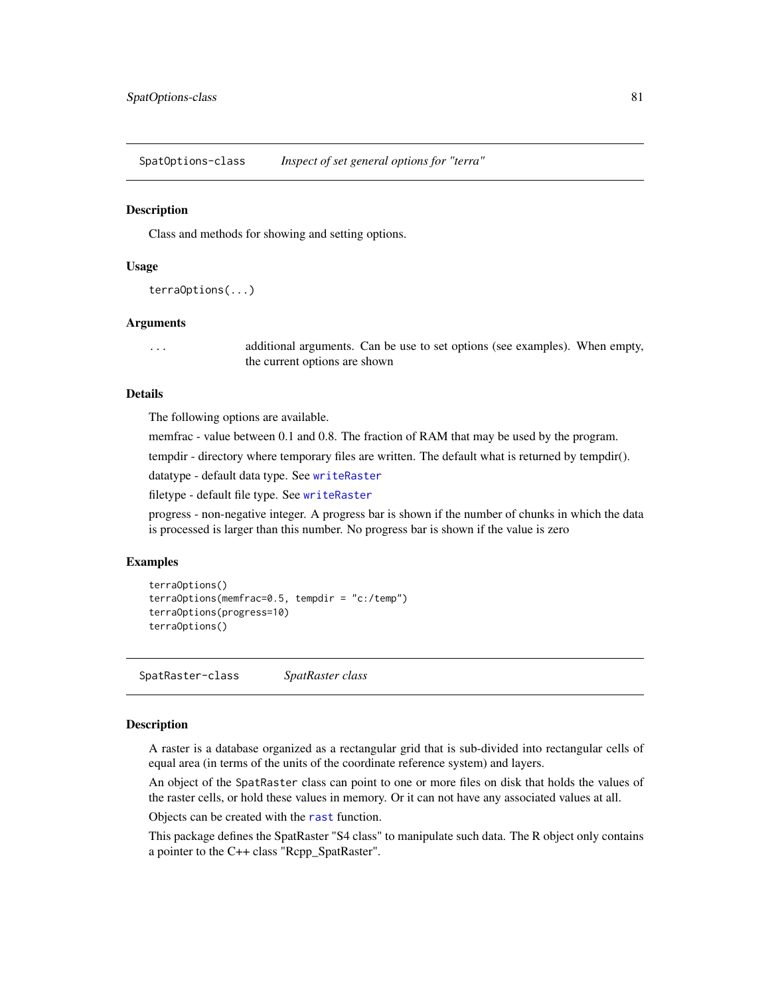<span id="page-80-0"></span>SpatOptions-class *Inspect of set general options for "terra"*

#### **Description**

Class and methods for showing and setting options.

#### Usage

```
terraOptions(...)
```
# Arguments

... additional arguments. Can be use to set options (see examples). When empty, the current options are shown

# Details

The following options are available.

memfrac - value between 0.1 and 0.8. The fraction of RAM that may be used by the program.

tempdir - directory where temporary files are written. The default what is returned by tempdir().

datatype - default data type. See [writeRaster](#page-93-0)

filetype - default file type. See [writeRaster](#page-93-0)

progress - non-negative integer. A progress bar is shown if the number of chunks in which the data is processed is larger than this number. No progress bar is shown if the value is zero

#### Examples

```
terraOptions()
terraOptions(memfrac=0.5, tempdir = "c:/temp")
terraOptions(progress=10)
terraOptions()
```
SpatRaster-class *SpatRaster class*

# Description

A raster is a database organized as a rectangular grid that is sub-divided into rectangular cells of equal area (in terms of the units of the coordinate reference system) and layers.

An object of the SpatRaster class can point to one or more files on disk that holds the values of the raster cells, or hold these values in memory. Or it can not have any associated values at all.

Objects can be created with the [rast](#page-70-0) function.

This package defines the SpatRaster "S4 class" to manipulate such data. The R object only contains a pointer to the C++ class "Rcpp\_SpatRaster".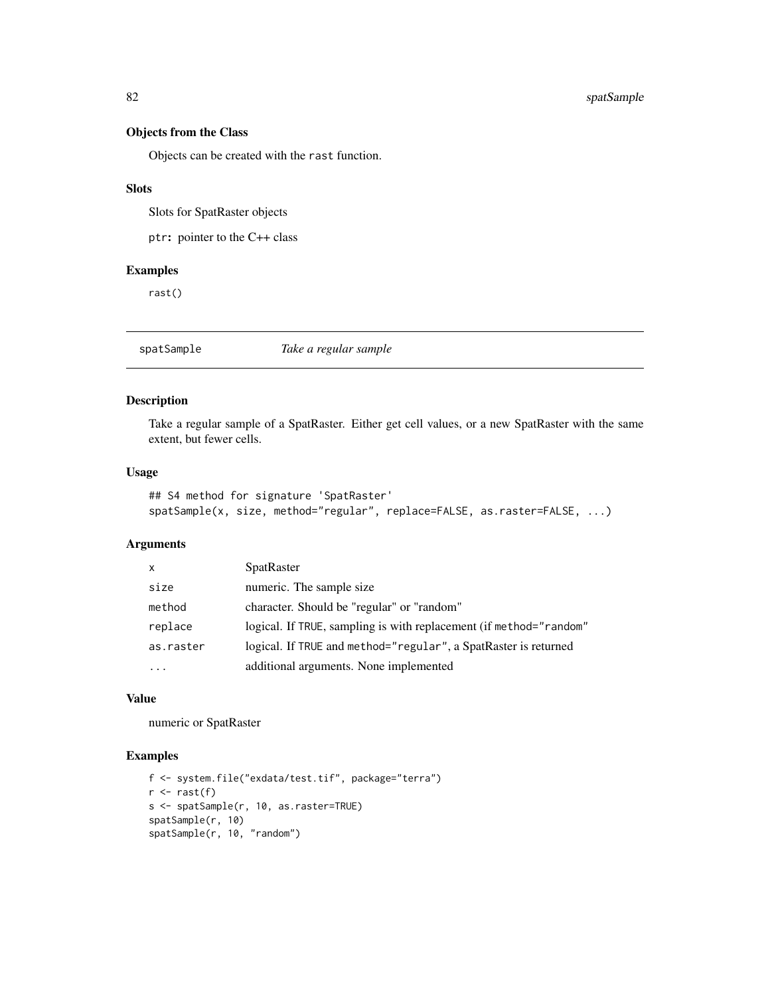### Objects from the Class

Objects can be created with the rast function.

#### Slots

Slots for SpatRaster objects

ptr: pointer to the C++ class

# Examples

rast()

spatSample *Take a regular sample*

# Description

Take a regular sample of a SpatRaster. Either get cell values, or a new SpatRaster with the same extent, but fewer cells.

#### Usage

```
## S4 method for signature 'SpatRaster'
spatSample(x, size, method="regular", replace=FALSE, as.raster=FALSE, ...)
```
#### Arguments

| X         | <b>SpatRaster</b>                                                  |
|-----------|--------------------------------------------------------------------|
| size      | numeric. The sample size                                           |
| method    | character. Should be "regular" or "random"                         |
| replace   | logical. If TRUE, sampling is with replacement (if method="random" |
| as.raster | logical. If TRUE and method="regular", a SpatRaster is returned    |
| $\ddotsc$ | additional arguments. None implemented                             |

# Value

numeric or SpatRaster

```
f <- system.file("exdata/test.tif", package="terra")
r \leftarrow \text{rast}(f)s <- spatSample(r, 10, as.raster=TRUE)
spatSample(r, 10)
spatSample(r, 10, "random")
```
<span id="page-81-0"></span>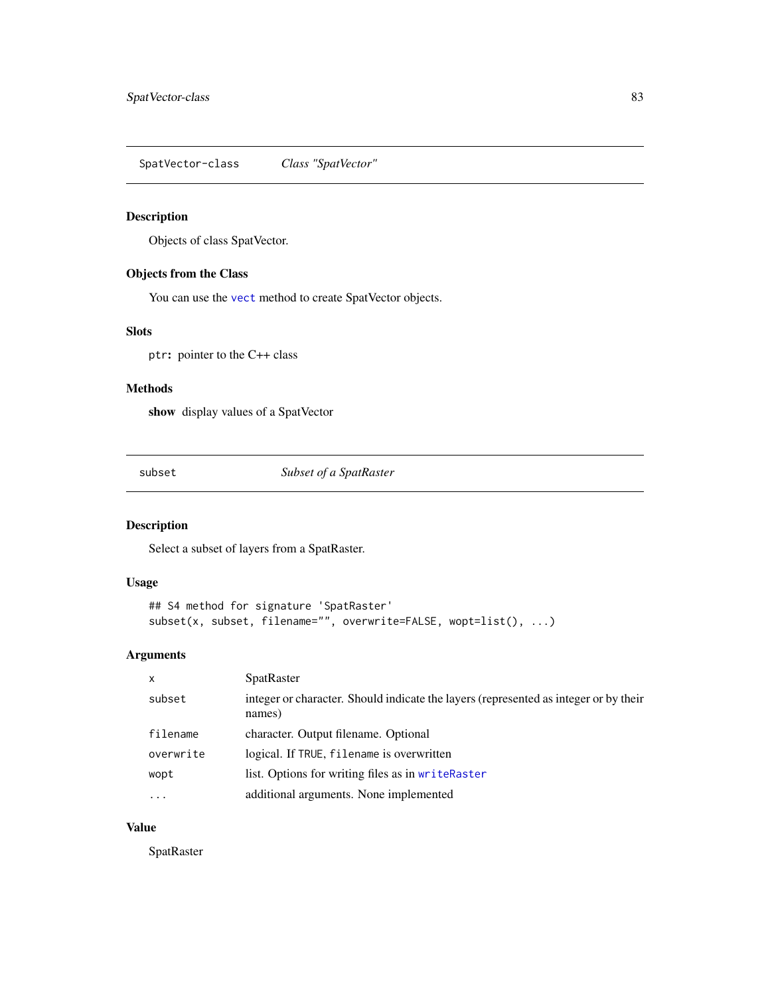<span id="page-82-0"></span>SpatVector-class *Class "SpatVector"*

# Description

Objects of class SpatVector.

# Objects from the Class

You can use the [vect](#page-90-0) method to create SpatVector objects.

# Slots

ptr: pointer to the C++ class

# Methods

show display values of a SpatVector

subset *Subset of a SpatRaster*

# Description

Select a subset of layers from a SpatRaster.

#### Usage

```
## S4 method for signature 'SpatRaster'
subset(x, subset, filename="", overwrite=FALSE, wopt=list(), ...)
```
# Arguments

| $\mathsf{x}$ | <b>SpatRaster</b>                                                                              |
|--------------|------------------------------------------------------------------------------------------------|
| subset       | integer or character. Should indicate the layers (represented as integer or by their<br>names) |
| filename     | character. Output filename. Optional                                                           |
| overwrite    | logical. If TRUE, filename is overwritten                                                      |
| wopt         | list. Options for writing files as in writeRaster                                              |
| .            | additional arguments. None implemented                                                         |

# Value

**SpatRaster**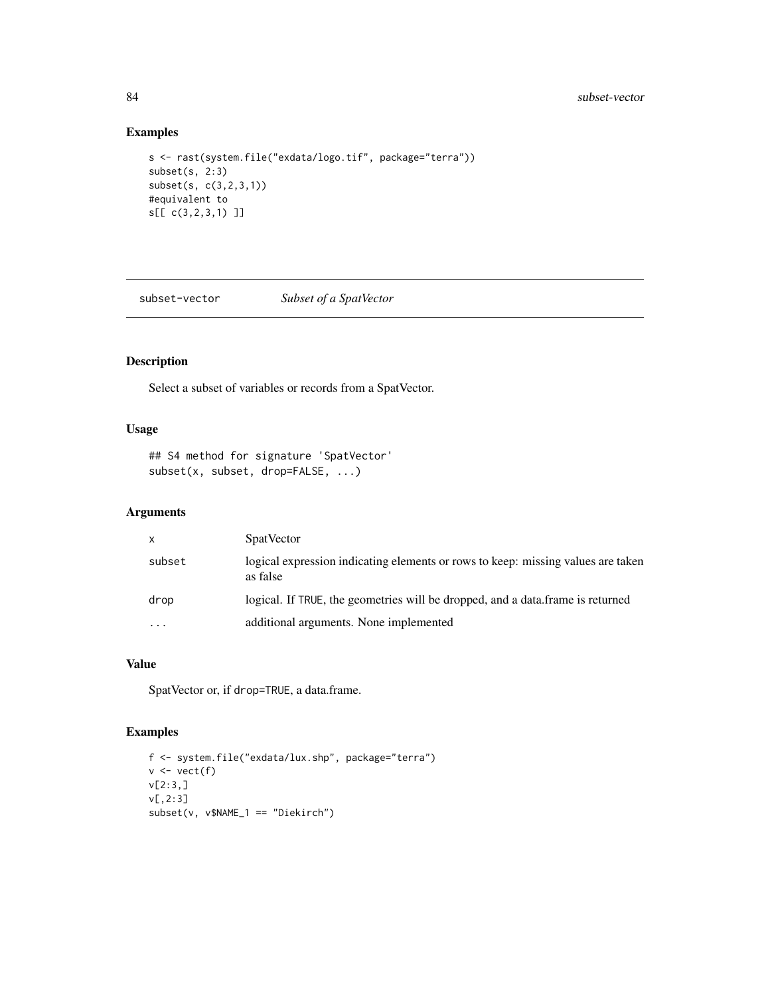# Examples

```
s <- rast(system.file("exdata/logo.tif", package="terra"))
subset(s, 2:3)
subset(s, c(3,2,3,1))
#equivalent to
s[[ c(3,2,3,1) ]]
```
subset-vector *Subset of a SpatVector*

# Description

Select a subset of variables or records from a SpatVector.

# Usage

```
## S4 method for signature 'SpatVector'
subset(x, subset, drop=FALSE, ...)
```
### Arguments

| $\mathsf{x}$ | <b>SpatVector</b>                                                                            |
|--------------|----------------------------------------------------------------------------------------------|
| subset       | logical expression indicating elements or rows to keep: missing values are taken<br>as false |
| drop         | logical. If TRUE, the geometries will be dropped, and a data frame is returned               |
| .            | additional arguments. None implemented                                                       |

# Value

SpatVector or, if drop=TRUE, a data.frame.

```
f <- system.file("exdata/lux.shp", package="terra")
v \leftarrow \text{vect}(f)v[2:3,]
v[,2:3]
subset(v, v$NAME_1 == "Diekirch")
```
<span id="page-83-0"></span>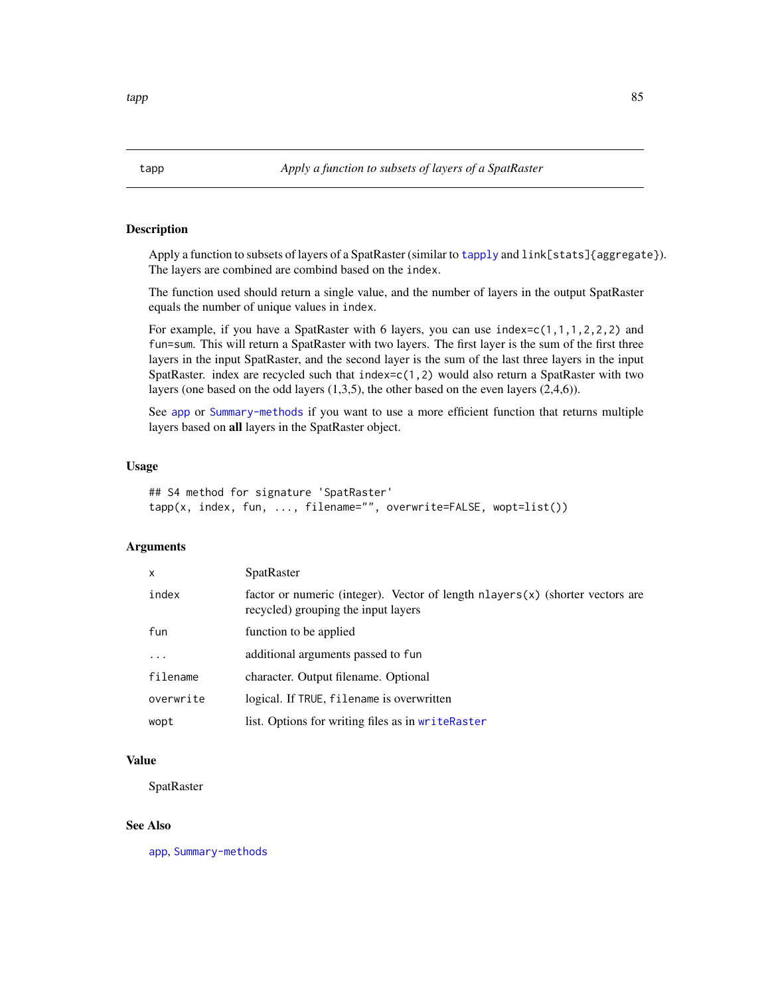<span id="page-84-0"></span>Apply a function to subsets of layers of a SpatRaster (similar to [tapply](#page-0-0) and link[stats]{aggregate}). The layers are combined are combind based on the index.

The function used should return a single value, and the number of layers in the output SpatRaster equals the number of unique values in index.

For example, if you have a SpatRaster with 6 layers, you can use index= $c(1,1,1,2,2,2)$  and fun=sum. This will return a SpatRaster with two layers. The first layer is the sum of the first three layers in the input SpatRaster, and the second layer is the sum of the last three layers in the input SpatRaster. index are recycled such that index= $c(1,2)$  would also return a SpatRaster with two layers (one based on the odd layers (1,3,5), the other based on the even layers (2,4,6)).

See [app](#page-13-0) or [Summary-methods](#page-52-0) if you want to use a more efficient function that returns multiple layers based on all layers in the SpatRaster object.

#### Usage

```
## S4 method for signature 'SpatRaster'
tapp(x, index, fun, ..., filename="", overwrite=FALSE, wopt=list())
```
# Arguments

| x         | <b>SpatRaster</b>                                                                                                          |
|-----------|----------------------------------------------------------------------------------------------------------------------------|
| index     | factor or numeric (integer). Vector of length $n$ layers $(x)$ (shorter vectors are<br>recycled) grouping the input layers |
| fun       | function to be applied                                                                                                     |
| $\cdots$  | additional arguments passed to fun                                                                                         |
| filename  | character. Output filename. Optional                                                                                       |
| overwrite | logical. If TRUE, filename is overwritten                                                                                  |
| wopt      | list. Options for writing files as in writeRaster                                                                          |

# Value

**SpatRaster** 

#### See Also

[app](#page-13-0), [Summary-methods](#page-52-0)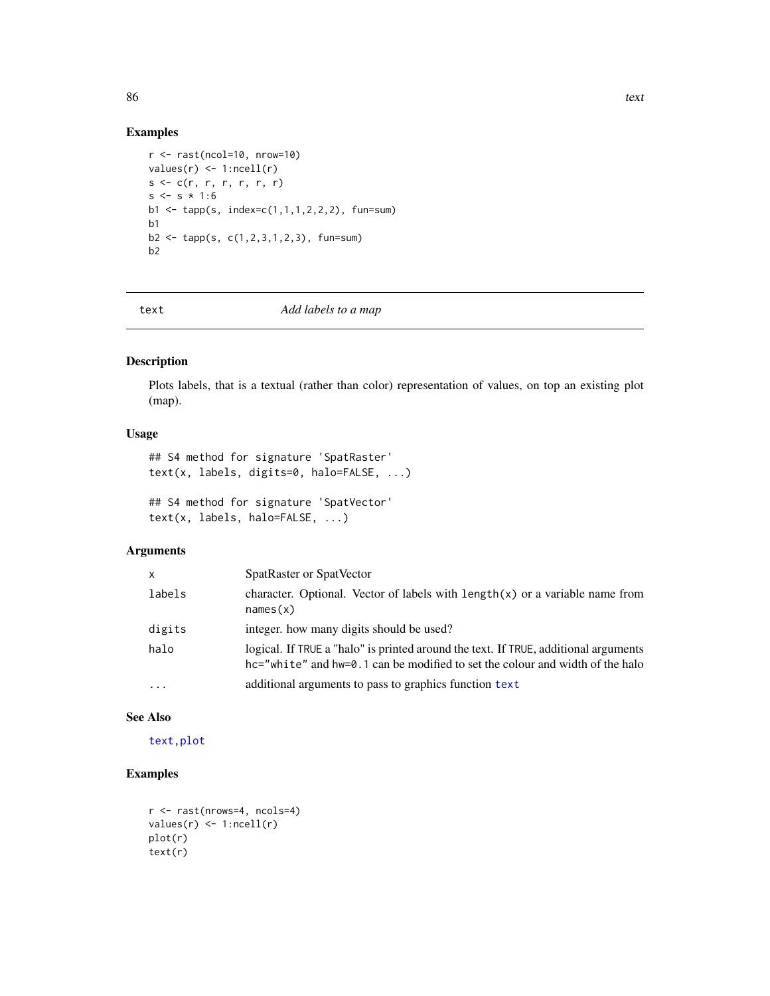# Examples

```
r <- rast(ncol=10, nrow=10)
values(r) \leq 1:ncell(r)s \leq c(r, r, r, r, r, r)s \leq s * 1:6b1 <- tapp(s, index=c(1,1,1,2,2,2), fun=sum)
b1
b2 <- tapp(s, c(1,2,3,1,2,3), fun=sum)
b2
```
<span id="page-85-0"></span>

text *Add labels to a map*

# Description

Plots labels, that is a textual (rather than color) representation of values, on top an existing plot (map).

#### Usage

## S4 method for signature 'SpatRaster' text(x, labels, digits=0, halo=FALSE, ...)

## S4 method for signature 'SpatVector' text(x, labels, halo=FALSE, ...)

#### Arguments

| x        | SpatRaster or SpatVector                                                                                                                                             |
|----------|----------------------------------------------------------------------------------------------------------------------------------------------------------------------|
| labels   | character. Optional. Vector of labels with $length(x)$ or a variable name from<br>names(x)                                                                           |
| digits   | integer, how many digits should be used?                                                                                                                             |
| halo     | logical. If TRUE a "halo" is printed around the text. If TRUE, additional arguments<br>hc="white" and hw=0.1 can be modified to set the colour and width of the halo |
| $\cdots$ | additional arguments to pass to graphics function text                                                                                                               |

#### See Also

[text](#page-85-0)[,plot](#page-61-0)

```
r <- rast(nrows=4, ncols=4)
values(r) \leq 1:ncell(r)plot(r)
text(r)
```
<span id="page-85-1"></span>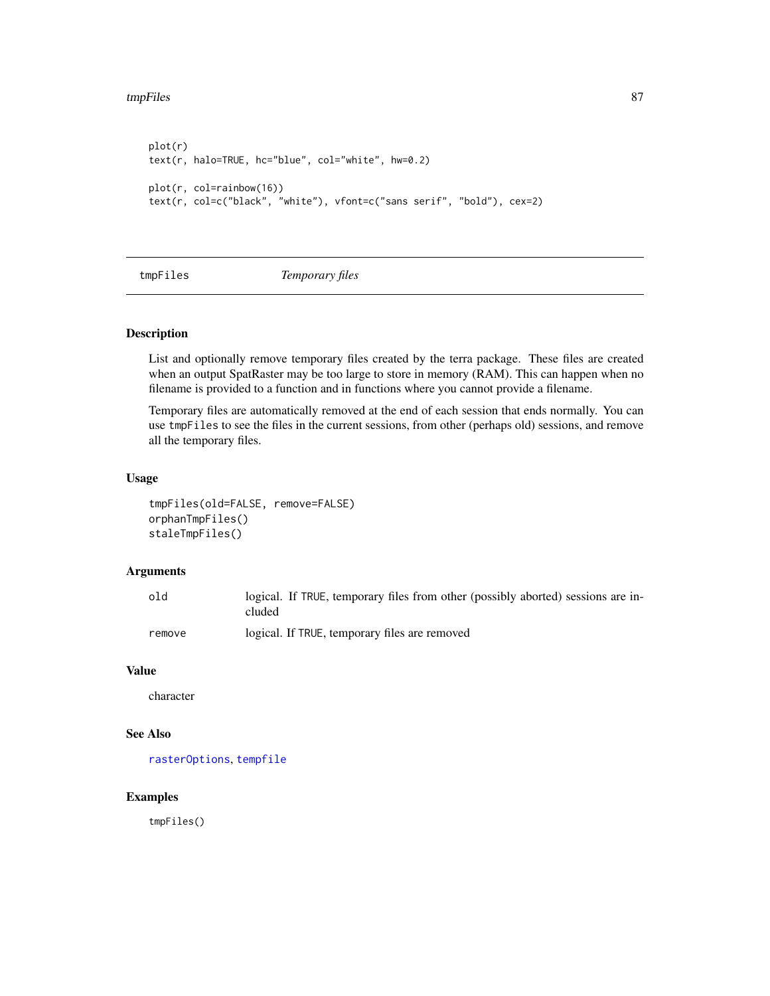```
plot(r)
text(r, halo=TRUE, hc="blue", col="white", hw=0.2)
plot(r, col=rainbow(16))
text(r, col=c("black", "white"), vfont=c("sans serif", "bold"), cex=2)
```
tmpFiles *Temporary files*

# Description

List and optionally remove temporary files created by the terra package. These files are created when an output SpatRaster may be too large to store in memory (RAM). This can happen when no filename is provided to a function and in functions where you cannot provide a filename.

Temporary files are automatically removed at the end of each session that ends normally. You can use tmpFiles to see the files in the current sessions, from other (perhaps old) sessions, and remove all the temporary files.

#### Usage

```
tmpFiles(old=FALSE, remove=FALSE)
orphanTmpFiles()
staleTmpFiles()
```
#### Arguments

| old    | logical. If TRUE, temporary files from other (possibly aborted) sessions are in-<br>cluded |
|--------|--------------------------------------------------------------------------------------------|
| remove | logical. If TRUE, temporary files are removed                                              |

#### Value

character

#### See Also

[rasterOptions](#page-0-0), [tempfile](#page-0-0)

# Examples

tmpFiles()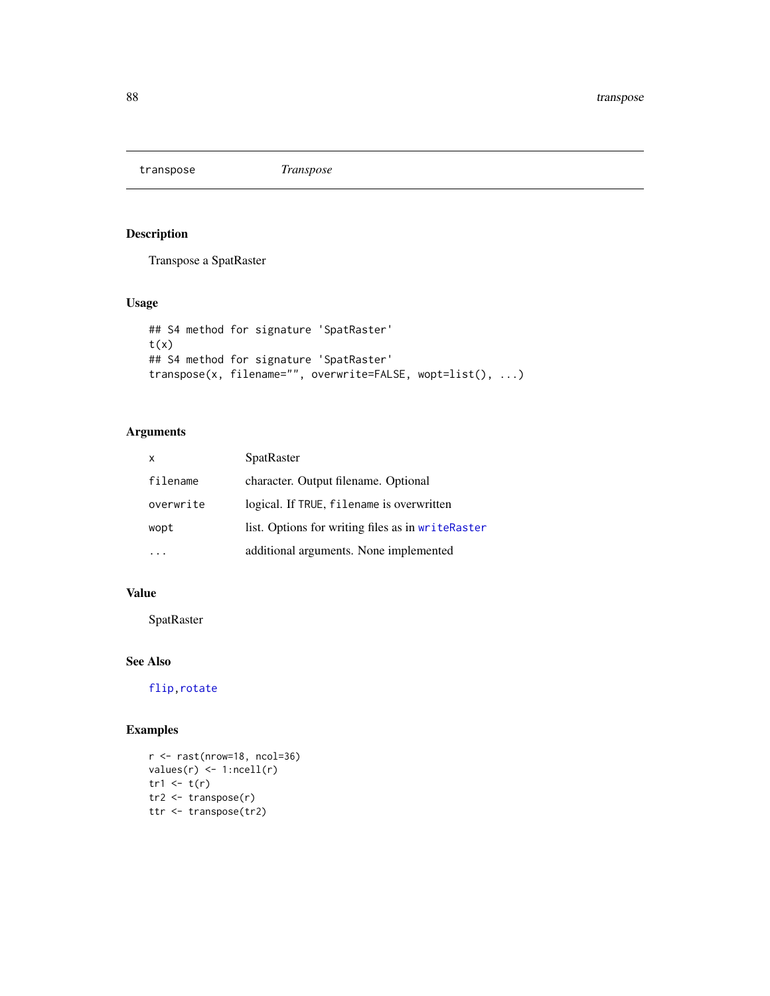<span id="page-87-0"></span>transpose *Transpose*

# Description

Transpose a SpatRaster

# Usage

```
## S4 method for signature 'SpatRaster'
t(x)## S4 method for signature 'SpatRaster'
transpose(x, filename="", overwrite=FALSE, wopt=list(), ...)
```
# Arguments

| x         | <b>SpatRaster</b>                                 |
|-----------|---------------------------------------------------|
| filename  | character. Output filename. Optional              |
| overwrite | logical. If TRUE, filename is overwritten         |
| wopt      | list. Options for writing files as in writeRaster |
|           | additional arguments. None implemented            |

# Value

SpatRaster

# See Also

[flip](#page-40-0)[,rotate](#page-74-0)

```
r \leftarrow \text{rast(nrow=18, ncol=36)}values(r) \leftarrow 1:neell(r)tr1 < -t(r)tr2 <- transpose(r)
ttr <- transpose(tr2)
```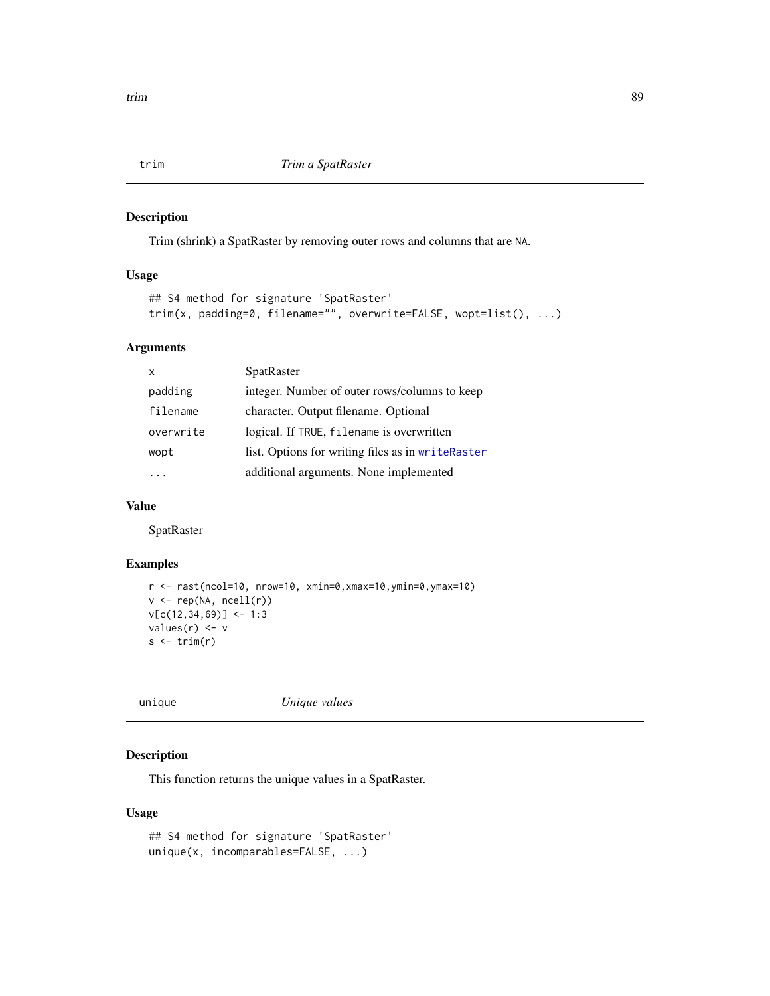<span id="page-88-0"></span>

Trim (shrink) a SpatRaster by removing outer rows and columns that are NA.

#### Usage

```
## S4 method for signature 'SpatRaster'
trim(x, padding=0, filename="", overwrite=FALSE, wopt=list(), ...)
```
#### Arguments

|           | SpatRaster                                        |
|-----------|---------------------------------------------------|
| padding   | integer. Number of outer rows/columns to keep     |
| filename  | character. Output filename. Optional              |
| overwrite | logical. If TRUE, filename is overwritten         |
| wopt      | list. Options for writing files as in writeRaster |
|           | additional arguments. None implemented            |

# Value

SpatRaster

#### Examples

```
r <- rast(ncol=10, nrow=10, xmin=0,xmax=10,ymin=0,ymax=10)
v \leftarrow \text{rep}(\text{NA}, \text{ncell}(r))v[c(12,34,69)] <- 1:3
values(r) <- v
s \leftarrow \text{trim}(r)
```
unique *Unique values*

# Description

This function returns the unique values in a SpatRaster.

#### Usage

```
## S4 method for signature 'SpatRaster'
unique(x, incomparables=FALSE, ...)
```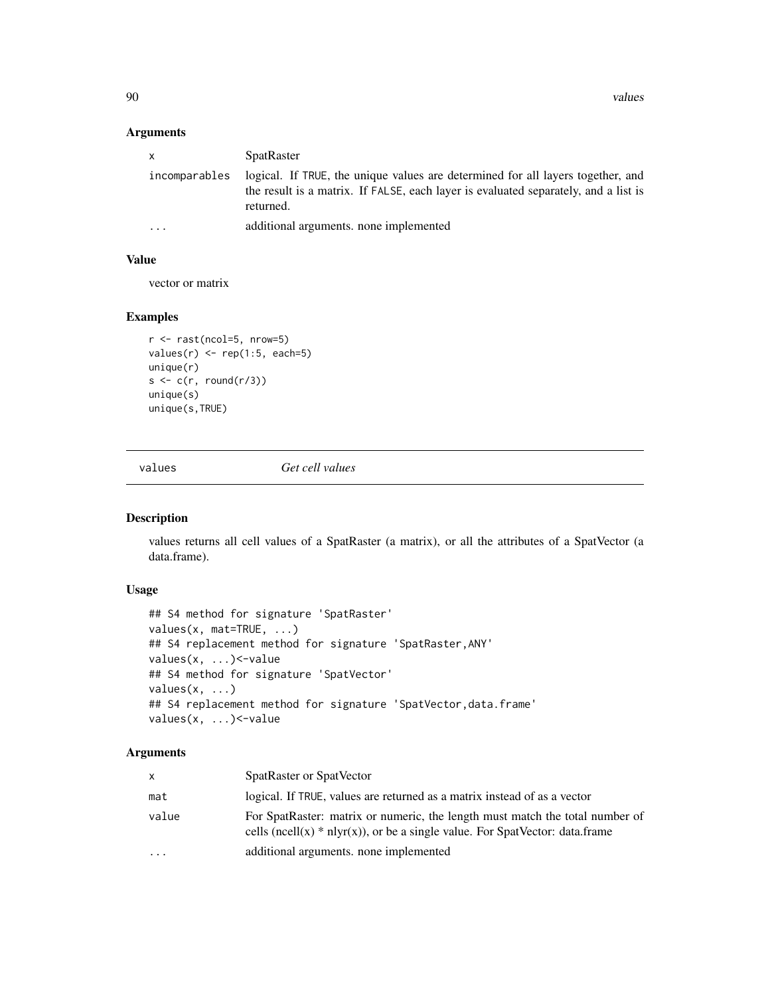90 values

#### Arguments

| $\mathsf{x}$            | <b>SpatRaster</b>                                                                                                                                                                   |
|-------------------------|-------------------------------------------------------------------------------------------------------------------------------------------------------------------------------------|
| incomparables           | logical. If TRUE, the unique values are determined for all layers together, and<br>the result is a matrix. If FALSE, each layer is evaluated separately, and a list is<br>returned. |
| $\cdot$ $\cdot$ $\cdot$ | additional arguments, none implemented                                                                                                                                              |

# Value

vector or matrix

# Examples

```
r <- rast(ncol=5, nrow=5)
values(r) \leq rep(1:5, each=5)unique(r)
s \leftarrow c(r, round(r/3))unique(s)
unique(s,TRUE)
```
<span id="page-89-0"></span>

values *Get cell values*

# Description

values returns all cell values of a SpatRaster (a matrix), or all the attributes of a SpatVector (a data.frame).

#### Usage

```
## S4 method for signature 'SpatRaster'
values(x, mat=TRUE, ...)
## S4 replacement method for signature 'SpatRaster,ANY'
values(x, ...)<-value
## S4 method for signature 'SpatVector'
values(x, ...)
## S4 replacement method for signature 'SpatVector,data.frame'
values(x, ...)<-value
```
#### Arguments

| X     | SpatRaster or SpatVector                                                                                                                                       |
|-------|----------------------------------------------------------------------------------------------------------------------------------------------------------------|
| mat   | logical. If TRUE, values are returned as a matrix instead of as a vector                                                                                       |
| value | For SpatRaster: matrix or numeric, the length must match the total number of<br>cells (ncell(x) $*$ nlyr(x)), or be a single value. For SpatVector: data.frame |
| .     | additional arguments, none implemented                                                                                                                         |

<span id="page-89-1"></span>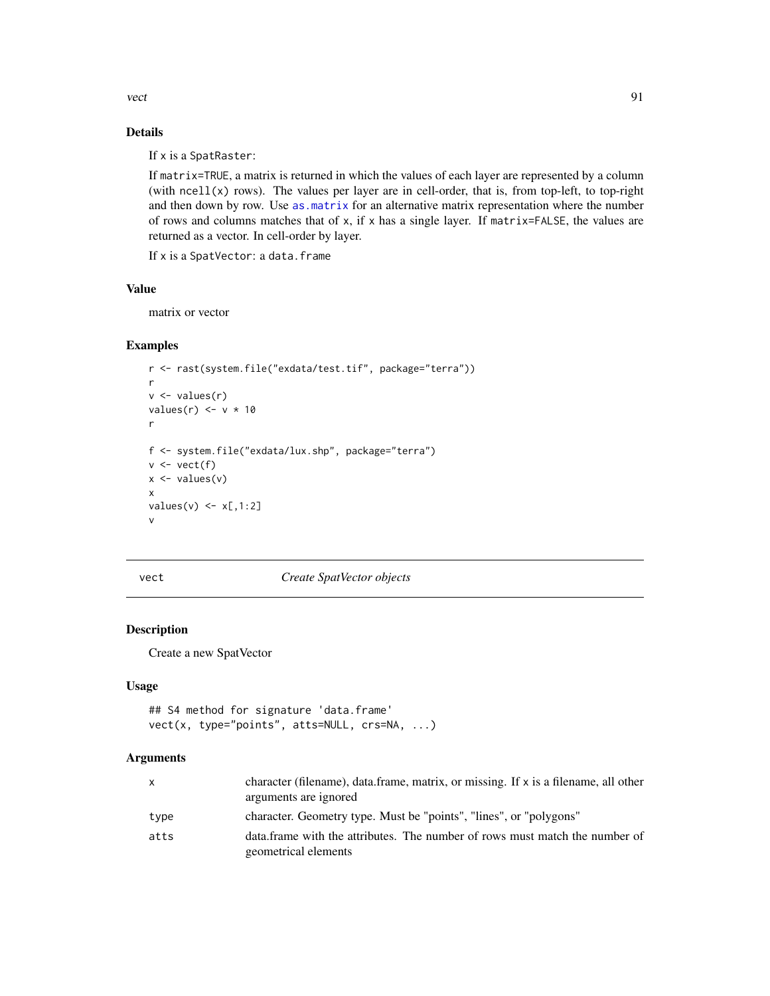<span id="page-90-1"></span>vect 91

# Details

If x is a SpatRaster:

If matrix=TRUE, a matrix is returned in which the values of each layer are represented by a column (with ncell(x) rows). The values per layer are in cell-order, that is, from top-left, to top-right and then down by row. Use [as.matrix](#page-23-0) for an alternative matrix representation where the number of rows and columns matches that of x, if x has a single layer. If matrix=FALSE, the values are returned as a vector. In cell-order by layer.

If x is a SpatVector: a data.frame

# Value

matrix or vector

# Examples

```
r <- rast(system.file("exdata/test.tif", package="terra"))
r
v <- values(r)
values(r) \leq v * 10r
f <- system.file("exdata/lux.shp", package="terra")
v \leftarrow \text{vect}(f)x \leftarrow values(v)
x
values(v) \leq x[,1:2]
v
```
<span id="page-90-0"></span>

#### vect *Create SpatVector objects*

# Description

Create a new SpatVector

#### Usage

```
## S4 method for signature 'data.frame'
vect(x, type="points", atts=NULL, crs=NA, ...)
```
#### Arguments

| $\mathsf{x}$ | character (filename), data.frame, matrix, or missing. If x is a filename, all other<br>arguments are ignored |
|--------------|--------------------------------------------------------------------------------------------------------------|
| type         | character. Geometry type. Must be "points", "lines", or "polygons"                                           |
| atts         | data. frame with the attributes. The number of rows must match the number of<br>geometrical elements         |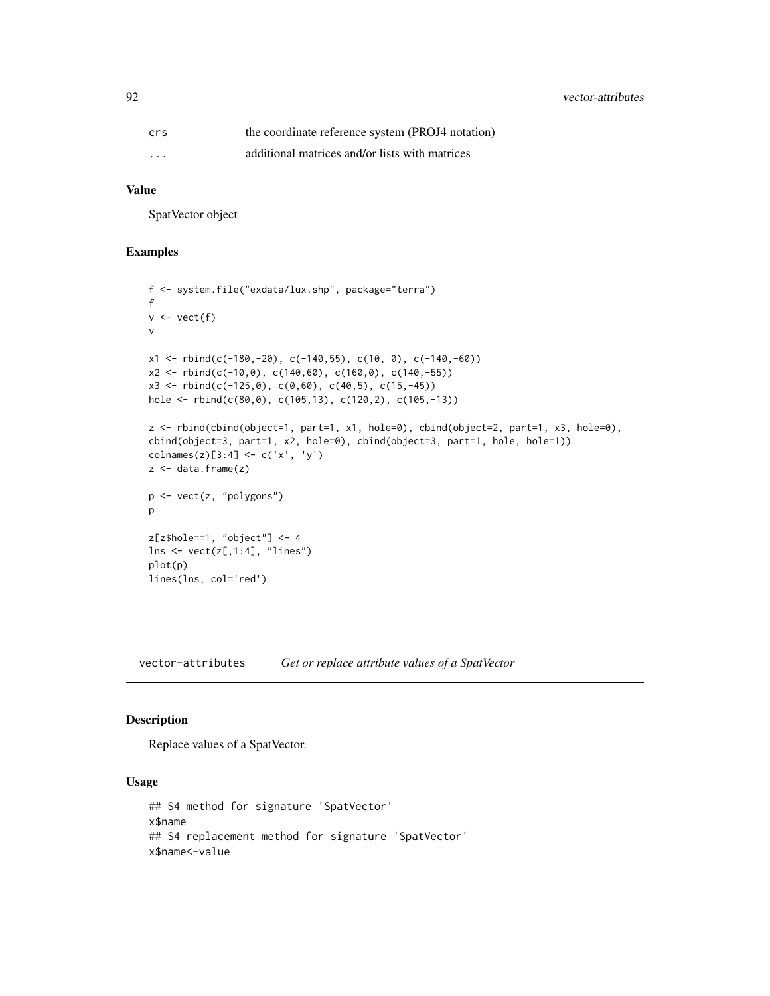<span id="page-91-0"></span>92 vector-attributes

| crs      | the coordinate reference system (PROJ4 notation) |
|----------|--------------------------------------------------|
| $\cdots$ | additional matrices and/or lists with matrices   |

# Value

SpatVector object

#### Examples

```
f <- system.file("exdata/lux.shp", package="terra")
f
v \leftarrow \text{vect}(f)v
x1 \leftarrow \text{rbind}(c(-180, -20), c(-140, 55), c(10, 0), c(-140, -60))x2 \le rbind(c(-10,0), c(140,60), c(160,0), c(140,-55))
x3 \le rbind(c(-125,0), c(0,60), c(40,5), c(15,-45))
hole <- rbind(c(80,0), c(105,13), c(120,2), c(105,-13))
z <- rbind(cbind(object=1, part=1, x1, hole=0), cbind(object=2, part=1, x3, hole=0),
cbind(object=3, part=1, x2, hole=0), cbind(object=3, part=1, hole, hole=1))
\text{colnames}(z)[3:4] \leftarrow \text{c('x', 'y')}z <- data.frame(z)
p <- vect(z, "polygons")
p
z[z$hole==1, "object"] <- 4
lns \leq vect(z[,1:4], "lines")
plot(p)
lines(lns, col='red')
```
vector-attributes *Get or replace attribute values of a SpatVector*

#### Description

Replace values of a SpatVector.

#### Usage

```
## S4 method for signature 'SpatVector'
x$name
## S4 replacement method for signature 'SpatVector'
x$name<-value
```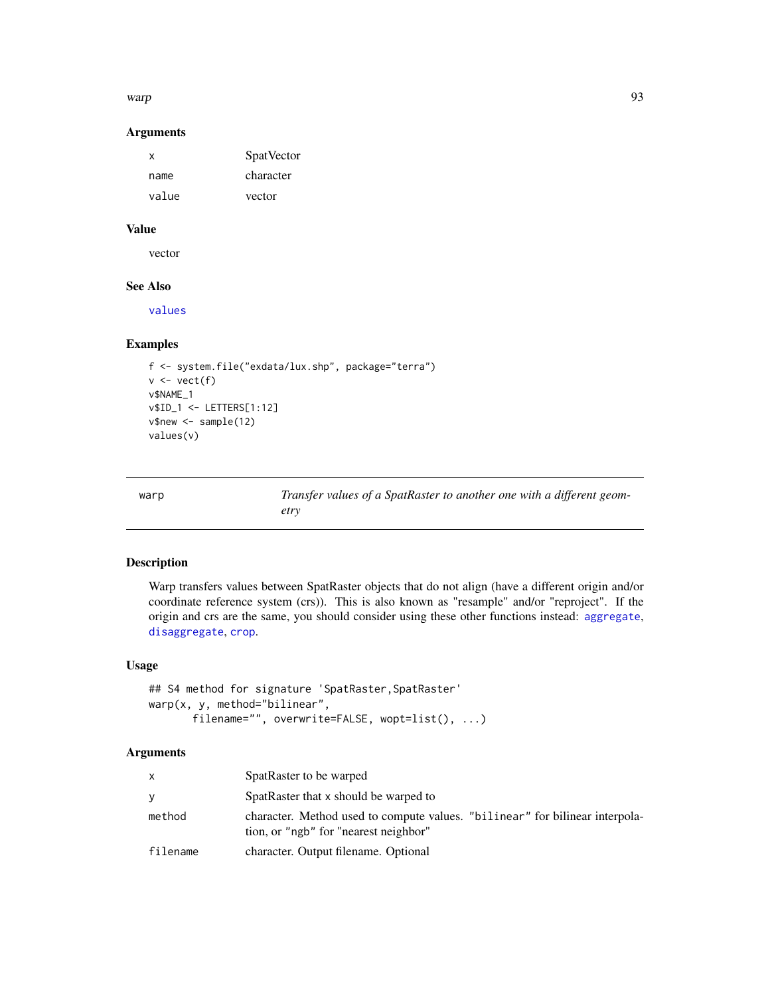<span id="page-92-0"></span>warp 93

#### Arguments

| x     | <b>SpatVector</b> |
|-------|-------------------|
| name  | character         |
| value | vector            |

# Value

vector

# See Also

[values](#page-89-0)

#### Examples

```
f <- system.file("exdata/lux.shp", package="terra")
v \leftarrow \text{vect}(f)v$NAME_1
v$ID_1 <- LETTERS[1:12]
v$new <- sample(12)
values(v)
```

| warp | Transfer values of a SpatRaster to another one with a different geom- |
|------|-----------------------------------------------------------------------|
|      | etry                                                                  |

# Description

Warp transfers values between SpatRaster objects that do not align (have a different origin and/or coordinate reference system (crs)). This is also known as "resample" and/or "reproject". If the origin and crs are the same, you should consider using these other functions instead: [aggregate](#page-10-0), [disaggregate](#page-32-0), [crop](#page-28-0).

#### Usage

```
## S4 method for signature 'SpatRaster, SpatRaster'
warp(x, y, method="bilinear",
       filename="", overwrite=FALSE, wopt=list(), ...)
```
#### Arguments

| $\mathsf{x}$ | SpatRaster to be warped                                                                                                |
|--------------|------------------------------------------------------------------------------------------------------------------------|
| <b>V</b>     | SpatRaster that x should be warped to                                                                                  |
| method       | character. Method used to compute values. "billinear" for bilinear interpola-<br>tion, or "ngb" for "nearest neighbor" |
| filename     | character. Output filename. Optional                                                                                   |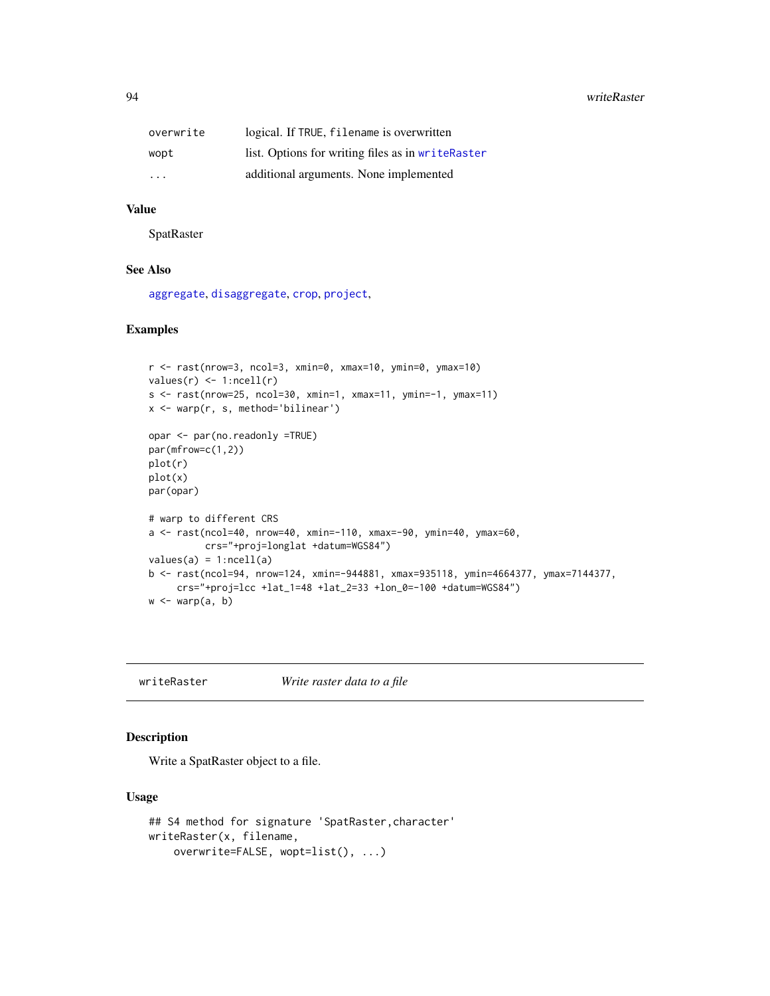<span id="page-93-1"></span>94 writeRaster

| overwrite | logical. If TRUE, filename is overwritten         |
|-----------|---------------------------------------------------|
| wopt      | list. Options for writing files as in writeRaster |
| .         | additional arguments. None implemented            |

#### Value

SpatRaster

# See Also

[aggregate](#page-10-0), [disaggregate](#page-32-0), [crop](#page-28-0), [project](#page-67-0),

# Examples

```
r <- rast(nrow=3, ncol=3, xmin=0, xmax=10, ymin=0, ymax=10)
values(r) \leftarrow 1:ncell(r)s <- rast(nrow=25, ncol=30, xmin=1, xmax=11, ymin=-1, ymax=11)
x <- warp(r, s, method='bilinear')
opar <- par(no.readonly =TRUE)
par(mfrow=c(1,2))
plot(r)
plot(x)
par(opar)
# warp to different CRS
a <- rast(ncol=40, nrow=40, xmin=-110, xmax=-90, ymin=40, ymax=60,
          crs="+proj=longlat +datum=WGS84")
values(a) = 1:ncell(a)b <- rast(ncol=94, nrow=124, xmin=-944881, xmax=935118, ymin=4664377, ymax=7144377,
     crs="+proj=lcc +lat_1=48 +lat_2=33 +lon_0=-100 +datum=WGS84")
w \leftarrow \text{warp}(a, b)
```
<span id="page-93-0"></span>writeRaster *Write raster data to a file*

#### Description

Write a SpatRaster object to a file.

#### Usage

```
## S4 method for signature 'SpatRaster,character'
writeRaster(x, filename,
   overwrite=FALSE, wopt=list(), ...)
```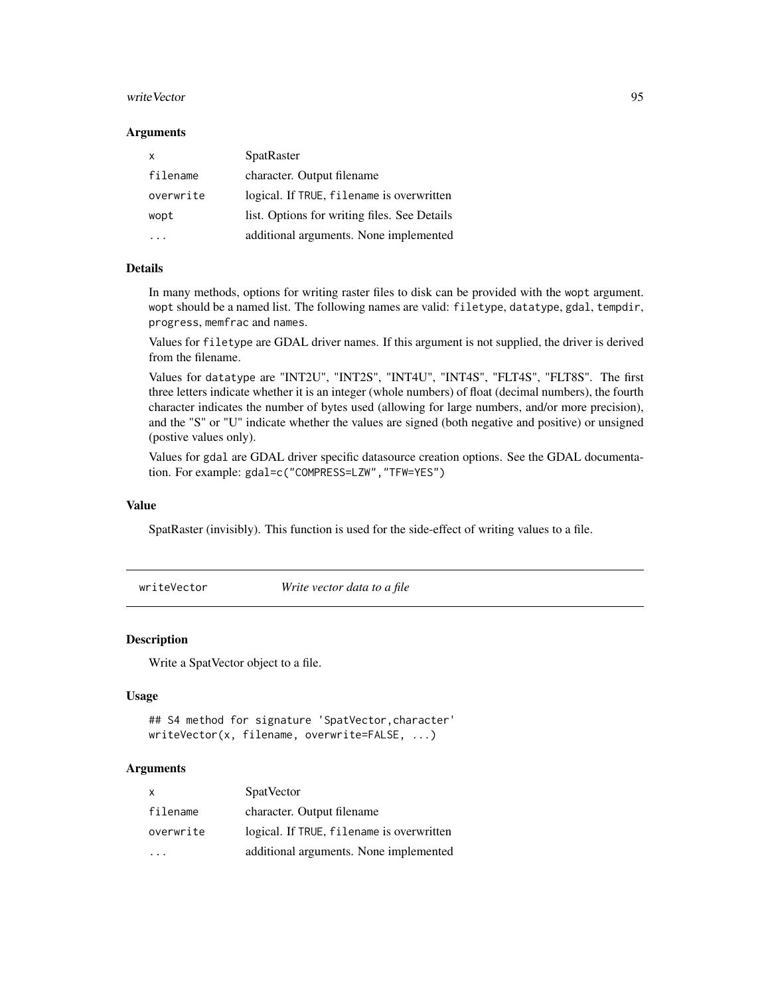#### <span id="page-94-0"></span>writeVector 95

#### **Arguments**

| x         | SpatRaster                                   |
|-----------|----------------------------------------------|
| filename  | character. Output filename                   |
| overwrite | logical. If TRUE, filename is overwritten    |
| wopt      | list. Options for writing files. See Details |
|           | additional arguments. None implemented       |

#### Details

In many methods, options for writing raster files to disk can be provided with the wopt argument. wopt should be a named list. The following names are valid: filetype, datatype, gdal, tempdir, progress, memfrac and names.

Values for filetype are GDAL driver names. If this argument is not supplied, the driver is derived from the filename.

Values for datatype are "INT2U", "INT2S", "INT4U", "INT4S", "FLT4S", "FLT8S". The first three letters indicate whether it is an integer (whole numbers) of float (decimal numbers), the fourth character indicates the number of bytes used (allowing for large numbers, and/or more precision), and the "S" or "U" indicate whether the values are signed (both negative and positive) or unsigned (postive values only).

Values for gdal are GDAL driver specific datasource creation options. See the GDAL documentation. For example: gdal=c("COMPRESS=LZW","TFW=YES")

#### Value

SpatRaster (invisibly). This function is used for the side-effect of writing values to a file.

writeVector *Write vector data to a file*

#### Description

Write a SpatVector object to a file.

#### Usage

```
## S4 method for signature 'SpatVector,character'
writeVector(x, filename, overwrite=FALSE, ...)
```
#### Arguments

| X         | <b>SpatVector</b>                         |
|-----------|-------------------------------------------|
| filename  | character. Output filename                |
| overwrite | logical. If TRUE, filename is overwritten |
|           | additional arguments. None implemented    |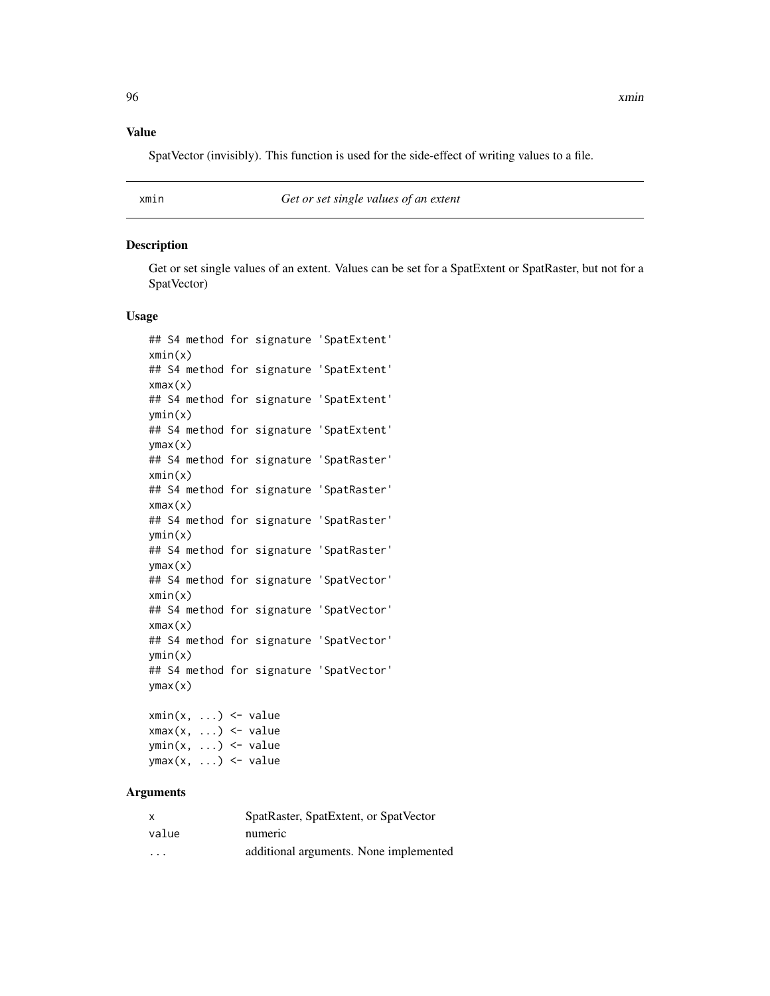# <span id="page-95-0"></span>Value

SpatVector (invisibly). This function is used for the side-effect of writing values to a file.

xmin *Get or set single values of an extent*

#### **Description**

Get or set single values of an extent. Values can be set for a SpatExtent or SpatRaster, but not for a SpatVector)

#### Usage

## S4 method for signature 'SpatExtent' xmin(x) ## S4 method for signature 'SpatExtent' xmax(x) ## S4 method for signature 'SpatExtent' ymin(x) ## S4 method for signature 'SpatExtent' ymax(x) ## S4 method for signature 'SpatRaster' xmin(x) ## S4 method for signature 'SpatRaster' xmax(x) ## S4 method for signature 'SpatRaster' ymin(x) ## S4 method for signature 'SpatRaster' ymax(x) ## S4 method for signature 'SpatVector' xmin(x) ## S4 method for signature 'SpatVector' xmax(x) ## S4 method for signature 'SpatVector' ymin(x) ## S4 method for signature 'SpatVector' ymax(x)

 $xmin(x, ...) \leftarrow value$  $xmax(x, ...) \le -$  value  $ymin(x, \ldots) \leq y$  value  $ymax(x, ...)$  <- value

#### Arguments

| X       | SpatRaster, SpatExtent, or SpatVector  |
|---------|----------------------------------------|
| value   | numeric                                |
| $\cdot$ | additional arguments. None implemented |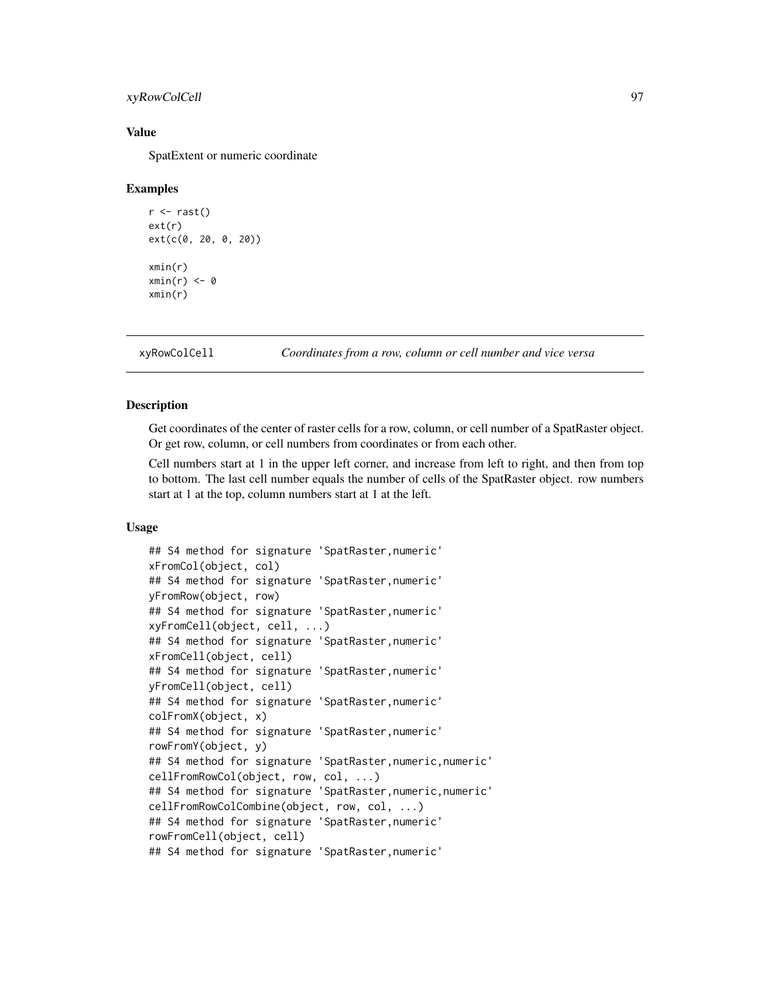### <span id="page-96-0"></span>xyRowColCell 97

# Value

SpatExtent or numeric coordinate

#### Examples

```
r \leftarrow \text{rast}()ext(r)
ext(c(0, 20, 0, 20))
xmin(r)
xmin(r) < -0xmin(r)
```
xyRowColCell *Coordinates from a row, column or cell number and vice versa*

#### Description

Get coordinates of the center of raster cells for a row, column, or cell number of a SpatRaster object. Or get row, column, or cell numbers from coordinates or from each other.

Cell numbers start at 1 in the upper left corner, and increase from left to right, and then from top to bottom. The last cell number equals the number of cells of the SpatRaster object. row numbers start at 1 at the top, column numbers start at 1 at the left.

#### Usage

```
## S4 method for signature 'SpatRaster,numeric'
xFromCol(object, col)
## S4 method for signature 'SpatRaster,numeric'
yFromRow(object, row)
## S4 method for signature 'SpatRaster,numeric'
xyFromCell(object, cell, ...)
## S4 method for signature 'SpatRaster,numeric'
xFromCell(object, cell)
## S4 method for signature 'SpatRaster,numeric'
yFromCell(object, cell)
## S4 method for signature 'SpatRaster,numeric'
colFromX(object, x)
## S4 method for signature 'SpatRaster,numeric'
rowFromY(object, y)
## S4 method for signature 'SpatRaster,numeric,numeric'
cellFromRowCol(object, row, col, ...)
## S4 method for signature 'SpatRaster,numeric,numeric'
cellFromRowColCombine(object, row, col, ...)
## S4 method for signature 'SpatRaster,numeric'
rowFromCell(object, cell)
## S4 method for signature 'SpatRaster,numeric'
```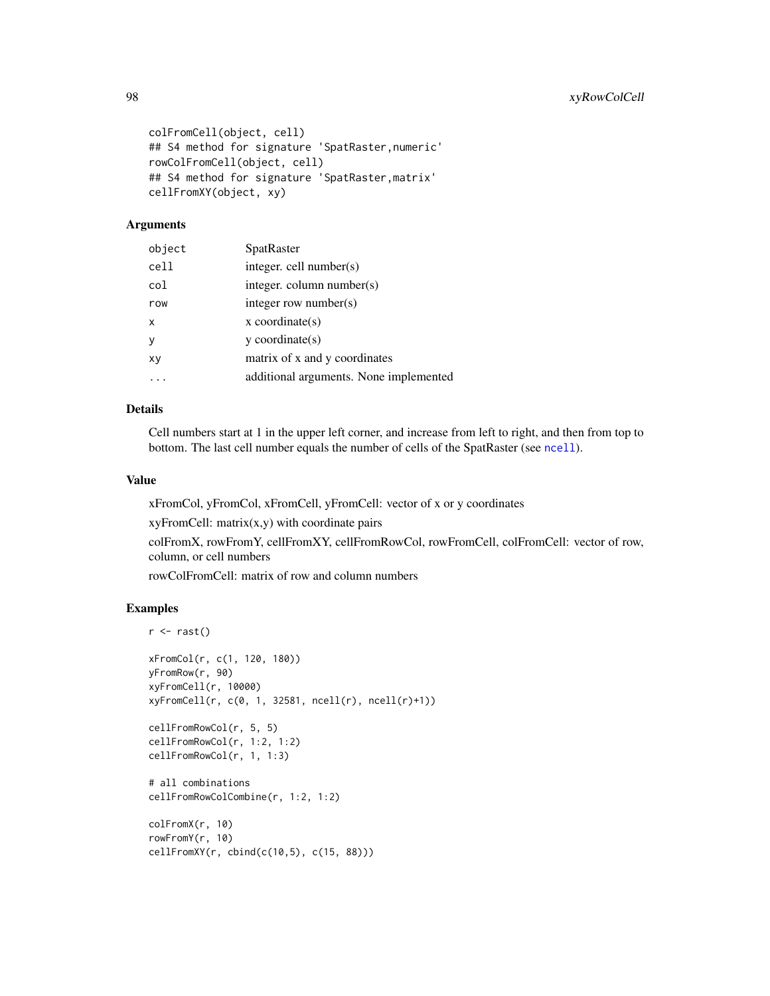```
colFromCell(object, cell)
## S4 method for signature 'SpatRaster,numeric'
rowColFromCell(object, cell)
## S4 method for signature 'SpatRaster,matrix'
cellFromXY(object, xy)
```
#### Arguments

| object | SpatRaster                             |
|--------|----------------------------------------|
| cell   | integer. cell number(s)                |
| col    | integer. column number(s)              |
| row    | integer row number(s)                  |
| X      | $x$ coordinate(s)                      |
| У      | $v$ coordinate(s)                      |
| XV     | matrix of x and y coordinates          |
|        | additional arguments. None implemented |

# Details

Cell numbers start at 1 in the upper left corner, and increase from left to right, and then from top to bottom. The last cell number equals the number of cells of the SpatRaster (see [ncell](#page-30-0)).

#### Value

xFromCol, yFromCol, xFromCell, yFromCell: vector of x or y coordinates

 $xyFromCell: matrix(x,y)$  with coordinate pairs

colFromX, rowFromY, cellFromXY, cellFromRowCol, rowFromCell, colFromCell: vector of row, column, or cell numbers

rowColFromCell: matrix of row and column numbers

```
r \leftarrow \text{rast}()xFromCol(r, c(1, 120, 180))
yFromRow(r, 90)
xyFromCell(r, 10000)
xyFromCell(r, c(0, 1, 32581, ncell(r), ncell(r)+1))
cellFromRowCol(r, 5, 5)
cellFromRowCol(r, 1:2, 1:2)
cellFromRowCol(r, 1, 1:3)
# all combinations
cellFromRowColCombine(r, 1:2, 1:2)
colFromX(r, 10)
rowFromY(r, 10)
cellFromXY(r, cbind(c(10,5), c(15, 88)))
```
<span id="page-97-0"></span>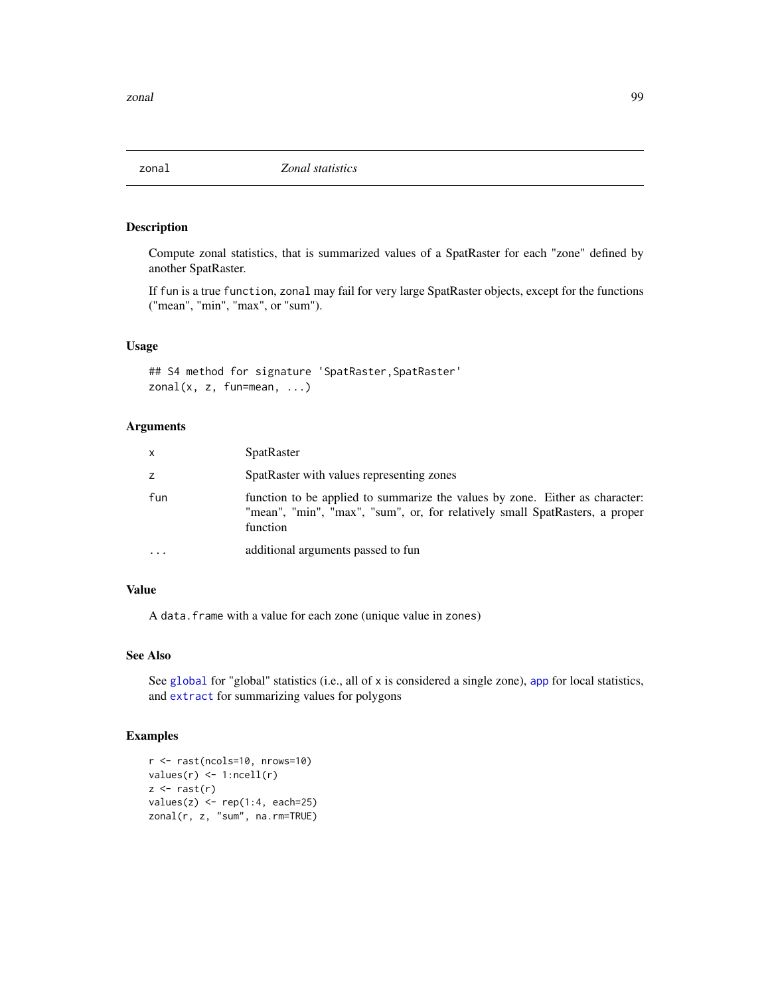<span id="page-98-0"></span>

Compute zonal statistics, that is summarized values of a SpatRaster for each "zone" defined by another SpatRaster.

If fun is a true function, zonal may fail for very large SpatRaster objects, except for the functions ("mean", "min", "max", or "sum").

# Usage

## S4 method for signature 'SpatRaster, SpatRaster'  $zonal(x, z, fun=mean, ...)$ 

#### Arguments

| $\mathsf{x}$ | <b>SpatRaster</b>                                                                                                                                                       |
|--------------|-------------------------------------------------------------------------------------------------------------------------------------------------------------------------|
| z            | SpatRaster with values representing zones                                                                                                                               |
| fun          | function to be applied to summarize the values by zone. Either as character:<br>"mean", "min", "max", "sum", or, for relatively small SpatRasters, a proper<br>function |
| $\cdots$     | additional arguments passed to fun                                                                                                                                      |

#### Value

A data.frame with a value for each zone (unique value in zones)

# See Also

See [global](#page-45-0) for "global" statistics (i.e., all of x is considered a single zone), [app](#page-13-0) for local statistics, and [extract](#page-38-0) for summarizing values for polygons

```
r <- rast(ncols=10, nrows=10)
values(r) <- 1:ncell(r)
z \leftarrow \text{rast}(r)values(z) \leq rep(1:4, each=25)zonal(r, z, "sum", na.rm=TRUE)
```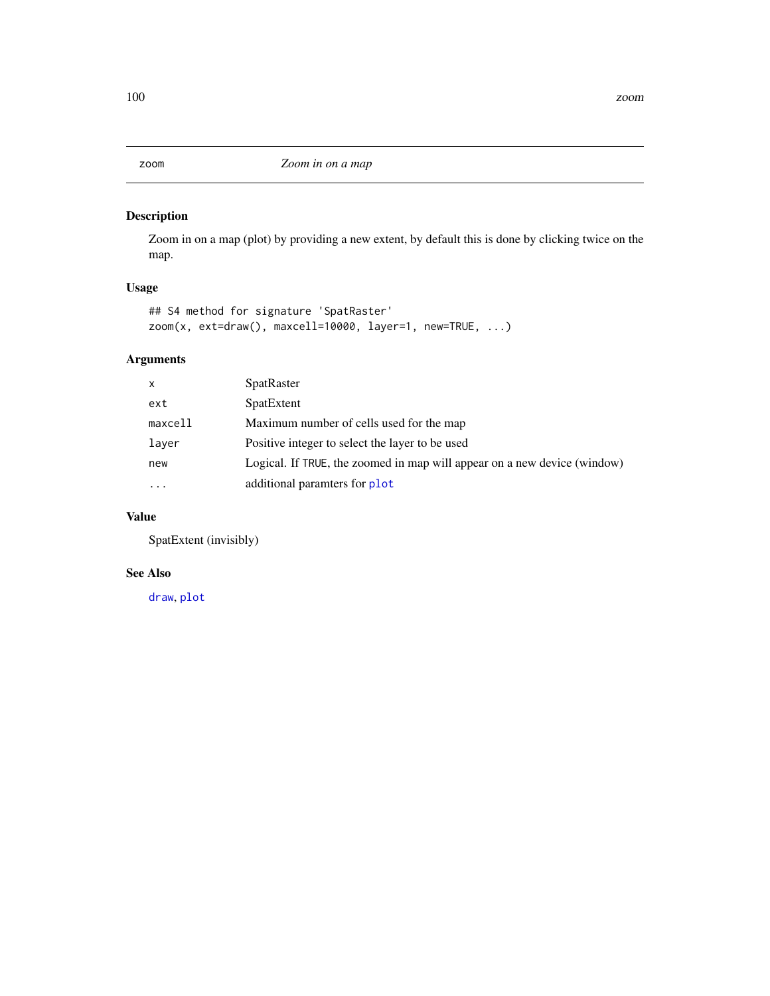<span id="page-99-0"></span>Zoom in on a map (plot) by providing a new extent, by default this is done by clicking twice on the map.

# Usage

```
## S4 method for signature 'SpatRaster'
zoom(x, ext=draw(), maxcell=10000, layer=1, new=TRUE, ...)
```
# Arguments

| $\mathsf{x}$ | <b>SpatRaster</b>                                                        |
|--------------|--------------------------------------------------------------------------|
| ext          | SpatExtent                                                               |
| maxcell      | Maximum number of cells used for the map                                 |
| laver        | Positive integer to select the layer to be used                          |
| new          | Logical. If TRUE, the zoomed in map will appear on a new device (window) |
| $\cdots$     | additional paramters for plot                                            |

# Value

SpatExtent (invisibly)

#### See Also

[draw](#page-35-0), [plot](#page-61-0)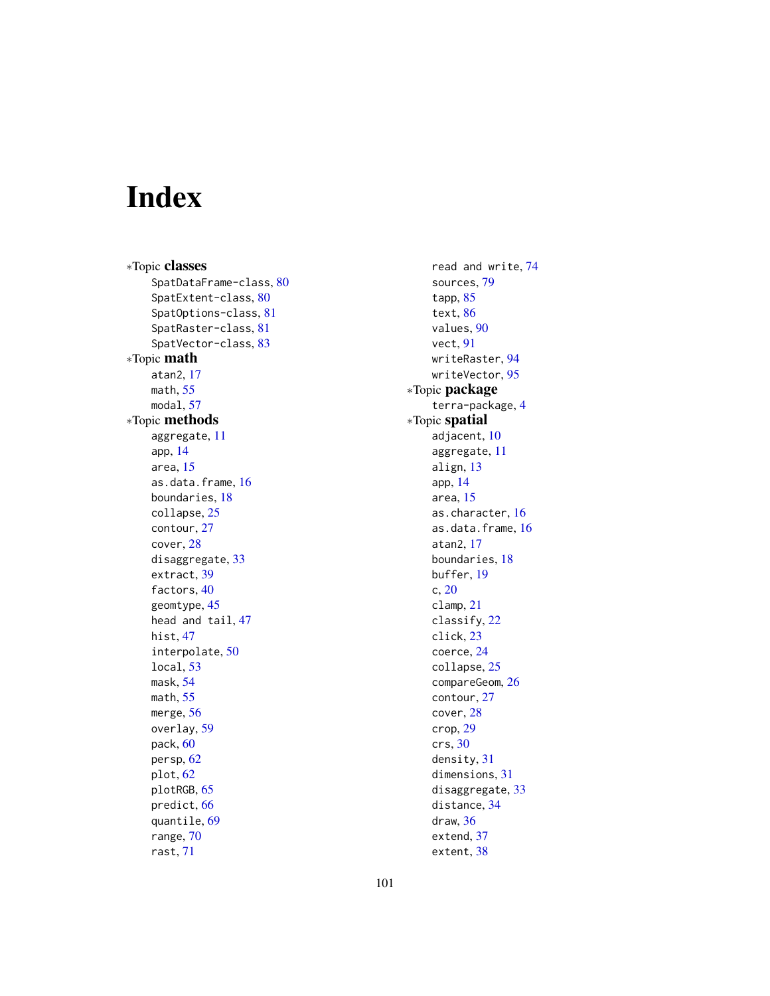# Index

∗Topic classes SpatDataFrame-class, [80](#page-79-0) SpatExtent-class, [80](#page-79-0) SpatOptions-class, [81](#page-80-0) SpatRaster-class, [81](#page-80-0) SpatVector-class, [83](#page-82-0) ∗Topic math atan2, [17](#page-16-0) math, [55](#page-54-0) modal, [57](#page-56-0) ∗Topic methods aggregate, [11](#page-10-1) app, [14](#page-13-1) area, [15](#page-14-0) as.data.frame, [16](#page-15-0) boundaries, [18](#page-17-0) collapse, [25](#page-24-0) contour, [27](#page-26-0) cover, [28](#page-27-0) disaggregate, [33](#page-32-1) extract, [39](#page-38-1) factors, [40](#page-39-0) geomtype, [45](#page-44-0) head and tail, [47](#page-46-0) hist, [47](#page-46-0) interpolate, [50](#page-49-0) local, [53](#page-52-1) mask, [54](#page-53-0) math, [55](#page-54-0) merge, [56](#page-55-0) overlay, [59](#page-58-0) pack, [60](#page-59-0) persp, [62](#page-61-1) plot, [62](#page-61-1) plotRGB, [65](#page-64-0) predict, [66](#page-65-0) quantile, [69](#page-68-0) range, [70](#page-69-0) rast, [71](#page-70-1)

read and write, [74](#page-73-0) sources, [79](#page-78-0) tapp, [85](#page-84-0) text, [86](#page-85-1) values, [90](#page-89-1) vect, [91](#page-90-1) writeRaster, [94](#page-93-1) writeVector, [95](#page-94-0) ∗Topic package terra-package, [4](#page-3-0) ∗Topic spatial adjacent, [10](#page-9-0) aggregate, [11](#page-10-1) align, [13](#page-12-0) app, [14](#page-13-1) area, [15](#page-14-0) as.character, [16](#page-15-0) as.data.frame, [16](#page-15-0) atan2, [17](#page-16-0) boundaries, [18](#page-17-0) buffer, [19](#page-18-0) c, [20](#page-19-0) clamp, [21](#page-20-0) classify, [22](#page-21-0) click, [23](#page-22-1) coerce, [24](#page-23-1) collapse, [25](#page-24-0) compareGeom, [26](#page-25-0) contour, [27](#page-26-0) cover, [28](#page-27-0) crop, [29](#page-28-1) crs, [30](#page-29-0) density, [31](#page-30-1) dimensions, [31](#page-30-1) disaggregate, [33](#page-32-1) distance, [34](#page-33-0) draw, [36](#page-35-1) extend, [37](#page-36-0) extent, [38](#page-37-1)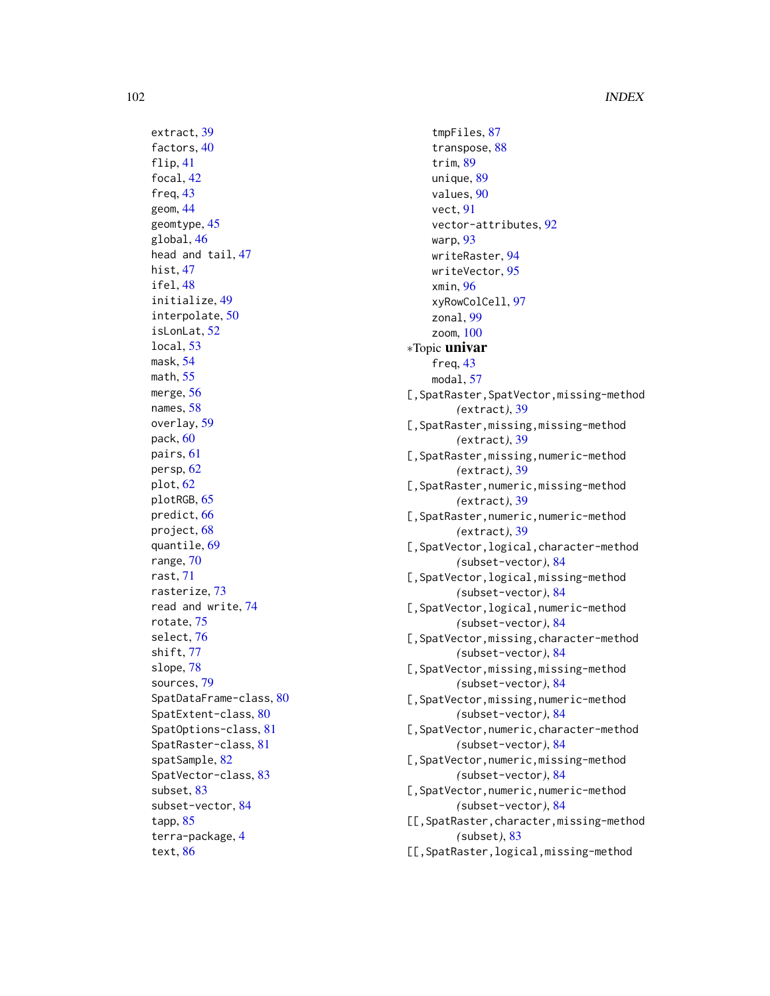extract, [39](#page-38-1) factors, [40](#page-39-0) flip, [41](#page-40-1) focal, [42](#page-41-0) freq, [43](#page-42-0) geom, [44](#page-43-0) geomtype, [45](#page-44-0) global, [46](#page-45-1) head and tail, [47](#page-46-0) hist, [47](#page-46-0) ifel, [48](#page-47-0) initialize, [49](#page-48-0) interpolate, [50](#page-49-0) isLonLat, [52](#page-51-0) local, [53](#page-52-1) mask, [54](#page-53-0) math, [55](#page-54-0) merge, [56](#page-55-0) names, [58](#page-57-0) overlay, [59](#page-58-0) pack, [60](#page-59-0) pairs, [61](#page-60-0) persp, [62](#page-61-1) plot, [62](#page-61-1) plotRGB, [65](#page-64-0) predict, [66](#page-65-0) project, [68](#page-67-1) quantile, [69](#page-68-0) range, [70](#page-69-0) rast, [71](#page-70-1) rasterize, [73](#page-72-0) read and write, [74](#page-73-0) rotate, [75](#page-74-1) select, [76](#page-75-0) shift, [77](#page-76-0) slope, [78](#page-77-0) sources, [79](#page-78-0) SpatDataFrame-class, [80](#page-79-0) SpatExtent-class, [80](#page-79-0) SpatOptions-class, [81](#page-80-0) SpatRaster-class, [81](#page-80-0) spatSample, [82](#page-81-0) SpatVector-class, [83](#page-82-0) subset, [83](#page-82-0) subset-vector, [84](#page-83-0) tapp, [85](#page-84-0) terra-package, [4](#page-3-0) text, [86](#page-85-1)

tmpFiles, [87](#page-86-0) transpose, [88](#page-87-0) trim, [89](#page-88-0) unique, [89](#page-88-0) values, [90](#page-89-1) vect, [91](#page-90-1) vector-attributes, [92](#page-91-0) warp, [93](#page-92-0) writeRaster, [94](#page-93-1) writeVector, [95](#page-94-0) xmin, [96](#page-95-0) xyRowColCell, [97](#page-96-0) zonal, [99](#page-98-0) zoom, [100](#page-99-0) ∗Topic univar freq, [43](#page-42-0) modal, [57](#page-56-0) [,SpatRaster,SpatVector,missing-method *(*extract*)*, [39](#page-38-1) [,SpatRaster,missing,missing-method *(*extract*)*, [39](#page-38-1) [,SpatRaster,missing,numeric-method *(*extract*)*, [39](#page-38-1) [,SpatRaster,numeric,missing-method *(*extract*)*, [39](#page-38-1) [,SpatRaster,numeric,numeric-method *(*extract*)*, [39](#page-38-1) [,SpatVector,logical,character-method *(*subset-vector*)*, [84](#page-83-0) [, SpatVector, logical, missing-method *(*subset-vector*)*, [84](#page-83-0) [,SpatVector,logical,numeric-method *(*subset-vector*)*, [84](#page-83-0) [,SpatVector,missing,character-method *(*subset-vector*)*, [84](#page-83-0) [,SpatVector,missing,missing-method *(*subset-vector*)*, [84](#page-83-0) [,SpatVector,missing,numeric-method *(*subset-vector*)*, [84](#page-83-0) [,SpatVector,numeric,character-method *(*subset-vector*)*, [84](#page-83-0) [,SpatVector,numeric,missing-method *(*subset-vector*)*, [84](#page-83-0) [,SpatVector,numeric,numeric-method *(*subset-vector*)*, [84](#page-83-0) [[,SpatRaster,character,missing-method *(*subset*)*, [83](#page-82-0) [[,SpatRaster,logical,missing-method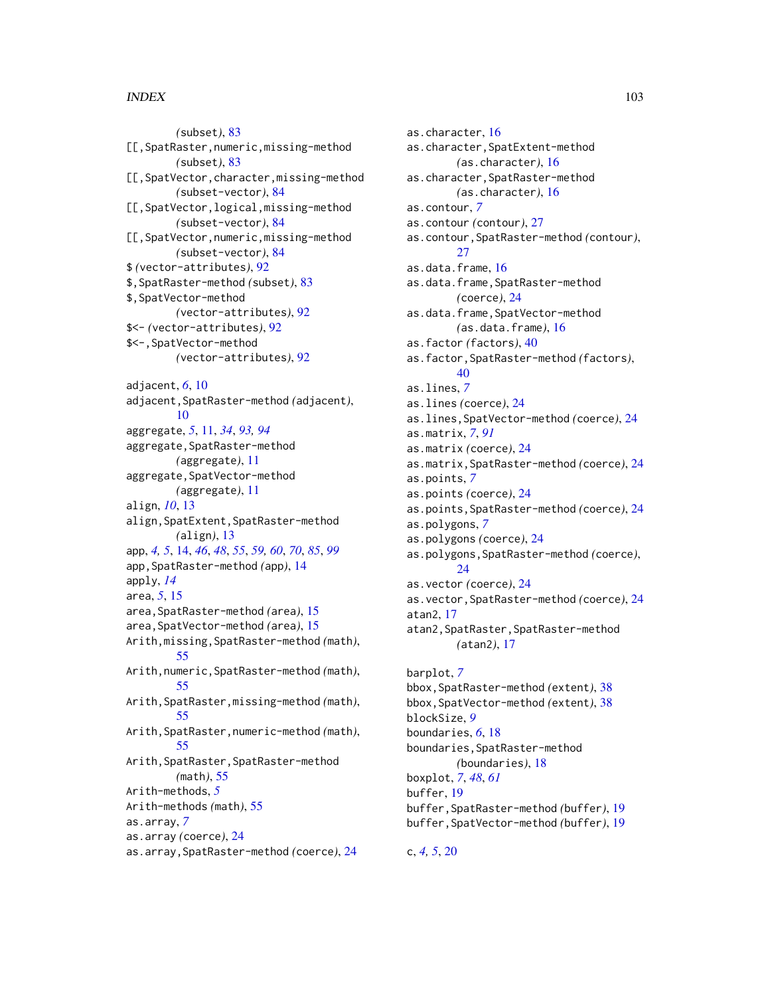#### INDEX  $103$

*(*subset*)*, [83](#page-82-0) [[,SpatRaster,numeric,missing-method *(*subset*)*, [83](#page-82-0) [[,SpatVector,character,missing-method *(*subset-vector*)*, [84](#page-83-0) [[,SpatVector,logical,missing-method *(*subset-vector*)*, [84](#page-83-0) [[,SpatVector,numeric,missing-method *(*subset-vector*)*, [84](#page-83-0) \$ *(*vector-attributes*)*, [92](#page-91-0) \$,SpatRaster-method *(*subset*)*, [83](#page-82-0) \$,SpatVector-method *(*vector-attributes*)*, [92](#page-91-0) \$<- *(*vector-attributes*)*, [92](#page-91-0) \$<-,SpatVector-method *(*vector-attributes*)*, [92](#page-91-0) adjacent, *[6](#page-5-0)*, [10](#page-9-0) adjacent,SpatRaster-method *(*adjacent*)*, [10](#page-9-0) aggregate, *[5](#page-4-0)*, [11,](#page-10-1) *[34](#page-33-0)*, *[93,](#page-92-0) [94](#page-93-1)* aggregate, SpatRaster-method *(*aggregate*)*, [11](#page-10-1) aggregate,SpatVector-method *(*aggregate*)*, [11](#page-10-1) align, *[10](#page-9-0)*, [13](#page-12-0) align,SpatExtent,SpatRaster-method *(*align*)*, [13](#page-12-0) app, *[4,](#page-3-0) [5](#page-4-0)*, [14,](#page-13-1) *[46](#page-45-1)*, *[48](#page-47-0)*, *[55](#page-54-0)*, *[59,](#page-58-0) [60](#page-59-0)*, *[70](#page-69-0)*, *[85](#page-84-0)*, *[99](#page-98-0)* app,SpatRaster-method *(*app*)*, [14](#page-13-1) apply, *[14](#page-13-1)* area, *[5](#page-4-0)*, [15](#page-14-0) area,SpatRaster-method *(*area*)*, [15](#page-14-0) area,SpatVector-method *(*area*)*, [15](#page-14-0) Arith,missing,SpatRaster-method *(*math*)*, [55](#page-54-0) Arith,numeric,SpatRaster-method *(*math*)*, [55](#page-54-0) Arith,SpatRaster,missing-method *(*math*)*, [55](#page-54-0) Arith,SpatRaster,numeric-method *(*math*)*, [55](#page-54-0) Arith,SpatRaster,SpatRaster-method *(*math*)*, [55](#page-54-0) Arith-methods, *[5](#page-4-0)* Arith-methods *(*math*)*, [55](#page-54-0) as.array, *[7](#page-6-0)* as.array *(*coerce*)*, [24](#page-23-1) as.array,SpatRaster-method *(*coerce*)*, [24](#page-23-1)

as.character, [16](#page-15-0) as.character,SpatExtent-method *(*as.character*)*, [16](#page-15-0) as.character,SpatRaster-method *(*as.character*)*, [16](#page-15-0) as.contour, *[7](#page-6-0)* as.contour *(*contour*)*, [27](#page-26-0) as.contour,SpatRaster-method *(*contour*)*, [27](#page-26-0) as.data.frame, [16](#page-15-0) as.data.frame,SpatRaster-method *(*coerce*)*, [24](#page-23-1) as.data.frame,SpatVector-method *(*as.data.frame*)*, [16](#page-15-0) as.factor *(*factors*)*, [40](#page-39-0) as.factor,SpatRaster-method *(*factors*)*, [40](#page-39-0) as.lines, *[7](#page-6-0)* as.lines *(*coerce*)*, [24](#page-23-1) as.lines,SpatVector-method *(*coerce*)*, [24](#page-23-1) as.matrix, *[7](#page-6-0)*, *[91](#page-90-1)* as.matrix *(*coerce*)*, [24](#page-23-1) as.matrix,SpatRaster-method *(*coerce*)*, [24](#page-23-1) as.points, *[7](#page-6-0)* as.points *(*coerce*)*, [24](#page-23-1) as.points,SpatRaster-method *(*coerce*)*, [24](#page-23-1) as.polygons, *[7](#page-6-0)* as.polygons *(*coerce*)*, [24](#page-23-1) as.polygons,SpatRaster-method *(*coerce*)*, [24](#page-23-1) as.vector *(*coerce*)*, [24](#page-23-1) as.vector,SpatRaster-method *(*coerce*)*, [24](#page-23-1) atan2, [17](#page-16-0) atan2,SpatRaster,SpatRaster-method *(*atan2*)*, [17](#page-16-0) barplot, *[7](#page-6-0)* bbox,SpatRaster-method *(*extent*)*, [38](#page-37-1) bbox,SpatVector-method *(*extent*)*, [38](#page-37-1) blockSize, *[9](#page-8-0)* boundaries, *[6](#page-5-0)*, [18](#page-17-0) boundaries,SpatRaster-method *(*boundaries*)*, [18](#page-17-0) boxplot, *[7](#page-6-0)*, *[48](#page-47-0)*, *[61](#page-60-0)* buffer, [19](#page-18-0) buffer,SpatRaster-method *(*buffer*)*, [19](#page-18-0)

buffer,SpatVector-method *(*buffer*)*, [19](#page-18-0)

c, *[4,](#page-3-0) [5](#page-4-0)*, [20](#page-19-0)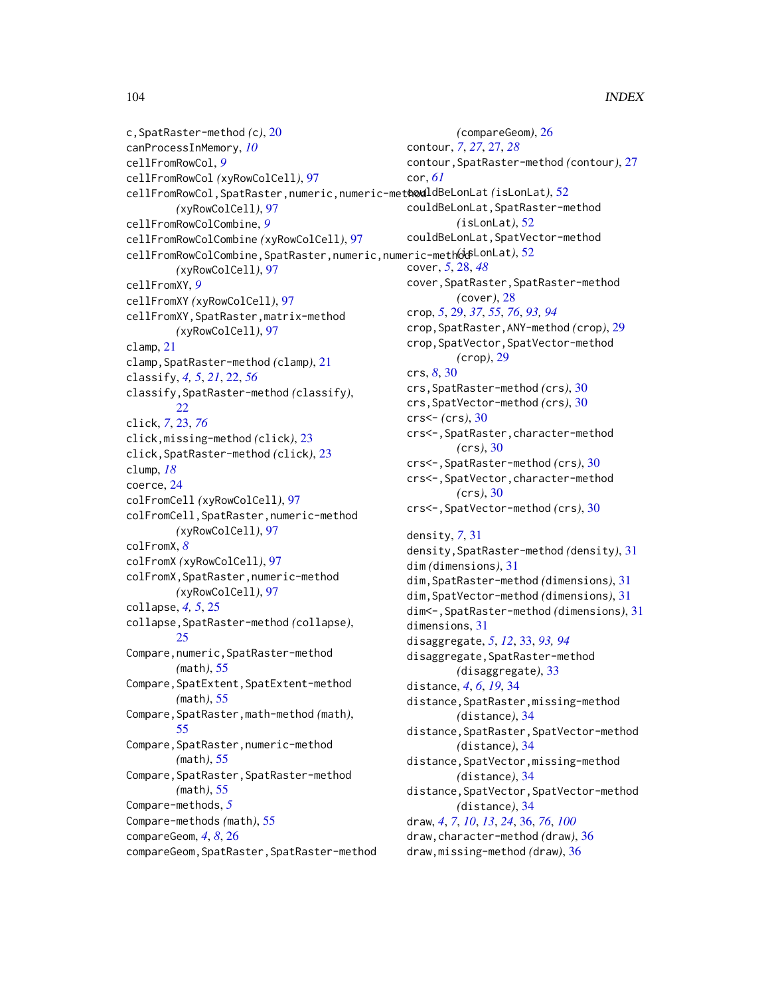c,SpatRaster-method *(*c*)*, [20](#page-19-0) canProcessInMemory, *[10](#page-9-0)* cellFromRowCol, *[9](#page-8-0)* cellFromRowCol *(*xyRowColCell*)*, [97](#page-96-0) cellFromRowCol,SpatRaster,numeric,numeric-method couldBeLonLat *(*isLonLat*)*, [52](#page-51-0) *(*xyRowColCell*)*, [97](#page-96-0) cellFromRowColCombine, *[9](#page-8-0)* cellFromRowColCombine *(*xyRowColCell*)*, [97](#page-96-0) cellFromRowColCombine,SpatRaster,numeric,numeric-method *(*isLonLat*)*, [52](#page-51-0) *(*xyRowColCell*)*, [97](#page-96-0) cellFromXY, *[9](#page-8-0)* cellFromXY *(*xyRowColCell*)*, [97](#page-96-0) cellFromXY, SpatRaster, matrix-method *(*xyRowColCell*)*, [97](#page-96-0) clamp, [21](#page-20-0) clamp,SpatRaster-method *(*clamp*)*, [21](#page-20-0) classify, *[4,](#page-3-0) [5](#page-4-0)*, *[21](#page-20-0)*, [22,](#page-21-0) *[56](#page-55-0)* classify,SpatRaster-method *(*classify*)*, [22](#page-21-0) click, *[7](#page-6-0)*, [23,](#page-22-1) *[76](#page-75-0)* click,missing-method *(*click*)*, [23](#page-22-1) click,SpatRaster-method *(*click*)*, [23](#page-22-1) clump, *[18](#page-17-0)* coerce, [24](#page-23-1) colFromCell *(*xyRowColCell*)*, [97](#page-96-0) colFromCell,SpatRaster,numeric-method *(*xyRowColCell*)*, [97](#page-96-0) colFromX, *[8](#page-7-0)* colFromX *(*xyRowColCell*)*, [97](#page-96-0) colFromX,SpatRaster,numeric-method *(*xyRowColCell*)*, [97](#page-96-0) collapse, *[4,](#page-3-0) [5](#page-4-0)*, [25](#page-24-0) collapse,SpatRaster-method *(*collapse*)*, [25](#page-24-0) Compare, numeric, SpatRaster-method *(*math*)*, [55](#page-54-0) Compare,SpatExtent,SpatExtent-method *(*math*)*, [55](#page-54-0) Compare,SpatRaster,math-method *(*math*)*, [55](#page-54-0) Compare,SpatRaster,numeric-method *(*math*)*, [55](#page-54-0) Compare,SpatRaster,SpatRaster-method *(*math*)*, [55](#page-54-0) Compare-methods, *[5](#page-4-0)* Compare-methods *(*math*)*, [55](#page-54-0) compareGeom, *[4](#page-3-0)*, *[8](#page-7-0)*, [26](#page-25-0) compareGeom,SpatRaster,SpatRaster-method

*(*compareGeom*)*, [26](#page-25-0) contour, *[7](#page-6-0)*, *[27](#page-26-0)*, [27,](#page-26-0) *[28](#page-27-0)* contour,SpatRaster-method *(*contour*)*, [27](#page-26-0) cor, *[61](#page-60-0)* couldBeLonLat,SpatRaster-method *(*isLonLat*)*, [52](#page-51-0) couldBeLonLat,SpatVector-method cover, *[5](#page-4-0)*, [28,](#page-27-0) *[48](#page-47-0)* cover,SpatRaster,SpatRaster-method *(*cover*)*, [28](#page-27-0) crop, *[5](#page-4-0)*, [29,](#page-28-1) *[37](#page-36-0)*, *[55](#page-54-0)*, *[76](#page-75-0)*, *[93,](#page-92-0) [94](#page-93-1)* crop,SpatRaster,ANY-method *(*crop*)*, [29](#page-28-1) crop,SpatVector,SpatVector-method *(*crop*)*, [29](#page-28-1) crs, *[8](#page-7-0)*, [30](#page-29-0) crs,SpatRaster-method *(*crs*)*, [30](#page-29-0) crs,SpatVector-method *(*crs*)*, [30](#page-29-0) crs<- *(*crs*)*, [30](#page-29-0) crs<-,SpatRaster,character-method *(*crs*)*, [30](#page-29-0) crs<-,SpatRaster-method *(*crs*)*, [30](#page-29-0) crs<-,SpatVector,character-method *(*crs*)*, [30](#page-29-0) crs<-,SpatVector-method *(*crs*)*, [30](#page-29-0) density, *[7](#page-6-0)*, [31](#page-30-1) density,SpatRaster-method *(*density*)*, [31](#page-30-1) dim *(*dimensions*)*, [31](#page-30-1) dim,SpatRaster-method *(*dimensions*)*, [31](#page-30-1) dim,SpatVector-method *(*dimensions*)*, [31](#page-30-1) dim<-,SpatRaster-method *(*dimensions*)*, [31](#page-30-1) dimensions, [31](#page-30-1) disaggregate, *[5](#page-4-0)*, *[12](#page-11-0)*, [33,](#page-32-1) *[93,](#page-92-0) [94](#page-93-1)* disaggregate, SpatRaster-method *(*disaggregate*)*, [33](#page-32-1) distance, *[4](#page-3-0)*, *[6](#page-5-0)*, *[19](#page-18-0)*, [34](#page-33-0) distance,SpatRaster,missing-method *(*distance*)*, [34](#page-33-0) distance,SpatRaster,SpatVector-method *(*distance*)*, [34](#page-33-0) distance,SpatVector,missing-method *(*distance*)*, [34](#page-33-0) distance,SpatVector,SpatVector-method *(*distance*)*, [34](#page-33-0) draw, *[4](#page-3-0)*, *[7](#page-6-0)*, *[10](#page-9-0)*, *[13](#page-12-0)*, *[24](#page-23-1)*, [36,](#page-35-1) *[76](#page-75-0)*, *[100](#page-99-0)* draw,character-method *(*draw*)*, [36](#page-35-1) draw,missing-method *(*draw*)*, [36](#page-35-1)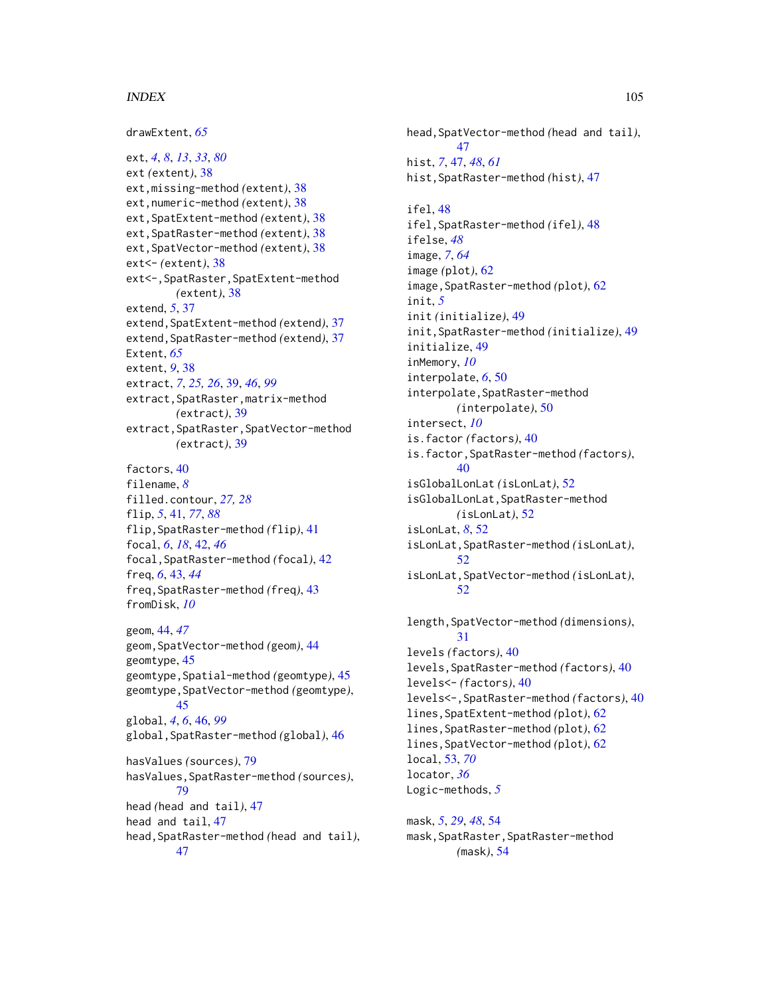#### INDEX 105

drawExtent, *[65](#page-64-0)*

ext, *[4](#page-3-0)*, *[8](#page-7-0)*, *[13](#page-12-0)*, *[33](#page-32-1)*, *[80](#page-79-0)* ext *(*extent*)*, [38](#page-37-1) ext,missing-method *(*extent*)*, [38](#page-37-1) ext,numeric-method *(*extent*)*, [38](#page-37-1) ext,SpatExtent-method *(*extent*)*, [38](#page-37-1) ext,SpatRaster-method *(*extent*)*, [38](#page-37-1) ext,SpatVector-method *(*extent*)*, [38](#page-37-1) ext<- *(*extent*)*, [38](#page-37-1) ext<-,SpatRaster,SpatExtent-method *(*extent*)*, [38](#page-37-1) extend, *[5](#page-4-0)*, [37](#page-36-0) extend,SpatExtent-method *(*extend*)*, [37](#page-36-0) extend,SpatRaster-method *(*extend*)*, [37](#page-36-0) Extent, *[65](#page-64-0)* extent, *[9](#page-8-0)*, [38](#page-37-1) extract, *[7](#page-6-0)*, *[25,](#page-24-0) [26](#page-25-0)*, [39,](#page-38-1) *[46](#page-45-1)*, *[99](#page-98-0)* extract,SpatRaster,matrix-method *(*extract*)*, [39](#page-38-1) extract,SpatRaster,SpatVector-method *(*extract*)*, [39](#page-38-1)

factors, [40](#page-39-0) filename, *[8](#page-7-0)* filled.contour, *[27,](#page-26-0) [28](#page-27-0)* flip, *[5](#page-4-0)*, [41,](#page-40-1) *[77](#page-76-0)*, *[88](#page-87-0)* flip,SpatRaster-method *(*flip*)*, [41](#page-40-1) focal, *[6](#page-5-0)*, *[18](#page-17-0)*, [42,](#page-41-0) *[46](#page-45-1)* focal,SpatRaster-method *(*focal*)*, [42](#page-41-0) freq, *[6](#page-5-0)*, [43,](#page-42-0) *[44](#page-43-0)* freq,SpatRaster-method *(*freq*)*, [43](#page-42-0) fromDisk, *[10](#page-9-0)*

geom, [44,](#page-43-0) *[47](#page-46-0)* geom,SpatVector-method *(*geom*)*, [44](#page-43-0) geomtype, [45](#page-44-0) geomtype,Spatial-method *(*geomtype*)*, [45](#page-44-0) geomtype,SpatVector-method *(*geomtype*)*, [45](#page-44-0) global, *[4](#page-3-0)*, *[6](#page-5-0)*, [46,](#page-45-1) *[99](#page-98-0)* global,SpatRaster-method *(*global*)*, [46](#page-45-1) hasValues *(*sources*)*, [79](#page-78-0) hasValues,SpatRaster-method *(*sources*)*, [79](#page-78-0) head *(*head and tail*)*, [47](#page-46-0) head and tail, [47](#page-46-0) head,SpatRaster-method *(*head and tail*)*, [47](#page-46-0)

head,SpatVector-method *(*head and tail*)*, [47](#page-46-0) hist, *[7](#page-6-0)*, [47,](#page-46-0) *[48](#page-47-0)*, *[61](#page-60-0)* hist,SpatRaster-method *(*hist*)*, [47](#page-46-0) ifel, [48](#page-47-0) ifel,SpatRaster-method *(*ifel*)*, [48](#page-47-0) ifelse, *[48](#page-47-0)* image, *[7](#page-6-0)*, *[64](#page-63-0)* image *(*plot*)*, [62](#page-61-1) image,SpatRaster-method *(*plot*)*, [62](#page-61-1) init, *[5](#page-4-0)* init *(*initialize*)*, [49](#page-48-0) init,SpatRaster-method *(*initialize*)*, [49](#page-48-0) initialize, [49](#page-48-0) inMemory, *[10](#page-9-0)* interpolate, *[6](#page-5-0)*, [50](#page-49-0) interpolate,SpatRaster-method *(*interpolate*)*, [50](#page-49-0) intersect, *[10](#page-9-0)* is.factor *(*factors*)*, [40](#page-39-0) is.factor,SpatRaster-method *(*factors*)*, [40](#page-39-0) isGlobalLonLat *(*isLonLat*)*, [52](#page-51-0) isGlobalLonLat,SpatRaster-method *(*isLonLat*)*, [52](#page-51-0) isLonLat, *[8](#page-7-0)*, [52](#page-51-0) isLonLat,SpatRaster-method *(*isLonLat*)*, [52](#page-51-0) isLonLat,SpatVector-method *(*isLonLat*)*, [52](#page-51-0)

```
length,SpatVector-method (dimensions),
        31
levels (factors), 40
levels,SpatRaster-method (factors), 40
levels<- (factors), 40
levels<-,SpatRaster-method (factors), 40
lines,SpatExtent-method (plot), 62
lines,SpatRaster-method (plot), 62
lines,SpatVector-method (plot), 62
local, 53, 70
locator, 36
Logic-methods, 5
```
mask, *[5](#page-4-0)*, *[29](#page-28-1)*, *[48](#page-47-0)*, [54](#page-53-0) mask,SpatRaster,SpatRaster-method *(*mask*)*, [54](#page-53-0)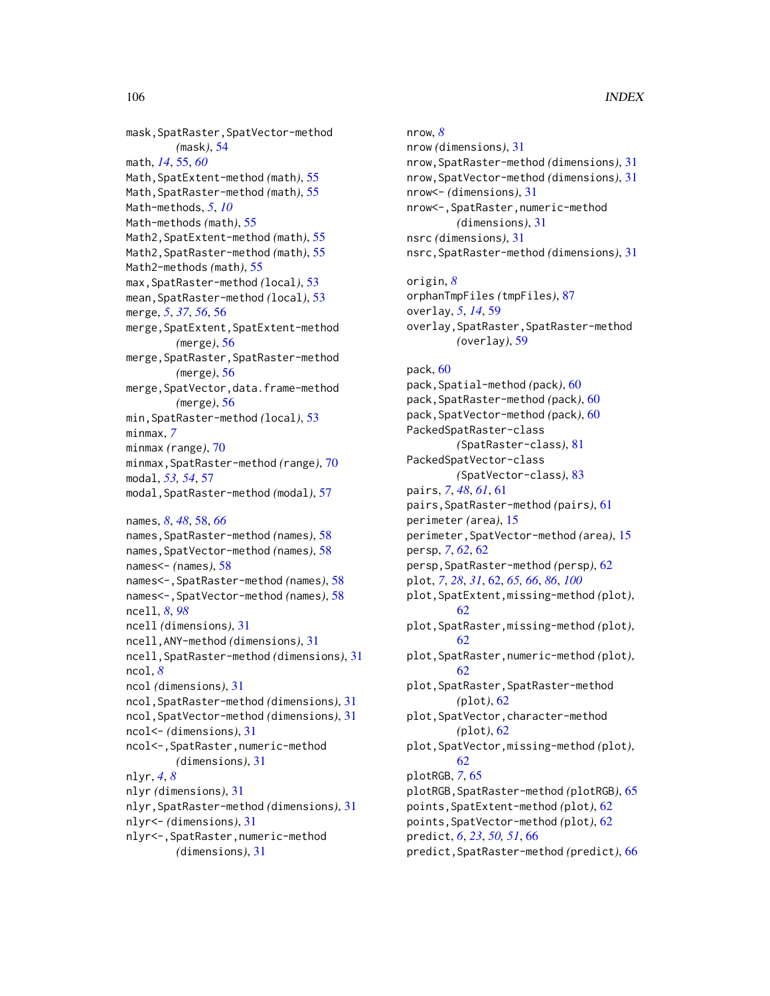mask,SpatRaster,SpatVector-method *(*mask*)*, [54](#page-53-0) math, *[14](#page-13-1)*, [55,](#page-54-0) *[60](#page-59-0)* Math,SpatExtent-method *(*math*)*, [55](#page-54-0) Math,SpatRaster-method *(*math*)*, [55](#page-54-0) Math-methods, *[5](#page-4-0)*, *[10](#page-9-0)* Math-methods *(*math*)*, [55](#page-54-0) Math2,SpatExtent-method *(*math*)*, [55](#page-54-0) Math2,SpatRaster-method *(*math*)*, [55](#page-54-0) Math2-methods *(*math*)*, [55](#page-54-0) max,SpatRaster-method *(*local*)*, [53](#page-52-1) mean,SpatRaster-method *(*local*)*, [53](#page-52-1) merge, *[5](#page-4-0)*, *[37](#page-36-0)*, *[56](#page-55-0)*, [56](#page-55-0) merge,SpatExtent,SpatExtent-method *(*merge*)*, [56](#page-55-0) merge,SpatRaster,SpatRaster-method *(*merge*)*, [56](#page-55-0) merge,SpatVector,data.frame-method *(*merge*)*, [56](#page-55-0) min,SpatRaster-method *(*local*)*, [53](#page-52-1) minmax, *[7](#page-6-0)* minmax *(*range*)*, [70](#page-69-0) minmax,SpatRaster-method *(*range*)*, [70](#page-69-0) modal, *[53,](#page-52-1) [54](#page-53-0)*, [57](#page-56-0) modal,SpatRaster-method *(*modal*)*, [57](#page-56-0) names, *[8](#page-7-0)*, *[48](#page-47-0)*, [58,](#page-57-0) *[66](#page-65-0)* names,SpatRaster-method *(*names*)*, [58](#page-57-0) names,SpatVector-method *(*names*)*, [58](#page-57-0) names<- *(*names*)*, [58](#page-57-0) names<-,SpatRaster-method *(*names*)*, [58](#page-57-0) names<-,SpatVector-method *(*names*)*, [58](#page-57-0) ncell, *[8](#page-7-0)*, *[98](#page-97-0)* ncell *(*dimensions*)*, [31](#page-30-1) ncell,ANY-method *(*dimensions*)*, [31](#page-30-1) ncell,SpatRaster-method *(*dimensions*)*, [31](#page-30-1) ncol, *[8](#page-7-0)* ncol *(*dimensions*)*, [31](#page-30-1) ncol,SpatRaster-method *(*dimensions*)*, [31](#page-30-1) ncol,SpatVector-method *(*dimensions*)*, [31](#page-30-1) ncol<- *(*dimensions*)*, [31](#page-30-1) ncol<-,SpatRaster,numeric-method *(*dimensions*)*, [31](#page-30-1) nlyr, *[4](#page-3-0)*, *[8](#page-7-0)* nlyr *(*dimensions*)*, [31](#page-30-1) nlyr,SpatRaster-method *(*dimensions*)*, [31](#page-30-1) nlyr<- *(*dimensions*)*, [31](#page-30-1) nlyr<-,SpatRaster,numeric-method *(*dimensions*)*, [31](#page-30-1)

nrow, *[8](#page-7-0)* nrow *(*dimensions*)*, [31](#page-30-1) nrow,SpatRaster-method *(*dimensions*)*, [31](#page-30-1) nrow,SpatVector-method *(*dimensions*)*, [31](#page-30-1) nrow<- *(*dimensions*)*, [31](#page-30-1) nrow<-,SpatRaster,numeric-method *(*dimensions*)*, [31](#page-30-1) nsrc *(*dimensions*)*, [31](#page-30-1) nsrc,SpatRaster-method *(*dimensions*)*, [31](#page-30-1) origin, *[8](#page-7-0)* orphanTmpFiles *(*tmpFiles*)*, [87](#page-86-0) overlay, *[5](#page-4-0)*, *[14](#page-13-1)*, [59](#page-58-0) overlay,SpatRaster,SpatRaster-method *(*overlay*)*, [59](#page-58-0) pack, [60](#page-59-0) pack,Spatial-method *(*pack*)*, [60](#page-59-0) pack,SpatRaster-method *(*pack*)*, [60](#page-59-0) pack,SpatVector-method *(*pack*)*, [60](#page-59-0) PackedSpatRaster-class *(*SpatRaster-class*)*, [81](#page-80-0) PackedSpatVector-class *(*SpatVector-class*)*, [83](#page-82-0) pairs, *[7](#page-6-0)*, *[48](#page-47-0)*, *[61](#page-60-0)*, [61](#page-60-0) pairs,SpatRaster-method *(*pairs*)*, [61](#page-60-0) perimeter *(*area*)*, [15](#page-14-0) perimeter,SpatVector-method *(*area*)*, [15](#page-14-0) persp, *[7](#page-6-0)*, *[62](#page-61-1)*, [62](#page-61-1) persp,SpatRaster-method *(*persp*)*, [62](#page-61-1) plot, *[7](#page-6-0)*, *[28](#page-27-0)*, *[31](#page-30-1)*, [62,](#page-61-1) *[65,](#page-64-0) [66](#page-65-0)*, *[86](#page-85-1)*, *[100](#page-99-0)* plot,SpatExtent,missing-method *(*plot*)*, [62](#page-61-1) plot,SpatRaster,missing-method *(*plot*)*, [62](#page-61-1) plot,SpatRaster,numeric-method *(*plot*)*, [62](#page-61-1) plot,SpatRaster,SpatRaster-method *(*plot*)*, [62](#page-61-1) plot,SpatVector,character-method *(*plot*)*, [62](#page-61-1) plot,SpatVector,missing-method *(*plot*)*, [62](#page-61-1) plotRGB, *[7](#page-6-0)*, [65](#page-64-0) plotRGB,SpatRaster-method *(*plotRGB*)*, [65](#page-64-0) points,SpatExtent-method *(*plot*)*, [62](#page-61-1) points,SpatVector-method *(*plot*)*, [62](#page-61-1) predict, *[6](#page-5-0)*, *[23](#page-22-1)*, *[50,](#page-49-0) [51](#page-50-0)*, [66](#page-65-0) predict,SpatRaster-method *(*predict*)*, [66](#page-65-0)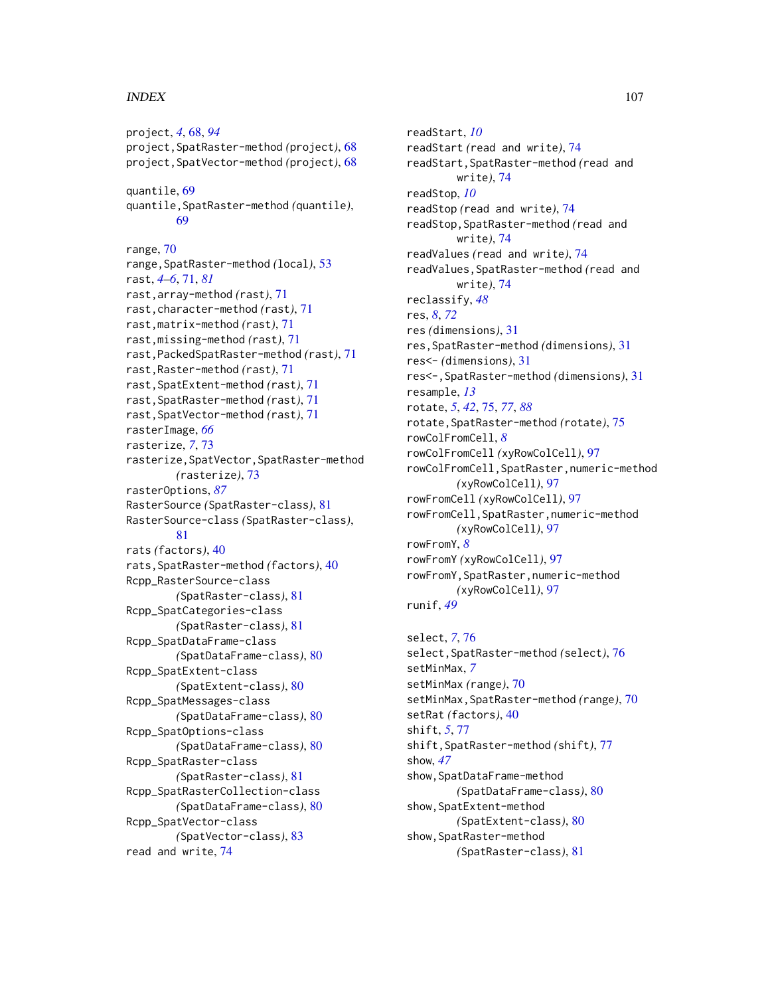#### INDEX  $107$

project, *[4](#page-3-0)*, [68,](#page-67-1) *[94](#page-93-1)* project,SpatRaster-method *(*project*)*, [68](#page-67-1) project,SpatVector-method *(*project*)*, [68](#page-67-1) quantile, [69](#page-68-0) quantile,SpatRaster-method *(*quantile*)*, [69](#page-68-0) range, [70](#page-69-0) range,SpatRaster-method *(*local*)*, [53](#page-52-1) rast, *[4](#page-3-0)[–6](#page-5-0)*, [71,](#page-70-1) *[81](#page-80-0)* rast,array-method *(*rast*)*, [71](#page-70-1) rast,character-method *(*rast*)*, [71](#page-70-1) rast,matrix-method *(*rast*)*, [71](#page-70-1) rast,missing-method *(*rast*)*, [71](#page-70-1) rast,PackedSpatRaster-method *(*rast*)*, [71](#page-70-1) rast,Raster-method *(*rast*)*, [71](#page-70-1) rast,SpatExtent-method *(*rast*)*, [71](#page-70-1) rast,SpatRaster-method *(*rast*)*, [71](#page-70-1) rast,SpatVector-method *(*rast*)*, [71](#page-70-1) rasterImage, *[66](#page-65-0)* rasterize, *[7](#page-6-0)*, [73](#page-72-0) rasterize,SpatVector,SpatRaster-method *(*rasterize*)*, [73](#page-72-0) rasterOptions, *[87](#page-86-0)* RasterSource *(*SpatRaster-class*)*, [81](#page-80-0) RasterSource-class *(*SpatRaster-class*)*, [81](#page-80-0) rats *(*factors*)*, [40](#page-39-0) rats,SpatRaster-method *(*factors*)*, [40](#page-39-0) Rcpp\_RasterSource-class *(*SpatRaster-class*)*, [81](#page-80-0) Rcpp\_SpatCategories-class *(*SpatRaster-class*)*, [81](#page-80-0) Rcpp\_SpatDataFrame-class *(*SpatDataFrame-class*)*, [80](#page-79-0) Rcpp\_SpatExtent-class *(*SpatExtent-class*)*, [80](#page-79-0) Rcpp\_SpatMessages-class *(*SpatDataFrame-class*)*, [80](#page-79-0) Rcpp\_SpatOptions-class *(*SpatDataFrame-class*)*, [80](#page-79-0) Rcpp\_SpatRaster-class *(*SpatRaster-class*)*, [81](#page-80-0) Rcpp\_SpatRasterCollection-class *(*SpatDataFrame-class*)*, [80](#page-79-0) Rcpp\_SpatVector-class *(*SpatVector-class*)*, [83](#page-82-0) read and write, [74](#page-73-0)

readStart, *[10](#page-9-0)* readStart *(*read and write*)*, [74](#page-73-0) readStart,SpatRaster-method *(*read and write*)*, [74](#page-73-0) readStop, *[10](#page-9-0)* readStop *(*read and write*)*, [74](#page-73-0) readStop,SpatRaster-method *(*read and write*)*, [74](#page-73-0) readValues *(*read and write*)*, [74](#page-73-0) readValues,SpatRaster-method *(*read and write*)*, [74](#page-73-0) reclassify, *[48](#page-47-0)* res, *[8](#page-7-0)*, *[72](#page-71-0)* res *(*dimensions*)*, [31](#page-30-1) res,SpatRaster-method *(*dimensions*)*, [31](#page-30-1) res<- *(*dimensions*)*, [31](#page-30-1) res<-,SpatRaster-method *(*dimensions*)*, [31](#page-30-1) resample, *[13](#page-12-0)* rotate, *[5](#page-4-0)*, *[42](#page-41-0)*, [75,](#page-74-1) *[77](#page-76-0)*, *[88](#page-87-0)* rotate,SpatRaster-method *(*rotate*)*, [75](#page-74-1) rowColFromCell, *[8](#page-7-0)* rowColFromCell *(*xyRowColCell*)*, [97](#page-96-0) rowColFromCell,SpatRaster,numeric-method *(*xyRowColCell*)*, [97](#page-96-0) rowFromCell *(*xyRowColCell*)*, [97](#page-96-0) rowFromCell,SpatRaster,numeric-method *(*xyRowColCell*)*, [97](#page-96-0) rowFromY, *[8](#page-7-0)* rowFromY *(*xyRowColCell*)*, [97](#page-96-0) rowFromY,SpatRaster,numeric-method *(*xyRowColCell*)*, [97](#page-96-0) runif, *[49](#page-48-0)*

select, *[7](#page-6-0)*, [76](#page-75-0) select,SpatRaster-method *(*select*)*, [76](#page-75-0) setMinMax, *[7](#page-6-0)* setMinMax *(*range*)*, [70](#page-69-0) setMinMax,SpatRaster-method *(*range*)*, [70](#page-69-0) setRat *(*factors*)*, [40](#page-39-0) shift, *[5](#page-4-0)*, [77](#page-76-0) shift,SpatRaster-method *(*shift*)*, [77](#page-76-0) show, *[47](#page-46-0)* show,SpatDataFrame-method *(*SpatDataFrame-class*)*, [80](#page-79-0) show,SpatExtent-method *(*SpatExtent-class*)*, [80](#page-79-0) show,SpatRaster-method *(*SpatRaster-class*)*, [81](#page-80-0)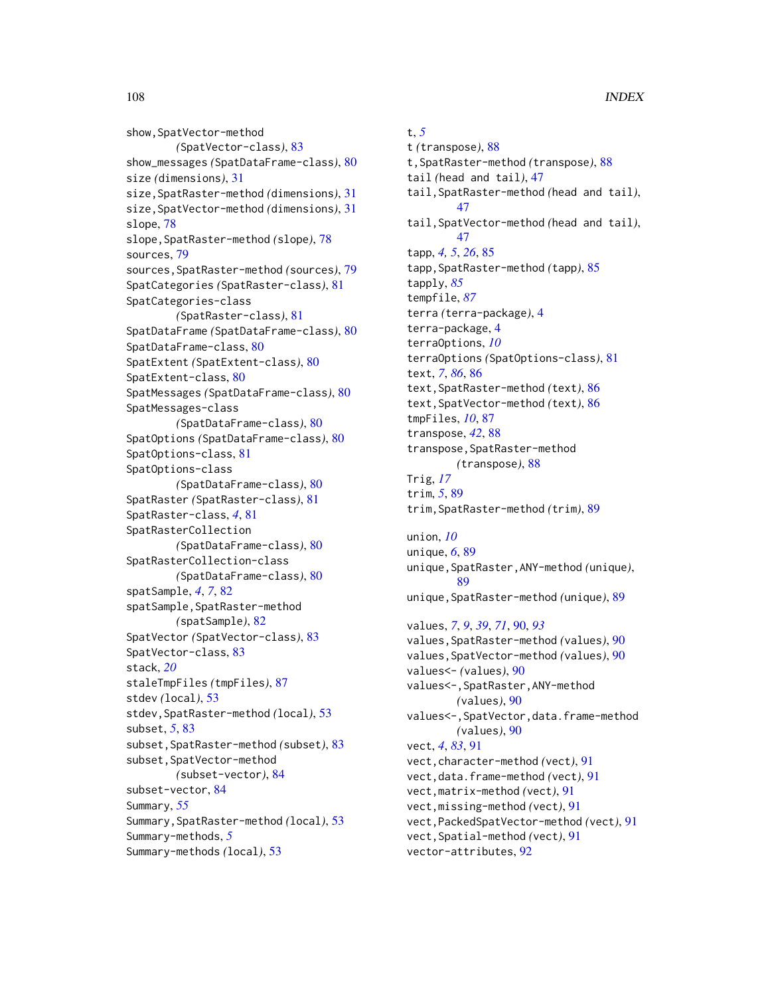show, SpatVector-method *(*SpatVector-class*)*, [83](#page-82-0) show\_messages *(*SpatDataFrame-class*)*, [80](#page-79-0) size *(*dimensions*)*, [31](#page-30-1) size,SpatRaster-method *(*dimensions*)*, [31](#page-30-1) size,SpatVector-method *(*dimensions*)*, [31](#page-30-1) slope, [78](#page-77-0) slope,SpatRaster-method *(*slope*)*, [78](#page-77-0) sources, [79](#page-78-0) sources,SpatRaster-method *(*sources*)*, [79](#page-78-0) SpatCategories *(*SpatRaster-class*)*, [81](#page-80-0) SpatCategories-class *(*SpatRaster-class*)*, [81](#page-80-0) SpatDataFrame *(*SpatDataFrame-class*)*, [80](#page-79-0) SpatDataFrame-class, [80](#page-79-0) SpatExtent *(*SpatExtent-class*)*, [80](#page-79-0) SpatExtent-class, [80](#page-79-0) SpatMessages *(*SpatDataFrame-class*)*, [80](#page-79-0) SpatMessages-class *(*SpatDataFrame-class*)*, [80](#page-79-0) SpatOptions *(*SpatDataFrame-class*)*, [80](#page-79-0) SpatOptions-class, [81](#page-80-0) SpatOptions-class *(*SpatDataFrame-class*)*, [80](#page-79-0) SpatRaster *(*SpatRaster-class*)*, [81](#page-80-0) SpatRaster-class, *[4](#page-3-0)*, [81](#page-80-0) SpatRasterCollection *(*SpatDataFrame-class*)*, [80](#page-79-0) SpatRasterCollection-class *(*SpatDataFrame-class*)*, [80](#page-79-0) spatSample, *[4](#page-3-0)*, *[7](#page-6-0)*, [82](#page-81-0) spatSample, SpatRaster-method *(*spatSample*)*, [82](#page-81-0) SpatVector *(*SpatVector-class*)*, [83](#page-82-0) SpatVector-class, [83](#page-82-0) stack, *[20](#page-19-0)* staleTmpFiles *(*tmpFiles*)*, [87](#page-86-0) stdev *(*local*)*, [53](#page-52-1) stdev,SpatRaster-method *(*local*)*, [53](#page-52-1) subset, *[5](#page-4-0)*, [83](#page-82-0) subset,SpatRaster-method *(*subset*)*, [83](#page-82-0) subset, SpatVector-method *(*subset-vector*)*, [84](#page-83-0) subset-vector, [84](#page-83-0) Summary, *[55](#page-54-0)* Summary,SpatRaster-method *(*local*)*, [53](#page-52-1) Summary-methods, *[5](#page-4-0)* Summary-methods *(*local*)*, [53](#page-52-1)

t, *[5](#page-4-0)* t *(*transpose*)*, [88](#page-87-0) t,SpatRaster-method *(*transpose*)*, [88](#page-87-0) tail *(*head and tail*)*, [47](#page-46-0) tail,SpatRaster-method *(*head and tail*)*, [47](#page-46-0) tail,SpatVector-method *(*head and tail*)*, [47](#page-46-0) tapp, *[4,](#page-3-0) [5](#page-4-0)*, *[26](#page-25-0)*, [85](#page-84-0) tapp,SpatRaster-method *(*tapp*)*, [85](#page-84-0) tapply, *[85](#page-84-0)* tempfile, *[87](#page-86-0)* terra *(*terra-package*)*, [4](#page-3-0) terra-package, [4](#page-3-0) terraOptions, *[10](#page-9-0)* terraOptions *(*SpatOptions-class*)*, [81](#page-80-0) text, *[7](#page-6-0)*, *[86](#page-85-1)*, [86](#page-85-1) text,SpatRaster-method *(*text*)*, [86](#page-85-1) text,SpatVector-method *(*text*)*, [86](#page-85-1) tmpFiles, *[10](#page-9-0)*, [87](#page-86-0) transpose, *[42](#page-41-0)*, [88](#page-87-0) transpose,SpatRaster-method *(*transpose*)*, [88](#page-87-0) Trig, *[17](#page-16-0)* trim, *[5](#page-4-0)*, [89](#page-88-0) trim,SpatRaster-method *(*trim*)*, [89](#page-88-0) union, *[10](#page-9-0)* unique, *[6](#page-5-0)*, [89](#page-88-0) unique,SpatRaster,ANY-method *(*unique*)*, [89](#page-88-0) unique,SpatRaster-method *(*unique*)*, [89](#page-88-0) values, *[7](#page-6-0)*, *[9](#page-8-0)*, *[39](#page-38-1)*, *[71](#page-70-1)*, [90,](#page-89-1) *[93](#page-92-0)* values,SpatRaster-method *(*values*)*, [90](#page-89-1) values,SpatVector-method *(*values*)*, [90](#page-89-1) values<- *(*values*)*, [90](#page-89-1) values<-,SpatRaster,ANY-method *(*values*)*, [90](#page-89-1) values<-,SpatVector,data.frame-method *(*values*)*, [90](#page-89-1) vect, *[4](#page-3-0)*, *[83](#page-82-0)*, [91](#page-90-1) vect,character-method *(*vect*)*, [91](#page-90-1) vect,data.frame-method *(*vect*)*, [91](#page-90-1) vect,matrix-method *(*vect*)*, [91](#page-90-1) vect,missing-method *(*vect*)*, [91](#page-90-1)

vect,PackedSpatVector-method *(*vect*)*, [91](#page-90-1)

vect,Spatial-method *(*vect*)*, [91](#page-90-1)

vector-attributes, [92](#page-91-0)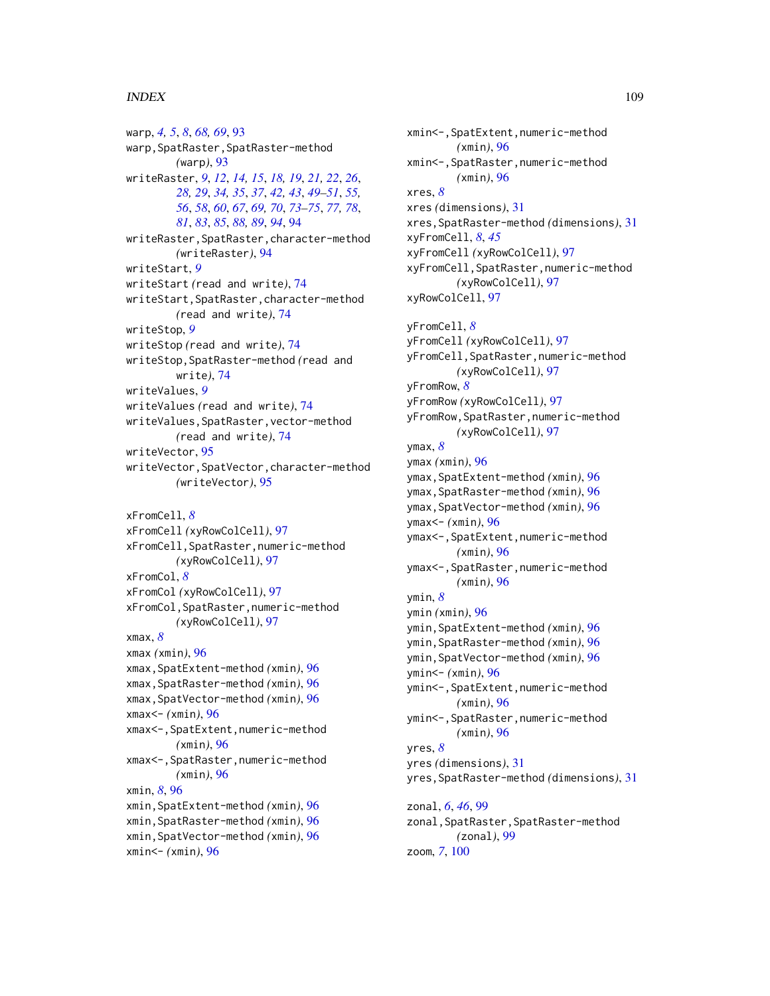## INDEX 109

warp, *[4,](#page-3-0) [5](#page-4-0)*, *[8](#page-7-0)*, *[68,](#page-67-0) [69](#page-68-0)*, [93](#page-92-0) warp,SpatRaster,SpatRaster-method *(*warp*)*, [93](#page-92-0) writeRaster, *[9](#page-8-0)*, *[12](#page-11-0)*, *[14,](#page-13-0) [15](#page-14-0)*, *[18,](#page-17-0) [19](#page-18-0)*, *[21,](#page-20-0) [22](#page-21-0)*, *[26](#page-25-0)*, *[28,](#page-27-0) [29](#page-28-0)*, *[34,](#page-33-0) [35](#page-34-0)*, *[37](#page-36-0)*, *[42,](#page-41-0) [43](#page-42-0)*, *[49–](#page-48-0)[51](#page-50-0)*, *[55,](#page-54-0) [56](#page-55-0)*, *[58](#page-57-0)*, *[60](#page-59-0)*, *[67](#page-66-0)*, *[69,](#page-68-0) [70](#page-69-0)*, *[73–](#page-72-0)[75](#page-74-0)*, *[77,](#page-76-0) [78](#page-77-0)*, *[81](#page-80-0)*, *[83](#page-82-0)*, *[85](#page-84-0)*, *[88,](#page-87-0) [89](#page-88-0)*, *[94](#page-93-0)*, [94](#page-93-0) writeRaster,SpatRaster,character-method *(*writeRaster*)*, [94](#page-93-0) writeStart, *[9](#page-8-0)* writeStart *(*read and write*)*, [74](#page-73-0) writeStart,SpatRaster,character-method *(*read and write*)*, [74](#page-73-0) writeStop, *[9](#page-8-0)* writeStop *(*read and write*)*, [74](#page-73-0) writeStop,SpatRaster-method *(*read and write*)*, [74](#page-73-0) writeValues, *[9](#page-8-0)* writeValues *(*read and write*)*, [74](#page-73-0) writeValues,SpatRaster,vector-method *(*read and write*)*, [74](#page-73-0) writeVector, [95](#page-94-0) writeVector,SpatVector,character-method *(*writeVector*)*, [95](#page-94-0) xFromCell, *[8](#page-7-0)* xFromCell *(*xyRowColCell*)*, [97](#page-96-0) xFromCell,SpatRaster,numeric-method *(*xyRowColCell*)*, [97](#page-96-0) xFromCol, *[8](#page-7-0)* xFromCol *(*xyRowColCell*)*, [97](#page-96-0) xFromCol,SpatRaster,numeric-method *(*xyRowColCell*)*, [97](#page-96-0) xmax, *[8](#page-7-0)* xmax *(*xmin*)*, [96](#page-95-0) xmax,SpatExtent-method *(*xmin*)*, [96](#page-95-0) xmax,SpatRaster-method *(*xmin*)*, [96](#page-95-0) xmax,SpatVector-method *(*xmin*)*, [96](#page-95-0) xmax<- *(*xmin*)*, [96](#page-95-0) xmax<-,SpatExtent,numeric-method *(*xmin*)*, [96](#page-95-0) xmax<-,SpatRaster,numeric-method *(*xmin*)*, [96](#page-95-0) xmin, *[8](#page-7-0)*, [96](#page-95-0) xmin,SpatExtent-method *(*xmin*)*, [96](#page-95-0) xmin,SpatRaster-method *(*xmin*)*, [96](#page-95-0) xmin,SpatVector-method *(*xmin*)*, [96](#page-95-0) xmin<- *(*xmin*)*, [96](#page-95-0)

xmin<-,SpatExtent,numeric-method *(*xmin*)*, [96](#page-95-0) xmin<-,SpatRaster,numeric-method *(*xmin*)*, [96](#page-95-0) xres, *[8](#page-7-0)* xres *(*dimensions*)*, [31](#page-30-0) xres,SpatRaster-method *(*dimensions*)*, [31](#page-30-0) xyFromCell, *[8](#page-7-0)*, *[45](#page-44-0)* xyFromCell *(*xyRowColCell*)*, [97](#page-96-0) xyFromCell,SpatRaster,numeric-method *(*xyRowColCell*)*, [97](#page-96-0) xyRowColCell, [97](#page-96-0) yFromCell, *[8](#page-7-0)* yFromCell *(*xyRowColCell*)*, [97](#page-96-0) yFromCell,SpatRaster,numeric-method *(*xyRowColCell*)*, [97](#page-96-0) yFromRow, *[8](#page-7-0)* yFromRow *(*xyRowColCell*)*, [97](#page-96-0) yFromRow,SpatRaster,numeric-method *(*xyRowColCell*)*, [97](#page-96-0) ymax, *[8](#page-7-0)* ymax *(*xmin*)*, [96](#page-95-0) ymax,SpatExtent-method *(*xmin*)*, [96](#page-95-0) ymax,SpatRaster-method *(*xmin*)*, [96](#page-95-0) ymax,SpatVector-method *(*xmin*)*, [96](#page-95-0) ymax<- *(*xmin*)*, [96](#page-95-0) ymax<-,SpatExtent,numeric-method *(*xmin*)*, [96](#page-95-0) ymax<-,SpatRaster,numeric-method *(*xmin*)*, [96](#page-95-0) ymin, *[8](#page-7-0)* ymin *(*xmin*)*, [96](#page-95-0) ymin,SpatExtent-method *(*xmin*)*, [96](#page-95-0) ymin,SpatRaster-method *(*xmin*)*, [96](#page-95-0) ymin,SpatVector-method *(*xmin*)*, [96](#page-95-0) ymin<- *(*xmin*)*, [96](#page-95-0) ymin<-,SpatExtent,numeric-method *(*xmin*)*, [96](#page-95-0) ymin<-,SpatRaster,numeric-method *(*xmin*)*, [96](#page-95-0) yres, *[8](#page-7-0)* yres *(*dimensions*)*, [31](#page-30-0) yres,SpatRaster-method *(*dimensions*)*, [31](#page-30-0) zonal, *[6](#page-5-0)*, *[46](#page-45-0)*, [99](#page-98-0) zonal, SpatRaster, SpatRaster-method *(*zonal*)*, [99](#page-98-0) zoom, *[7](#page-6-0)*, [100](#page-99-0)